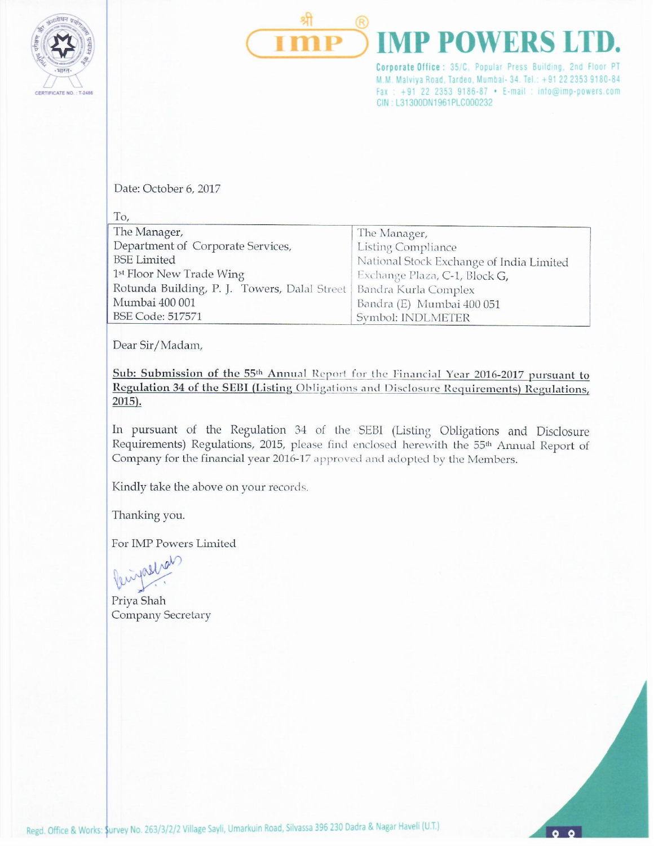

Corporate Office: 35/C, Popular Press Building, 2nd Floor PT M.M. Malviya Road, Tardeo, Mumbai- 34. Tel.: +91 22 2353 9180-84 Fax: +91 22 2353 9186-87 • E-mail: info@imp-powers.com CIN: L31300DN1961PLC000232

Date: October 6, 2017

 $T_{\Omega}$ 

| 101                                                                 |                                          |
|---------------------------------------------------------------------|------------------------------------------|
| The Manager,                                                        | The Manager,                             |
| Department of Corporate Services,                                   | <b>Listing Compliance</b>                |
| <b>BSE Limited</b>                                                  | National Stock Exchange of India Limited |
| 1 <sup>st</sup> Floor New Trade Wing                                | Exchange Plaza, C-1, Block G,            |
| Rotunda Building, P. J. Towers, Dalal Street   Bandra Kurla Complex |                                          |
| Mumbai 400 001                                                      | Bandra (E) Mumbai 400 051                |
| <b>BSE Code: 517571</b>                                             | Symbol: INDLMETER                        |
|                                                                     |                                          |

Dear Sir/Madam,

Sub: Submission of the 55<sup>th</sup> Annual Report for the Financial Year 2016-2017 pursuant to Regulation 34 of the SEBI (Listing Obligations and Disclosure Requirements) Regulations,  $2015$ ).

In pursuant of the Regulation 34 of the SEBI (Listing Obligations and Disclosure Requirements) Regulations, 2015, please find enclosed herewith the 55<sup>th</sup> Annual Report of Company for the financial year 2016-17 approved and adopted by the Members.

Kindly take the above on your records.

Thanking you.

For IMP Powers Limited

Priya Shah **Company Secretary**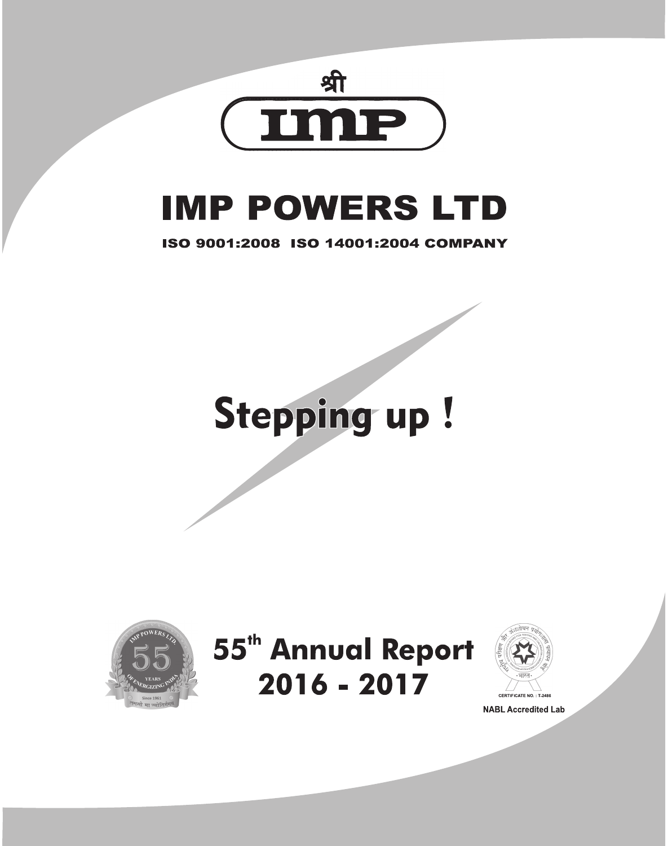

## **IMP POWERS LTD**

## ISO 9001:2008 ISO 14001:2004 COMPANY

# Stepping up!







**NABL Accredited Lab**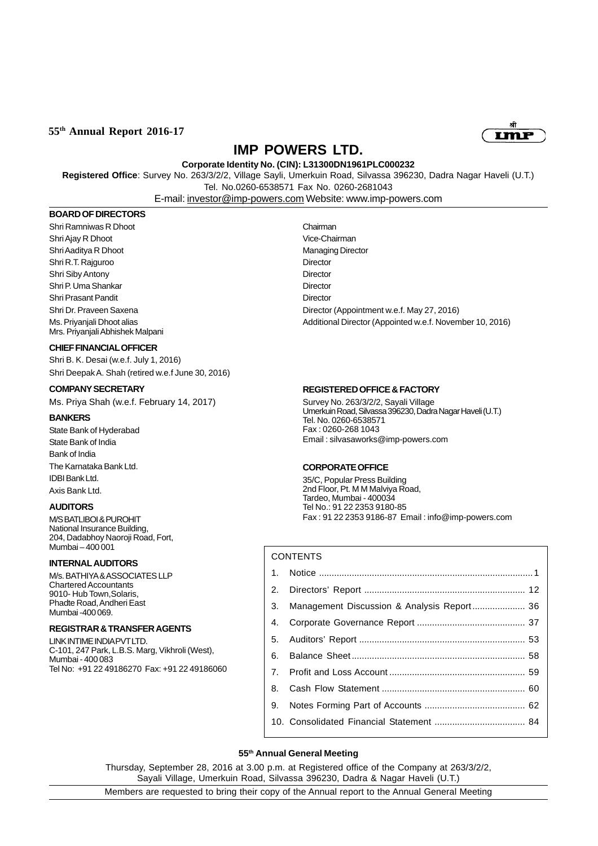

## **IMP POWERS LTD.**

**Corporate Identity No. (CIN): L31300DN1961PLC000232**

**Registered Office**: Survey No. 263/3/2/2, Village Sayli, Umerkuin Road, Silvassa 396230, Dadra Nagar Haveli (U.T.) Tel. No.0260-6538571 Fax No. 0260-2681043

E-mail: investor@imp-powers.com Website: www.imp-powers.com

#### **BOARD OF DIRECTORS**

Shri Ramniwas R Dhoot Chairman Shri Ajay R Dhoot Vice-Chairman Shri Aaditya R Dhoot Managing Director Shri R.T. Rajguroo **Director** Shri Siby Antony Director Shri P. Uma Shankar Director Shri Prasant Pandit Nicolas Contractor Contractor Contractor Contractor Contractor Contractor Contractor Contractor Mrs. Priyanjali Abhishek Malpani

#### **CHIEF FINANCIAL OFFICER**

Shri B. K. Desai (w.e.f. July 1, 2016) Shri Deepak A. Shah (retired w.e.f June 30, 2016)

#### **COMPANY SECRETARY**

Ms. Priya Shah (w.e.f. February 14, 2017)

#### **BANKERS**

State Bank of Hyderabad State Bank of India Bank of India The Karnataka Bank Ltd. IDBI Bank Ltd. Axis Bank Ltd.

#### **AUDITORS**

M/S BATLIBOI & PUROHIT National Insurance Building, 204, Dadabhoy Naoroji Road, Fort, Mumbai – 400 001

#### **INTERNAL AUDITORS**

M/s. BATHIYA & ASSOCIATES LLP Chartered Accountants 9010- Hub Town,Solaris, Phadte Road, Andheri East Mumbai -400 069.

#### **REGISTRAR & TRANSFER AGENTS**

LINK INTIME INDIA PVT LTD. C-101, 247 Park, L.B.S. Marg, Vikhroli (West), Mumbai - 400 083 Tel No: +91 22 49186270 Fax: +91 22 49186060

Shri Dr. Praveen Saxena **Director (Appointment w.e.f. May 27, 2016**) Ms. Priyanjali Dhoot alias Additional Director (Appointed w.e.f. November 10, 2016)

#### **REGISTERED OFFICE & FACTORY**

Survey No. 263/3/2/2, Sayali Village Umerkuin Road, Silvassa 396230, Dadra Nagar Haveli (U.T.) Tel. No. 0260-6538571 Fax : 0260-268 1043 Email : silvasaworks@imp-powers.com

#### **CORPORATE OFFICE**

35/C, Popular Press Building 2nd Floor, Pt. M M Malviya Road, Tardeo, Mumbai - 400034 Tel No.: 91 22 2353 9180-85 Fax : 91 22 2353 9186-87 Email : info@imp-powers.com

#### **CONTENTS**

| 3. Management Discussion & Analysis Report 36 |  |
|-----------------------------------------------|--|
|                                               |  |
|                                               |  |
|                                               |  |
|                                               |  |
|                                               |  |
|                                               |  |
|                                               |  |

#### **55th Annual General Meeting**

Thursday, September 28, 2016 at 3.00 p.m. at Registered office of the Company at 263/3/2/2, Sayali Village, Umerkuin Road, Silvassa 396230, Dadra & Nagar Haveli (U.T.)

Members are requested to bring their copy of the Annual report to the Annual General Meeting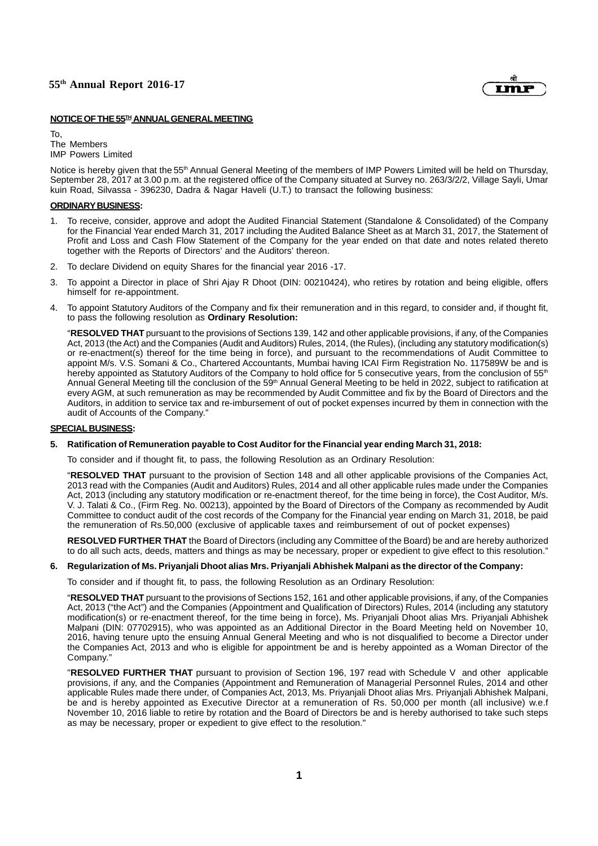

#### **NOTICE OF THE 55TH ANNUAL GENERAL MEETING**

To, The Members IMP Powers Limited

Notice is hereby given that the 55<sup>th</sup> Annual General Meeting of the members of IMP Powers Limited will be held on Thursday, September 28, 2017 at 3.00 p.m. at the registered office of the Company situated at Survey no. 263/3/2/2, Village Sayli, Umar kuin Road, Silvassa - 396230, Dadra & Nagar Haveli (U.T.) to transact the following business:

#### **ORDINARY BUSINESS:**

- 1. To receive, consider, approve and adopt the Audited Financial Statement (Standalone & Consolidated) of the Company for the Financial Year ended March 31, 2017 including the Audited Balance Sheet as at March 31, 2017, the Statement of Profit and Loss and Cash Flow Statement of the Company for the year ended on that date and notes related thereto together with the Reports of Directors' and the Auditors' thereon.
- 2. To declare Dividend on equity Shares for the financial year 2016 -17.
- 3. To appoint a Director in place of Shri Ajay R Dhoot (DIN: 00210424), who retires by rotation and being eligible, offers himself for re-appointment.
- 4. To appoint Statutory Auditors of the Company and fix their remuneration and in this regard, to consider and, if thought fit, to pass the following resolution as **Ordinary Resolution:**

"**RESOLVED THAT** pursuant to the provisions of Sections 139, 142 and other applicable provisions, if any, of the Companies Act, 2013 (the Act) and the Companies (Audit and Auditors) Rules, 2014, (the Rules), (including any statutory modification(s) or re-enactment(s) thereof for the time being in force), and pursuant to the recommendations of Audit Committee to appoint M/s. V.S. Somani & Co., Chartered Accountants, Mumbai having ICAI Firm Registration No. 117589W be and is hereby appointed as Statutory Auditors of the Company to hold office for 5 consecutive years, from the conclusion of 55<sup>th</sup> Annual General Meeting till the conclusion of the 59<sup>th</sup> Annual General Meeting to be held in 2022, subject to ratification at every AGM, at such remuneration as may be recommended by Audit Committee and fix by the Board of Directors and the Auditors, in addition to service tax and re-imbursement of out of pocket expenses incurred by them in connection with the audit of Accounts of the Company."

#### **SPECIAL BUSINESS:**

#### **5. Ratification of Remuneration payable to Cost Auditor for the Financial year ending March 31, 2018:**

To consider and if thought fit, to pass, the following Resolution as an Ordinary Resolution:

"**RESOLVED THAT** pursuant to the provision of Section 148 and all other applicable provisions of the Companies Act, 2013 read with the Companies (Audit and Auditors) Rules, 2014 and all other applicable rules made under the Companies Act, 2013 (including any statutory modification or re-enactment thereof, for the time being in force), the Cost Auditor, M/s. V. J. Talati & Co., (Firm Reg. No. 00213), appointed by the Board of Directors of the Company as recommended by Audit Committee to conduct audit of the cost records of the Company for the Financial year ending on March 31, 2018, be paid the remuneration of Rs.50,000 (exclusive of applicable taxes and reimbursement of out of pocket expenses)

**RESOLVED FURTHER THAT** the Board of Directors (including any Committee of the Board) be and are hereby authorized to do all such acts, deeds, matters and things as may be necessary, proper or expedient to give effect to this resolution."

#### **6. Regularization of Ms. Priyanjali Dhoot alias Mrs. Priyanjali Abhishek Malpani as the director of the Company:**

To consider and if thought fit, to pass, the following Resolution as an Ordinary Resolution:

"**RESOLVED THAT** pursuant to the provisions of Sections 152, 161 and other applicable provisions, if any, of the Companies Act, 2013 ("the Act") and the Companies (Appointment and Qualification of Directors) Rules, 2014 (including any statutory modification(s) or re-enactment thereof, for the time being in force), Ms. Priyanjali Dhoot alias Mrs. Priyanjali Abhishek Malpani (DIN: 07702915), who was appointed as an Additional Director in the Board Meeting held on November 10, 2016, having tenure upto the ensuing Annual General Meeting and who is not disqualified to become a Director under the Companies Act, 2013 and who is eligible for appointment be and is hereby appointed as a Woman Director of the Company."

"**RESOLVED FURTHER THAT** pursuant to provision of Section 196, 197 read with Schedule V and other applicable provisions, if any, and the Companies (Appointment and Remuneration of Managerial Personnel Rules, 2014 and other applicable Rules made there under, of Companies Act, 2013, Ms. Priyanjali Dhoot alias Mrs. Priyanjali Abhishek Malpani, be and is hereby appointed as Executive Director at a remuneration of Rs. 50,000 per month (all inclusive) w.e.f November 10, 2016 liable to retire by rotation and the Board of Directors be and is hereby authorised to take such steps as may be necessary, proper or expedient to give effect to the resolution."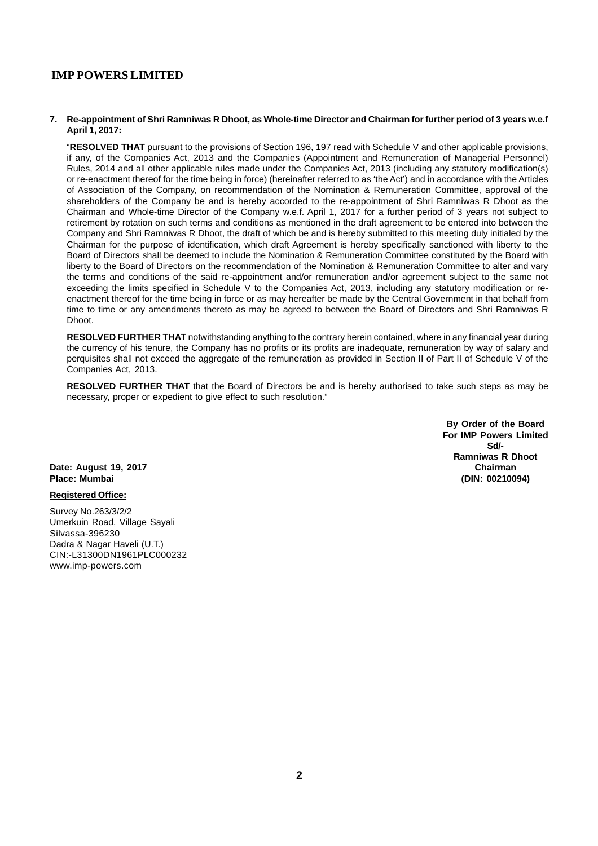#### **7. Re-appointment of Shri Ramniwas R Dhoot, as Whole-time Director and Chairman for further period of 3 years w.e.f April 1, 2017:**

"**RESOLVED THAT** pursuant to the provisions of Section 196, 197 read with Schedule V and other applicable provisions, if any, of the Companies Act, 2013 and the Companies (Appointment and Remuneration of Managerial Personnel) Rules, 2014 and all other applicable rules made under the Companies Act, 2013 (including any statutory modification(s) or re-enactment thereof for the time being in force) (hereinafter referred to as 'the Act') and in accordance with the Articles of Association of the Company, on recommendation of the Nomination & Remuneration Committee, approval of the shareholders of the Company be and is hereby accorded to the re-appointment of Shri Ramniwas R Dhoot as the Chairman and Whole-time Director of the Company w.e.f. April 1, 2017 for a further period of 3 years not subject to retirement by rotation on such terms and conditions as mentioned in the draft agreement to be entered into between the Company and Shri Ramniwas R Dhoot, the draft of which be and is hereby submitted to this meeting duly initialed by the Chairman for the purpose of identification, which draft Agreement is hereby specifically sanctioned with liberty to the Board of Directors shall be deemed to include the Nomination & Remuneration Committee constituted by the Board with liberty to the Board of Directors on the recommendation of the Nomination & Remuneration Committee to alter and vary the terms and conditions of the said re-appointment and/or remuneration and/or agreement subject to the same not exceeding the limits specified in Schedule V to the Companies Act, 2013, including any statutory modification or reenactment thereof for the time being in force or as may hereafter be made by the Central Government in that behalf from time to time or any amendments thereto as may be agreed to between the Board of Directors and Shri Ramniwas R Dhoot.

**RESOLVED FURTHER THAT** notwithstanding anything to the contrary herein contained, where in any financial year during the currency of his tenure, the Company has no profits or its profits are inadequate, remuneration by way of salary and perquisites shall not exceed the aggregate of the remuneration as provided in Section II of Part II of Schedule V of the Companies Act, 2013.

**RESOLVED FURTHER THAT** that the Board of Directors be and is hereby authorised to take such steps as may be necessary, proper or expedient to give effect to such resolution."

> **By Order of the Board For IMP Powers Limited Sd/- Ramniwas R Dhoot Place: Mumbai (DIN: 00210094)**

**Date: August 19, 2017 Chairman**

#### **Registered Office:**

Survey No.263/3/2/2 Umerkuin Road, Village Sayali Silvassa-396230 Dadra & Nagar Haveli (U.T.) CIN:-L31300DN1961PLC000232 www.imp-powers.com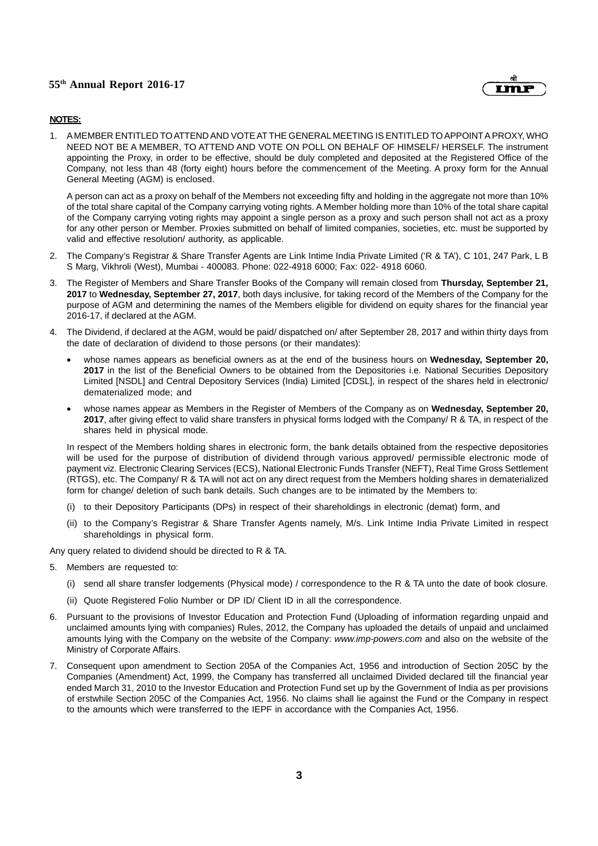

#### **NOTES:**

1. A MEMBER ENTITLED TO ATTEND AND VOTE AT THE GENERAL MEETING IS ENTITLED TO APPOINT A PROXY, WHO NEED NOT BE A MEMBER, TO ATTEND AND VOTE ON POLL ON BEHALF OF HIMSELF/ HERSELF. The instrument appointing the Proxy, in order to be effective, should be duly completed and deposited at the Registered Office of the Company, not less than 48 (forty eight) hours before the commencement of the Meeting. A proxy form for the Annual General Meeting (AGM) is enclosed.

A person can act as a proxy on behalf of the Members not exceeding fifty and holding in the aggregate not more than 10% of the total share capital of the Company carrying voting rights. A Member holding more than 10% of the total share capital of the Company carrying voting rights may appoint a single person as a proxy and such person shall not act as a proxy for any other person or Member. Proxies submitted on behalf of limited companies, societies, etc. must be supported by valid and effective resolution/ authority, as applicable.

- 2. The Company's Registrar & Share Transfer Agents are Link Intime India Private Limited ('R & TA'), C 101, 247 Park, L B S Marg, Vikhroli (West), Mumbai - 400083. Phone: 022-4918 6000; Fax: 022- 4918 6060.
- 3. The Register of Members and Share Transfer Books of the Company will remain closed from **Thursday, September 21, 2017** to **Wednesday, September 27, 2017**, both days inclusive, for taking record of the Members of the Company for the purpose of AGM and determining the names of the Members eligible for dividend on equity shares for the financial year 2016-17, if declared at the AGM.
- 4. The Dividend, if declared at the AGM, would be paid/ dispatched on/ after September 28, 2017 and within thirty days from the date of declaration of dividend to those persons (or their mandates):
	- whose names appears as beneficial owners as at the end of the business hours on **Wednesday, September 20, 2017** in the list of the Beneficial Owners to be obtained from the Depositories i.e. National Securities Depository Limited [NSDL] and Central Depository Services (India) Limited [CDSL], in respect of the shares held in electronic/ dematerialized mode; and
	- whose names appear as Members in the Register of Members of the Company as on **Wednesday, September 20, 2017**, after giving effect to valid share transfers in physical forms lodged with the Company/ R & TA, in respect of the shares held in physical mode.

In respect of the Members holding shares in electronic form, the bank details obtained from the respective depositories will be used for the purpose of distribution of dividend through various approved/ permissible electronic mode of payment viz. Electronic Clearing Services (ECS), National Electronic Funds Transfer (NEFT), Real Time Gross Settlement (RTGS), etc. The Company/ R & TA will not act on any direct request from the Members holding shares in dematerialized form for change/ deletion of such bank details. Such changes are to be intimated by the Members to:

- (i) to their Depository Participants (DPs) in respect of their shareholdings in electronic (demat) form, and
- (ii) to the Company's Registrar & Share Transfer Agents namely, M/s. Link Intime India Private Limited in respect shareholdings in physical form.

Any query related to dividend should be directed to R & TA.

- 5. Members are requested to:
	- (i) send all share transfer lodgements (Physical mode) / correspondence to the R & TA unto the date of book closure.
	- (ii) Quote Registered Folio Number or DP ID/ Client ID in all the correspondence.
- 6. Pursuant to the provisions of Investor Education and Protection Fund (Uploading of information regarding unpaid and unclaimed amounts lying with companies) Rules, 2012, the Company has uploaded the details of unpaid and unclaimed amounts lying with the Company on the website of the Company: *www.imp-powers.com* and also on the website of the Ministry of Corporate Affairs.
- 7. Consequent upon amendment to Section 205A of the Companies Act, 1956 and introduction of Section 205C by the Companies (Amendment) Act, 1999, the Company has transferred all unclaimed Divided declared till the financial year ended March 31, 2010 to the Investor Education and Protection Fund set up by the Government of India as per provisions of erstwhile Section 205C of the Companies Act, 1956. No claims shall lie against the Fund or the Company in respect to the amounts which were transferred to the IEPF in accordance with the Companies Act, 1956.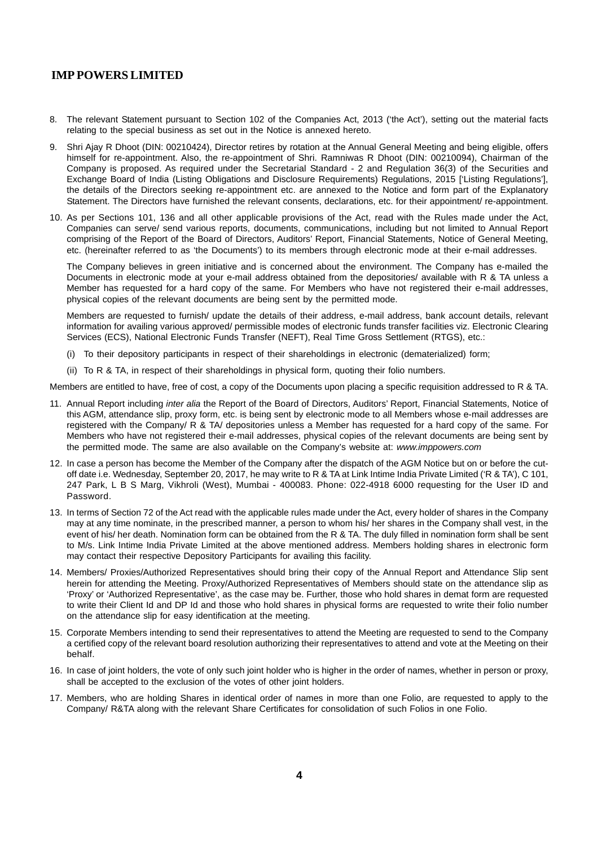- 8. The relevant Statement pursuant to Section 102 of the Companies Act, 2013 ('the Act'), setting out the material facts relating to the special business as set out in the Notice is annexed hereto.
- 9. Shri Ajay R Dhoot (DIN: 00210424), Director retires by rotation at the Annual General Meeting and being eligible, offers himself for re-appointment. Also, the re-appointment of Shri. Ramniwas R Dhoot (DIN: 00210094), Chairman of the Company is proposed. As required under the Secretarial Standard - 2 and Regulation 36(3) of the Securities and Exchange Board of India (Listing Obligations and Disclosure Requirements) Regulations, 2015 ['Listing Regulations'], the details of the Directors seeking re-appointment etc. are annexed to the Notice and form part of the Explanatory Statement. The Directors have furnished the relevant consents, declarations, etc. for their appointment/ re-appointment.
- 10. As per Sections 101, 136 and all other applicable provisions of the Act, read with the Rules made under the Act, Companies can serve/ send various reports, documents, communications, including but not limited to Annual Report comprising of the Report of the Board of Directors, Auditors' Report, Financial Statements, Notice of General Meeting, etc. (hereinafter referred to as 'the Documents') to its members through electronic mode at their e-mail addresses.

The Company believes in green initiative and is concerned about the environment. The Company has e-mailed the Documents in electronic mode at your e-mail address obtained from the depositories/ available with R & TA unless a Member has requested for a hard copy of the same. For Members who have not registered their e-mail addresses, physical copies of the relevant documents are being sent by the permitted mode.

Members are requested to furnish/ update the details of their address, e-mail address, bank account details, relevant information for availing various approved/ permissible modes of electronic funds transfer facilities viz. Electronic Clearing Services (ECS), National Electronic Funds Transfer (NEFT), Real Time Gross Settlement (RTGS), etc.:

- (i) To their depository participants in respect of their shareholdings in electronic (dematerialized) form;
- (ii) To R & TA, in respect of their shareholdings in physical form, quoting their folio numbers.

Members are entitled to have, free of cost, a copy of the Documents upon placing a specific requisition addressed to R & TA.

- 11. Annual Report including *inter alia* the Report of the Board of Directors, Auditors' Report, Financial Statements, Notice of this AGM, attendance slip, proxy form, etc. is being sent by electronic mode to all Members whose e-mail addresses are registered with the Company/ R & TA/ depositories unless a Member has requested for a hard copy of the same. For Members who have not registered their e-mail addresses, physical copies of the relevant documents are being sent by the permitted mode. The same are also available on the Company's website at: *www.imppowers.com*
- 12. In case a person has become the Member of the Company after the dispatch of the AGM Notice but on or before the cutoff date i.e. Wednesday, September 20, 2017, he may write to R & TA at Link Intime India Private Limited ('R & TA'), C 101, 247 Park, L B S Marg, Vikhroli (West), Mumbai - 400083. Phone: 022-4918 6000 requesting for the User ID and Password.
- 13. In terms of Section 72 of the Act read with the applicable rules made under the Act, every holder of shares in the Company may at any time nominate, in the prescribed manner, a person to whom his/ her shares in the Company shall vest, in the event of his/ her death. Nomination form can be obtained from the R & TA. The duly filled in nomination form shall be sent to M/s. Link Intime India Private Limited at the above mentioned address. Members holding shares in electronic form may contact their respective Depository Participants for availing this facility.
- 14. Members/ Proxies/Authorized Representatives should bring their copy of the Annual Report and Attendance Slip sent herein for attending the Meeting. Proxy/Authorized Representatives of Members should state on the attendance slip as 'Proxy' or 'Authorized Representative', as the case may be. Further, those who hold shares in demat form are requested to write their Client Id and DP Id and those who hold shares in physical forms are requested to write their folio number on the attendance slip for easy identification at the meeting.
- 15. Corporate Members intending to send their representatives to attend the Meeting are requested to send to the Company a certified copy of the relevant board resolution authorizing their representatives to attend and vote at the Meeting on their behalf.
- 16. In case of joint holders, the vote of only such joint holder who is higher in the order of names, whether in person or proxy, shall be accepted to the exclusion of the votes of other joint holders.
- 17. Members, who are holding Shares in identical order of names in more than one Folio, are requested to apply to the Company/ R&TA along with the relevant Share Certificates for consolidation of such Folios in one Folio.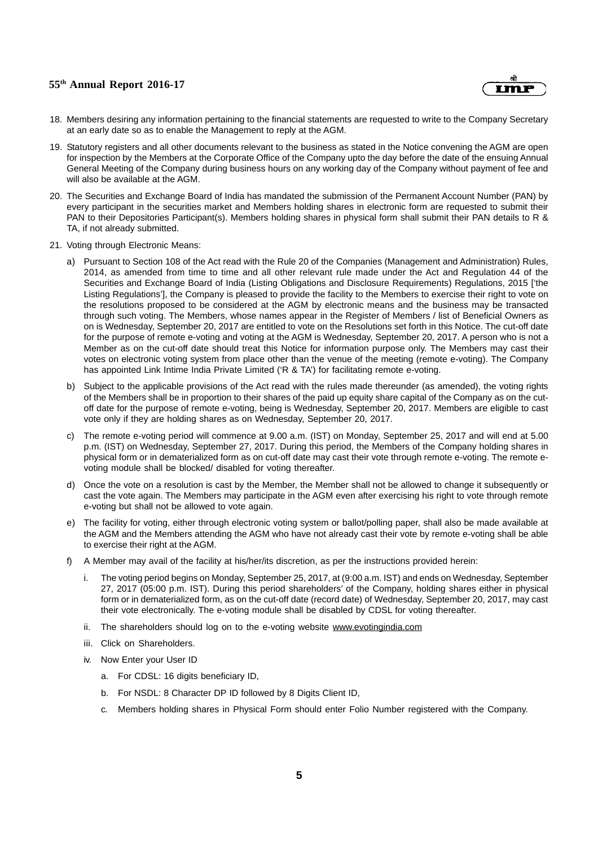

- 18. Members desiring any information pertaining to the financial statements are requested to write to the Company Secretary at an early date so as to enable the Management to reply at the AGM.
- 19. Statutory registers and all other documents relevant to the business as stated in the Notice convening the AGM are open for inspection by the Members at the Corporate Office of the Company upto the day before the date of the ensuing Annual General Meeting of the Company during business hours on any working day of the Company without payment of fee and will also be available at the AGM.
- 20. The Securities and Exchange Board of India has mandated the submission of the Permanent Account Number (PAN) by every participant in the securities market and Members holding shares in electronic form are requested to submit their PAN to their Depositories Participant(s). Members holding shares in physical form shall submit their PAN details to R & TA, if not already submitted.
- 21. Voting through Electronic Means:
	- a) Pursuant to Section 108 of the Act read with the Rule 20 of the Companies (Management and Administration) Rules, 2014, as amended from time to time and all other relevant rule made under the Act and Regulation 44 of the Securities and Exchange Board of India (Listing Obligations and Disclosure Requirements) Regulations, 2015 ['the Listing Regulations'], the Company is pleased to provide the facility to the Members to exercise their right to vote on the resolutions proposed to be considered at the AGM by electronic means and the business may be transacted through such voting. The Members, whose names appear in the Register of Members / list of Beneficial Owners as on is Wednesday, September 20, 2017 are entitled to vote on the Resolutions set forth in this Notice. The cut-off date for the purpose of remote e-voting and voting at the AGM is Wednesday, September 20, 2017. A person who is not a Member as on the cut-off date should treat this Notice for information purpose only. The Members may cast their votes on electronic voting system from place other than the venue of the meeting (remote e-voting). The Company has appointed Link Intime India Private Limited ('R & TA') for facilitating remote e-voting.
	- b) Subject to the applicable provisions of the Act read with the rules made thereunder (as amended), the voting rights of the Members shall be in proportion to their shares of the paid up equity share capital of the Company as on the cutoff date for the purpose of remote e-voting, being is Wednesday, September 20, 2017. Members are eligible to cast vote only if they are holding shares as on Wednesday, September 20, 2017.
	- c) The remote e-voting period will commence at 9.00 a.m. (IST) on Monday, September 25, 2017 and will end at 5.00 p.m. (IST) on Wednesday, September 27, 2017. During this period, the Members of the Company holding shares in physical form or in dematerialized form as on cut-off date may cast their vote through remote e-voting. The remote evoting module shall be blocked/ disabled for voting thereafter.
	- d) Once the vote on a resolution is cast by the Member, the Member shall not be allowed to change it subsequently or cast the vote again. The Members may participate in the AGM even after exercising his right to vote through remote e-voting but shall not be allowed to vote again.
	- e) The facility for voting, either through electronic voting system or ballot/polling paper, shall also be made available at the AGM and the Members attending the AGM who have not already cast their vote by remote e-voting shall be able to exercise their right at the AGM.
	- f) A Member may avail of the facility at his/her/its discretion, as per the instructions provided herein:
		- i. The voting period begins on Monday, September 25, 2017, at (9:00 a.m. IST) and ends on Wednesday, September 27, 2017 (05:00 p.m. IST). During this period shareholders' of the Company, holding shares either in physical form or in dematerialized form, as on the cut-off date (record date) of Wednesday, September 20, 2017, may cast their vote electronically. The e-voting module shall be disabled by CDSL for voting thereafter.
		- ii. The shareholders should log on to the e-voting website www.evotingindia.com
		- iii. Click on Shareholders.
		- iv. Now Enter your User ID
			- a. For CDSL: 16 digits beneficiary ID,
			- b. For NSDL: 8 Character DP ID followed by 8 Digits Client ID,
			- c. Members holding shares in Physical Form should enter Folio Number registered with the Company.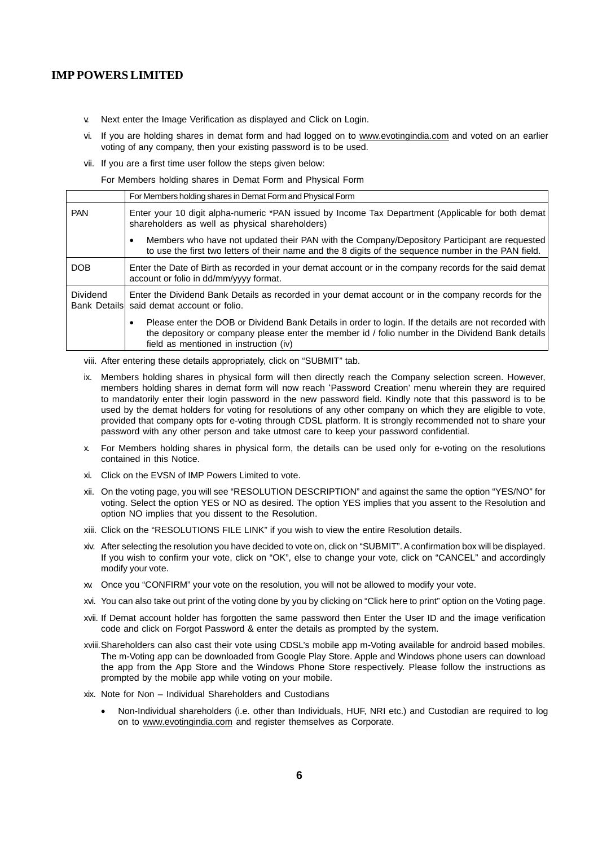- v. Next enter the Image Verification as displayed and Click on Login.
- vi. If you are holding shares in demat form and had logged on to www.evotingindia.com and voted on an earlier voting of any company, then your existing password is to be used.
- vii. If you are a first time user follow the steps given below:

For Members holding shares in Demat Form and Physical Form

|                                 | For Members holding shares in Demat Form and Physical Form                                                                                                                                                                                          |  |
|---------------------------------|-----------------------------------------------------------------------------------------------------------------------------------------------------------------------------------------------------------------------------------------------------|--|
| <b>PAN</b>                      | Enter your 10 digit alpha-numeric *PAN issued by Income Tax Department (Applicable for both demat<br>shareholders as well as physical shareholders)                                                                                                 |  |
|                                 | Members who have not updated their PAN with the Company/Depository Participant are requested<br>٠<br>to use the first two letters of their name and the 8 digits of the sequence number in the PAN field.                                           |  |
| <b>DOB</b>                      | Enter the Date of Birth as recorded in your demat account or in the company records for the said demat<br>account or folio in dd/mm/yyyy format.                                                                                                    |  |
| <b>Dividend</b><br>Bank Details | Enter the Dividend Bank Details as recorded in your demat account or in the company records for the<br>said demat account or folio.                                                                                                                 |  |
|                                 | Please enter the DOB or Dividend Bank Details in order to login. If the details are not recorded with<br>the depository or company please enter the member id / folio number in the Dividend Bank details<br>field as mentioned in instruction (iv) |  |

viii. After entering these details appropriately, click on "SUBMIT" tab.

- ix. Members holding shares in physical form will then directly reach the Company selection screen. However, members holding shares in demat form will now reach 'Password Creation' menu wherein they are required to mandatorily enter their login password in the new password field. Kindly note that this password is to be used by the demat holders for voting for resolutions of any other company on which they are eligible to vote, provided that company opts for e-voting through CDSL platform. It is strongly recommended not to share your password with any other person and take utmost care to keep your password confidential.
- x. For Members holding shares in physical form, the details can be used only for e-voting on the resolutions contained in this Notice.
- xi. Click on the EVSN of IMP Powers Limited to vote.
- xii. On the voting page, you will see "RESOLUTION DESCRIPTION" and against the same the option "YES/NO" for voting. Select the option YES or NO as desired. The option YES implies that you assent to the Resolution and option NO implies that you dissent to the Resolution.
- xiii. Click on the "RESOLUTIONS FILE LINK" if you wish to view the entire Resolution details.
- xiv. After selecting the resolution you have decided to vote on, click on "SUBMIT". A confirmation box will be displayed. If you wish to confirm your vote, click on "OK", else to change your vote, click on "CANCEL" and accordingly modify your vote.
- xv. Once you "CONFIRM" your vote on the resolution, you will not be allowed to modify your vote.
- xvi. You can also take out print of the voting done by you by clicking on "Click here to print" option on the Voting page.
- xvii. If Demat account holder has forgotten the same password then Enter the User ID and the image verification code and click on Forgot Password & enter the details as prompted by the system.
- xviii.Shareholders can also cast their vote using CDSL's mobile app m-Voting available for android based mobiles. The m-Voting app can be downloaded from Google Play Store. Apple and Windows phone users can download the app from the App Store and the Windows Phone Store respectively. Please follow the instructions as prompted by the mobile app while voting on your mobile.
- xix. Note for Non Individual Shareholders and Custodians
	- Non-Individual shareholders (i.e. other than Individuals, HUF, NRI etc.) and Custodian are required to log on to www.evotingindia.com and register themselves as Corporate.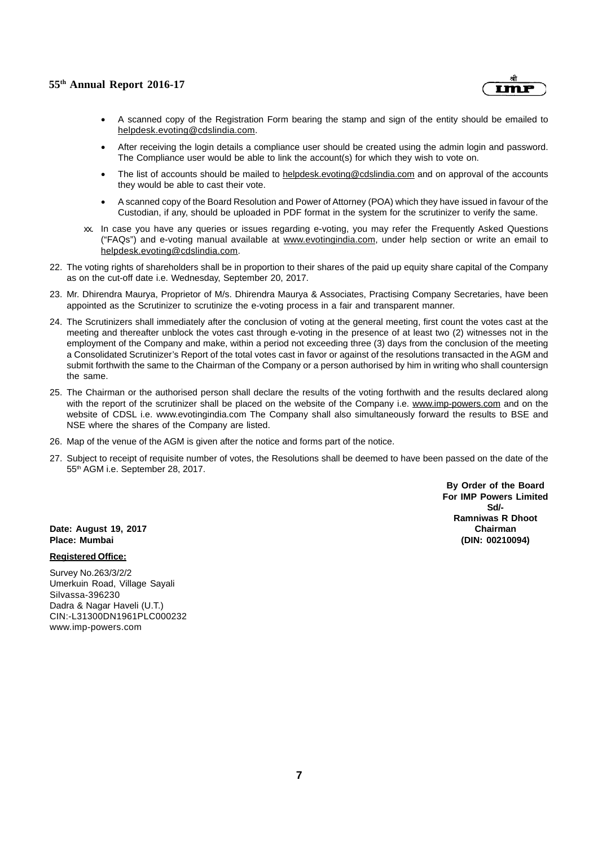

- A scanned copy of the Registration Form bearing the stamp and sign of the entity should be emailed to helpdesk.evoting@cdslindia.com.
- After receiving the login details a compliance user should be created using the admin login and password. The Compliance user would be able to link the account(s) for which they wish to vote on.
- The list of accounts should be mailed to helpdesk.evoting@cdslindia.com and on approval of the accounts they would be able to cast their vote.
- A scanned copy of the Board Resolution and Power of Attorney (POA) which they have issued in favour of the Custodian, if any, should be uploaded in PDF format in the system for the scrutinizer to verify the same.
- xx. In case you have any queries or issues regarding e-voting, you may refer the Frequently Asked Questions ("FAQs") and e-voting manual available at www.evotingindia.com, under help section or write an email to helpdesk.evoting@cdslindia.com.
- 22. The voting rights of shareholders shall be in proportion to their shares of the paid up equity share capital of the Company as on the cut-off date i.e. Wednesday, September 20, 2017.
- 23. Mr. Dhirendra Maurya, Proprietor of M/s. Dhirendra Maurya & Associates, Practising Company Secretaries, have been appointed as the Scrutinizer to scrutinize the e-voting process in a fair and transparent manner.
- 24. The Scrutinizers shall immediately after the conclusion of voting at the general meeting, first count the votes cast at the meeting and thereafter unblock the votes cast through e-voting in the presence of at least two (2) witnesses not in the employment of the Company and make, within a period not exceeding three (3) days from the conclusion of the meeting a Consolidated Scrutinizer's Report of the total votes cast in favor or against of the resolutions transacted in the AGM and submit forthwith the same to the Chairman of the Company or a person authorised by him in writing who shall countersign the same.
- 25. The Chairman or the authorised person shall declare the results of the voting forthwith and the results declared along with the report of the scrutinizer shall be placed on the website of the Company i.e. www.imp-powers.com and on the website of CDSL i.e. www.evotingindia.com The Company shall also simultaneously forward the results to BSE and NSE where the shares of the Company are listed.
- 26. Map of the venue of the AGM is given after the notice and forms part of the notice.
- 27. Subject to receipt of requisite number of votes, the Resolutions shall be deemed to have been passed on the date of the 55th AGM i.e. September 28, 2017.

**By Order of the Board For IMP Powers Limited Sd/- Ramniwas R Dhoot**

**Date: August 19, 2017 Chairman Place: Mumbai (DIN: 00210094)**

#### **Registered Office:**

Survey No.263/3/2/2 Umerkuin Road, Village Sayali Silvassa-396230 Dadra & Nagar Haveli (U.T.) CIN:-L31300DN1961PLC000232 www.imp-powers.com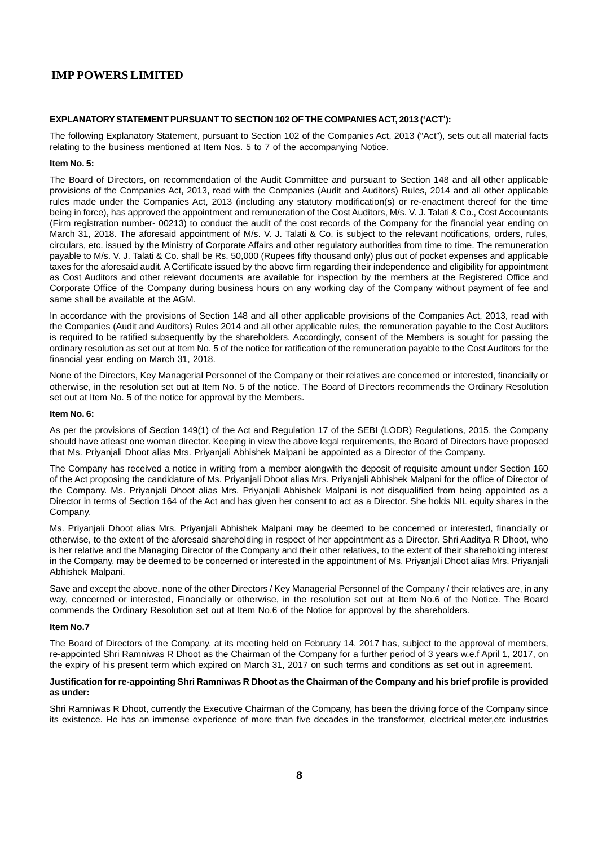#### **EXPLANATORY STATEMENT PURSUANT TO SECTION 102 OF THE COMPANIES ACT, 2013 ('ACT**'**):**

The following Explanatory Statement, pursuant to Section 102 of the Companies Act, 2013 ("Act"), sets out all material facts relating to the business mentioned at Item Nos. 5 to 7 of the accompanying Notice.

#### **Item No. 5:**

The Board of Directors, on recommendation of the Audit Committee and pursuant to Section 148 and all other applicable provisions of the Companies Act, 2013, read with the Companies (Audit and Auditors) Rules, 2014 and all other applicable rules made under the Companies Act, 2013 (including any statutory modification(s) or re-enactment thereof for the time being in force), has approved the appointment and remuneration of the Cost Auditors, M/s. V. J. Talati & Co., Cost Accountants (Firm registration number- 00213) to conduct the audit of the cost records of the Company for the financial year ending on March 31, 2018. The aforesaid appointment of M/s. V. J. Talati & Co. is subject to the relevant notifications, orders, rules, circulars, etc. issued by the Ministry of Corporate Affairs and other regulatory authorities from time to time. The remuneration payable to M/s. V. J. Talati & Co. shall be Rs. 50,000 (Rupees fifty thousand only) plus out of pocket expenses and applicable taxes for the aforesaid audit. A Certificate issued by the above firm regarding their independence and eligibility for appointment as Cost Auditors and other relevant documents are available for inspection by the members at the Registered Office and Corporate Office of the Company during business hours on any working day of the Company without payment of fee and same shall be available at the AGM.

In accordance with the provisions of Section 148 and all other applicable provisions of the Companies Act, 2013, read with the Companies (Audit and Auditors) Rules 2014 and all other applicable rules, the remuneration payable to the Cost Auditors is required to be ratified subsequently by the shareholders. Accordingly, consent of the Members is sought for passing the ordinary resolution as set out at Item No. 5 of the notice for ratification of the remuneration payable to the Cost Auditors for the financial year ending on March 31, 2018.

None of the Directors, Key Managerial Personnel of the Company or their relatives are concerned or interested, financially or otherwise, in the resolution set out at Item No. 5 of the notice. The Board of Directors recommends the Ordinary Resolution set out at Item No. 5 of the notice for approval by the Members.

#### **Item No. 6:**

As per the provisions of Section 149(1) of the Act and Regulation 17 of the SEBI (LODR) Regulations, 2015, the Company should have atleast one woman director. Keeping in view the above legal requirements, the Board of Directors have proposed that Ms. Priyanjali Dhoot alias Mrs. Priyanjali Abhishek Malpani be appointed as a Director of the Company.

The Company has received a notice in writing from a member alongwith the deposit of requisite amount under Section 160 of the Act proposing the candidature of Ms. Priyanjali Dhoot alias Mrs. Priyanjali Abhishek Malpani for the office of Director of the Company. Ms. Priyanjali Dhoot alias Mrs. Priyanjali Abhishek Malpani is not disqualified from being appointed as a Director in terms of Section 164 of the Act and has given her consent to act as a Director. She holds NIL equity shares in the Company.

Ms. Priyanjali Dhoot alias Mrs. Priyanjali Abhishek Malpani may be deemed to be concerned or interested, financially or otherwise, to the extent of the aforesaid shareholding in respect of her appointment as a Director. Shri Aaditya R Dhoot, who is her relative and the Managing Director of the Company and their other relatives, to the extent of their shareholding interest in the Company, may be deemed to be concerned or interested in the appointment of Ms. Priyanjali Dhoot alias Mrs. Priyanjali Abhishek Malpani.

Save and except the above, none of the other Directors / Key Managerial Personnel of the Company / their relatives are, in any way, concerned or interested, Financially or otherwise, in the resolution set out at Item No.6 of the Notice. The Board commends the Ordinary Resolution set out at Item No.6 of the Notice for approval by the shareholders.

#### **Item No.7**

The Board of Directors of the Company, at its meeting held on February 14, 2017 has, subject to the approval of members, re-appointed Shri Ramniwas R Dhoot as the Chairman of the Company for a further period of 3 years w.e.f April 1, 2017, on the expiry of his present term which expired on March 31, 2017 on such terms and conditions as set out in agreement.

#### **Justification for re-appointing Shri Ramniwas R Dhoot as the Chairman of the Company and his brief profile is provided as under:**

Shri Ramniwas R Dhoot, currently the Executive Chairman of the Company, has been the driving force of the Company since its existence. He has an immense experience of more than five decades in the transformer, electrical meter,etc industries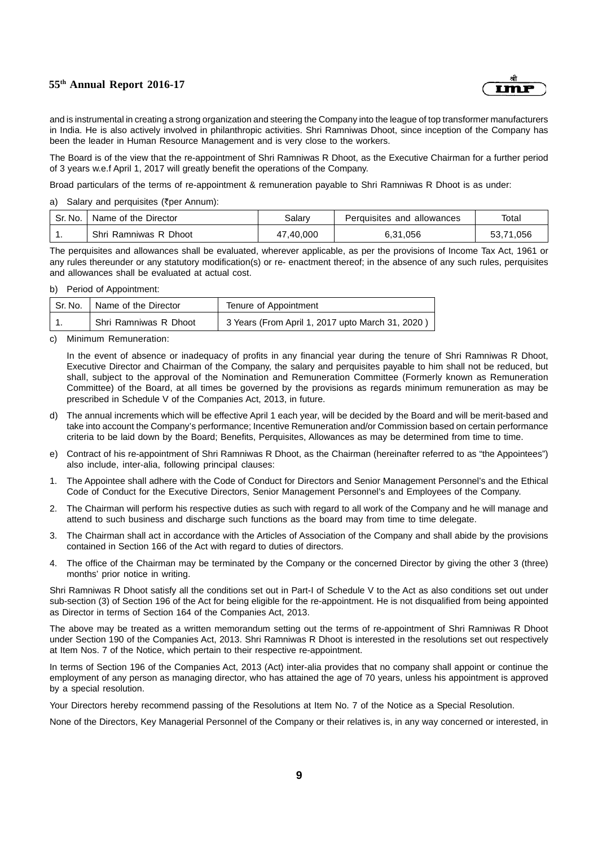

and is instrumental in creating a strong organization and steering the Company into the league of top transformer manufacturers in India. He is also actively involved in philanthropic activities. Shri Ramniwas Dhoot, since inception of the Company has been the leader in Human Resource Management and is very close to the workers.

The Board is of the view that the re-appointment of Shri Ramniwas R Dhoot, as the Executive Chairman for a further period of 3 years w.e.f April 1, 2017 will greatly benefit the operations of the Company.

Broad particulars of the terms of re-appointment & remuneration payable to Shri Ramniwas R Dhoot is as under:

a) Salary and perquisites ( $\bar{\tau}$ per Annum):

| Sr. No. | Name of the Director  | Salarv    | Perquisites and allowances | Total     |
|---------|-----------------------|-----------|----------------------------|-----------|
|         | Shri Ramniwas R Dhoot | 47,40,000 | 6,31,056                   | 53,71,056 |

The perquisites and allowances shall be evaluated, wherever applicable, as per the provisions of Income Tax Act, 1961 or any rules thereunder or any statutory modification(s) or re- enactment thereof; in the absence of any such rules, perquisites and allowances shall be evaluated at actual cost.

#### b) Period of Appointment:

| Sr. No. | Name of the Director  | Tenure of Appointment                            |
|---------|-----------------------|--------------------------------------------------|
|         | Shri Ramniwas R Dhoot | 3 Years (From April 1, 2017 upto March 31, 2020) |

c) Minimum Remuneration:

In the event of absence or inadequacy of profits in any financial year during the tenure of Shri Ramniwas R Dhoot, Executive Director and Chairman of the Company, the salary and perquisites payable to him shall not be reduced, but shall, subject to the approval of the Nomination and Remuneration Committee (Formerly known as Remuneration Committee) of the Board, at all times be governed by the provisions as regards minimum remuneration as may be prescribed in Schedule V of the Companies Act, 2013, in future.

- d) The annual increments which will be effective April 1 each year, will be decided by the Board and will be merit-based and take into account the Company's performance; Incentive Remuneration and/or Commission based on certain performance criteria to be laid down by the Board; Benefits, Perquisites, Allowances as may be determined from time to time.
- e) Contract of his re-appointment of Shri Ramniwas R Dhoot, as the Chairman (hereinafter referred to as "the Appointees") also include, inter-alia, following principal clauses:
- 1. The Appointee shall adhere with the Code of Conduct for Directors and Senior Management Personnel's and the Ethical Code of Conduct for the Executive Directors, Senior Management Personnel's and Employees of the Company.
- 2. The Chairman will perform his respective duties as such with regard to all work of the Company and he will manage and attend to such business and discharge such functions as the board may from time to time delegate.
- 3. The Chairman shall act in accordance with the Articles of Association of the Company and shall abide by the provisions contained in Section 166 of the Act with regard to duties of directors.
- 4. The office of the Chairman may be terminated by the Company or the concerned Director by giving the other 3 (three) months' prior notice in writing.

Shri Ramniwas R Dhoot satisfy all the conditions set out in Part-I of Schedule V to the Act as also conditions set out under sub-section (3) of Section 196 of the Act for being eligible for the re-appointment. He is not disqualified from being appointed as Director in terms of Section 164 of the Companies Act, 2013.

The above may be treated as a written memorandum setting out the terms of re-appointment of Shri Ramniwas R Dhoot under Section 190 of the Companies Act, 2013. Shri Ramniwas R Dhoot is interested in the resolutions set out respectively at Item Nos. 7 of the Notice, which pertain to their respective re-appointment.

In terms of Section 196 of the Companies Act, 2013 (Act) inter-alia provides that no company shall appoint or continue the employment of any person as managing director, who has attained the age of 70 years, unless his appointment is approved by a special resolution.

Your Directors hereby recommend passing of the Resolutions at Item No. 7 of the Notice as a Special Resolution.

None of the Directors, Key Managerial Personnel of the Company or their relatives is, in any way concerned or interested, in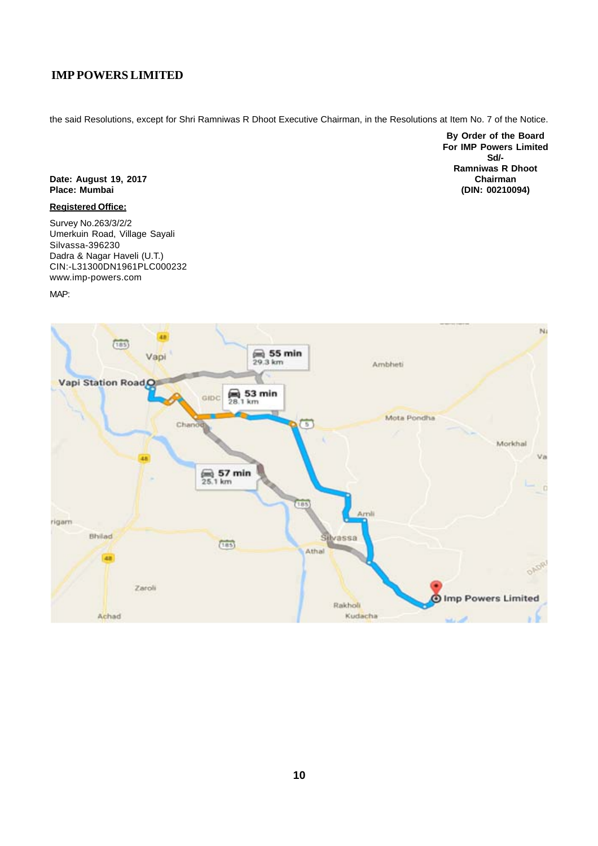the said Resolutions, except for Shri Ramniwas R Dhoot Executive Chairman, in the Resolutions at Item No. 7 of the Notice.

**Date: August 19, 2017<br>Place: Mumbai** 

## **Registered Office:**

Survey No.263/3/2/2 Umerkuin Road, Village Sayali Silvassa-396230 Dadra & Nagar Haveli (U.T.) CIN:-L31300DN1961PLC000232 www.imp-powers.com

#### MAP:

**By Order of the Board For IMP Powers Limited Sd/- Ramniwas R Dhoot Place: Mumbai (DIN: 00210094)**

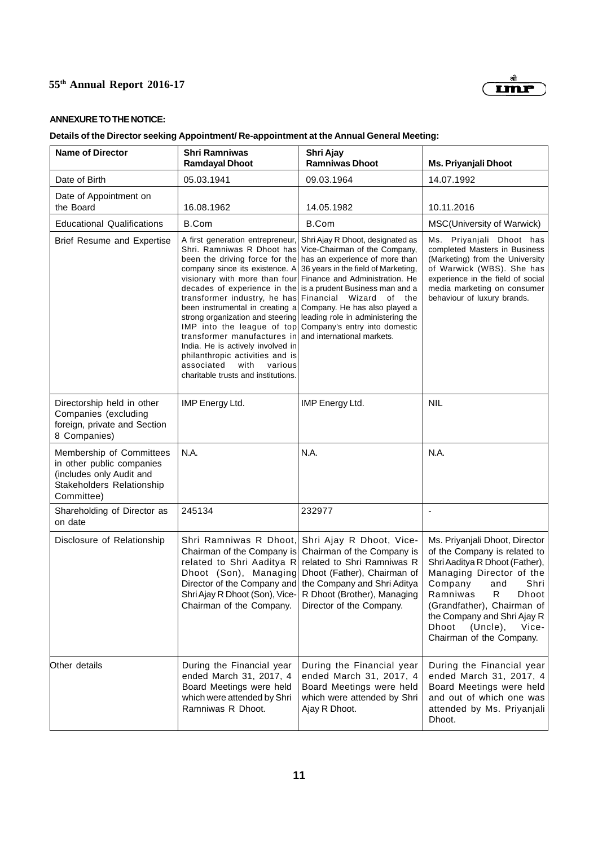

## **ANNEXURE TO THE NOTICE:**

## **Details of the Director seeking Appointment/ Re-appointment at the Annual General Meeting:**

| <b>Name of Director</b>                                                                                                      | <b>Shri Ramniwas</b><br><b>Ramdayal Dhoot</b>                                                                                                                                                                                                                                                                                                                                                                                                                                                                           | Shri Ajay<br><b>Ramniwas Dhoot</b>                                                                                                                                                                                                                                                                                                                                              | Ms. Priyanjali Dhoot                                                                                                                                                                                                                                                                                 |
|------------------------------------------------------------------------------------------------------------------------------|-------------------------------------------------------------------------------------------------------------------------------------------------------------------------------------------------------------------------------------------------------------------------------------------------------------------------------------------------------------------------------------------------------------------------------------------------------------------------------------------------------------------------|---------------------------------------------------------------------------------------------------------------------------------------------------------------------------------------------------------------------------------------------------------------------------------------------------------------------------------------------------------------------------------|------------------------------------------------------------------------------------------------------------------------------------------------------------------------------------------------------------------------------------------------------------------------------------------------------|
| Date of Birth                                                                                                                | 05.03.1941                                                                                                                                                                                                                                                                                                                                                                                                                                                                                                              | 09.03.1964                                                                                                                                                                                                                                                                                                                                                                      | 14.07.1992                                                                                                                                                                                                                                                                                           |
| Date of Appointment on<br>the Board                                                                                          | 16.08.1962                                                                                                                                                                                                                                                                                                                                                                                                                                                                                                              | 14.05.1982                                                                                                                                                                                                                                                                                                                                                                      | 10.11.2016                                                                                                                                                                                                                                                                                           |
| <b>Educational Qualifications</b>                                                                                            | B.Com                                                                                                                                                                                                                                                                                                                                                                                                                                                                                                                   | <b>B.Com</b>                                                                                                                                                                                                                                                                                                                                                                    | MSC(University of Warwick)                                                                                                                                                                                                                                                                           |
| Brief Resume and Expertise                                                                                                   | A first generation entrepreneur,<br>Shri. Ramniwas R Dhoot has<br>been the driving force for the<br>company since its existence. A<br>visionary with more than four<br>decades of experience in the<br>transformer industry, he has<br>been instrumental in creating a<br>strong organization and steering<br>IMP into the league of top<br>transformer manufactures in<br>India. He is actively involved in<br>philanthropic activities and is<br>associated<br>with<br>various<br>charitable trusts and institutions. | Shri Ajay R Dhoot, designated as<br>Vice-Chairman of the Company,<br>has an experience of more than<br>36 years in the field of Marketing,<br>Finance and Administration. He<br>is a prudent Business man and a<br>Financial Wizard of the<br>Company. He has also played a<br>leading role in administering the<br>Company's entry into domestic<br>and international markets. | Ms. Priyanjali Dhoot has<br>completed Masters in Business<br>(Marketing) from the University<br>of Warwick (WBS). She has<br>experience in the field of social<br>media marketing on consumer<br>behaviour of luxury brands.                                                                         |
| Directorship held in other<br>Companies (excluding<br>foreign, private and Section<br>8 Companies)                           | IMP Energy Ltd.                                                                                                                                                                                                                                                                                                                                                                                                                                                                                                         | IMP Energy Ltd.                                                                                                                                                                                                                                                                                                                                                                 | <b>NIL</b>                                                                                                                                                                                                                                                                                           |
| Membership of Committees<br>in other public companies<br>(includes only Audit and<br>Stakeholders Relationship<br>Committee) | N.A.                                                                                                                                                                                                                                                                                                                                                                                                                                                                                                                    | N.A.                                                                                                                                                                                                                                                                                                                                                                            | N.A.                                                                                                                                                                                                                                                                                                 |
| Shareholding of Director as<br>on date                                                                                       | 245134                                                                                                                                                                                                                                                                                                                                                                                                                                                                                                                  | 232977                                                                                                                                                                                                                                                                                                                                                                          |                                                                                                                                                                                                                                                                                                      |
| Disclosure of Relationship                                                                                                   | Shri Ramniwas R Dhoot.<br>Chairman of the Company is<br>related to Shri Aaditya R<br>Dhoot (Son), Managing<br>Shri Ajay R Dhoot (Son), Vice-<br>Chairman of the Company.                                                                                                                                                                                                                                                                                                                                                | Shri Ajay R Dhoot, Vice-<br>Chairman of the Company is<br>related to Shri Ramniwas R<br>Dhoot (Father), Chairman of<br>Director of the Company and the Company and Shri Aditya<br>R Dhoot (Brother), Managing<br>Director of the Company.                                                                                                                                       | Ms. Priyanjali Dhoot, Director<br>of the Company is related to<br>Shri Aaditya R Dhoot (Father),<br>Managing Director of the<br>Company<br>Shri<br>and<br>Ramniwas R<br>Dhoot<br>(Grandfather), Chairman of<br>the Company and Shri Ajay R<br>Dhoot<br>(Uncle),<br>Vice-<br>Chairman of the Company. |
| Other details                                                                                                                | During the Financial year<br>ended March 31, 2017, 4<br>Board Meetings were held<br>which were attended by Shri<br>Ramniwas R Dhoot.                                                                                                                                                                                                                                                                                                                                                                                    | During the Financial year<br>ended March 31, 2017, 4<br>Board Meetings were held<br>which were attended by Shri<br>Ajay R Dhoot.                                                                                                                                                                                                                                                | During the Financial year<br>ended March 31, 2017, 4<br>Board Meetings were held<br>and out of which one was<br>attended by Ms. Priyanjali<br>Dhoot.                                                                                                                                                 |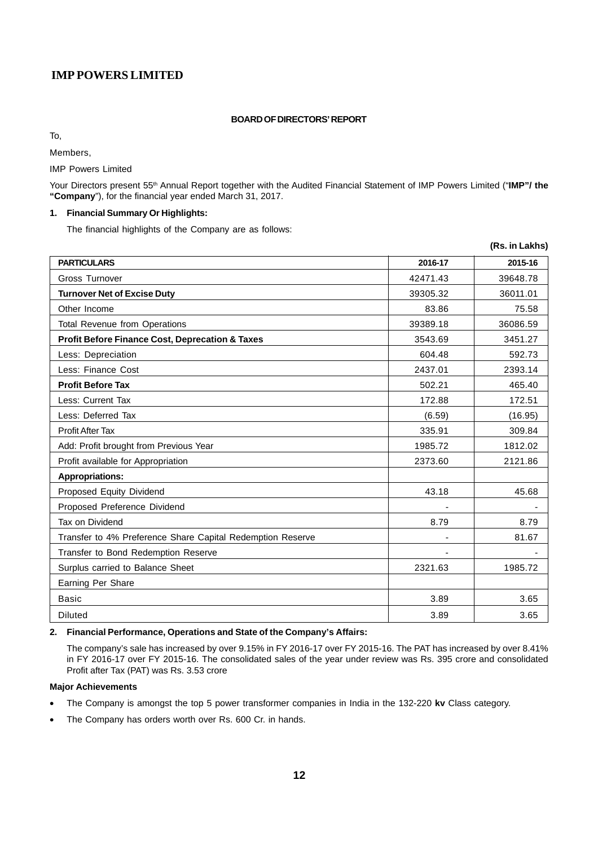#### **BOARD OF DIRECTORS' REPORT**

To,

Members,

IMP Powers Limited

Your Directors present 55<sup>th</sup> Annual Report together with the Audited Financial Statement of IMP Powers Limited ("IMP"/ the **"Company**"), for the financial year ended March 31, 2017.

#### **1. Financial Summary Or Highlights:**

The financial highlights of the Company are as follows:

|                                                            |          | (Rs. in Lakhs) |
|------------------------------------------------------------|----------|----------------|
| <b>PARTICULARS</b>                                         | 2016-17  | 2015-16        |
| <b>Gross Turnover</b>                                      | 42471.43 | 39648.78       |
| <b>Turnover Net of Excise Duty</b>                         | 39305.32 | 36011.01       |
| Other Income                                               | 83.86    | 75.58          |
| <b>Total Revenue from Operations</b>                       | 39389.18 | 36086.59       |
| <b>Profit Before Finance Cost, Deprecation &amp; Taxes</b> | 3543.69  | 3451.27        |
| Less: Depreciation                                         | 604.48   | 592.73         |
| Less: Finance Cost                                         | 2437.01  | 2393.14        |
| <b>Profit Before Tax</b>                                   | 502.21   | 465.40         |
| Less: Current Tax                                          | 172.88   | 172.51         |
| Less: Deferred Tax                                         | (6.59)   | (16.95)        |
| Profit After Tax                                           | 335.91   | 309.84         |
| Add: Profit brought from Previous Year                     | 1985.72  | 1812.02        |
| Profit available for Appropriation                         | 2373.60  | 2121.86        |
| <b>Appropriations:</b>                                     |          |                |
| Proposed Equity Dividend                                   | 43.18    | 45.68          |
| Proposed Preference Dividend                               |          |                |
| Tax on Dividend                                            | 8.79     | 8.79           |
| Transfer to 4% Preference Share Capital Redemption Reserve |          | 81.67          |
| Transfer to Bond Redemption Reserve                        |          |                |
| Surplus carried to Balance Sheet                           | 2321.63  | 1985.72        |
| Earning Per Share                                          |          |                |
| <b>Basic</b>                                               | 3.89     | 3.65           |
| <b>Diluted</b>                                             | 3.89     | 3.65           |

#### **2. Financial Performance, Operations and State of the Company's Affairs:**

The company's sale has increased by over 9.15% in FY 2016-17 over FY 2015-16. The PAT has increased by over 8.41% in FY 2016-17 over FY 2015-16. The consolidated sales of the year under review was Rs. 395 crore and consolidated Profit after Tax (PAT) was Rs. 3.53 crore

#### **Major Achievements**

- The Company is amongst the top 5 power transformer companies in India in the 132-220 **kv** Class category.
- The Company has orders worth over Rs. 600 Cr. in hands.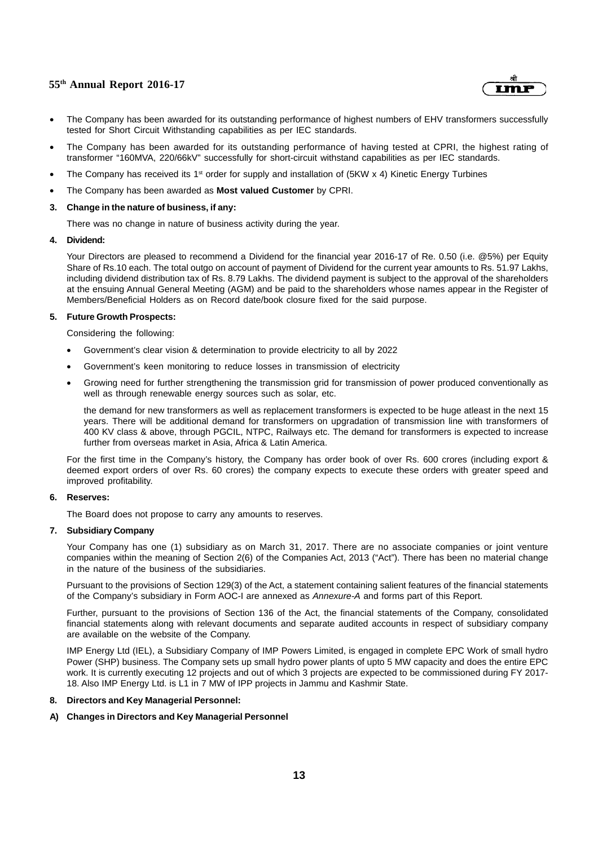

- The Company has been awarded for its outstanding performance of highest numbers of EHV transformers successfully tested for Short Circuit Withstanding capabilities as per IEC standards.
- The Company has been awarded for its outstanding performance of having tested at CPRI, the highest rating of transformer "160MVA, 220/66kV" successfully for short-circuit withstand capabilities as per IEC standards.
- The Company has received its 1<sup>st</sup> order for supply and installation of (5KW  $\times$  4) Kinetic Energy Turbines
- The Company has been awarded as **Most valued Customer** by CPRI.

#### **3. Change in the nature of business, if any:**

There was no change in nature of business activity during the year.

#### **4. Dividend:**

Your Directors are pleased to recommend a Dividend for the financial year 2016-17 of Re. 0.50 (i.e. @5%) per Equity Share of Rs.10 each. The total outgo on account of payment of Dividend for the current year amounts to Rs. 51.97 Lakhs, including dividend distribution tax of Rs. 8.79 Lakhs. The dividend payment is subject to the approval of the shareholders at the ensuing Annual General Meeting (AGM) and be paid to the shareholders whose names appear in the Register of Members/Beneficial Holders as on Record date/book closure fixed for the said purpose.

#### **5. Future Growth Prospects:**

Considering the following:

- Government's clear vision & determination to provide electricity to all by 2022
- Government's keen monitoring to reduce losses in transmission of electricity
- Growing need for further strengthening the transmission grid for transmission of power produced conventionally as well as through renewable energy sources such as solar, etc.

the demand for new transformers as well as replacement transformers is expected to be huge atleast in the next 15 years. There will be additional demand for transformers on upgradation of transmission line with transformers of 400 KV class & above, through PGCIL, NTPC, Railways etc. The demand for transformers is expected to increase further from overseas market in Asia, Africa & Latin America.

For the first time in the Company's history, the Company has order book of over Rs. 600 crores (including export & deemed export orders of over Rs. 60 crores) the company expects to execute these orders with greater speed and improved profitability.

#### **6. Reserves:**

The Board does not propose to carry any amounts to reserves.

#### **7. Subsidiary Company**

Your Company has one (1) subsidiary as on March 31, 2017. There are no associate companies or joint venture companies within the meaning of Section 2(6) of the Companies Act, 2013 ("Act"). There has been no material change in the nature of the business of the subsidiaries.

Pursuant to the provisions of Section 129(3) of the Act, a statement containing salient features of the financial statements of the Company's subsidiary in Form AOC-I are annexed as *Annexure-A* and forms part of this Report.

Further, pursuant to the provisions of Section 136 of the Act, the financial statements of the Company, consolidated financial statements along with relevant documents and separate audited accounts in respect of subsidiary company are available on the website of the Company.

IMP Energy Ltd (IEL), a Subsidiary Company of IMP Powers Limited, is engaged in complete EPC Work of small hydro Power (SHP) business. The Company sets up small hydro power plants of upto 5 MW capacity and does the entire EPC work. It is currently executing 12 projects and out of which 3 projects are expected to be commissioned during FY 2017- 18. Also IMP Energy Ltd. is L1 in 7 MW of IPP projects in Jammu and Kashmir State.

#### **8. Directors and Key Managerial Personnel:**

#### **A) Changes in Directors and Key Managerial Personnel**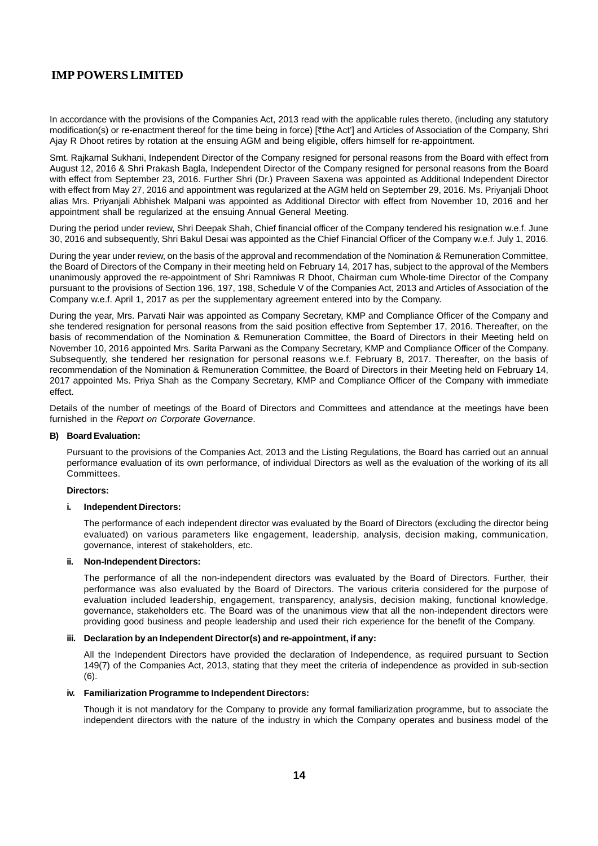In accordance with the provisions of the Companies Act, 2013 read with the applicable rules thereto, (including any statutory modification(s) or re-enactment thereof for the time being in force) [₹the Act'] and Articles of Association of the Company, Shri Ajay R Dhoot retires by rotation at the ensuing AGM and being eligible, offers himself for re-appointment.

Smt. Rajkamal Sukhani, Independent Director of the Company resigned for personal reasons from the Board with effect from August 12, 2016 & Shri Prakash Bagla, Independent Director of the Company resigned for personal reasons from the Board with effect from September 23, 2016. Further Shri (Dr.) Praveen Saxena was appointed as Additional Independent Director with effect from May 27, 2016 and appointment was regularized at the AGM held on September 29, 2016. Ms. Priyanjali Dhoot alias Mrs. Priyanjali Abhishek Malpani was appointed as Additional Director with effect from November 10, 2016 and her appointment shall be regularized at the ensuing Annual General Meeting.

During the period under review, Shri Deepak Shah, Chief financial officer of the Company tendered his resignation w.e.f. June 30, 2016 and subsequently, Shri Bakul Desai was appointed as the Chief Financial Officer of the Company w.e.f. July 1, 2016.

During the year under review, on the basis of the approval and recommendation of the Nomination & Remuneration Committee, the Board of Directors of the Company in their meeting held on February 14, 2017 has, subject to the approval of the Members unanimously approved the re-appointment of Shri Ramniwas R Dhoot, Chairman cum Whole-time Director of the Company pursuant to the provisions of Section 196, 197, 198, Schedule V of the Companies Act, 2013 and Articles of Association of the Company w.e.f. April 1, 2017 as per the supplementary agreement entered into by the Company.

During the year, Mrs. Parvati Nair was appointed as Company Secretary, KMP and Compliance Officer of the Company and she tendered resignation for personal reasons from the said position effective from September 17, 2016. Thereafter, on the basis of recommendation of the Nomination & Remuneration Committee, the Board of Directors in their Meeting held on November 10, 2016 appointed Mrs. Sarita Parwani as the Company Secretary, KMP and Compliance Officer of the Company. Subsequently, she tendered her resignation for personal reasons w.e.f. February 8, 2017. Thereafter, on the basis of recommendation of the Nomination & Remuneration Committee, the Board of Directors in their Meeting held on February 14, 2017 appointed Ms. Priya Shah as the Company Secretary, KMP and Compliance Officer of the Company with immediate effect.

Details of the number of meetings of the Board of Directors and Committees and attendance at the meetings have been furnished in the *Report on Corporate Governance*.

#### **B) Board Evaluation:**

Pursuant to the provisions of the Companies Act, 2013 and the Listing Regulations, the Board has carried out an annual performance evaluation of its own performance, of individual Directors as well as the evaluation of the working of its all Committees.

#### **Directors:**

#### **i. Independent Directors:**

The performance of each independent director was evaluated by the Board of Directors (excluding the director being evaluated) on various parameters like engagement, leadership, analysis, decision making, communication, governance, interest of stakeholders, etc.

#### **ii. Non-Independent Directors:**

The performance of all the non-independent directors was evaluated by the Board of Directors. Further, their performance was also evaluated by the Board of Directors. The various criteria considered for the purpose of evaluation included leadership, engagement, transparency, analysis, decision making, functional knowledge, governance, stakeholders etc. The Board was of the unanimous view that all the non-independent directors were providing good business and people leadership and used their rich experience for the benefit of the Company.

#### **iii. Declaration by an Independent Director(s) and re-appointment, if any:**

All the Independent Directors have provided the declaration of Independence, as required pursuant to Section 149(7) of the Companies Act, 2013, stating that they meet the criteria of independence as provided in sub-section (6).

#### **iv. Familiarization Programme to Independent Directors:**

Though it is not mandatory for the Company to provide any formal familiarization programme, but to associate the independent directors with the nature of the industry in which the Company operates and business model of the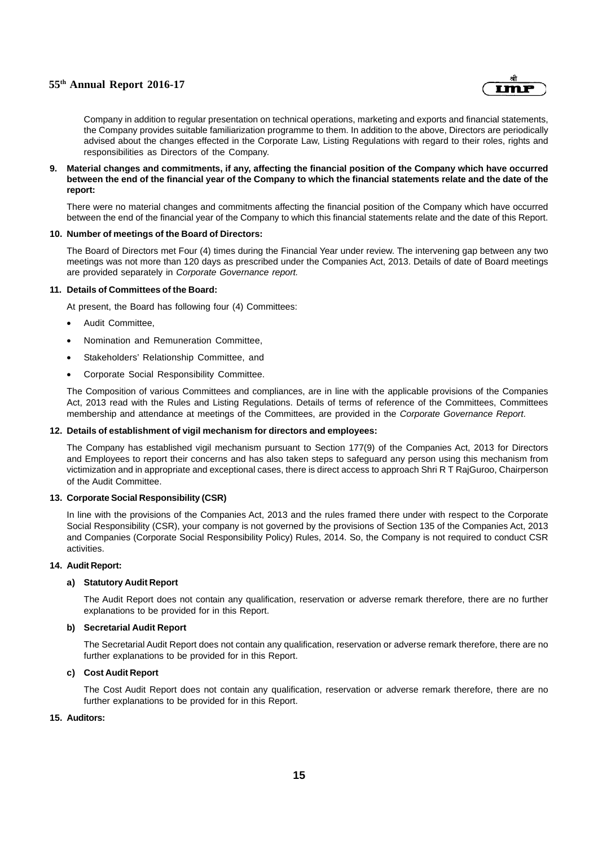

Company in addition to regular presentation on technical operations, marketing and exports and financial statements, the Company provides suitable familiarization programme to them. In addition to the above, Directors are periodically advised about the changes effected in the Corporate Law, Listing Regulations with regard to their roles, rights and responsibilities as Directors of the Company.

#### **9. Material changes and commitments, if any, affecting the financial position of the Company which have occurred between the end of the financial year of the Company to which the financial statements relate and the date of the report:**

There were no material changes and commitments affecting the financial position of the Company which have occurred between the end of the financial year of the Company to which this financial statements relate and the date of this Report.

#### **10. Number of meetings of the Board of Directors:**

The Board of Directors met Four (4) times during the Financial Year under review. The intervening gap between any two meetings was not more than 120 days as prescribed under the Companies Act, 2013. Details of date of Board meetings are provided separately in *Corporate Governance report.*

#### **11. Details of Committees of the Board:**

At present, the Board has following four (4) Committees:

- Audit Committee,
- Nomination and Remuneration Committee,
- Stakeholders' Relationship Committee, and
- Corporate Social Responsibility Committee.

The Composition of various Committees and compliances, are in line with the applicable provisions of the Companies Act, 2013 read with the Rules and Listing Regulations. Details of terms of reference of the Committees, Committees membership and attendance at meetings of the Committees, are provided in the *Corporate Governance Report*.

#### **12. Details of establishment of vigil mechanism for directors and employees:**

The Company has established vigil mechanism pursuant to Section 177(9) of the Companies Act, 2013 for Directors and Employees to report their concerns and has also taken steps to safeguard any person using this mechanism from victimization and in appropriate and exceptional cases, there is direct access to approach Shri R T RajGuroo, Chairperson of the Audit Committee.

#### **13. Corporate Social Responsibility (CSR)**

In line with the provisions of the Companies Act, 2013 and the rules framed there under with respect to the Corporate Social Responsibility (CSR), your company is not governed by the provisions of Section 135 of the Companies Act, 2013 and Companies (Corporate Social Responsibility Policy) Rules, 2014. So, the Company is not required to conduct CSR activities.

#### **14. Audit Report:**

#### **a) Statutory Audit Report**

The Audit Report does not contain any qualification, reservation or adverse remark therefore, there are no further explanations to be provided for in this Report.

#### **b) Secretarial Audit Report**

The Secretarial Audit Report does not contain any qualification, reservation or adverse remark therefore, there are no further explanations to be provided for in this Report.

#### **c) Cost Audit Report**

The Cost Audit Report does not contain any qualification, reservation or adverse remark therefore, there are no further explanations to be provided for in this Report.

#### **15. Auditors:**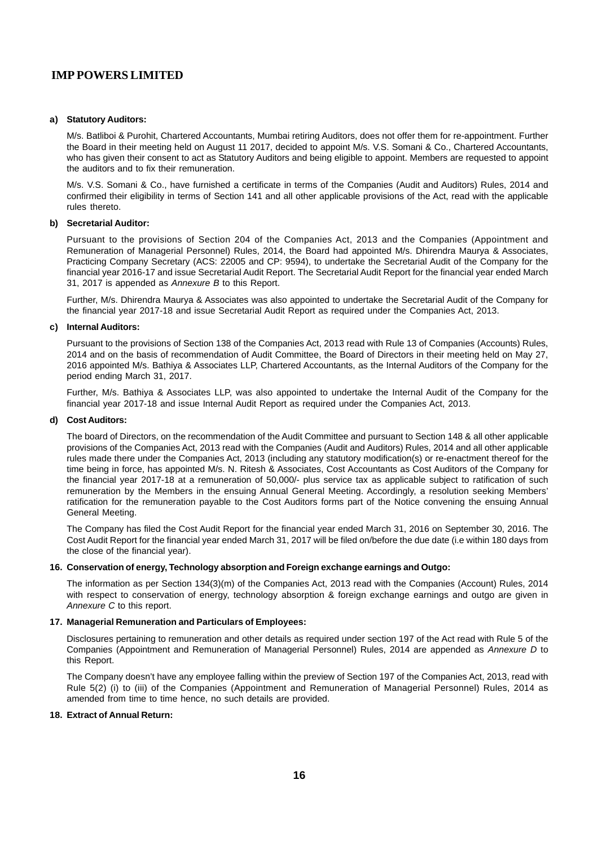#### **a) Statutory Auditors:**

M/s. Batliboi & Purohit, Chartered Accountants, Mumbai retiring Auditors, does not offer them for re-appointment. Further the Board in their meeting held on August 11 2017, decided to appoint M/s. V.S. Somani & Co., Chartered Accountants, who has given their consent to act as Statutory Auditors and being eligible to appoint. Members are requested to appoint the auditors and to fix their remuneration.

M/s. V.S. Somani & Co., have furnished a certificate in terms of the Companies (Audit and Auditors) Rules, 2014 and confirmed their eligibility in terms of Section 141 and all other applicable provisions of the Act, read with the applicable rules thereto.

#### **b) Secretarial Auditor:**

Pursuant to the provisions of Section 204 of the Companies Act, 2013 and the Companies (Appointment and Remuneration of Managerial Personnel) Rules, 2014, the Board had appointed M/s. Dhirendra Maurya & Associates, Practicing Company Secretary (ACS: 22005 and CP: 9594), to undertake the Secretarial Audit of the Company for the financial year 2016-17 and issue Secretarial Audit Report. The Secretarial Audit Report for the financial year ended March 31, 2017 is appended as *Annexure B* to this Report.

Further, M/s. Dhirendra Maurya & Associates was also appointed to undertake the Secretarial Audit of the Company for the financial year 2017-18 and issue Secretarial Audit Report as required under the Companies Act, 2013.

#### **c) Internal Auditors:**

Pursuant to the provisions of Section 138 of the Companies Act, 2013 read with Rule 13 of Companies (Accounts) Rules, 2014 and on the basis of recommendation of Audit Committee, the Board of Directors in their meeting held on May 27, 2016 appointed M/s. Bathiya & Associates LLP, Chartered Accountants, as the Internal Auditors of the Company for the period ending March 31, 2017.

Further, M/s. Bathiya & Associates LLP, was also appointed to undertake the Internal Audit of the Company for the financial year 2017-18 and issue Internal Audit Report as required under the Companies Act, 2013.

#### **d) Cost Auditors:**

The board of Directors, on the recommendation of the Audit Committee and pursuant to Section 148 & all other applicable provisions of the Companies Act, 2013 read with the Companies (Audit and Auditors) Rules, 2014 and all other applicable rules made there under the Companies Act, 2013 (including any statutory modification(s) or re-enactment thereof for the time being in force, has appointed M/s. N. Ritesh & Associates, Cost Accountants as Cost Auditors of the Company for the financial year 2017-18 at a remuneration of 50,000/- plus service tax as applicable subject to ratification of such remuneration by the Members in the ensuing Annual General Meeting. Accordingly, a resolution seeking Members' ratification for the remuneration payable to the Cost Auditors forms part of the Notice convening the ensuing Annual General Meeting.

The Company has filed the Cost Audit Report for the financial year ended March 31, 2016 on September 30, 2016. The Cost Audit Report for the financial year ended March 31, 2017 will be filed on/before the due date (i.e within 180 days from the close of the financial year).

#### **16. Conservation of energy, Technology absorption and Foreign exchange earnings and Outgo:**

The information as per Section 134(3)(m) of the Companies Act, 2013 read with the Companies (Account) Rules, 2014 with respect to conservation of energy, technology absorption & foreign exchange earnings and outgo are given in *Annexure C* to this report.

#### **17. Managerial Remuneration and Particulars of Employees:**

Disclosures pertaining to remuneration and other details as required under section 197 of the Act read with Rule 5 of the Companies (Appointment and Remuneration of Managerial Personnel) Rules, 2014 are appended as *Annexure D* to this Report.

The Company doesn't have any employee falling within the preview of Section 197 of the Companies Act, 2013, read with Rule 5(2) (i) to (iii) of the Companies (Appointment and Remuneration of Managerial Personnel) Rules, 2014 as amended from time to time hence, no such details are provided.

#### **18. Extract of Annual Return:**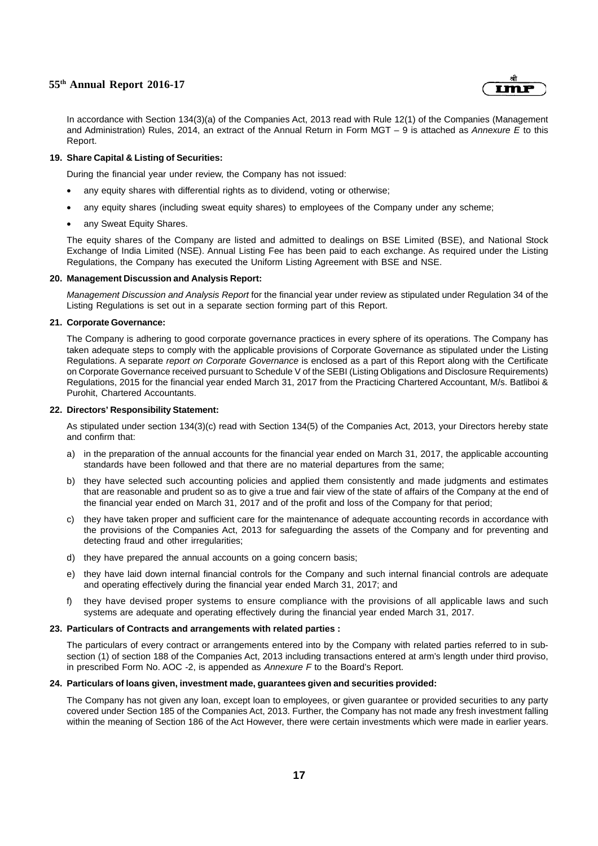

In accordance with Section 134(3)(a) of the Companies Act, 2013 read with Rule 12(1) of the Companies (Management and Administration) Rules, 2014, an extract of the Annual Return in Form MGT – 9 is attached as *Annexure E* to this Report.

#### **19. Share Capital & Listing of Securities:**

During the financial year under review, the Company has not issued:

- any equity shares with differential rights as to dividend, voting or otherwise;
- any equity shares (including sweat equity shares) to employees of the Company under any scheme;
- any Sweat Equity Shares.

The equity shares of the Company are listed and admitted to dealings on BSE Limited (BSE), and National Stock Exchange of India Limited (NSE). Annual Listing Fee has been paid to each exchange. As required under the Listing Regulations, the Company has executed the Uniform Listing Agreement with BSE and NSE.

#### **20. Management Discussion and Analysis Report:**

*Management Discussion and Analysis Report* for the financial year under review as stipulated under Regulation 34 of the Listing Regulations is set out in a separate section forming part of this Report.

#### **21. Corporate Governance:**

The Company is adhering to good corporate governance practices in every sphere of its operations. The Company has taken adequate steps to comply with the applicable provisions of Corporate Governance as stipulated under the Listing Regulations. A separate *report on Corporate Governance* is enclosed as a part of this Report along with the Certificate on Corporate Governance received pursuant to Schedule V of the SEBI (Listing Obligations and Disclosure Requirements) Regulations, 2015 for the financial year ended March 31, 2017 from the Practicing Chartered Accountant, M/s. Batliboi & Purohit, Chartered Accountants.

#### **22. Directors' Responsibility Statement:**

As stipulated under section 134(3)(c) read with Section 134(5) of the Companies Act, 2013, your Directors hereby state and confirm that:

- a) in the preparation of the annual accounts for the financial year ended on March 31, 2017, the applicable accounting standards have been followed and that there are no material departures from the same;
- b) they have selected such accounting policies and applied them consistently and made judgments and estimates that are reasonable and prudent so as to give a true and fair view of the state of affairs of the Company at the end of the financial year ended on March 31, 2017 and of the profit and loss of the Company for that period;
- c) they have taken proper and sufficient care for the maintenance of adequate accounting records in accordance with the provisions of the Companies Act, 2013 for safeguarding the assets of the Company and for preventing and detecting fraud and other irregularities;
- d) they have prepared the annual accounts on a going concern basis;
- e) they have laid down internal financial controls for the Company and such internal financial controls are adequate and operating effectively during the financial year ended March 31, 2017; and
- f) they have devised proper systems to ensure compliance with the provisions of all applicable laws and such systems are adequate and operating effectively during the financial year ended March 31, 2017.

#### **23. Particulars of Contracts and arrangements with related parties :**

The particulars of every contract or arrangements entered into by the Company with related parties referred to in subsection (1) of section 188 of the Companies Act, 2013 including transactions entered at arm's length under third proviso, in prescribed Form No. AOC -2, is appended as *Annexure F* to the Board's Report.

#### **24. Particulars of loans given, investment made, guarantees given and securities provided:**

The Company has not given any loan, except loan to employees, or given guarantee or provided securities to any party covered under Section 185 of the Companies Act, 2013. Further, the Company has not made any fresh investment falling within the meaning of Section 186 of the Act However, there were certain investments which were made in earlier years.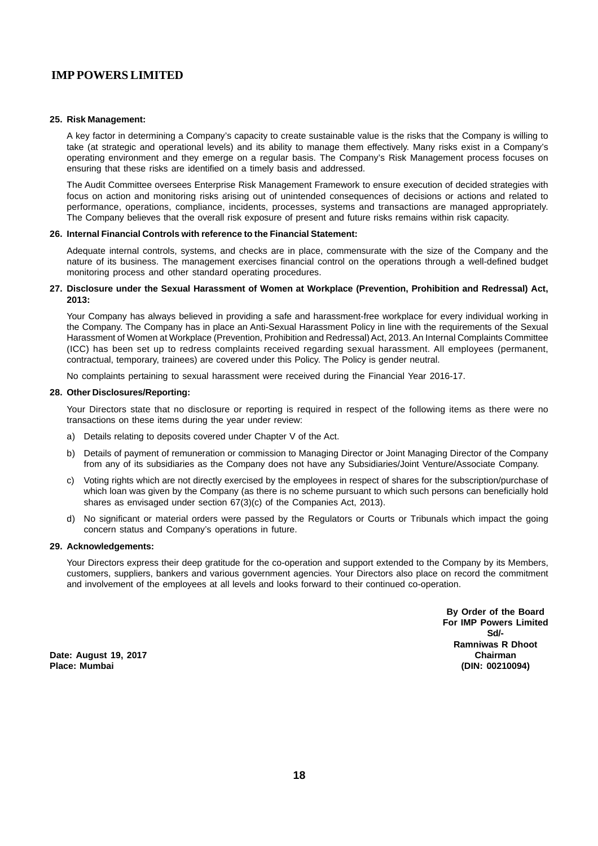#### **25. Risk Management:**

A key factor in determining a Company's capacity to create sustainable value is the risks that the Company is willing to take (at strategic and operational levels) and its ability to manage them effectively. Many risks exist in a Company's operating environment and they emerge on a regular basis. The Company's Risk Management process focuses on ensuring that these risks are identified on a timely basis and addressed.

The Audit Committee oversees Enterprise Risk Management Framework to ensure execution of decided strategies with focus on action and monitoring risks arising out of unintended consequences of decisions or actions and related to performance, operations, compliance, incidents, processes, systems and transactions are managed appropriately. The Company believes that the overall risk exposure of present and future risks remains within risk capacity.

#### **26. Internal Financial Controls with reference to the Financial Statement:**

Adequate internal controls, systems, and checks are in place, commensurate with the size of the Company and the nature of its business. The management exercises financial control on the operations through a well-defined budget monitoring process and other standard operating procedures.

#### **27. Disclosure under the Sexual Harassment of Women at Workplace (Prevention, Prohibition and Redressal) Act, 2013:**

Your Company has always believed in providing a safe and harassment-free workplace for every individual working in the Company. The Company has in place an Anti-Sexual Harassment Policy in line with the requirements of the Sexual Harassment of Women at Workplace (Prevention, Prohibition and Redressal) Act, 2013. An Internal Complaints Committee (ICC) has been set up to redress complaints received regarding sexual harassment. All employees (permanent, contractual, temporary, trainees) are covered under this Policy. The Policy is gender neutral.

No complaints pertaining to sexual harassment were received during the Financial Year 2016-17.

#### **28. Other Disclosures/Reporting:**

Your Directors state that no disclosure or reporting is required in respect of the following items as there were no transactions on these items during the year under review:

- a) Details relating to deposits covered under Chapter V of the Act.
- b) Details of payment of remuneration or commission to Managing Director or Joint Managing Director of the Company from any of its subsidiaries as the Company does not have any Subsidiaries/Joint Venture/Associate Company.
- c) Voting rights which are not directly exercised by the employees in respect of shares for the subscription/purchase of which loan was given by the Company (as there is no scheme pursuant to which such persons can beneficially hold shares as envisaged under section 67(3)(c) of the Companies Act, 2013).
- d) No significant or material orders were passed by the Regulators or Courts or Tribunals which impact the going concern status and Company's operations in future.

#### **29. Acknowledgements:**

Your Directors express their deep gratitude for the co-operation and support extended to the Company by its Members, customers, suppliers, bankers and various government agencies. Your Directors also place on record the commitment and involvement of the employees at all levels and looks forward to their continued co-operation.

> **By Order of the Board For IMP Powers Limited Sd/- Ramniwas R Dhoot Place: Mumbai (DIN: 00210094)**

**Date: August 19, 2017 Chairman**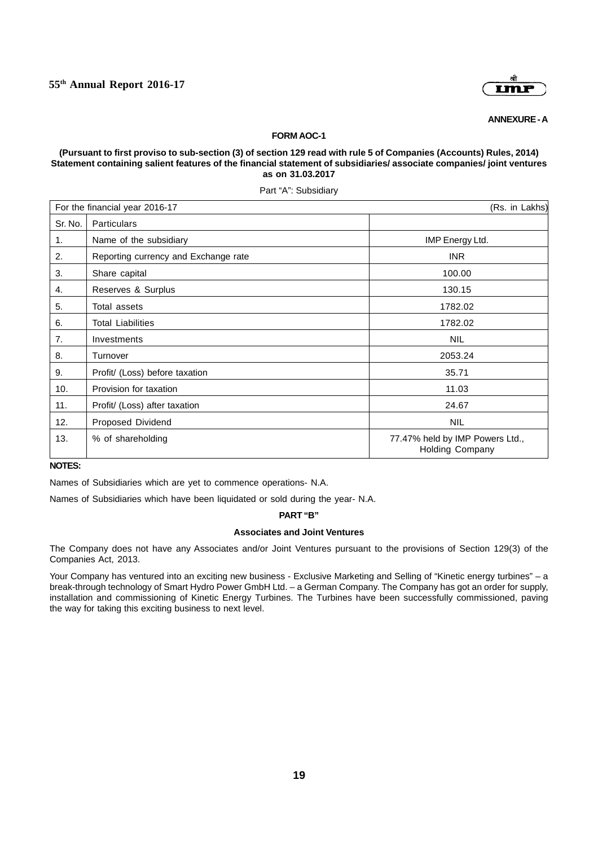

#### **ANNEXURE - A**

#### **FORM AOC-1**

#### **(Pursuant to first proviso to sub-section (3) of section 129 read with rule 5 of Companies (Accounts) Rules, 2014) Statement containing salient features of the financial statement of subsidiaries/ associate companies/ joint ventures as on 31.03.2017**

Part "A": Subsidiary

|         | For the financial year 2016-17       | (Rs. in Lakhs)                                     |
|---------|--------------------------------------|----------------------------------------------------|
| Sr. No. | <b>Particulars</b>                   |                                                    |
| 1.      | Name of the subsidiary               | IMP Energy Ltd.                                    |
| 2.      | Reporting currency and Exchange rate | <b>INR</b>                                         |
| 3.      | Share capital                        | 100.00                                             |
| 4.      | Reserves & Surplus                   | 130.15                                             |
| 5.      | Total assets                         | 1782.02                                            |
| 6.      | <b>Total Liabilities</b>             | 1782.02                                            |
| 7.      | Investments                          | <b>NIL</b>                                         |
| 8.      | Turnover                             | 2053.24                                            |
| 9.      | Profit/ (Loss) before taxation       | 35.71                                              |
| 10.     | Provision for taxation               | 11.03                                              |
| 11.     | Profit/ (Loss) after taxation        | 24.67                                              |
| 12.     | Proposed Dividend                    | <b>NIL</b>                                         |
| 13.     | % of shareholding                    | 77.47% held by IMP Powers Ltd.,<br>Holding Company |

#### **NOTES:**

Names of Subsidiaries which are yet to commence operations- N.A.

Names of Subsidiaries which have been liquidated or sold during the year- N.A.

#### **PART "B"**

#### **Associates and Joint Ventures**

The Company does not have any Associates and/or Joint Ventures pursuant to the provisions of Section 129(3) of the Companies Act, 2013.

Your Company has ventured into an exciting new business - Exclusive Marketing and Selling of "Kinetic energy turbines" - a break-through technology of Smart Hydro Power GmbH Ltd. – a German Company. The Company has got an order for supply, installation and commissioning of Kinetic Energy Turbines. The Turbines have been successfully commissioned, paving the way for taking this exciting business to next level.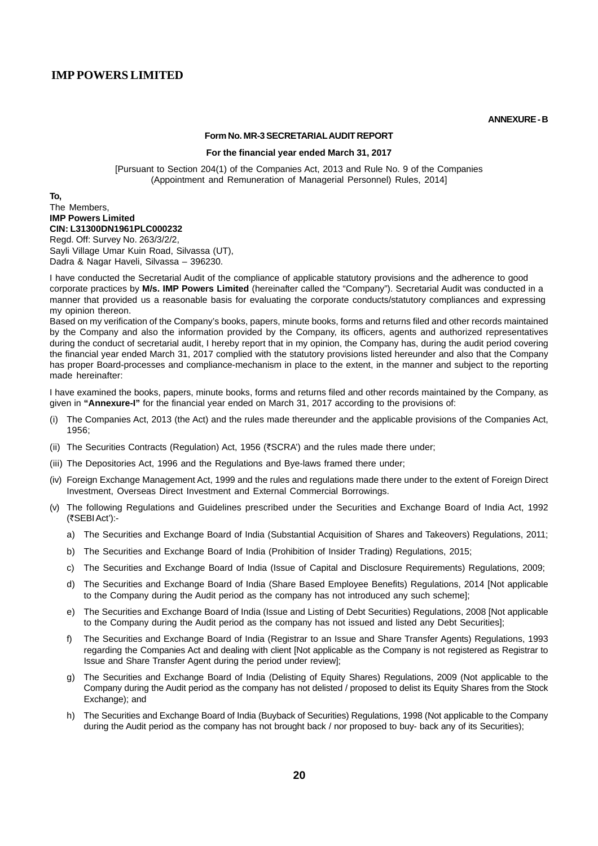**ANNEXURE - B**

#### **Form No. MR-3 SECRETARIAL AUDIT REPORT**

#### **For the financial year ended March 31, 2017**

[Pursuant to Section 204(1) of the Companies Act, 2013 and Rule No. 9 of the Companies (Appointment and Remuneration of Managerial Personnel) Rules, 2014]

**To,** The Members, **IMP Powers Limited CIN: L31300DN1961PLC000232** Regd. Off: Survey No. 263/3/2/2, Sayli Village Umar Kuin Road, Silvassa (UT), Dadra & Nagar Haveli, Silvassa – 396230.

I have conducted the Secretarial Audit of the compliance of applicable statutory provisions and the adherence to good corporate practices by **M/s. IMP Powers Limited** (hereinafter called the "Company"). Secretarial Audit was conducted in a manner that provided us a reasonable basis for evaluating the corporate conducts/statutory compliances and expressing my opinion thereon.

Based on my verification of the Company's books, papers, minute books, forms and returns filed and other records maintained by the Company and also the information provided by the Company, its officers, agents and authorized representatives during the conduct of secretarial audit, I hereby report that in my opinion, the Company has, during the audit period covering the financial year ended March 31, 2017 complied with the statutory provisions listed hereunder and also that the Company has proper Board-processes and compliance-mechanism in place to the extent, in the manner and subject to the reporting made hereinafter:

I have examined the books, papers, minute books, forms and returns filed and other records maintained by the Company, as given in **"Annexure-I"** for the financial year ended on March 31, 2017 according to the provisions of:

- (i) The Companies Act, 2013 (the Act) and the rules made thereunder and the applicable provisions of the Companies Act, 1956;
- (ii) The Securities Contracts (Regulation) Act, 1956 (₹SCRA') and the rules made there under;
- (iii) The Depositories Act, 1996 and the Regulations and Bye-laws framed there under;
- (iv) Foreign Exchange Management Act, 1999 and the rules and regulations made there under to the extent of Foreign Direct Investment, Overseas Direct Investment and External Commercial Borrowings.
- (v) The following Regulations and Guidelines prescribed under the Securities and Exchange Board of India Act, 1992 (`SEBI Act'):
	- a) The Securities and Exchange Board of India (Substantial Acquisition of Shares and Takeovers) Regulations, 2011;
	- b) The Securities and Exchange Board of India (Prohibition of Insider Trading) Regulations, 2015;
	- c) The Securities and Exchange Board of India (Issue of Capital and Disclosure Requirements) Regulations, 2009;
	- d) The Securities and Exchange Board of India (Share Based Employee Benefits) Regulations, 2014 [Not applicable to the Company during the Audit period as the company has not introduced any such scheme];
	- e) The Securities and Exchange Board of India (Issue and Listing of Debt Securities) Regulations, 2008 [Not applicable to the Company during the Audit period as the company has not issued and listed any Debt Securities];
	- f) The Securities and Exchange Board of India (Registrar to an Issue and Share Transfer Agents) Regulations, 1993 regarding the Companies Act and dealing with client [Not applicable as the Company is not registered as Registrar to Issue and Share Transfer Agent during the period under review];
	- g) The Securities and Exchange Board of India (Delisting of Equity Shares) Regulations, 2009 (Not applicable to the Company during the Audit period as the company has not delisted / proposed to delist its Equity Shares from the Stock Exchange); and
	- h) The Securities and Exchange Board of India (Buyback of Securities) Regulations, 1998 (Not applicable to the Company during the Audit period as the company has not brought back / nor proposed to buy- back any of its Securities);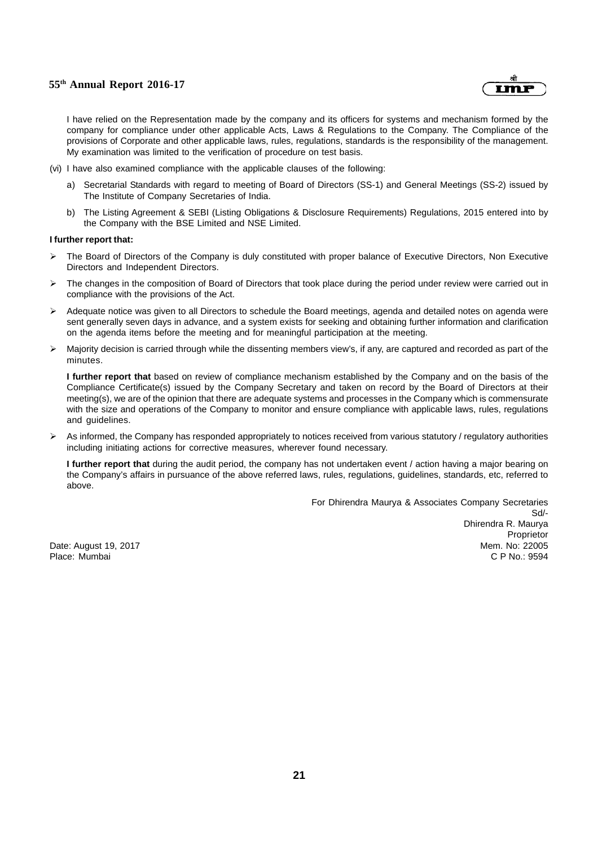

I have relied on the Representation made by the company and its officers for systems and mechanism formed by the company for compliance under other applicable Acts, Laws & Regulations to the Company. The Compliance of the provisions of Corporate and other applicable laws, rules, regulations, standards is the responsibility of the management. My examination was limited to the verification of procedure on test basis.

- (vi) I have also examined compliance with the applicable clauses of the following:
	- a) Secretarial Standards with regard to meeting of Board of Directors (SS-1) and General Meetings (SS-2) issued by The Institute of Company Secretaries of India.
	- b) The Listing Agreement & SEBI (Listing Obligations & Disclosure Requirements) Regulations, 2015 entered into by the Company with the BSE Limited and NSE Limited.

#### **I further report that:**

- ¾ The Board of Directors of the Company is duly constituted with proper balance of Executive Directors, Non Executive Directors and Independent Directors.
- The changes in the composition of Board of Directors that took place during the period under review were carried out in compliance with the provisions of the Act.
- ¾ Adequate notice was given to all Directors to schedule the Board meetings, agenda and detailed notes on agenda were sent generally seven days in advance, and a system exists for seeking and obtaining further information and clarification on the agenda items before the meeting and for meaningful participation at the meeting.
- Majority decision is carried through while the dissenting members view's, if any, are captured and recorded as part of the minutes.

**I further report that** based on review of compliance mechanism established by the Company and on the basis of the Compliance Certificate(s) issued by the Company Secretary and taken on record by the Board of Directors at their meeting(s), we are of the opinion that there are adequate systems and processes in the Company which is commensurate with the size and operations of the Company to monitor and ensure compliance with applicable laws, rules, regulations and guidelines.

 $\triangleright$  As informed, the Company has responded appropriately to notices received from various statutory / regulatory authorities including initiating actions for corrective measures, wherever found necessary.

**I further report that** during the audit period, the company has not undertaken event / action having a major bearing on the Company's affairs in pursuance of the above referred laws, rules, regulations, guidelines, standards, etc, referred to above.

> For Dhirendra Maurya & Associates Company Secretaries Sd/- Dhirendra R. Maurya

Place: Mumbai C P No.: 9594

Proprietor Date: August 19, 2017 Mem. No: 22005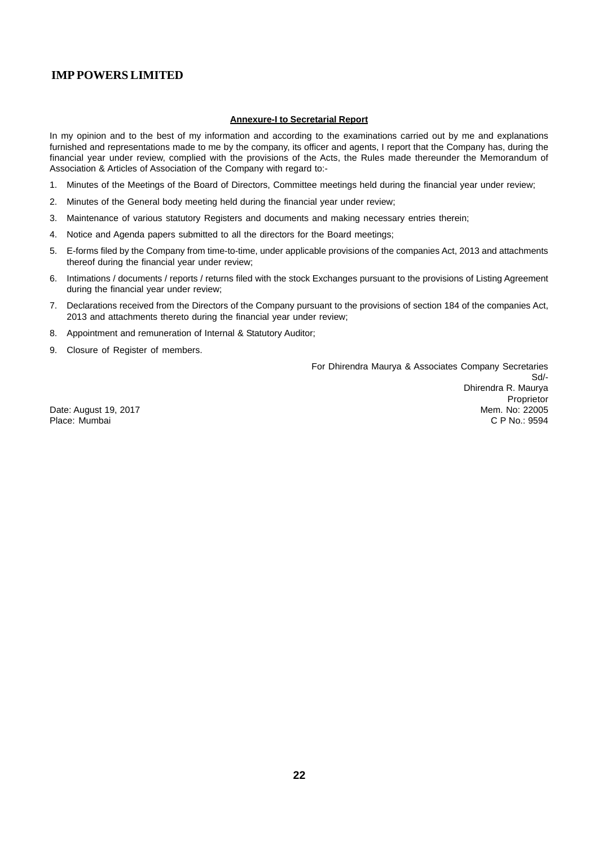#### **Annexure-I to Secretarial Report**

In my opinion and to the best of my information and according to the examinations carried out by me and explanations furnished and representations made to me by the company, its officer and agents, I report that the Company has, during the financial year under review, complied with the provisions of the Acts, the Rules made thereunder the Memorandum of Association & Articles of Association of the Company with regard to:-

- 1. Minutes of the Meetings of the Board of Directors, Committee meetings held during the financial year under review;
- 2. Minutes of the General body meeting held during the financial year under review;
- 3. Maintenance of various statutory Registers and documents and making necessary entries therein;
- 4. Notice and Agenda papers submitted to all the directors for the Board meetings;
- 5. E-forms filed by the Company from time-to-time, under applicable provisions of the companies Act, 2013 and attachments thereof during the financial year under review;
- 6. Intimations / documents / reports / returns filed with the stock Exchanges pursuant to the provisions of Listing Agreement during the financial year under review;
- 7. Declarations received from the Directors of the Company pursuant to the provisions of section 184 of the companies Act, 2013 and attachments thereto during the financial year under review;
- 8. Appointment and remuneration of Internal & Statutory Auditor;
- 9. Closure of Register of members.

For Dhirendra Maurya & Associates Company Secretaries Sd/- Dhirendra R. Maurya Proprietor Date: August 19, 2017 Mem. No: 22005 Place: Mumbai C P No.: 9594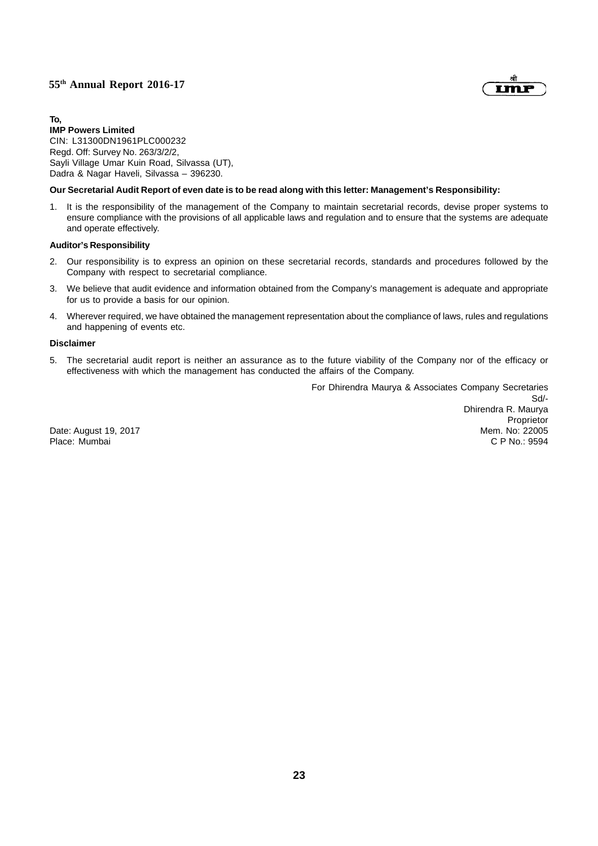

**To,**

#### **IMP Powers Limited** CIN: L31300DN1961PLC000232 Regd. Off: Survey No. 263/3/2/2, Sayli Village Umar Kuin Road, Silvassa (UT), Dadra & Nagar Haveli, Silvassa – 396230.

#### **Our Secretarial Audit Report of even date is to be read along with this letter: Management's Responsibility:**

1. It is the responsibility of the management of the Company to maintain secretarial records, devise proper systems to ensure compliance with the provisions of all applicable laws and regulation and to ensure that the systems are adequate and operate effectively.

#### **Auditor's Responsibility**

- 2. Our responsibility is to express an opinion on these secretarial records, standards and procedures followed by the Company with respect to secretarial compliance.
- 3. We believe that audit evidence and information obtained from the Company's management is adequate and appropriate for us to provide a basis for our opinion.
- 4. Wherever required, we have obtained the management representation about the compliance of laws, rules and regulations and happening of events etc.

#### **Disclaimer**

5. The secretarial audit report is neither an assurance as to the future viability of the Company nor of the efficacy or effectiveness with which the management has conducted the affairs of the Company.

> For Dhirendra Maurya & Associates Company Secretaries Sd/-

Date: August 19, 2017 Mem. No: 22005 Place: Mumbai C P No.: 9594

Dhirendra R. Maurya Proprietor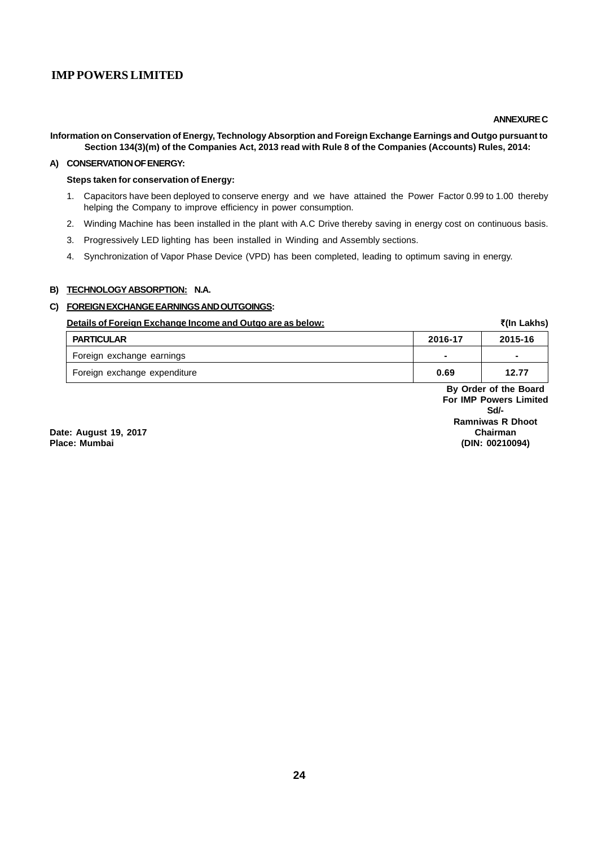#### **ANNEXURE C**

**Information on Conservation of Energy, Technology Absorption and Foreign Exchange Earnings and Outgo pursuant to Section 134(3)(m) of the Companies Act, 2013 read with Rule 8 of the Companies (Accounts) Rules, 2014:**

#### **A) CONSERVATION OF ENERGY:**

#### **Steps taken for conservation of Energy:**

- 1. Capacitors have been deployed to conserve energy and we have attained the Power Factor 0.99 to 1.00 thereby helping the Company to improve efficiency in power consumption.
- 2. Winding Machine has been installed in the plant with A.C Drive thereby saving in energy cost on continuous basis.
- 3. Progressively LED lighting has been installed in Winding and Assembly sections.
- 4. Synchronization of Vapor Phase Device (VPD) has been completed, leading to optimum saving in energy.

#### **B) TECHNOLOGY ABSORPTION: N.A.**

#### **C) FOREIGN EXCHANGE EARNINGS AND OUTGOINGS:**

#### **Details of Foreign Exchange Income and Outgo are as below:** `**(In Lakhs)**

**PARTICULAR 2016-17 2015-16** Foreign exchange earnings **and a structure of the structure of the structure of the structure of the structure of the structure of the structure of the structure of the structure of the structure of the structure of the st** Foreign exchange expenditure **12.77 12.77** 

> **By Order of the Board For IMP Powers Limited Sd/- Ramniwas R Dhoot**

**Date: August 19, 2017 Chairman Place: Mumbai (DIN: 00210094)**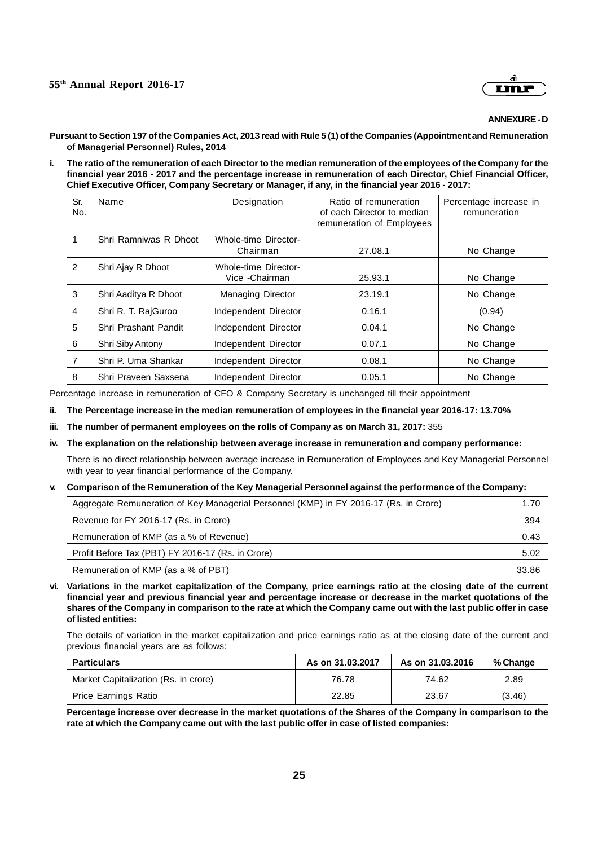

#### **ANNEXURE - D**

**Pursuant to Section 197 of the Companies Act, 2013 read with Rule 5 (1) of the Companies (Appointment and Remuneration of Managerial Personnel) Rules, 2014**

**i. The ratio of the remuneration of each Director to the median remuneration of the employees of the Company for the financial year 2016 - 2017 and the percentage increase in remuneration of each Director, Chief Financial Officer, Chief Executive Officer, Company Secretary or Manager, if any, in the financial year 2016 - 2017:**

| Sr.<br>No.     | Name                  | Designation                             | Ratio of remuneration<br>of each Director to median<br>remuneration of Employees | Percentage increase in<br>remuneration |
|----------------|-----------------------|-----------------------------------------|----------------------------------------------------------------------------------|----------------------------------------|
| 1              | Shri Ramniwas R Dhoot | Whole-time Director-<br>Chairman        | 27.08.1                                                                          | No Change                              |
| $\overline{2}$ | Shri Ajay R Dhoot     | Whole-time Director-<br>Vice - Chairman | 25.93.1                                                                          | No Change                              |
| 3              | Shri Aaditya R Dhoot  | <b>Managing Director</b>                | 23.19.1                                                                          | No Change                              |
| $\overline{4}$ | Shri R. T. RajGuroo   | Independent Director                    | 0.16.1                                                                           | (0.94)                                 |
| 5              | Shri Prashant Pandit  | Independent Director                    | 0.04.1                                                                           | No Change                              |
| 6              | Shri Siby Antony      | Independent Director                    | 0.07.1                                                                           | No Change                              |
| $\overline{7}$ | Shri P. Uma Shankar   | Independent Director                    | 0.08.1                                                                           | No Change                              |
| 8              | Shri Praveen Saxsena  | Independent Director                    | 0.05.1                                                                           | No Change                              |

Percentage increase in remuneration of CFO & Company Secretary is unchanged till their appointment

#### **ii. The Percentage increase in the median remuneration of employees in the financial year 2016-17: 13.70%**

**iii. The number of permanent employees on the rolls of Company as on March 31, 2017:** 355

#### **iv. The explanation on the relationship between average increase in remuneration and company performance:**

There is no direct relationship between average increase in Remuneration of Employees and Key Managerial Personnel with year to year financial performance of the Company.

#### **v. Comparison of the Remuneration of the Key Managerial Personnel against the performance of the Company:**

| Aggregate Remuneration of Key Managerial Personnel (KMP) in FY 2016-17 (Rs. in Crore) |       |
|---------------------------------------------------------------------------------------|-------|
| Revenue for FY 2016-17 (Rs. in Crore)                                                 | 394   |
| Remuneration of KMP (as a % of Revenue)                                               | 0.43  |
| Profit Before Tax (PBT) FY 2016-17 (Rs. in Crore)                                     | 5.02  |
| Remuneration of KMP (as a % of PBT)                                                   | 33.86 |

**vi. Variations in the market capitalization of the Company, price earnings ratio at the closing date of the current financial year and previous financial year and percentage increase or decrease in the market quotations of the shares of the Company in comparison to the rate at which the Company came out with the last public offer in case of listed entities:**

The details of variation in the market capitalization and price earnings ratio as at the closing date of the current and previous financial years are as follows:

| <b>Particulars</b>                   | As on 31.03.2017 | As on 31.03.2016 | % Change |
|--------------------------------------|------------------|------------------|----------|
| Market Capitalization (Rs. in crore) | 76.78            | 74.62            | 2.89     |
| Price Earnings Ratio                 | 22.85            | 23.67            | (3.46)   |

**Percentage increase over decrease in the market quotations of the Shares of the Company in comparison to the rate at which the Company came out with the last public offer in case of listed companies:**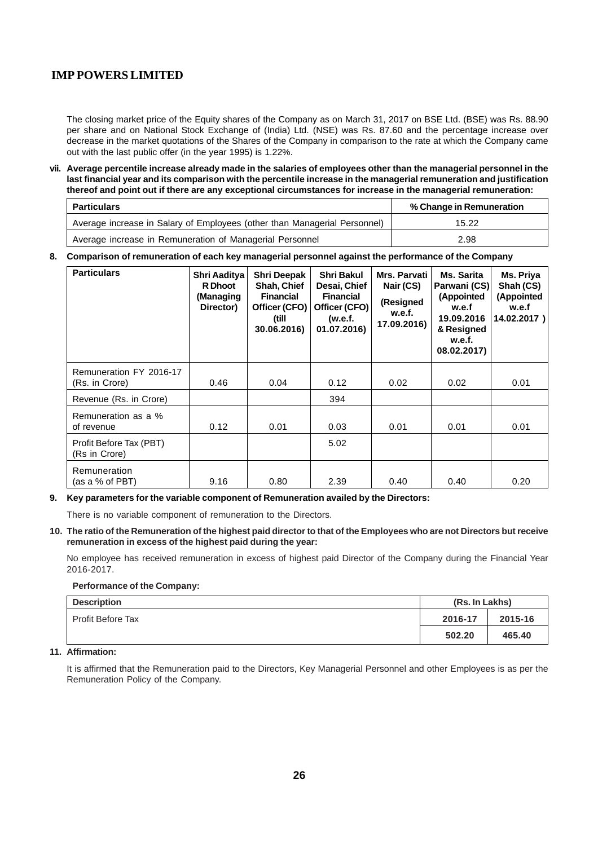The closing market price of the Equity shares of the Company as on March 31, 2017 on BSE Ltd. (BSE) was Rs. 88.90 per share and on National Stock Exchange of (India) Ltd. (NSE) was Rs. 87.60 and the percentage increase over decrease in the market quotations of the Shares of the Company in comparison to the rate at which the Company came out with the last public offer (in the year 1995) is 1.22%.

**vii. Average percentile increase already made in the salaries of employees other than the managerial personnel in the last financial year and its comparison with the percentile increase in the managerial remuneration and justification thereof and point out if there are any exceptional circumstances for increase in the managerial remuneration:**

| Particulars                                                               | % Change in Remuneration |
|---------------------------------------------------------------------------|--------------------------|
| Average increase in Salary of Employees (other than Managerial Personnel) | 15.22                    |
| Average increase in Remuneration of Managerial Personnel                  | 2.98                     |

#### **8. Comparison of remuneration of each key managerial personnel against the performance of the Company**

| <b>Particulars</b>                        | Shri Aaditya<br>R Dhoot<br>(Managing<br>Director) | <b>Shri Deepak</b><br>Shah, Chief<br><b>Financial</b><br>Officer (CFO)<br>(till<br>30.06.2016) | <b>Shri Bakul</b><br>Desai, Chief<br><b>Financial</b><br>Officer (CFO)<br>(w.e.f.<br>01.07.2016) | <b>Mrs. Parvati</b><br>Nair (CS)<br>(Resigned<br>w.e.f.<br>17.09.2016) | <b>Ms. Sarita</b><br>Parwani (CS)<br>(Appointed<br>w.e.f<br>19.09.2016<br>& Resigned<br>w.e.f.<br>08.02.2017) | Ms. Priya<br>Shah (CS)<br>(Appointed<br>w.e.f<br>14.02.2017) |
|-------------------------------------------|---------------------------------------------------|------------------------------------------------------------------------------------------------|--------------------------------------------------------------------------------------------------|------------------------------------------------------------------------|---------------------------------------------------------------------------------------------------------------|--------------------------------------------------------------|
| Remuneration FY 2016-17<br>(Rs. in Crore) | 0.46                                              | 0.04                                                                                           | 0.12                                                                                             | 0.02                                                                   | 0.02                                                                                                          | 0.01                                                         |
| Revenue (Rs. in Crore)                    |                                                   |                                                                                                | 394                                                                                              |                                                                        |                                                                                                               |                                                              |
| Remuneration as a %<br>of revenue         | 0.12                                              | 0.01                                                                                           | 0.03                                                                                             | 0.01                                                                   | 0.01                                                                                                          | 0.01                                                         |
| Profit Before Tax (PBT)<br>(Rs in Crore)  |                                                   |                                                                                                | 5.02                                                                                             |                                                                        |                                                                                                               |                                                              |
| Remuneration<br>(as a $%$ of PBT)         | 9.16                                              | 0.80                                                                                           | 2.39                                                                                             | 0.40                                                                   | 0.40                                                                                                          | 0.20                                                         |

#### **9. Key parameters for the variable component of Remuneration availed by the Directors:**

There is no variable component of remuneration to the Directors.

#### **10. The ratio of the Remuneration of the highest paid director to that of the Employees who are not Directors but receive remuneration in excess of the highest paid during the year:**

No employee has received remuneration in excess of highest paid Director of the Company during the Financial Year 2016-2017.

#### **Performance of the Company:**

| <b>Description</b>       | (Rs. In Lakhs) |         |
|--------------------------|----------------|---------|
| <b>Profit Before Tax</b> | 2016-17        | 2015-16 |
|                          | 502.20         | 465.40  |

#### **11. Affirmation:**

It is affirmed that the Remuneration paid to the Directors, Key Managerial Personnel and other Employees is as per the Remuneration Policy of the Company.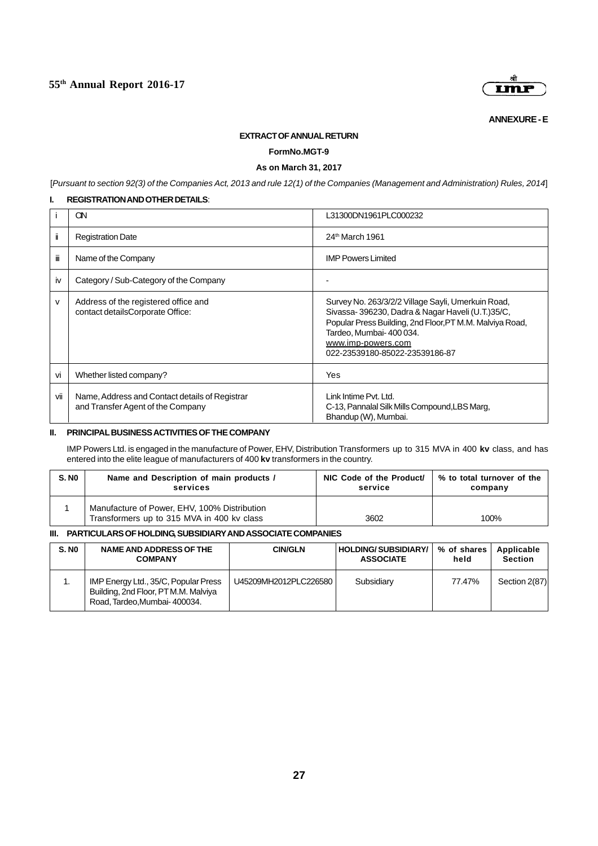

#### **ANNEXURE - E**

#### **EXTRACT OF ANNUAL RETURN**

#### **FormNo.MGT-9**

#### **As on March 31, 2017**

[*Pursuant to section 92(3) of the Companies Act, 2013 and rule 12(1) of the Companies (Management and Administration) Rules, 2014*]

#### **I. REGISTRATION AND OTHER DETAILS**:

|     | CN                                                                                  | L31300DN1961PLC000232                                                                                                                                                                                                                                  |
|-----|-------------------------------------------------------------------------------------|--------------------------------------------------------------------------------------------------------------------------------------------------------------------------------------------------------------------------------------------------------|
|     | <b>Registration Date</b>                                                            | 24 <sup>th</sup> March 1961                                                                                                                                                                                                                            |
| ΪÏ  | Name of the Company                                                                 | <b>IMP Powers Limited</b>                                                                                                                                                                                                                              |
| iv  | Category / Sub-Category of the Company                                              |                                                                                                                                                                                                                                                        |
| v   | Address of the registered office and<br>contact detailsCorporate Office:            | Survey No. 263/3/2/2 Village Sayli, Umerkuin Road,<br>Sivassa-396230, Dadra & Nagar Haveli (U.T.)35/C,<br>Popular Press Building, 2nd Floor, PT M.M. Malviya Road,<br>Tardeo, Mumbai- 400 034.<br>www.imp-powers.com<br>022-23539180-85022-23539186-87 |
| VÌ  | Whether listed company?                                                             | Yes                                                                                                                                                                                                                                                    |
| Vii | Name, Address and Contact details of Registrar<br>and Transfer Agent of the Company | Link Intime Pvt. Ltd.<br>C-13, Pannalal Silk Mills Compound, LBS Marg.<br>Bhandup (W), Mumbai.                                                                                                                                                         |

#### **II. PRINCIPAL BUSINESS ACTIVITIES OF THE COMPANY**

IMP Powers Ltd. is engaged in the manufacture of Power, EHV, Distribution Transformers up to 315 MVA in 400 **kv** class, and has entered into the elite league of manufacturers of 400 **kv** transformers in the country.

| <b>S. NO</b> | Name and Description of main products /                                                    | NIC Code of the Product/ | % to total turnover of the |  |
|--------------|--------------------------------------------------------------------------------------------|--------------------------|----------------------------|--|
|              | services                                                                                   | service                  | company                    |  |
|              | Manufacture of Power, EHV, 100% Distribution<br>Transformers up to 315 MVA in 400 kv class | 3602                     | 100%                       |  |

#### **III. PARTICULARS OF HOLDING, SUBSIDIARY AND ASSOCIATE COMPANIES**

| <b>S.NO</b> | NAME AND ADDRESS OF THE<br><b>COMPANY</b>                                                                    | <b>CIN/GLN</b>        | HOLDING/SUBSIDIARY/<br><b>ASSOCIATE</b> | % of shares<br>held | Applicable<br><b>Section</b> |
|-------------|--------------------------------------------------------------------------------------------------------------|-----------------------|-----------------------------------------|---------------------|------------------------------|
|             | IMP Energy Ltd., 35/C, Popular Press<br>Building, 2nd Floor, PT M.M. Malviya<br>Road. Tardeo.Mumbai- 400034. | U45209MH2012PLC226580 | Subsidiary                              | 77.47%              | Section 2(87)                |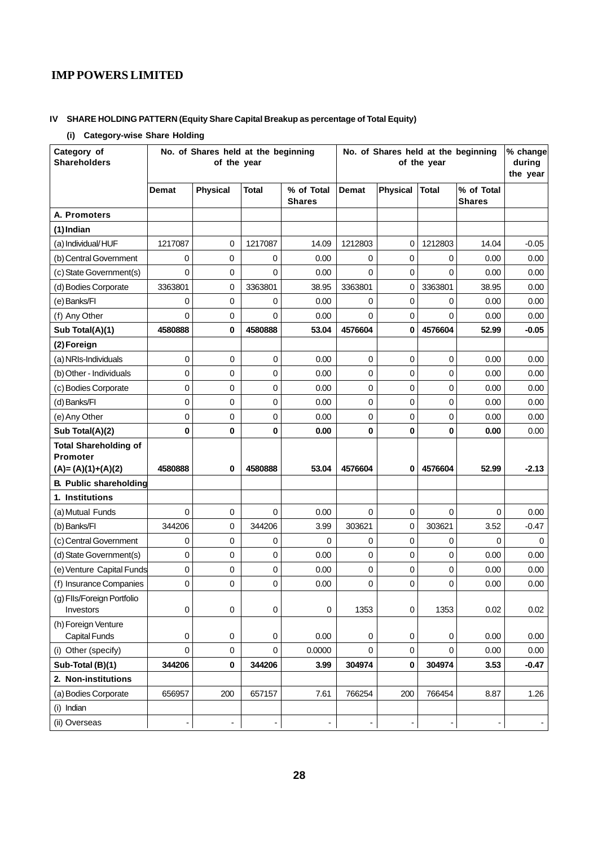## **IV SHARE HOLDING PATTERN (Equity Share Capital Breakup as percentage of Total Equity)**

## **(i) Category-wise Share Holding**

| Category of<br><b>Shareholders</b>                   | No. of Shares held at the beginning<br>of the year |                 |              | No. of Shares held at the beginning<br>of the year |                              |                 |              | % change<br>during<br>the year |              |
|------------------------------------------------------|----------------------------------------------------|-----------------|--------------|----------------------------------------------------|------------------------------|-----------------|--------------|--------------------------------|--------------|
|                                                      | Demat                                              | <b>Physical</b> | Total        | % of Total<br><b>Shares</b>                        | <b>Demat</b>                 | <b>Physical</b> | <b>Total</b> | % of Total<br><b>Shares</b>    |              |
| A. Promoters                                         |                                                    |                 |              |                                                    |                              |                 |              |                                |              |
| (1) Indian                                           |                                                    |                 |              |                                                    |                              |                 |              |                                |              |
| (a) Individual/HUF                                   | 1217087                                            | 0               | 1217087      | 14.09                                              | 1212803                      | 0               | 1212803      | 14.04                          | $-0.05$      |
| (b) Central Government                               | 0                                                  | 0               | 0            | 0.00                                               | 0                            | 0               | 0            | 0.00                           | 0.00         |
| (c) State Government(s)                              | $\mathbf 0$                                        | 0               | $\mathbf{0}$ | 0.00                                               | 0                            | 0               | 0            | 0.00                           | 0.00         |
| (d) Bodies Corporate                                 | 3363801                                            | 0               | 3363801      | 38.95                                              | 3363801                      | 0               | 3363801      | 38.95                          | 0.00         |
| (e) Banks/FI                                         | 0                                                  | 0               | 0            | 0.00                                               | 0                            | 0               | 0            | 0.00                           | 0.00         |
| (f) Any Other                                        | 0                                                  | 0               | 0            | 0.00                                               | 0                            | 0               | 0            | 0.00                           | 0.00         |
| Sub Total(A)(1)                                      | 4580888                                            | 0               | 4580888      | 53.04                                              | 4576604                      | 0               | 4576604      | 52.99                          | $-0.05$      |
| (2) Foreign                                          |                                                    |                 |              |                                                    |                              |                 |              |                                |              |
| (a) NRIs-Individuals                                 | 0                                                  | 0               | 0            | 0.00                                               | 0                            | 0               | 0            | 0.00                           | 0.00         |
| (b) Other - Individuals                              | 0                                                  | 0               | 0            | 0.00                                               | 0                            | 0               | 0            | 0.00                           | 0.00         |
| (c) Bodies Corporate                                 | 0                                                  | 0               | 0            | 0.00                                               | 0                            | 0               | 0            | 0.00                           | 0.00         |
| (d) Banks/FI                                         | 0                                                  | 0               | 0            | 0.00                                               | 0                            | 0               | 0            | 0.00                           | 0.00         |
| (e) Any Other                                        | 0                                                  | 0               | 0            | 0.00                                               | 0                            | 0               | 0            | 0.00                           | 0.00         |
| Sub Total(A)(2)                                      | 0                                                  | 0               | 0            | 0.00                                               | 0                            | 0               | 0            | 0.00                           | 0.00         |
| <b>Total Shareholding of</b>                         |                                                    |                 |              |                                                    |                              |                 |              |                                |              |
| Promoter                                             | 4580888                                            | 0               | 4580888      | 53.04                                              | 4576604                      |                 | 4576604      | 52.99                          | $-2.13$      |
| (A)= (A)(1)+(A)(2)                                   |                                                    |                 |              |                                                    |                              | 0               |              |                                |              |
| <b>B. Public shareholding</b><br>1. Institutions     |                                                    |                 |              |                                                    |                              |                 |              |                                |              |
| (a) Mutual Funds                                     | 0                                                  | 0               | 0            | 0.00                                               | 0                            | 0               | 0            | $\mathbf 0$                    | 0.00         |
| (b) Banks/FI                                         | 344206                                             | 0               | 344206       | 3.99                                               | 303621                       | 0               | 303621       | 3.52                           | $-0.47$      |
| (c) Central Government                               | 0                                                  | 0               | 0            | 0                                                  | 0                            | 0               | 0            | $\mathbf 0$                    | 0            |
|                                                      | 0                                                  | 0               | 0            | 0.00                                               | 0                            | 0               | 0            |                                |              |
| (d) State Government(s)<br>(e) Venture Capital Funds | 0                                                  | 0               | 0            | 0.00                                               | 0                            | 0               | 0            | 0.00<br>0.00                   | 0.00<br>0.00 |
| (f) Insurance Companies                              | 0                                                  | 0               | 0            | 0.00                                               | 0                            | $\mathbf 0$     | 0            | 0.00                           | 0.00         |
| (g) FlIs/Foreign Portfolio                           |                                                    |                 |              |                                                    |                              |                 |              |                                |              |
| Investors                                            | 0                                                  | 0               | 0            | 0                                                  | 1353                         | 0               | 1353         | 0.02                           | 0.02         |
| (h) Foreign Venture                                  |                                                    |                 |              |                                                    |                              |                 |              |                                |              |
| <b>Capital Funds</b>                                 | 0                                                  | 0               | $\pmb{0}$    | 0.00                                               | 0                            | 0               | 0            | 0.00                           | 0.00         |
| (i) Other (specify)                                  | 0                                                  | 0               | 0            | 0.0000                                             | 0                            | 0               | 0            | 0.00                           | 0.00         |
| Sub-Total (B)(1)                                     | 344206                                             | 0               | 344206       | 3.99                                               | 304974                       | $\bf{0}$        | 304974       | 3.53                           | $-0.47$      |
| 2. Non-institutions                                  |                                                    |                 |              |                                                    |                              |                 |              |                                |              |
| (a) Bodies Corporate                                 | 656957                                             | 200             | 657157       | 7.61                                               | 766254                       | 200             | 766454       | 8.87                           | 1.26         |
| (i) Indian                                           |                                                    |                 |              |                                                    |                              |                 |              |                                |              |
| (ii) Overseas                                        |                                                    |                 |              |                                                    | $\qquad \qquad \blacksquare$ | $\overline{a}$  |              |                                |              |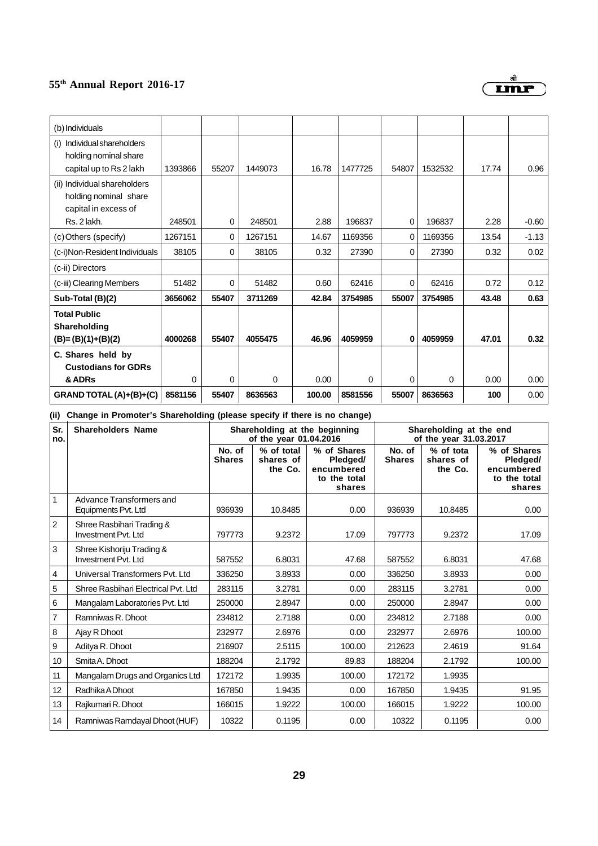| TГ |  |
|----|--|

| (b) Individuals                                                                    |         |          |          |        |         |          |         |       |         |
|------------------------------------------------------------------------------------|---------|----------|----------|--------|---------|----------|---------|-------|---------|
| Individual shareholders<br>(i)<br>holding nominal share<br>capital up to Rs 2 lakh | 1393866 | 55207    | 1449073  | 16.78  | 1477725 | 54807    | 1532532 | 17.74 | 0.96    |
| (ii) Individual shareholders<br>holding nominal share<br>capital in excess of      |         |          |          |        |         |          |         |       |         |
| Rs. 2 lakh.                                                                        | 248501  | 0        | 248501   | 2.88   | 196837  | 0        | 196837  | 2.28  | $-0.60$ |
| (c) Others (specify)                                                               | 1267151 | 0        | 1267151  | 14.67  | 1169356 | 0        | 1169356 | 13.54 | $-1.13$ |
| (c-i)Non-Resident Individuals                                                      | 38105   | 0        | 38105    | 0.32   | 27390   | $\Omega$ | 27390   | 0.32  | 0.02    |
| (c-ii) Directors                                                                   |         |          |          |        |         |          |         |       |         |
| (c-iii) Clearing Members                                                           | 51482   | $\Omega$ | 51482    | 0.60   | 62416   | 0        | 62416   | 0.72  | 0.12    |
| Sub-Total (B)(2)                                                                   | 3656062 | 55407    | 3711269  | 42.84  | 3754985 | 55007    | 3754985 | 43.48 | 0.63    |
| <b>Total Public</b><br>Shareholding<br>$(B)=(B)(1)+(B)(2)$                         | 4000268 | 55407    | 4055475  | 46.96  | 4059959 | 0        | 4059959 | 47.01 | 0.32    |
| C. Shares held by<br><b>Custodians for GDRs</b><br>& ADRs                          | 0       | $\Omega$ | $\Omega$ | 0.00   | 0       | 0        | 0       | 0.00  | 0.00    |
| GRAND TOTAL (A)+(B)+(C)                                                            | 8581156 | 55407    | 8636563  | 100.00 | 8581556 | 55007    | 8636563 | 100   | 0.00    |

## **(ii) Change in Promoter's Shareholding (please specify if there is no change)**

| Sr.<br>no.              | <b>Shareholders Name</b>                         |                         | Shareholding at the beginning<br>of the year 01.04.2016 |                                                                 | Shareholding at the end<br>of the year 31.03.2017 |                                   |                                                                 |  |
|-------------------------|--------------------------------------------------|-------------------------|---------------------------------------------------------|-----------------------------------------------------------------|---------------------------------------------------|-----------------------------------|-----------------------------------------------------------------|--|
|                         |                                                  | No. of<br><b>Shares</b> | % of total<br>shares of<br>the Co.                      | % of Shares<br>Pledged/<br>encumbered<br>to the total<br>shares | No. of<br><b>Shares</b>                           | % of tota<br>shares of<br>the Co. | % of Shares<br>Pledged/<br>encumbered<br>to the total<br>shares |  |
| 1                       | Advance Transformers and<br>Equipments Pvt. Ltd  | 936939                  | 10.8485                                                 | 0.00                                                            | 936939                                            | 10.8485                           | 0.00                                                            |  |
| $\overline{2}$          | Shree Rasbihari Trading &<br>Investment Pvt. Ltd | 797773                  | 9.2372                                                  | 17.09                                                           | 797773                                            | 9.2372                            | 17.09                                                           |  |
| 3                       | Shree Kishoriju Trading &<br>Investment Pvt. Ltd | 587552                  | 6.8031                                                  | 47.68                                                           | 587552                                            | 6.8031                            | 47.68                                                           |  |
| $\overline{\mathbf{4}}$ | Universal Transformers Pvt. Ltd                  | 336250                  | 3.8933                                                  | 0.00                                                            | 336250                                            | 3.8933                            | 0.00                                                            |  |
| 5                       | Shree Rasbihari Electrical Pvt. Ltd              | 283115                  | 3.2781                                                  | 0.00                                                            | 283115                                            | 3.2781                            | 0.00                                                            |  |
| $\,6$                   | Mangalam Laboratories Pvt. Ltd                   | 250000                  | 2.8947                                                  | 0.00                                                            | 250000                                            | 2.8947                            | 0.00                                                            |  |
| $\overline{7}$          | Ramniwas R. Dhoot                                | 234812                  | 2.7188                                                  | 0.00                                                            | 234812                                            | 2.7188                            | 0.00                                                            |  |
| $\boldsymbol{8}$        | Ajay R Dhoot                                     | 232977                  | 2.6976                                                  | 0.00                                                            | 232977                                            | 2.6976                            | 100.00                                                          |  |
| $\boldsymbol{9}$        | Aditya R. Dhoot                                  | 216907                  | 2.5115                                                  | 100.00                                                          | 212623                                            | 2.4619                            | 91.64                                                           |  |
| 10                      | Smita A. Dhoot                                   | 188204                  | 2.1792                                                  | 89.83                                                           | 188204                                            | 2.1792                            | 100.00                                                          |  |
| 11                      | Mangalam Drugs and Organics Ltd                  | 172172                  | 1.9935                                                  | 100.00                                                          | 172172                                            | 1.9935                            |                                                                 |  |
| 12                      | Radhika A Dhoot                                  | 167850                  | 1.9435                                                  | 0.00                                                            | 167850                                            | 1.9435                            | 91.95                                                           |  |
| 13                      | Rajkumari R. Dhoot                               | 166015                  | 1.9222                                                  | 100.00                                                          | 166015                                            | 1.9222                            | 100.00                                                          |  |
| 14                      | Ramniwas Ramdayal Dhoot (HUF)                    | 10322                   | 0.1195                                                  | 0.00                                                            | 10322                                             | 0.1195                            | 0.00                                                            |  |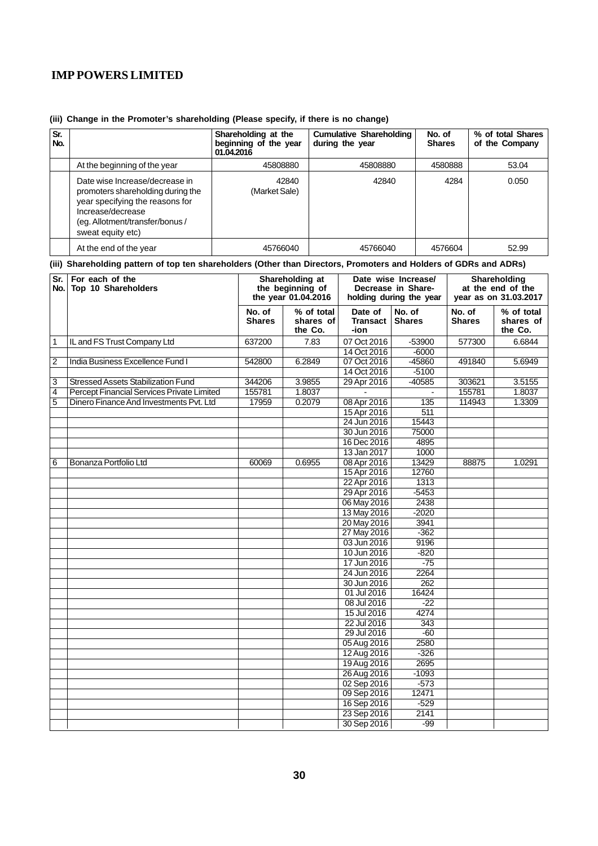| Sr.<br>No. |                                                                                                                                                                                     | Shareholding at the<br>beginning of the year<br>01.04.2016 | <b>Cumulative Shareholding</b><br>during the year | No. of<br><b>Shares</b> | % of total Shares<br>of the Company |
|------------|-------------------------------------------------------------------------------------------------------------------------------------------------------------------------------------|------------------------------------------------------------|---------------------------------------------------|-------------------------|-------------------------------------|
|            | At the beginning of the year                                                                                                                                                        | 45808880                                                   | 45808880                                          | 4580888                 | 53.04                               |
|            | Date wise Increase/decrease in<br>promoters shareholding during the<br>year specifying the reasons for<br>Increase/decrease<br>(eg. Allotment/transfer/bonus /<br>sweat equity etc) | 42840<br>(Market Sale)                                     | 42840                                             | 4284                    | 0.050                               |
|            | At the end of the year                                                                                                                                                              | 45766040                                                   | 45766040                                          | 4576604                 | 52.99                               |

#### **(iii) Change in the Promoter's shareholding (Please specify, if there is no change)**

#### **(iii) Shareholding pattern of top ten shareholders (Other than Directors, Promoters and Holders of GDRs and ADRs)**

| Sr.<br>No.     | For each of the<br>Top 10 Shareholders     | Shareholding at<br>the beginning of<br>the year 01.04.2016 |                                    |                                    | Date wise Increase/<br>Decrease in Share-<br>holding during the year | Shareholding<br>at the end of the<br>year as on 31.03.2017 |                                    |
|----------------|--------------------------------------------|------------------------------------------------------------|------------------------------------|------------------------------------|----------------------------------------------------------------------|------------------------------------------------------------|------------------------------------|
|                |                                            | No. of<br><b>Shares</b>                                    | % of total<br>shares of<br>the Co. | Date of<br><b>Transact</b><br>-ion | No. of<br><b>Shares</b>                                              | No. of<br><b>Shares</b>                                    | % of total<br>shares of<br>the Co. |
| 1              | IL and FS Trust Company Ltd                | 637200                                                     | 7.83                               | 07 Oct 2016                        | -53900                                                               | 577300                                                     | 6.6844                             |
|                |                                            |                                                            |                                    | 14 Oct 2016                        | $-6000$                                                              |                                                            |                                    |
| $\overline{2}$ | India Business Excellence Fund I           | 542800                                                     | 6.2849                             | 07 Oct 2016                        | $-45860$                                                             | 491840                                                     | 5.6949                             |
|                |                                            |                                                            |                                    | 14 Oct 2016                        | $-5100$                                                              |                                                            |                                    |
| $\overline{3}$ | Stressed Assets Stabilization Fund         | 344206                                                     | 3.9855                             | 29 Apr 2016                        | $-40585$                                                             | 303621                                                     | 3.5155                             |
| $\overline{4}$ | Percept Financial Services Private Limited | 155781                                                     | 1.8037                             |                                    |                                                                      | 155781                                                     | 1.8037                             |
| $\overline{5}$ | Dinero Finance And Investments Pvt. Ltd    | 17959                                                      | 0.2079                             | 08 Apr 2016                        | 135                                                                  | 114943                                                     | 1.3309                             |
|                |                                            |                                                            |                                    | 15 Apr 2016                        | 511                                                                  |                                                            |                                    |
|                |                                            |                                                            |                                    | 24 Jun 2016                        | 15443                                                                |                                                            |                                    |
|                |                                            |                                                            |                                    | 30 Jun 2016                        | 75000                                                                |                                                            |                                    |
|                |                                            |                                                            |                                    | 16 Dec 2016                        | 4895                                                                 |                                                            |                                    |
|                |                                            |                                                            |                                    | 13 Jan 2017                        | 1000                                                                 |                                                            |                                    |
| 6              | Bonanza Portfolio Ltd                      | 60069                                                      | 0.6955                             | 08 Apr 2016                        | 13429                                                                | 88875                                                      | 1.0291                             |
|                |                                            |                                                            |                                    | 15 Apr 2016                        | 12760                                                                |                                                            |                                    |
|                |                                            |                                                            |                                    | 22 Apr 2016                        | 1313                                                                 |                                                            |                                    |
|                |                                            |                                                            |                                    | 29 Apr 2016                        | $-5453$                                                              |                                                            |                                    |
|                |                                            |                                                            |                                    | 06 May 2016                        | 2438                                                                 |                                                            |                                    |
|                |                                            |                                                            |                                    | 13 May 2016                        | $-2020$                                                              |                                                            |                                    |
|                |                                            |                                                            |                                    | 20 May 2016                        | 3941                                                                 |                                                            |                                    |
|                |                                            |                                                            |                                    | 27 May 2016                        | $-362$                                                               |                                                            |                                    |
|                |                                            |                                                            |                                    | 03 Jun 2016                        | 9196                                                                 |                                                            |                                    |
|                |                                            |                                                            |                                    | 10 Jun 2016                        | $-820$                                                               |                                                            |                                    |
|                |                                            |                                                            |                                    | 17 Jun 2016                        | $-75$                                                                |                                                            |                                    |
|                |                                            |                                                            |                                    | 24 Jun 2016                        | 2264                                                                 |                                                            |                                    |
|                |                                            |                                                            |                                    | 30 Jun 2016                        | $\overline{262}$                                                     |                                                            |                                    |
|                |                                            |                                                            |                                    | 01 Jul 2016                        | 16424                                                                |                                                            |                                    |
|                |                                            |                                                            |                                    | 08 Jul 2016                        | $-22$                                                                |                                                            |                                    |
|                |                                            |                                                            |                                    | 15 Jul 2016                        | 4274                                                                 |                                                            |                                    |
|                |                                            |                                                            |                                    | 22 Jul 2016                        | $\overline{343}$                                                     |                                                            |                                    |
|                |                                            |                                                            |                                    | 29 Jul 2016                        | $-60$                                                                |                                                            |                                    |
|                |                                            |                                                            |                                    | 05 Aug 2016                        | 2580                                                                 |                                                            |                                    |
|                |                                            |                                                            |                                    | 12 Aug 2016                        | $-326$                                                               |                                                            |                                    |
|                |                                            |                                                            |                                    | 19 Aug 2016                        | 2695                                                                 |                                                            |                                    |
|                |                                            |                                                            |                                    | 26 Aug 2016                        | $-1093$                                                              |                                                            |                                    |
|                |                                            |                                                            |                                    | 02 Sep 2016                        | $-573$                                                               |                                                            |                                    |
|                |                                            |                                                            |                                    | 09 Sep 2016                        | 12471                                                                |                                                            |                                    |
|                |                                            |                                                            |                                    | 16 Sep 2016                        | $-529$                                                               |                                                            |                                    |
|                |                                            |                                                            |                                    | 23 Sep 2016                        | 2141                                                                 |                                                            |                                    |
|                |                                            |                                                            |                                    | 30 Sep 2016                        | $-99$                                                                |                                                            |                                    |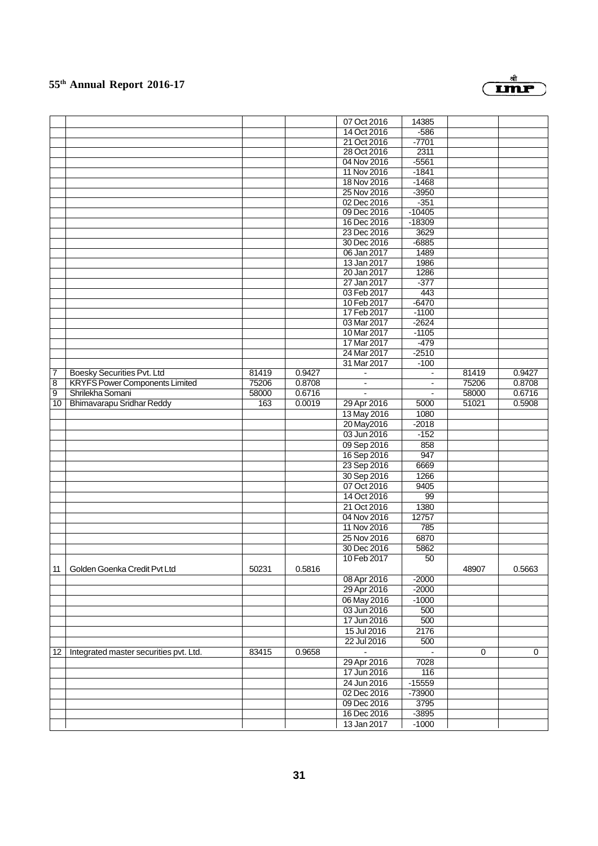

|    |                                        |       |        | 07 Oct 2016 | 14385    |       |        |
|----|----------------------------------------|-------|--------|-------------|----------|-------|--------|
|    |                                        |       |        | 14 Oct 2016 | $-586$   |       |        |
|    |                                        |       |        | 21 Oct 2016 | $-7701$  |       |        |
|    |                                        |       |        | 28 Oct 2016 | 2311     |       |        |
|    |                                        |       |        | 04 Nov 2016 | $-5561$  |       |        |
|    |                                        |       |        | 11 Nov 2016 | $-1841$  |       |        |
|    |                                        |       |        | 18 Nov 2016 | $-1468$  |       |        |
|    |                                        |       |        | 25 Nov 2016 | $-3950$  |       |        |
|    |                                        |       |        | 02 Dec 2016 | $-351$   |       |        |
|    |                                        |       |        | 09 Dec 2016 | $-10405$ |       |        |
|    |                                        |       |        | 16 Dec 2016 | $-18309$ |       |        |
|    |                                        |       |        | 23 Dec 2016 | 3629     |       |        |
|    |                                        |       |        | 30 Dec 2016 | $-6885$  |       |        |
|    |                                        |       |        | 06 Jan 2017 | 1489     |       |        |
|    |                                        |       |        | 13 Jan 2017 | 1986     |       |        |
|    |                                        |       |        | 20 Jan 2017 | 1286     |       |        |
|    |                                        |       |        | 27 Jan 2017 | $-377$   |       |        |
|    |                                        |       |        | 03 Feb 2017 | 443      |       |        |
|    |                                        |       |        | 10 Feb 2017 | $-6470$  |       |        |
|    |                                        |       |        | 17 Feb 2017 | $-1100$  |       |        |
|    |                                        |       |        | 03 Mar 2017 | $-2624$  |       |        |
|    |                                        |       |        | 10 Mar 2017 | $-1105$  |       |        |
|    |                                        |       |        | 17 Mar 2017 | $-479$   |       |        |
|    |                                        |       |        | 24 Mar 2017 | $-2510$  |       |        |
|    |                                        |       |        | 31 Mar 2017 | $-100$   |       |        |
| 7  | <b>Boesky Securities Pvt. Ltd</b>      | 81419 | 0.9427 |             |          | 81419 | 0.9427 |
| 8  | <b>KRYFS Power Components Limited</b>  | 75206 | 0.8708 |             |          | 75206 | 0.8708 |
| 9  | Shrilekha Somani                       | 58000 | 0.6716 |             |          | 58000 | 0.6716 |
| 10 | Bhimavarapu Sridhar Reddy              | 163   | 0.0019 | 29 Apr 2016 | 5000     | 51021 | 0.5908 |
|    |                                        |       |        | 13 May 2016 | 1080     |       |        |
|    |                                        |       |        | 20 May 2016 | $-2018$  |       |        |
|    |                                        |       |        | 03 Jun 2016 | $-152$   |       |        |
|    |                                        |       |        | 09 Sep 2016 | 858      |       |        |
|    |                                        |       |        | 16 Sep 2016 | 947      |       |        |
|    |                                        |       |        | 23 Sep 2016 | 6669     |       |        |
|    |                                        |       |        | 30 Sep 2016 | 1266     |       |        |
|    |                                        |       |        | 07 Oct 2016 | 9405     |       |        |
|    |                                        |       |        | 14 Oct 2016 | 99       |       |        |
|    |                                        |       |        | 21 Oct 2016 | 1380     |       |        |
|    |                                        |       |        | 04 Nov 2016 | 12757    |       |        |
|    |                                        |       |        | 11 Nov 2016 | 785      |       |        |
|    |                                        |       |        | 25 Nov 2016 | 6870     |       |        |
|    |                                        |       |        | 30 Dec 2016 | 5862     |       |        |
|    |                                        |       |        | 10 Feb 2017 | 50       |       |        |
| 11 | Golden Goenka Credit Pvt Ltd           | 50231 | 0.5816 |             |          | 48907 | 0.5663 |
|    |                                        |       |        | 08 Apr 2016 | $-2000$  |       |        |
|    |                                        |       |        | 29 Apr 2016 | $-2000$  |       |        |
|    |                                        |       |        | 06 May 2016 | $-1000$  |       |        |
|    |                                        |       |        | 03 Jun 2016 | 500      |       |        |
|    |                                        |       |        | 17 Jun 2016 | 500      |       |        |
|    |                                        |       |        | 15 Jul 2016 | 2176     |       |        |
|    |                                        |       |        | 22 Jul 2016 | 500      |       |        |
| 12 | Integrated master securities pvt. Ltd. | 83415 | 0.9658 |             |          | 0     | 0      |
|    |                                        |       |        | 29 Apr 2016 | 7028     |       |        |
|    |                                        |       |        | 17 Jun 2016 | 116      |       |        |
|    |                                        |       |        | 24 Jun 2016 | $-15559$ |       |        |
|    |                                        |       |        | 02 Dec 2016 | $-73900$ |       |        |
|    |                                        |       |        | 09 Dec 2016 | 3795     |       |        |
|    |                                        |       |        | 16 Dec 2016 | $-3895$  |       |        |
|    |                                        |       |        | 13 Jan 2017 | $-1000$  |       |        |
|    |                                        |       |        |             |          |       |        |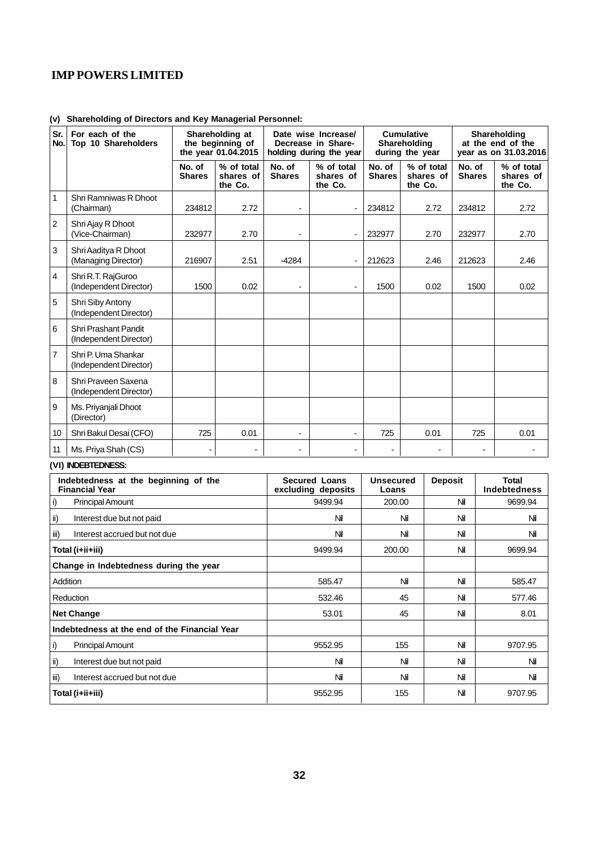| Sr.<br>No.     | For each of the<br><b>Top 10 Shareholders</b>  | Shareholding at<br>the beginning of<br>the year 01.04.2015 |                                    | Date wise Increase/<br>Decrease in Share-<br>holding during the year |                                    | <b>Cumulative</b><br>Shareholding<br>during the year |                                    | Shareholding<br>at the end of the<br>year as on 31.03.2016 |                                    |
|----------------|------------------------------------------------|------------------------------------------------------------|------------------------------------|----------------------------------------------------------------------|------------------------------------|------------------------------------------------------|------------------------------------|------------------------------------------------------------|------------------------------------|
|                |                                                | No. of<br><b>Shares</b>                                    | % of total<br>shares of<br>the Co. | No. of<br><b>Shares</b>                                              | % of total<br>shares of<br>the Co. | No. of<br><b>Shares</b>                              | % of total<br>shares of<br>the Co. | No. of<br><b>Shares</b>                                    | % of total<br>shares of<br>the Co. |
| 1              | Shri Ramniwas R Dhoot<br>(Chairman)            | 234812                                                     | 2.72                               |                                                                      |                                    | 234812                                               | 2.72                               | 234812                                                     | 2.72                               |
| $\overline{c}$ | Shri Ajay R Dhoot<br>(Vice-Chairman)           | 232977                                                     | 2.70                               |                                                                      |                                    | 232977                                               | 2.70                               | 232977                                                     | 2.70                               |
| 3              | Shri Aaditya R Dhoot<br>(Managing Director)    | 216907                                                     | 2.51                               | $-4284$                                                              |                                    | 212623                                               | 2.46                               | 212623                                                     | 2.46                               |
| 4              | Shri R.T. RajGuroo<br>(Independent Director)   | 1500                                                       | 0.02                               |                                                                      |                                    | 1500                                                 | 0.02                               | 1500                                                       | 0.02                               |
| 5              | Shri Siby Antony<br>(Independent Director)     |                                                            |                                    |                                                                      |                                    |                                                      |                                    |                                                            |                                    |
| 6              | Shri Prashant Pandit<br>(Independent Director) |                                                            |                                    |                                                                      |                                    |                                                      |                                    |                                                            |                                    |
| $\overline{7}$ | Shri P. Uma Shankar<br>(Independent Director)  |                                                            |                                    |                                                                      |                                    |                                                      |                                    |                                                            |                                    |
| 8              | Shri Praveen Saxena<br>(Independent Director)  |                                                            |                                    |                                                                      |                                    |                                                      |                                    |                                                            |                                    |
| 9              | Ms. Priyanjali Dhoot<br>(Director)             |                                                            |                                    |                                                                      |                                    |                                                      |                                    |                                                            |                                    |
| 10             | Shri Bakul Desai (CFO)                         | 725                                                        | 0.01                               | $\overline{a}$                                                       | $\overline{\phantom{a}}$           | 725                                                  | 0.01                               | 725                                                        | 0.01                               |
| 11             | Ms. Priya Shah (CS)                            |                                                            |                                    |                                                                      | $\overline{a}$                     |                                                      |                                    |                                                            |                                    |

### **(v) Shareholding of Directors and Key Managerial Personnel:**

#### **(VI) INDEBTEDNESS:**

| Indebtedness at the beginning of the<br><b>Financial Year</b> | <b>Secured Loans</b><br>excluding deposits | <b>Unsecured</b><br>Loans | <b>Deposit</b> | <b>Total</b><br><b>Indebtedness</b> |
|---------------------------------------------------------------|--------------------------------------------|---------------------------|----------------|-------------------------------------|
| i)<br><b>Principal Amount</b>                                 | 9499.94                                    | 200.00                    | Nil            | 9699.94                             |
| ii)<br>Interest due but not paid                              | Nil                                        | Nil                       | Nil            | Nil                                 |
| iii)<br>Interest accrued but not due                          | Nil                                        | Nil                       | Nil            | Nil                                 |
| Total (i+ii+iii)                                              | 9499.94                                    | 200.00                    | Nil            | 9699.94                             |
| Change in Indebtedness during the year                        |                                            |                           |                |                                     |
| Addition                                                      | 585.47                                     | Nil                       | Nil            | 585.47                              |
| Reduction                                                     | 532.46                                     | 45                        | Nil            | 577.46                              |
| <b>Net Change</b>                                             | 53.01                                      | 45                        | Nil            | 8.01                                |
| Indebtedness at the end of the Financial Year                 |                                            |                           |                |                                     |
| i)<br><b>Principal Amount</b>                                 | 9552.95                                    | 155                       | Nil            | 9707.95                             |
| ii)<br>Interest due but not paid                              | Nil                                        | Nil                       | Nil            | Nil                                 |
| iii)<br>Interest accrued but not due                          | Nil                                        | Nil                       | Nil            | Nil                                 |
| Total (i+ii+iii)                                              | 9552.95                                    | 155                       | Nil            | 9707.95                             |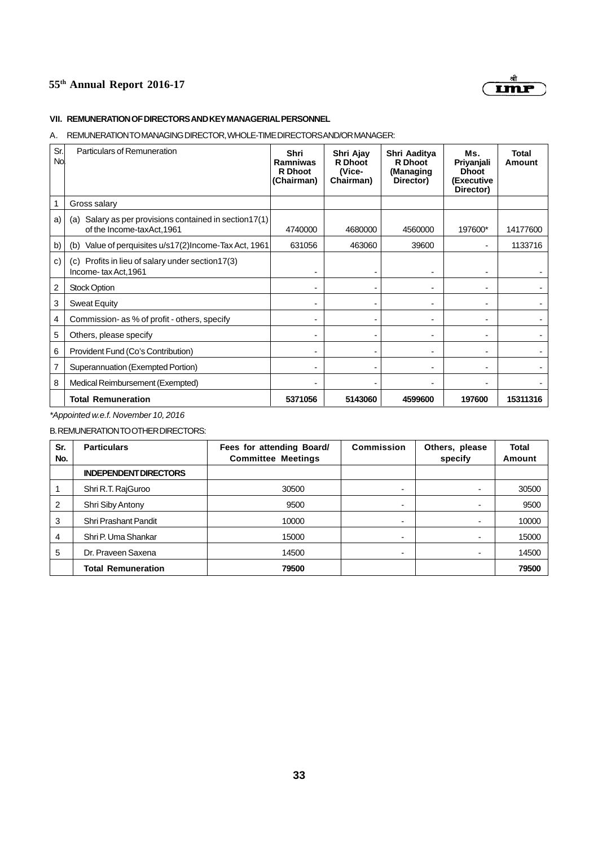

### **VII. REMUNERATION OF DIRECTORS AND KEY MANAGERIAL PERSONNEL**

A. REMUNERATION TO MANAGING DIRECTOR, WHOLE-TIME DIRECTORS AND/OR MANAGER:

| Sr.<br><b>No</b> | Particulars of Remuneration                                                             | Shri<br><b>Ramniwas</b><br><b>R</b> Dhoot<br>(Chairman) | Shri Ajay<br><b>R</b> Dhoot<br>(Vice-<br>Chairman) | Shri Aaditya<br><b>R</b> Dhoot<br>(Managing<br>Director) | Ms.<br>Priyanjali<br><b>Dhoot</b><br>(Executive<br>Director) | Total<br>Amount |
|------------------|-----------------------------------------------------------------------------------------|---------------------------------------------------------|----------------------------------------------------|----------------------------------------------------------|--------------------------------------------------------------|-----------------|
|                  | Gross salary                                                                            |                                                         |                                                    |                                                          |                                                              |                 |
| a)               | Salary as per provisions contained in section17(1)<br>(a)<br>of the Income-taxAct, 1961 | 4740000                                                 | 4680000                                            | 4560000                                                  | 197600*                                                      | 14177600        |
| b)               | Value of perquisites u/s17(2) Income-Tax Act, 1961<br>(b)                               | 631056                                                  | 463060                                             | 39600                                                    |                                                              | 1133716         |
| c)               | Profits in lieu of salary under section17(3)<br>(c)<br>Income-tax Act, 1961             |                                                         |                                                    |                                                          | $\overline{\phantom{0}}$                                     |                 |
| 2                | <b>Stock Option</b>                                                                     |                                                         |                                                    |                                                          | -                                                            |                 |
| 3                | <b>Sweat Equity</b>                                                                     |                                                         |                                                    |                                                          |                                                              |                 |
| 4                | Commission- as % of profit - others, specify                                            |                                                         |                                                    |                                                          |                                                              |                 |
| 5                | Others, please specify                                                                  |                                                         |                                                    |                                                          | -                                                            |                 |
| 6                | Provident Fund (Co's Contribution)                                                      |                                                         |                                                    |                                                          |                                                              |                 |
| 7                | Superannuation (Exempted Portion)                                                       |                                                         |                                                    |                                                          |                                                              |                 |
| 8                | Medical Reimbursement (Exempted)                                                        |                                                         |                                                    |                                                          |                                                              |                 |
|                  | <b>Total Remuneration</b>                                                               | 5371056                                                 | 5143060                                            | 4599600                                                  | 197600                                                       | 15311316        |

*\*Appointed w.e.f. November 10, 2016*

### B. REMUNERATION TO OTHER DIRECTORS:

| Sr.<br>No. | <b>Particulars</b>           | Fees for attending Board/<br><b>Committee Meetings</b> | <b>Commission</b> | Others, please<br>specify | <b>Total</b><br>Amount |
|------------|------------------------------|--------------------------------------------------------|-------------------|---------------------------|------------------------|
|            | <b>INDEPENDENT DIRECTORS</b> |                                                        |                   |                           |                        |
|            | Shri R.T. RajGuroo           | 30500                                                  |                   | $\blacksquare$            | 30500                  |
| 2          | Shri Siby Antony             | 9500                                                   |                   | ٠                         | 9500                   |
| 3          | Shri Prashant Pandit         | 10000                                                  |                   | $\blacksquare$            | 10000                  |
| 4          | Shri P. Uma Shankar          | 15000                                                  |                   | $\blacksquare$            | 15000                  |
| 5          | Dr. Praveen Saxena           | 14500                                                  |                   | $\overline{\phantom{0}}$  | 14500                  |
|            | <b>Total Remuneration</b>    | 79500                                                  |                   |                           | 79500                  |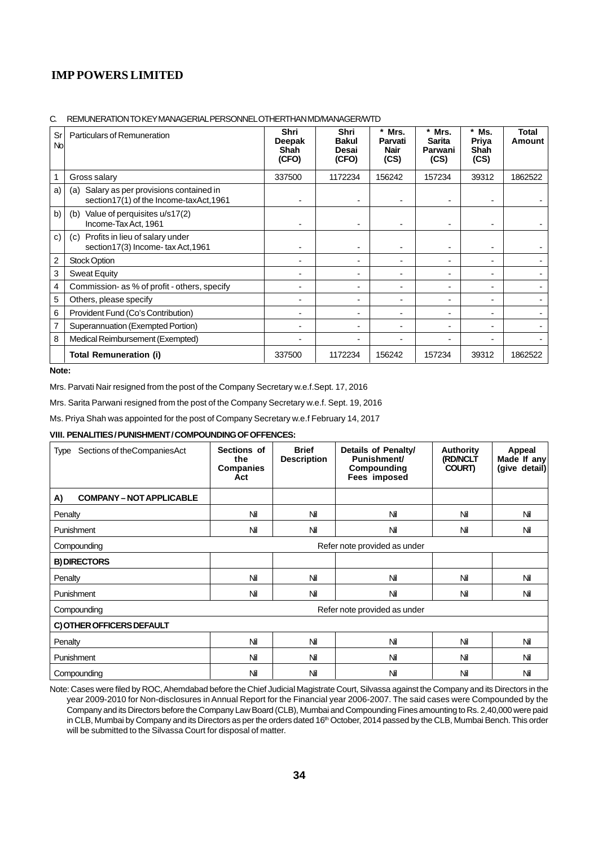| Sr<br>No       | <b>Particulars of Remuneration</b>                                                      | <b>Shri</b><br><b>Deepak</b><br><b>Shah</b><br>(CFO) | <b>Shri</b><br><b>Bakul</b><br>Desai<br>(CFO) | * Mrs.<br>Parvati<br><b>Nair</b><br>(CS) | * Mrs.<br>Sarita<br>Parwani<br>(CS) | $*$ Ms.<br>Priya<br>Shah<br>(CS) | <b>Total</b><br>Amount |
|----------------|-----------------------------------------------------------------------------------------|------------------------------------------------------|-----------------------------------------------|------------------------------------------|-------------------------------------|----------------------------------|------------------------|
| 1              | Gross salary                                                                            | 337500                                               | 1172234                                       | 156242                                   | 157234                              | 39312                            | 1862522                |
| a)             | Salary as per provisions contained in<br>(a)<br>section17(1) of the Income-taxAct, 1961 |                                                      |                                               |                                          |                                     |                                  |                        |
| b)             | Value of perquisites u/s17(2)<br>(b)<br>Income-Tax Act, 1961                            |                                                      |                                               |                                          |                                     | $\overline{\phantom{0}}$         |                        |
| $\mathsf{C}$ ) | (c) Profits in lieu of salary under<br>section17(3) Income- tax Act, 1961               |                                                      |                                               |                                          |                                     | $\overline{\phantom{0}}$         |                        |
| $\overline{c}$ | <b>Stock Option</b>                                                                     |                                                      | $\overline{\phantom{0}}$                      | $\overline{\phantom{0}}$                 | -                                   | $\blacksquare$                   |                        |
| 3              | <b>Sweat Equity</b>                                                                     |                                                      | $\blacksquare$                                |                                          |                                     | $\blacksquare$                   |                        |
| 4              | Commission- as % of profit - others, specify                                            |                                                      |                                               |                                          |                                     | $\overline{\phantom{0}}$         |                        |
| 5              | Others, please specify                                                                  |                                                      | $\blacksquare$                                |                                          | $\overline{\phantom{0}}$            | $\blacksquare$                   |                        |
| 6              | Provident Fund (Co's Contribution)                                                      |                                                      | $\overline{\phantom{0}}$                      |                                          | $\overline{\phantom{0}}$            | $\overline{\phantom{0}}$         |                        |
| $\overline{7}$ | Superannuation (Exempted Portion)                                                       |                                                      | $\blacksquare$                                |                                          | $\overline{\phantom{0}}$            | $\blacksquare$                   |                        |
| 8              | Medical Reimbursement (Exempted)                                                        |                                                      |                                               |                                          |                                     |                                  |                        |
|                | <b>Total Remuneration (i)</b>                                                           | 337500                                               | 1172234                                       | 156242                                   | 157234                              | 39312                            | 1862522                |

#### C. REMUNERATION TO KEY MANAGERIAL PERSONNEL OTHERTHAN MD/MANAGER/WTD

#### **Note:**

Mrs. Parvati Nair resigned from the post of the Company Secretary w.e.f.Sept. 17, 2016

Mrs. Sarita Parwani resigned from the post of the Company Secretary w.e.f. Sept. 19, 2016

Ms. Priya Shah was appointed for the post of Company Secretary w.e.f February 14, 2017

#### **VIII. PENALITIES / PUNISHMENT / COMPOUNDING OF OFFENCES:**

| Sections of the Companies Act<br>Type | Sections of<br>the<br><b>Companies</b><br>Act | <b>Brief</b><br><b>Description</b> | Details of Penalty/<br>Punishment/<br>Compounding<br>Fees imposed | <b>Authority</b><br>(RD/NCLT<br>COURT) | Appeal<br>Made If any<br>(give detail) |  |
|---------------------------------------|-----------------------------------------------|------------------------------------|-------------------------------------------------------------------|----------------------------------------|----------------------------------------|--|
| <b>COMPANY-NOT APPLICABLE</b><br>A)   |                                               |                                    |                                                                   |                                        |                                        |  |
| Penalty                               | Nil                                           | Nil                                | Nil                                                               | Nil                                    | Nil                                    |  |
| Punishment                            | Nil                                           | Nil                                | Nil                                                               | Nil                                    | Nil                                    |  |
| Compounding                           | Refer note provided as under                  |                                    |                                                                   |                                        |                                        |  |
| <b>B) DIRECTORS</b>                   |                                               |                                    |                                                                   |                                        |                                        |  |
| Penalty                               | Nil                                           | Nil                                | Nil                                                               | Nil                                    | Nil                                    |  |
| Punishment                            | Nil                                           | Nil                                | Nil                                                               | Nil                                    | Nil                                    |  |
| Compounding                           |                                               |                                    | Refer note provided as under                                      |                                        |                                        |  |
| C) OTHER OFFICERS DEFAULT             |                                               |                                    |                                                                   |                                        |                                        |  |
| Penalty                               | Nil                                           | Nil                                | Nil                                                               | Nil                                    | Nil                                    |  |
| Punishment                            | Nil                                           | Nil                                | Nil                                                               | Nil                                    | Nil                                    |  |
| Compounding                           | Nil                                           | Nil                                | Nil                                                               | Nil                                    | Nil                                    |  |

Note: Cases were filed by ROC, Ahemdabad before the Chief Judicial Magistrate Court, Silvassa against the Company and its Directors in the year 2009-2010 for Non-disclosures in Annual Report for the Financial year 2006-2007. The said cases were Compounded by the Company and its Directors before the Company Law Board (CLB), Mumbai and Compounding Fines amounting to Rs. 2,40,000 were paid in CLB, Mumbai by Company and its Directors as per the orders dated 16<sup>th</sup> October, 2014 passed by the CLB, Mumbai Bench. This order will be submitted to the Silvassa Court for disposal of matter.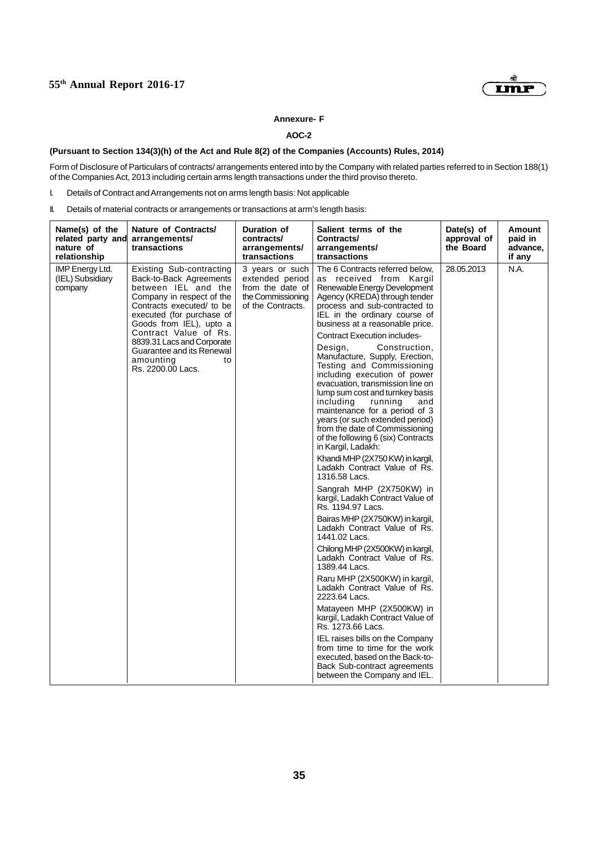

#### **Annexure- F**

#### **AOC-2**

#### **(Pursuant to Section 134(3)(h) of the Act and Rule 8(2) of the Companies (Accounts) Rules, 2014)**

Form of Disclosure of Particulars of contracts/ arrangements entered into by the Company with related parties referred to in Section 188(1) of the Companies Act, 2013 including certain arms length transactions under the third proviso thereto.

- I. Details of Contract and Arrangements not on arms length basis: Not applicable
- II. Details of material contracts or arrangements or transactions at arm's length basis:

| Name(s) of the<br>related party and<br>nature of<br>relationship | Nature of Contracts/<br>arrangements/<br>transactions                                                                                                                                                                                                                                                                    | <b>Duration of</b><br>contracts/<br>arrangements/<br>transactions                                | Salient terms of the<br>Contracts/<br>arrangements/<br>transactions                                                                                                                                                                                                                                                                                                                                | Date(s) of<br>approval of<br>the Board | Amount<br>paid in<br>advance,<br>if any |
|------------------------------------------------------------------|--------------------------------------------------------------------------------------------------------------------------------------------------------------------------------------------------------------------------------------------------------------------------------------------------------------------------|--------------------------------------------------------------------------------------------------|----------------------------------------------------------------------------------------------------------------------------------------------------------------------------------------------------------------------------------------------------------------------------------------------------------------------------------------------------------------------------------------------------|----------------------------------------|-----------------------------------------|
| IMP Energy Ltd.<br>(IEL) Subsidiary<br>company                   | Existing Sub-contracting<br>Back-to-Back Agreements<br>between IEL and the<br>Company in respect of the<br>Contracts executed/ to be<br>executed (for purchase of<br>Goods from IEL), upto a<br>Contract Value of Rs.<br>8839.31 Lacs and Corporate<br>Guarantee and its Renewal<br>amounting<br>to<br>Rs. 2200.00 Lacs. | 3 years or such<br>extended period<br>from the date of<br>the Commissioning<br>of the Contracts. | The 6 Contracts referred below,<br>as received from Kargil<br>Renewable Energy Development<br>Agency (KREDA) through tender<br>process and sub-contracted to<br>IEL in the ordinary course of<br>business at a reasonable price.<br><b>Contract Execution includes-</b><br>Construction,<br>Design,<br>Manufacture, Supply, Erection,<br>Testing and Commissioning<br>including execution of power | 28.05.2013                             | N.A.                                    |
|                                                                  |                                                                                                                                                                                                                                                                                                                          |                                                                                                  | evacuation, transmission line on<br>lump sum cost and turnkey basis<br>including<br>running<br>and<br>maintenance for a period of 3<br>years (or such extended period)<br>from the date of Commissioning<br>of the following 6 (six) Contracts<br>in Kargil, Ladakh:                                                                                                                               |                                        |                                         |
|                                                                  |                                                                                                                                                                                                                                                                                                                          |                                                                                                  | Khandi MHP (2X750 KW) in kargil,<br>Ladakh Contract Value of Rs.<br>1316.58 Lacs.                                                                                                                                                                                                                                                                                                                  |                                        |                                         |
|                                                                  |                                                                                                                                                                                                                                                                                                                          |                                                                                                  | Sangrah MHP (2X750KW) in<br>kargil, Ladakh Contract Value of<br>Rs. 1194.97 Lacs.                                                                                                                                                                                                                                                                                                                  |                                        |                                         |
|                                                                  |                                                                                                                                                                                                                                                                                                                          |                                                                                                  | Bairas MHP (2X750KW) in kargil,<br>Ladakh Contract Value of Rs.<br>1441.02 Lacs.                                                                                                                                                                                                                                                                                                                   |                                        |                                         |
|                                                                  |                                                                                                                                                                                                                                                                                                                          |                                                                                                  | Chilong MHP (2X500KW) in kargil,<br>Ladakh Contract Value of Rs.<br>1389.44 Lacs.                                                                                                                                                                                                                                                                                                                  |                                        |                                         |
|                                                                  |                                                                                                                                                                                                                                                                                                                          |                                                                                                  | Raru MHP (2X500KW) in kargil,<br>Ladakh Contract Value of Rs.<br>2223.64 Lacs.                                                                                                                                                                                                                                                                                                                     |                                        |                                         |
|                                                                  |                                                                                                                                                                                                                                                                                                                          |                                                                                                  | Matayeen MHP (2X500KW) in<br>kargil, Ladakh Contract Value of<br>Rs. 1273.66 Lacs.                                                                                                                                                                                                                                                                                                                 |                                        |                                         |
|                                                                  |                                                                                                                                                                                                                                                                                                                          |                                                                                                  | IEL raises bills on the Company<br>from time to time for the work<br>executed, based on the Back-to-<br>Back Sub-contract agreements<br>between the Company and IEL.                                                                                                                                                                                                                               |                                        |                                         |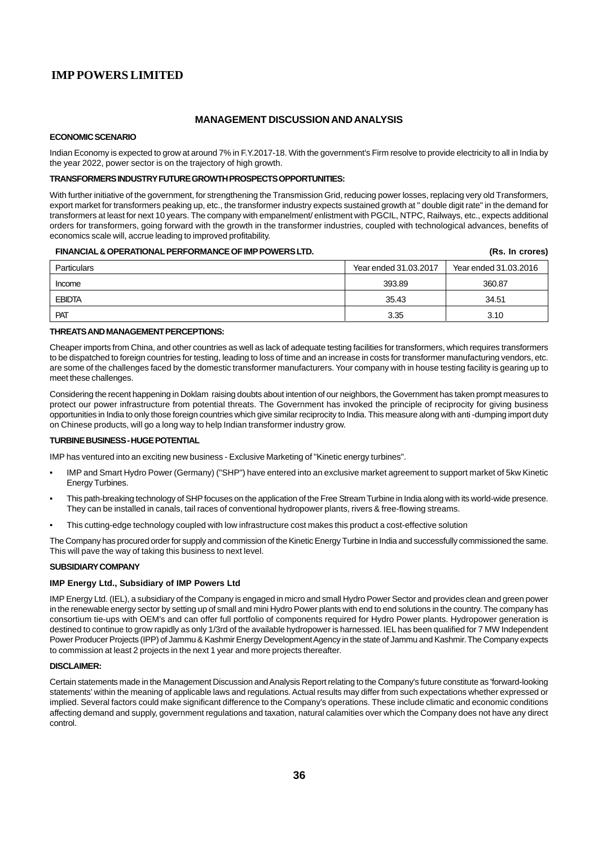#### **MANAGEMENT DISCUSSION AND ANALYSIS**

#### **ECONOMIC SCENARIO**

Indian Economy is expected to grow at around 7% in F.Y.2017-18. With the government's Firm resolve to provide electricity to all in India by the year 2022, power sector is on the trajectory of high growth.

#### **TRANSFORMERS INDUSTRY FUTURE GROWTH PROSPECTS OPPORTUNITIES:**

With further initiative of the government, for strengthening the Transmission Grid, reducing power losses, replacing very old Transformers, export market for transformers peaking up, etc., the transformer industry expects sustained growth at " double digit rate" in the demand for transformers at least for next 10 years. The company with empanelment/ enlistment with PGCIL, NTPC, Railways, etc., expects additional orders for transformers, going forward with the growth in the transformer industries, coupled with technological advances, benefits of economics scale will, accrue leading to improved profitability.

#### **FINANCIAL & OPERATIONAL PERFORMANCE OF IMP POWERS LTD. (Rs. In crores)**

| Particulars   | Year ended 31,03,2017 | Year ended 31,03,2016 |
|---------------|-----------------------|-----------------------|
| Income        | 393.89                | 360.87                |
| <b>EBIDTA</b> | 35.43                 | 34.51                 |
| PAT           | 3.35                  | 3.10                  |

#### **THREATS AND MANAGEMENT PERCEPTIONS:**

Cheaper imports from China, and other countries as well as lack of adequate testing facilities for transformers, which requires transformers to be dispatched to foreign countries for testing, leading to loss of time and an increase in costs for transformer manufacturing vendors, etc. are some of the challenges faced by the domestic transformer manufacturers. Your company with in house testing facility is gearing up to meet these challenges.

Considering the recent happening in Doklam raising doubts about intention of our neighbors, the Government has taken prompt measures to protect our power infrastructure from potential threats. The Government has invoked the principle of reciprocity for giving business opportunities in India to only those foreign countries which give similar reciprocity to India. This measure along with anti -dumping import duty on Chinese products, will go a long way to help Indian transformer industry grow.

#### **TURBINE BUSINESS - HUGE POTENTIAL**

IMP has ventured into an exciting new business - Exclusive Marketing of "Kinetic energy turbines".

- IMP and Smart Hydro Power (Germany) ("SHP") have entered into an exclusive market agreement to support market of 5kw Kinetic Energy Turbines.
- This path-breaking technology of SHP focuses on the application of the Free Stream Turbine in India along with its world-wide presence. They can be installed in canals, tail races of conventional hydropower plants, rivers & free-flowing streams.
- This cutting-edge technology coupled with low infrastructure cost makes this product a cost-effective solution

The Company has procured order for supply and commission of the Kinetic Energy Turbine in India and successfully commissioned the same. This will pave the way of taking this business to next level.

#### **SUBSIDIARY COMPANY**

#### **IMP Energy Ltd., Subsidiary of IMP Powers Ltd**

IMP Energy Ltd. (IEL), a subsidiary of the Company is engaged in micro and small Hydro Power Sector and provides clean and green power in the renewable energy sector by setting up of small and mini Hydro Power plants with end to end solutions in the country. The company has consortium tie-ups with OEM's and can offer full portfolio of components required for Hydro Power plants. Hydropower generation is destined to continue to grow rapidly as only 1/3rd of the available hydropower is harnessed. IEL has been qualified for 7 MW Independent Power Producer Projects (IPP) of Jammu & Kashmir Energy Development Agency in the state of Jammu and Kashmir. The Company expects to commission at least 2 projects in the next 1 year and more projects thereafter.

#### **DISCLAIMER:**

Certain statements made in the Management Discussion and Analysis Report relating to the Company's future constitute as 'forward-looking statements' within the meaning of applicable laws and regulations. Actual results may differ from such expectations whether expressed or implied. Several factors could make significant difference to the Company's operations. These include climatic and economic conditions affecting demand and supply, government regulations and taxation, natural calamities over which the Company does not have any direct control.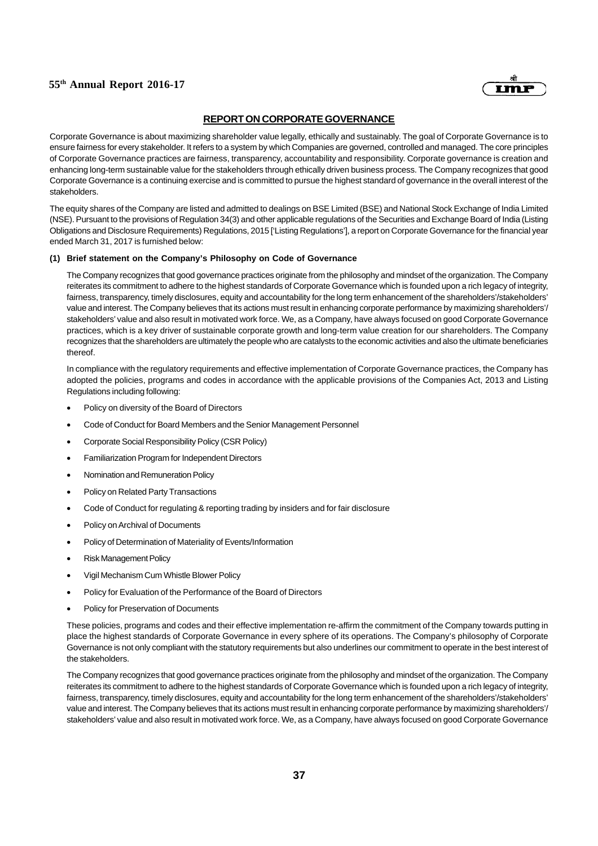

#### **REPORT ON CORPORATE GOVERNANCE**

Corporate Governance is about maximizing shareholder value legally, ethically and sustainably. The goal of Corporate Governance is to ensure fairness for every stakeholder. It refers to a system by which Companies are governed, controlled and managed. The core principles of Corporate Governance practices are fairness, transparency, accountability and responsibility. Corporate governance is creation and enhancing long-term sustainable value for the stakeholders through ethically driven business process. The Company recognizes that good Corporate Governance is a continuing exercise and is committed to pursue the highest standard of governance in the overall interest of the stakeholders.

The equity shares of the Company are listed and admitted to dealings on BSE Limited (BSE) and National Stock Exchange of India Limited (NSE). Pursuant to the provisions of Regulation 34(3) and other applicable regulations of the Securities and Exchange Board of India (Listing Obligations and Disclosure Requirements) Regulations, 2015 ['Listing Regulations'], a report on Corporate Governance for the financial year ended March 31, 2017 is furnished below:

#### **(1) Brief statement on the Company's Philosophy on Code of Governance**

The Company recognizes that good governance practices originate from the philosophy and mindset of the organization. The Company reiterates its commitment to adhere to the highest standards of Corporate Governance which is founded upon a rich legacy of integrity, fairness, transparency, timely disclosures, equity and accountability for the long term enhancement of the shareholders'/stakeholders' value and interest. The Company believes that its actions must result in enhancing corporate performance by maximizing shareholders'/ stakeholders' value and also result in motivated work force. We, as a Company, have always focused on good Corporate Governance practices, which is a key driver of sustainable corporate growth and long-term value creation for our shareholders. The Company recognizes that the shareholders are ultimately the people who are catalysts to the economic activities and also the ultimate beneficiaries thereof.

In compliance with the regulatory requirements and effective implementation of Corporate Governance practices, the Company has adopted the policies, programs and codes in accordance with the applicable provisions of the Companies Act, 2013 and Listing Regulations including following:

- Policy on diversity of the Board of Directors
- Code of Conduct for Board Members and the Senior Management Personnel
- Corporate Social Responsibility Policy (CSR Policy)
- Familiarization Program for Independent Directors
- Nomination and Remuneration Policy
- Policy on Related Party Transactions
- Code of Conduct for regulating & reporting trading by insiders and for fair disclosure
- Policy on Archival of Documents
- Policy of Determination of Materiality of Events/Information
- Risk Management Policy
- Vigil Mechanism Cum Whistle Blower Policy
- Policy for Evaluation of the Performance of the Board of Directors
- Policy for Preservation of Documents

These policies, programs and codes and their effective implementation re-affirm the commitment of the Company towards putting in place the highest standards of Corporate Governance in every sphere of its operations. The Company's philosophy of Corporate Governance is not only compliant with the statutory requirements but also underlines our commitment to operate in the best interest of the stakeholders.

The Company recognizes that good governance practices originate from the philosophy and mindset of the organization. The Company reiterates its commitment to adhere to the highest standards of Corporate Governance which is founded upon a rich legacy of integrity, fairness, transparency, timely disclosures, equity and accountability for the long term enhancement of the shareholders'/stakeholders' value and interest. The Company believes that its actions must result in enhancing corporate performance by maximizing shareholders'/ stakeholders' value and also result in motivated work force. We, as a Company, have always focused on good Corporate Governance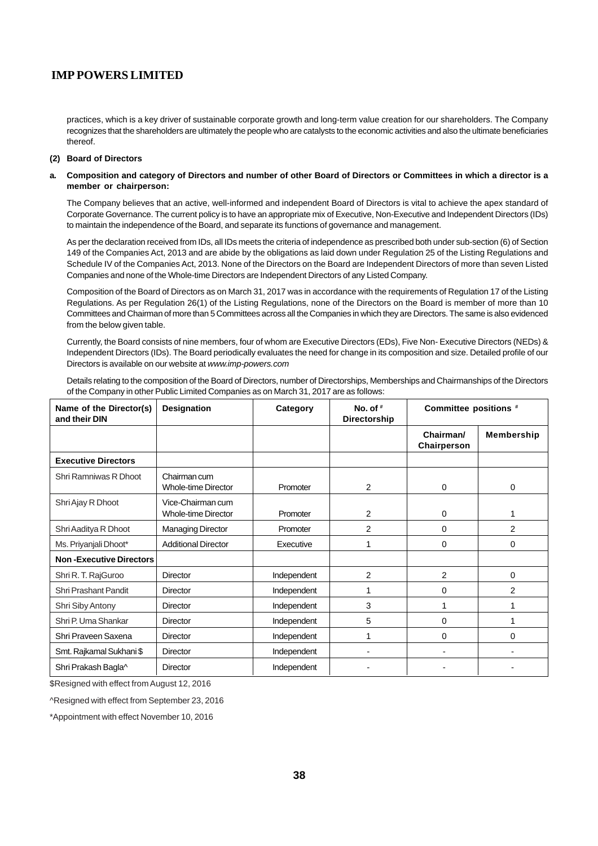practices, which is a key driver of sustainable corporate growth and long-term value creation for our shareholders. The Company recognizes that the shareholders are ultimately the people who are catalysts to the economic activities and also the ultimate beneficiaries thereof.

#### **(2) Board of Directors**

#### **a. Composition and category of Directors and number of other Board of Directors or Committees in which a director is a member or chairperson:**

The Company believes that an active, well-informed and independent Board of Directors is vital to achieve the apex standard of Corporate Governance. The current policy is to have an appropriate mix of Executive, Non-Executive and Independent Directors (IDs) to maintain the independence of the Board, and separate its functions of governance and management.

As per the declaration received from IDs, all IDs meets the criteria of independence as prescribed both under sub-section (6) of Section 149 of the Companies Act, 2013 and are abide by the obligations as laid down under Regulation 25 of the Listing Regulations and Schedule IV of the Companies Act, 2013. None of the Directors on the Board are Independent Directors of more than seven Listed Companies and none of the Whole-time Directors are Independent Directors of any Listed Company.

Composition of the Board of Directors as on March 31, 2017 was in accordance with the requirements of Regulation 17 of the Listing Regulations. As per Regulation 26(1) of the Listing Regulations, none of the Directors on the Board is member of more than 10 Committees and Chairman of more than 5 Committees across all the Companies in which they are Directors. The same is also evidenced from the below given table.

Currently, the Board consists of nine members, four of whom are Executive Directors (EDs), Five Non- Executive Directors (NEDs) & Independent Directors (IDs). The Board periodically evaluates the need for change in its composition and size. Detailed profile of our Directors is available on our website at *www.imp-powers.com*

| Name of the Director(s)<br>and their DIN | <b>Designation</b>                              | Category    | No. of $#$<br>Directorship | Committee positions #    |            |
|------------------------------------------|-------------------------------------------------|-------------|----------------------------|--------------------------|------------|
|                                          |                                                 |             |                            | Chairman/<br>Chairperson | Membership |
| <b>Executive Directors</b>               |                                                 |             |                            |                          |            |
| Shri Ramniwas R Dhoot                    | Chairman cum<br><b>Whole-time Director</b>      | Promoter    | 2                          | 0                        | 0          |
| Shri Ajay R Dhoot                        | Vice-Chairman cum<br><b>Whole-time Director</b> | Promoter    | 2                          | 0                        |            |
| Shri Aaditya R Dhoot                     | <b>Managing Director</b>                        | Promoter    | 2                          | 0                        | 2          |
| Ms. Priyanjali Dhoot*                    | <b>Additional Director</b>                      | Executive   | 1                          | 0                        | 0          |
| <b>Non-Executive Directors</b>           |                                                 |             |                            |                          |            |
| Shri R. T. RajGuroo                      | <b>Director</b>                                 | Independent | $\overline{2}$             | $\overline{2}$           | 0          |
| <b>Shri Prashant Pandit</b>              | Director                                        | Independent | 1                          | 0                        | 2          |
| Shri Siby Antony                         | <b>Director</b>                                 | Independent | 3                          |                          |            |
| Shri P. Uma Shankar                      | Director                                        | Independent | 5                          | 0                        | 1          |
| Shri Praveen Saxena                      | Director                                        | Independent |                            | 0                        | 0          |
| Smt. Rajkamal Sukhani \$                 | Director                                        | Independent |                            |                          |            |
| Shri Prakash Bagla^                      | Director                                        | Independent |                            |                          |            |

Details relating to the composition of the Board of Directors, number of Directorships, Memberships and Chairmanships of the Directors of the Company in other Public Limited Companies as on March 31, 2017 are as follows:

\$Resigned with effect from August 12, 2016

^Resigned with effect from September 23, 2016

\*Appointment with effect November 10, 2016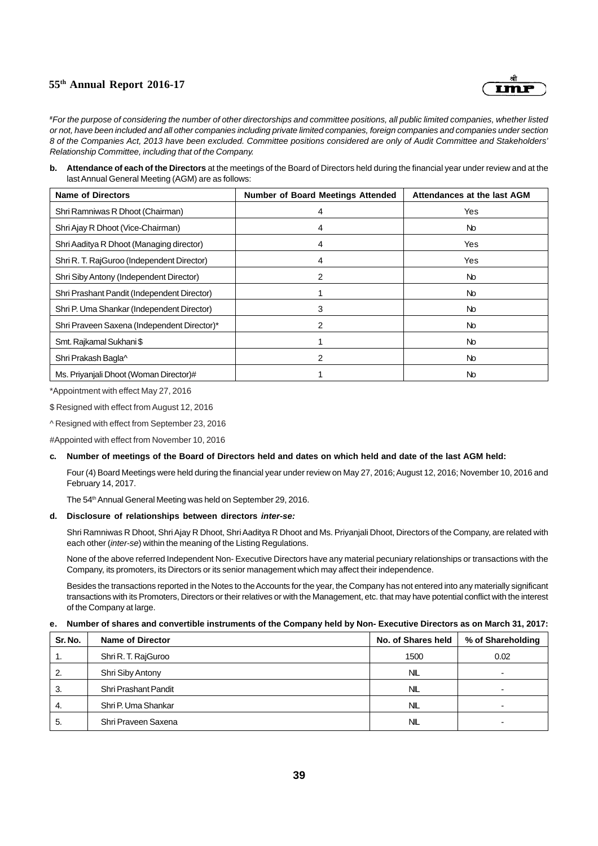

**#** *For the purpose of considering the number of other directorships and committee positions, all public limited companies, whether listed or not, have been included and all other companies including private limited companies, foreign companies and companies under section 8 of the Companies Act, 2013 have been excluded. Committee positions considered are only of Audit Committee and Stakeholders' Relationship Committee, including that of the Company.*

**b. Attendance of each of the Directors** at the meetings of the Board of Directors held during the financial year under review and at the last Annual General Meeting (AGM) are as follows:

| <b>Name of Directors</b>                    | <b>Number of Board Meetings Attended</b> | Attendances at the last AGM |
|---------------------------------------------|------------------------------------------|-----------------------------|
| Shri Ramniwas R Dhoot (Chairman)            | 4                                        | Yes                         |
| Shri Ajay R Dhoot (Vice-Chairman)           | 4                                        | No.                         |
| Shri Aaditya R Dhoot (Managing director)    | 4                                        | Yes                         |
| Shri R. T. RajGuroo (Independent Director)  | 4                                        | Yes                         |
| Shri Siby Antony (Independent Director)     | 2                                        | No.                         |
| Shri Prashant Pandit (Independent Director) |                                          | No.                         |
| Shri P. Uma Shankar (Independent Director)  | 3                                        | No.                         |
| Shri Praveen Saxena (Independent Director)* | 2                                        | No.                         |
| Smt. Rajkamal Sukhani \$                    |                                          | No.                         |
| Shri Prakash Bagla^                         | 2                                        | No.                         |
| Ms. Priyanjali Dhoot (Woman Director)#      |                                          | No.                         |

\*Appointment with effect May 27, 2016

\$ Resigned with effect from August 12, 2016

^ Resigned with effect from September 23, 2016

#Appointed with effect from November 10, 2016

#### **c. Number of meetings of the Board of Directors held and dates on which held and date of the last AGM held:**

Four (4) Board Meetings were held during the financial year under review on May 27, 2016; August 12, 2016; November 10, 2016 and February 14, 2017.

The 54<sup>th</sup> Annual General Meeting was held on September 29, 2016.

#### **d. Disclosure of relationships between directors** *inter-se:*

Shri Ramniwas R Dhoot, Shri Ajay R Dhoot, Shri Aaditya R Dhoot and Ms. Priyanjali Dhoot, Directors of the Company, are related with each other (*inter-se*) within the meaning of the Listing Regulations.

None of the above referred Independent Non- Executive Directors have any material pecuniary relationships or transactions with the Company, its promoters, its Directors or its senior management which may affect their independence.

Besides the transactions reported in the Notes to the Accounts for the year, the Company has not entered into any materially significant transactions with its Promoters, Directors or their relatives or with the Management, etc. that may have potential conflict with the interest of the Company at large.

#### **e. Number of shares and convertible instruments of the Company held by Non- Executive Directors as on March 31, 2017:**

| Sr. No. | <b>Name of Director</b> | No. of Shares held | % of Shareholding |
|---------|-------------------------|--------------------|-------------------|
| 1.      | Shri R. T. RajGuroo     | 1500               | 0.02              |
| 2.      | Shri Siby Antony        | NIL                |                   |
| 3.      | Shri Prashant Pandit    | <b>NIL</b>         |                   |
| 4.      | Shri P. Uma Shankar     | <b>NIL</b>         |                   |
| 5.      | Shri Praveen Saxena     | <b>NIL</b>         |                   |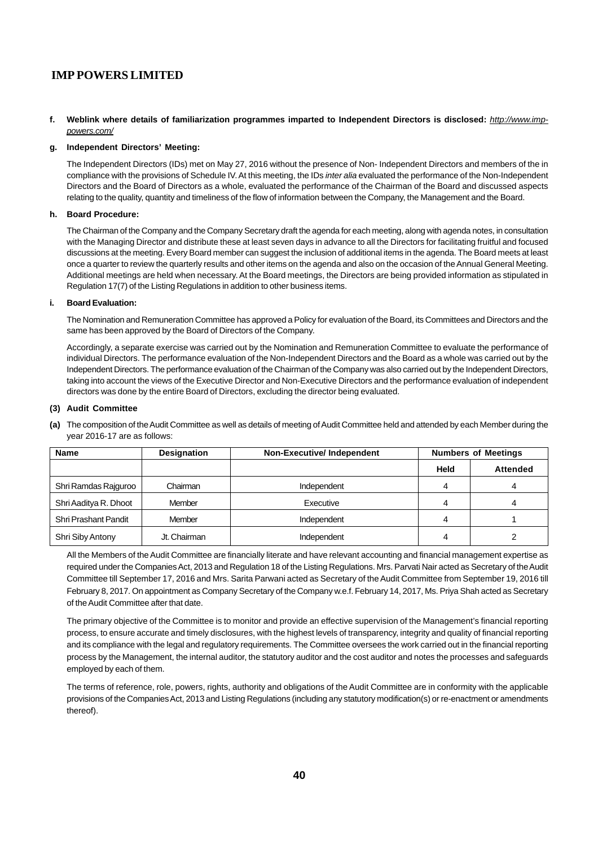#### **f. Weblink where details of familiarization programmes imparted to Independent Directors is disclosed:** *http://www.imppowers.com/*

#### **g. Independent Directors' Meeting:**

The Independent Directors (IDs) met on May 27, 2016 without the presence of Non- Independent Directors and members of the in compliance with the provisions of Schedule IV. At this meeting, the IDs *inter alia* evaluated the performance of the Non-Independent Directors and the Board of Directors as a whole, evaluated the performance of the Chairman of the Board and discussed aspects relating to the quality, quantity and timeliness of the flow of information between the Company, the Management and the Board.

#### **h. Board Procedure:**

The Chairman of the Company and the Company Secretary draft the agenda for each meeting, along with agenda notes, in consultation with the Managing Director and distribute these at least seven days in advance to all the Directors for facilitating fruitful and focused discussions at the meeting. Every Board member can suggest the inclusion of additional items in the agenda. The Board meets at least once a quarter to review the quarterly results and other items on the agenda and also on the occasion of the Annual General Meeting. Additional meetings are held when necessary. At the Board meetings, the Directors are being provided information as stipulated in Regulation 17(7) of the Listing Regulations in addition to other business items.

#### **i. Board Evaluation:**

The Nomination and Remuneration Committee has approved a Policy for evaluation of the Board, its Committees and Directors and the same has been approved by the Board of Directors of the Company.

Accordingly, a separate exercise was carried out by the Nomination and Remuneration Committee to evaluate the performance of individual Directors. The performance evaluation of the Non-Independent Directors and the Board as a whole was carried out by the Independent Directors. The performance evaluation of the Chairman of the Company was also carried out by the Independent Directors, taking into account the views of the Executive Director and Non-Executive Directors and the performance evaluation of independent directors was done by the entire Board of Directors, excluding the director being evaluated.

#### **(3) Audit Committee**

**(a)** The composition of the Audit Committee as well as details of meeting of Audit Committee held and attended by each Member during the year 2016-17 are as follows:

| <b>Name</b>           | <b>Designation</b> | <b>Non-Executive/Independent</b> |      | <b>Numbers of Meetings</b> |
|-----------------------|--------------------|----------------------------------|------|----------------------------|
|                       |                    |                                  | Held | <b>Attended</b>            |
| Shri Ramdas Rajguroo  | Chairman           | Independent                      | 4    |                            |
| Shri Aaditya R. Dhoot | Member             | Executive                        | 4    |                            |
| Shri Prashant Pandit  | Member             | Independent                      | 4    |                            |
| Shri Siby Antony      | Jt. Chairman       | Independent                      | 4    |                            |

All the Members of the Audit Committee are financially literate and have relevant accounting and financial management expertise as required under the Companies Act, 2013 and Regulation 18 of the Listing Regulations. Mrs. Parvati Nair acted as Secretary of the Audit Committee till September 17, 2016 and Mrs. Sarita Parwani acted as Secretary of the Audit Committee from September 19, 2016 till February 8, 2017. On appointment as Company Secretary of the Company w.e.f. February 14, 2017, Ms. Priya Shah acted as Secretary of the Audit Committee after that date.

The primary objective of the Committee is to monitor and provide an effective supervision of the Management's financial reporting process, to ensure accurate and timely disclosures, with the highest levels of transparency, integrity and quality of financial reporting and its compliance with the legal and regulatory requirements. The Committee oversees the work carried out in the financial reporting process by the Management, the internal auditor, the statutory auditor and the cost auditor and notes the processes and safeguards employed by each of them.

The terms of reference, role, powers, rights, authority and obligations of the Audit Committee are in conformity with the applicable provisions of the Companies Act, 2013 and Listing Regulations (including any statutory modification(s) or re-enactment or amendments thereof).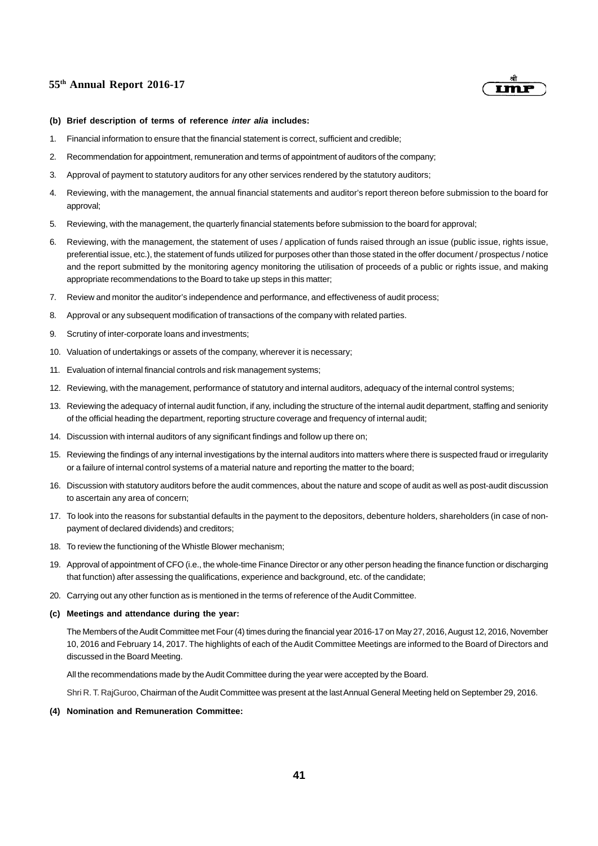

#### **(b) Brief description of terms of reference** *inter alia* **includes:**

- 1. Financial information to ensure that the financial statement is correct, sufficient and credible;
- 2. Recommendation for appointment, remuneration and terms of appointment of auditors of the company;
- 3. Approval of payment to statutory auditors for any other services rendered by the statutory auditors;
- 4. Reviewing, with the management, the annual financial statements and auditor's report thereon before submission to the board for approval;
- 5. Reviewing, with the management, the quarterly financial statements before submission to the board for approval;
- 6. Reviewing, with the management, the statement of uses / application of funds raised through an issue (public issue, rights issue, preferential issue, etc.), the statement of funds utilized for purposes other than those stated in the offer document / prospectus / notice and the report submitted by the monitoring agency monitoring the utilisation of proceeds of a public or rights issue, and making appropriate recommendations to the Board to take up steps in this matter;
- 7. Review and monitor the auditor's independence and performance, and effectiveness of audit process;
- 8. Approval or any subsequent modification of transactions of the company with related parties.
- 9. Scrutiny of inter-corporate loans and investments;
- 10. Valuation of undertakings or assets of the company, wherever it is necessary;
- 11. Evaluation of internal financial controls and risk management systems;
- 12. Reviewing, with the management, performance of statutory and internal auditors, adequacy of the internal control systems;
- 13. Reviewing the adequacy of internal audit function, if any, including the structure of the internal audit department, staffing and seniority of the official heading the department, reporting structure coverage and frequency of internal audit;
- 14. Discussion with internal auditors of any significant findings and follow up there on;
- 15. Reviewing the findings of any internal investigations by the internal auditors into matters where there is suspected fraud or irregularity or a failure of internal control systems of a material nature and reporting the matter to the board;
- 16. Discussion with statutory auditors before the audit commences, about the nature and scope of audit as well as post-audit discussion to ascertain any area of concern;
- 17. To look into the reasons for substantial defaults in the payment to the depositors, debenture holders, shareholders (in case of nonpayment of declared dividends) and creditors;
- 18. To review the functioning of the Whistle Blower mechanism;
- 19. Approval of appointment of CFO (i.e., the whole-time Finance Director or any other person heading the finance function or discharging that function) after assessing the qualifications, experience and background, etc. of the candidate;
- 20. Carrying out any other function as is mentioned in the terms of reference of the Audit Committee.
- **(c) Meetings and attendance during the year:**

The Members of the Audit Committee met Four (4) times during the financial year 2016-17 on May 27, 2016, August 12, 2016, November 10, 2016 and February 14, 2017. The highlights of each of the Audit Committee Meetings are informed to the Board of Directors and discussed in the Board Meeting.

All the recommendations made by the Audit Committee during the year were accepted by the Board.

Shri R. T. RajGuroo, Chairman of the Audit Committee was present at the last Annual General Meeting held on September 29, 2016.

**(4) Nomination and Remuneration Committee:**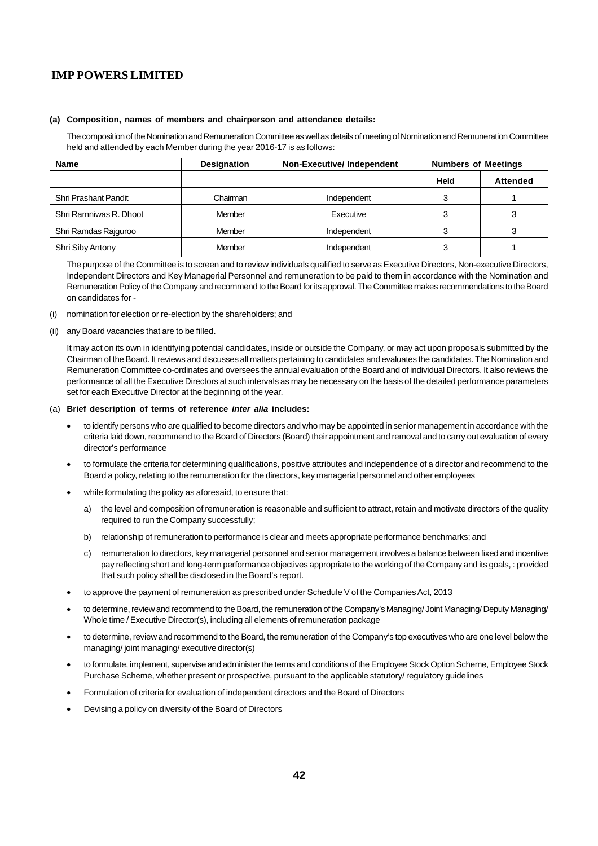#### **(a) Composition, names of members and chairperson and attendance details:**

The composition of the Nomination and Remuneration Committee as well as details of meeting of Nomination and Remuneration Committee held and attended by each Member during the year 2016-17 is as follows:

| <b>Name</b>            | <b>Designation</b> | <b>Non-Executive/Independent</b> |      | <b>Numbers of Meetings</b> |  |  |
|------------------------|--------------------|----------------------------------|------|----------------------------|--|--|
|                        |                    |                                  | Held | <b>Attended</b>            |  |  |
| Shri Prashant Pandit   | Chairman           | Independent                      | 3    |                            |  |  |
| Shri Ramniwas R. Dhoot | Member             | Executive                        |      | 3                          |  |  |
| Shri Ramdas Rajguroo   | Member             | Independent                      | 3    | 3                          |  |  |
| Shri Siby Antony       | Member             | Independent                      | 3    |                            |  |  |

The purpose of the Committee is to screen and to review individuals qualified to serve as Executive Directors, Non-executive Directors, Independent Directors and Key Managerial Personnel and remuneration to be paid to them in accordance with the Nomination and Remuneration Policy of the Company and recommend to the Board for its approval. The Committee makes recommendations to the Board on candidates for -

- (i) nomination for election or re-election by the shareholders; and
- (ii) any Board vacancies that are to be filled.

It may act on its own in identifying potential candidates, inside or outside the Company, or may act upon proposals submitted by the Chairman of the Board. It reviews and discusses all matters pertaining to candidates and evaluates the candidates. The Nomination and Remuneration Committee co-ordinates and oversees the annual evaluation of the Board and of individual Directors. It also reviews the performance of all the Executive Directors at such intervals as may be necessary on the basis of the detailed performance parameters set for each Executive Director at the beginning of the year.

#### (a) **Brief description of terms of reference** *inter alia* **includes:**

- to identify persons who are qualified to become directors and who may be appointed in senior management in accordance with the criteria laid down, recommend to the Board of Directors (Board) their appointment and removal and to carry out evaluation of every director's performance
- to formulate the criteria for determining qualifications, positive attributes and independence of a director and recommend to the Board a policy, relating to the remuneration for the directors, key managerial personnel and other employees
- while formulating the policy as aforesaid, to ensure that:
	- a) the level and composition of remuneration is reasonable and sufficient to attract, retain and motivate directors of the quality required to run the Company successfully;
	- b) relationship of remuneration to performance is clear and meets appropriate performance benchmarks; and
	- c) remuneration to directors, key managerial personnel and senior management involves a balance between fixed and incentive pay reflecting short and long-term performance objectives appropriate to the working of the Company and its goals, : provided that such policy shall be disclosed in the Board's report.
- to approve the payment of remuneration as prescribed under Schedule V of the Companies Act, 2013
- to determine, review and recommend to the Board, the remuneration of the Company's Managing/ Joint Managing/ Deputy Managing/ Whole time / Executive Director(s), including all elements of remuneration package
- to determine, review and recommend to the Board, the remuneration of the Company's top executives who are one level below the managing/ joint managing/ executive director(s)
- to formulate, implement, supervise and administer the terms and conditions of the Employee Stock Option Scheme, Employee Stock Purchase Scheme, whether present or prospective, pursuant to the applicable statutory/ regulatory guidelines
- Formulation of criteria for evaluation of independent directors and the Board of Directors
- Devising a policy on diversity of the Board of Directors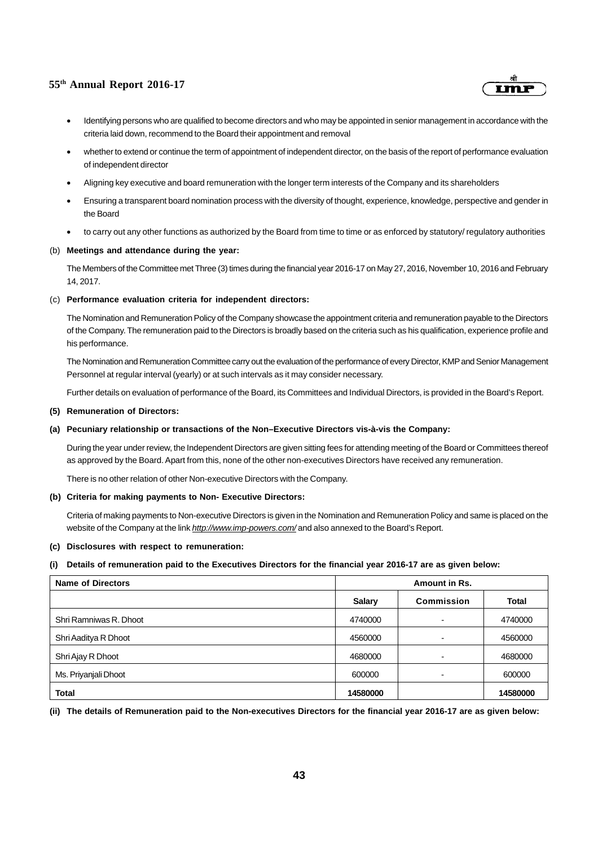• Identifying persons who are qualified to become directors and who may be appointed in senior management in accordance with the criteria laid down, recommend to the Board their appointment and removal

Imf

- whether to extend or continue the term of appointment of independent director, on the basis of the report of performance evaluation of independent director
- Aligning key executive and board remuneration with the longer term interests of the Company and its shareholders
- Ensuring a transparent board nomination process with the diversity of thought, experience, knowledge, perspective and gender in the Board
- to carry out any other functions as authorized by the Board from time to time or as enforced by statutory/ regulatory authorities

#### (b) **Meetings and attendance during the year:**

The Members of the Committee met Three (3) times during the financial year 2016-17 on May 27, 2016, November 10, 2016 and February 14, 2017.

#### (c) **Performance evaluation criteria for independent directors:**

The Nomination and Remuneration Policy of the Company showcase the appointment criteria and remuneration payable to the Directors of the Company. The remuneration paid to the Directors is broadly based on the criteria such as his qualification, experience profile and his performance.

The Nomination and Remuneration Committee carry out the evaluation of the performance of every Director, KMP and Senior Management Personnel at regular interval (yearly) or at such intervals as it may consider necessary.

Further details on evaluation of performance of the Board, its Committees and Individual Directors, is provided in the Board's Report.

#### **(5) Remuneration of Directors:**

#### **(a) Pecuniary relationship or transactions of the Non–Executive Directors vis-à-vis the Company:**

During the year under review, the Independent Directors are given sitting fees for attending meeting of the Board or Committees thereof as approved by the Board. Apart from this, none of the other non-executives Directors have received any remuneration.

There is no other relation of other Non-executive Directors with the Company.

#### **(b) Criteria for making payments to Non- Executive Directors:**

Criteria of making payments to Non-executive Directors is given in the Nomination and Remuneration Policy and same is placed on the website of the Company at the link *http://www.imp-powers.com/* and also annexed to the Board's Report.

#### **(c) Disclosures with respect to remuneration:**

#### **(i) Details of remuneration paid to the Executives Directors for the financial year 2016-17 are as given below:**

| <b>Name of Directors</b> | Amount in Rs. |                   |              |
|--------------------------|---------------|-------------------|--------------|
|                          | <b>Salary</b> | <b>Commission</b> | <b>Total</b> |
| Shri Ramniwas R. Dhoot   | 4740000       | ٠                 | 4740000      |
| Shri Aaditya R Dhoot     | 4560000       | -                 | 4560000      |
| Shri Ajay R Dhoot        | 4680000       | -                 | 4680000      |
| Ms. Priyanjali Dhoot     | 600000        | ۰.                | 600000       |
| <b>Total</b>             | 14580000      |                   | 14580000     |

**(ii) The details of Remuneration paid to the Non-executives Directors for the financial year 2016-17 are as given below:**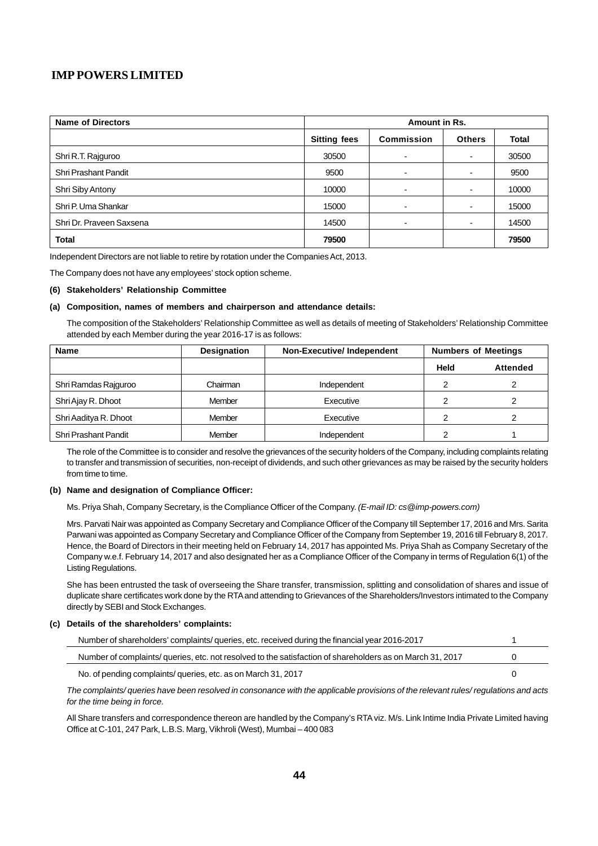| <b>Name of Directors</b> | Amount in Rs.       |                   |                          |              |
|--------------------------|---------------------|-------------------|--------------------------|--------------|
|                          | <b>Sitting fees</b> | <b>Commission</b> | <b>Others</b>            | <b>Total</b> |
| Shri R.T. Rajguroo       | 30500               | ٠                 | $\overline{\phantom{0}}$ | 30500        |
| Shri Prashant Pandit     | 9500                | -                 | $\blacksquare$           | 9500         |
| Shri Siby Antony         | 10000               | -                 | $\blacksquare$           | 10000        |
| Shri P. Uma Shankar      | 15000               | ٠                 | $\blacksquare$           | 15000        |
| Shri Dr. Praveen Saxsena | 14500               | -                 | $\blacksquare$           | 14500        |
| <b>Total</b>             | 79500               |                   |                          | 79500        |

Independent Directors are not liable to retire by rotation under the Companies Act, 2013.

The Company does not have any employees' stock option scheme.

#### **(6) Stakeholders' Relationship Committee**

#### **(a) Composition, names of members and chairperson and attendance details:**

The composition of the Stakeholders' Relationship Committee as well as details of meeting of Stakeholders' Relationship Committee attended by each Member during the year 2016-17 is as follows:

| <b>Name</b>           | <b>Designation</b> | <b>Non-Executive/Independent</b> | <b>Numbers of Meetings</b> |                 |
|-----------------------|--------------------|----------------------------------|----------------------------|-----------------|
|                       |                    |                                  | Held                       | <b>Attended</b> |
| Shri Ramdas Rajguroo  | Chairman           | Independent                      |                            | っ               |
| Shri Ajay R. Dhoot    | Member             | Executive                        |                            | っ               |
| Shri Aaditya R. Dhoot | Member             | Executive                        | ົ                          | っ               |
| Shri Prashant Pandit  | Member             | Independent                      |                            |                 |

The role of the Committee is to consider and resolve the grievances of the security holders of the Company, including complaints relating to transfer and transmission of securities, non-receipt of dividends, and such other grievances as may be raised by the security holders from time to time.

#### **(b) Name and designation of Compliance Officer:**

Ms. Priya Shah, Company Secretary, is the Compliance Officer of the Company. *(E-mail ID: cs@imp-powers.com)*

Mrs. Parvati Nair was appointed as Company Secretary and Compliance Officer of the Company till September 17, 2016 and Mrs. Sarita Parwani was appointed as Company Secretary and Compliance Officer of the Company from September 19, 2016 till February 8, 2017. Hence, the Board of Directors in their meeting held on February 14, 2017 has appointed Ms. Priya Shah as Company Secretary of the Company w.e.f. February 14, 2017 and also designated her as a Compliance Officer of the Company in terms of Regulation 6(1) of the Listing Regulations.

She has been entrusted the task of overseeing the Share transfer, transmission, splitting and consolidation of shares and issue of duplicate share certificates work done by the RTA and attending to Grievances of the Shareholders/Investors intimated to the Company directly by SEBI and Stock Exchanges.

#### **(c) Details of the shareholders' complaints:**

| Number of shareholders' complaints/ queries, etc. received during the financial year 2016-2017            |  |
|-----------------------------------------------------------------------------------------------------------|--|
| Number of complaints/ queries, etc. not resolved to the satisfaction of shareholders as on March 31, 2017 |  |
| No. of pending complaints/ queries, etc. as on March 31, 2017                                             |  |

*The complaints/ queries have been resolved in consonance with the applicable provisions of the relevant rules/ regulations and acts for the time being in force.*

All Share transfers and correspondence thereon are handled by the Company's RTA viz. M/s. Link Intime India Private Limited having Office at C-101, 247 Park, L.B.S. Marg, Vikhroli (West), Mumbai – 400 083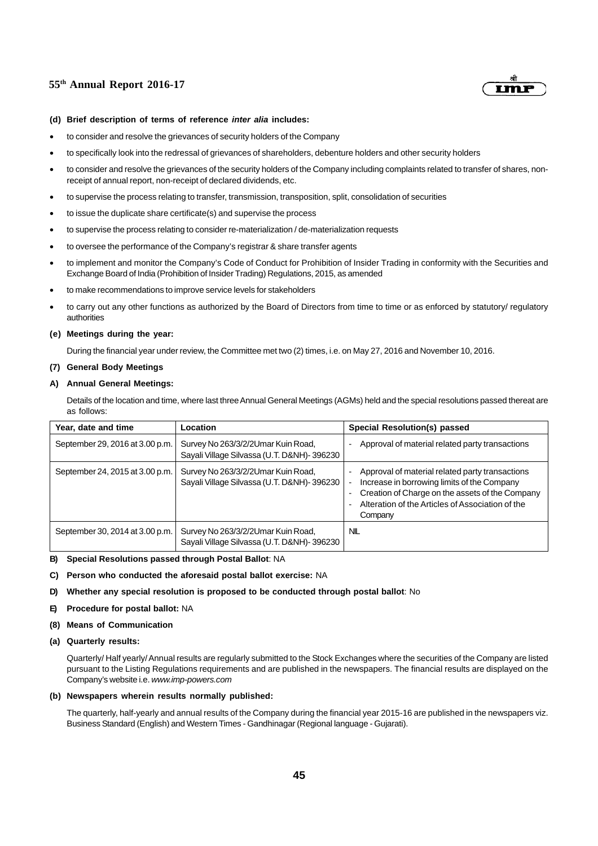

#### **(d) Brief description of terms of reference** *inter alia* **includes:**

- to consider and resolve the grievances of security holders of the Company
- to specifically look into the redressal of grievances of shareholders, debenture holders and other security holders
- to consider and resolve the grievances of the security holders of the Company including complaints related to transfer of shares, nonreceipt of annual report, non-receipt of declared dividends, etc.
- to supervise the process relating to transfer, transmission, transposition, split, consolidation of securities
- to issue the duplicate share certificate(s) and supervise the process
- to supervise the process relating to consider re-materialization / de-materialization requests
- to oversee the performance of the Company's registrar & share transfer agents
- to implement and monitor the Company's Code of Conduct for Prohibition of Insider Trading in conformity with the Securities and Exchange Board of India (Prohibition of Insider Trading) Regulations, 2015, as amended
- to make recommendations to improve service levels for stakeholders
- to carry out any other functions as authorized by the Board of Directors from time to time or as enforced by statutory/ regulatory authorities

#### **(e) Meetings during the year:**

During the financial year under review, the Committee met two (2) times, i.e. on May 27, 2016 and November 10, 2016.

#### **(7) General Body Meetings**

#### **A) Annual General Meetings:**

Details of the location and time, where last three Annual General Meetings (AGMs) held and the special resolutions passed thereat are as follows:

| Year, date and time             | Location                                                                          | Special Resolution(s) passed                                                                                                                                                                                     |
|---------------------------------|-----------------------------------------------------------------------------------|------------------------------------------------------------------------------------------------------------------------------------------------------------------------------------------------------------------|
| September 29, 2016 at 3.00 p.m. | Survey No 263/3/2/2Umar Kuin Road,<br>Sayali Village Silvassa (U.T. D&NH)-396230  | Approval of material related party transactions                                                                                                                                                                  |
| September 24, 2015 at 3.00 p.m. | Survey No 263/3/2/2Umar Kuin Road,<br>Sayali Village Silvassa (U.T. D&NH)- 396230 | Approval of material related party transactions<br>Increase in borrowing limits of the Company<br>Creation of Charge on the assets of the Company<br>Alteration of the Articles of Association of the<br>Company |
| September 30, 2014 at 3.00 p.m. | Survey No 263/3/2/2Umar Kuin Road,<br>Sayali Village Silvassa (U.T. D&NH)- 396230 | <b>NIL</b>                                                                                                                                                                                                       |

**B) Special Resolutions passed through Postal Ballot**: NA

- **C) Person who conducted the aforesaid postal ballot exercise:** NA
- **D) Whether any special resolution is proposed to be conducted through postal ballot**: No
- **E) Procedure for postal ballot:** NA
- **(8) Means of Communication**
- **(a) Quarterly results:**

Quarterly/ Half yearly/ Annual results are regularly submitted to the Stock Exchanges where the securities of the Company are listed pursuant to the Listing Regulations requirements and are published in the newspapers. The financial results are displayed on the Company's website i.e. *www.imp-powers.com*

#### **(b) Newspapers wherein results normally published:**

The quarterly, half-yearly and annual results of the Company during the financial year 2015-16 are published in the newspapers viz. Business Standard (English) and Western Times - Gandhinagar (Regional language - Gujarati).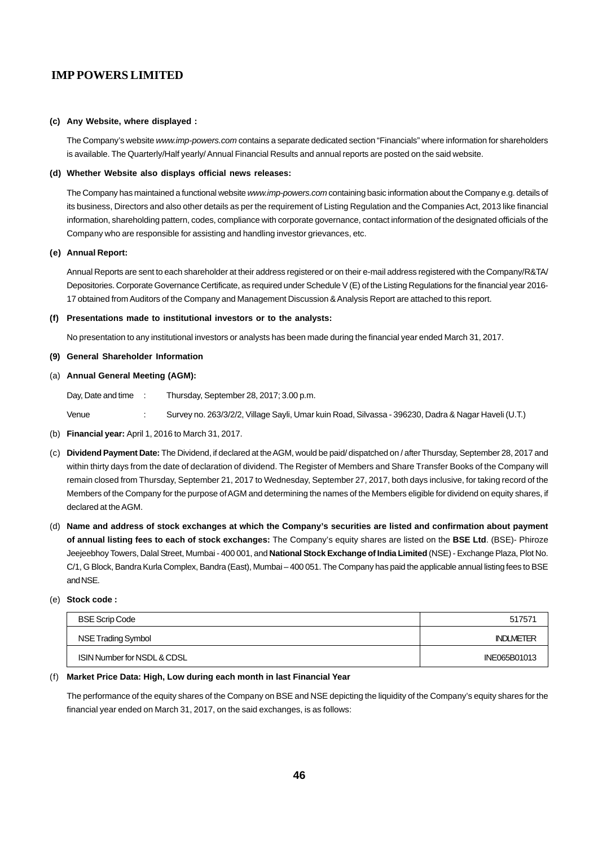#### **(c) Any Website, where displayed :**

The Company's website *www.imp-powers.com* contains a separate dedicated section "Financials" where information for shareholders is available. The Quarterly/Half yearly/ Annual Financial Results and annual reports are posted on the said website.

#### **(d) Whether Website also displays official news releases:**

The Company has maintained a functional website *www.imp-powers.com* containing basic information about the Company e.g. details of its business, Directors and also other details as per the requirement of Listing Regulation and the Companies Act, 2013 like financial information, shareholding pattern, codes, compliance with corporate governance, contact information of the designated officials of the Company who are responsible for assisting and handling investor grievances, etc.

#### **(e) Annual Report:**

Annual Reports are sent to each shareholder at their address registered or on their e-mail address registered with the Company/R&TA/ Depositories. Corporate Governance Certificate, as required under Schedule V (E) of the Listing Regulations for the financial year 2016- 17 obtained from Auditors of the Company and Management Discussion & Analysis Report are attached to this report.

#### **(f) Presentations made to institutional investors or to the analysts:**

No presentation to any institutional investors or analysts has been made during the financial year ended March 31, 2017.

**(9) General Shareholder Information**

#### (a) **Annual General Meeting (AGM):**

Day, Date and time : Thursday, September 28, 2017; 3.00 p.m.

Venue : Survey no. 263/3/2/2, Village Sayli, Umar kuin Road, Silvassa - 396230, Dadra & Nagar Haveli (U.T.)

- (b) **Financial year:** April 1, 2016 to March 31, 2017.
- (c) **Dividend Payment Date:** The Dividend, if declared at the AGM, would be paid/ dispatched on / after Thursday, September 28, 2017 and within thirty days from the date of declaration of dividend. The Register of Members and Share Transfer Books of the Company will remain closed from Thursday, September 21, 2017 to Wednesday, September 27, 2017, both days inclusive, for taking record of the Members of the Company for the purpose of AGM and determining the names of the Members eligible for dividend on equity shares, if declared at the AGM.
- (d) **Name and address of stock exchanges at which the Company's securities are listed and confirmation about payment of annual listing fees to each of stock exchanges:** The Company's equity shares are listed on the **BSE Ltd**. (BSE)- Phiroze Jeejeebhoy Towers, Dalal Street, Mumbai - 400 001, and **National Stock Exchange of India Limited** (NSE) - Exchange Plaza, Plot No. C/1, G Block, Bandra Kurla Complex, Bandra (East), Mumbai – 400 051. The Company has paid the applicable annual listing fees to BSE and NSE.

#### (e) **Stock code :**

| <b>BSE Scrip Code</b>       | 517571            |
|-----------------------------|-------------------|
| NSE Trading Symbol          | <b>INDI METER</b> |
| ISIN Number for NSDL & CDSL | INE065B01013      |

#### (f) **Market Price Data: High, Low during each month in last Financial Year**

The performance of the equity shares of the Company on BSE and NSE depicting the liquidity of the Company's equity shares for the financial year ended on March 31, 2017, on the said exchanges, is as follows: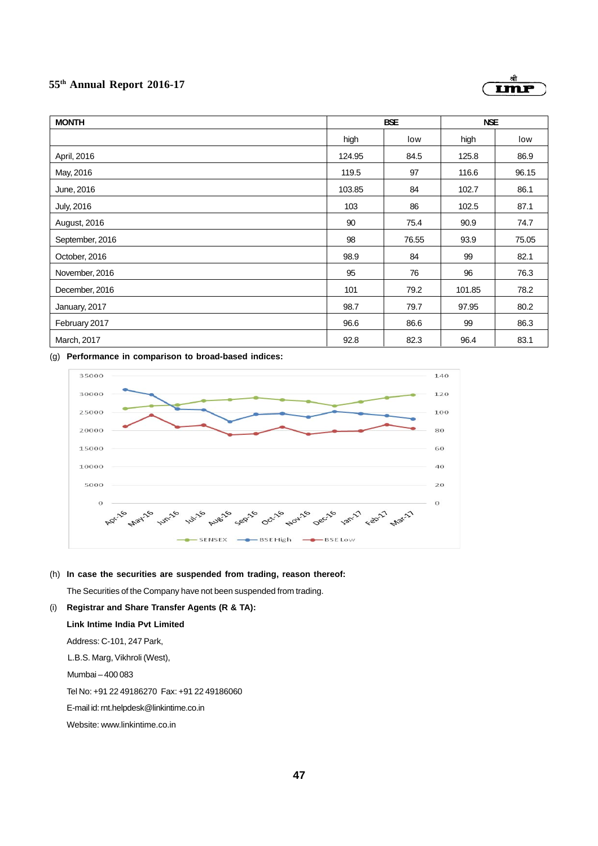

| <b>MONTH</b>      |        | <b>BSE</b> | <b>NSE</b> |       |
|-------------------|--------|------------|------------|-------|
|                   | high   | low        | high       | low   |
| April, 2016       | 124.95 | 84.5       | 125.8      | 86.9  |
| May, 2016         | 119.5  | 97         | 116.6      | 96.15 |
| June, 2016        | 103.85 | 84         | 102.7      | 86.1  |
| <b>July, 2016</b> | 103    | 86         | 102.5      | 87.1  |
| August, 2016      | 90     | 75.4       | 90.9       | 74.7  |
| September, 2016   | 98     | 76.55      | 93.9       | 75.05 |
| October, 2016     | 98.9   | 84         | 99         | 82.1  |
| November, 2016    | 95     | 76         | 96         | 76.3  |
| December, 2016    | 101    | 79.2       | 101.85     | 78.2  |
| January, 2017     | 98.7   | 79.7       | 97.95      | 80.2  |
| February 2017     | 96.6   | 86.6       | 99         | 86.3  |
| March, 2017       | 92.8   | 82.3       | 96.4       | 83.1  |

#### (g) **Performance in comparison to broad-based indices:**



#### (h) **In case the securities are suspended from trading, reason thereof:**

The Securities of the Company have not been suspended from trading.

#### (i) **Registrar and Share Transfer Agents (R & TA):**

#### **Link Intime India Pvt Limited**

Address: C-101, 247 Park,

L.B.S. Marg, Vikhroli (West),

Mumbai – 400 083

Tel No: +91 22 49186270 Fax: +91 22 49186060

E-mail id: rnt.helpdesk@linkintime.co.in

Website: www.linkintime.co.in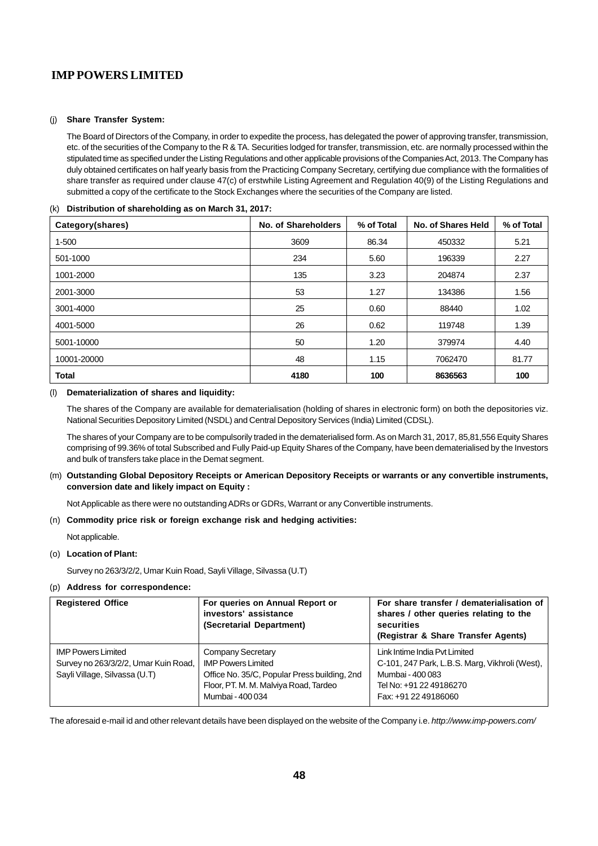#### (j) **Share Transfer System:**

The Board of Directors of the Company, in order to expedite the process, has delegated the power of approving transfer, transmission, etc. of the securities of the Company to the R & TA. Securities lodged for transfer, transmission, etc. are normally processed within the stipulated time as specified under the Listing Regulations and other applicable provisions of the Companies Act, 2013. The Company has duly obtained certificates on half yearly basis from the Practicing Company Secretary, certifying due compliance with the formalities of share transfer as required under clause 47(c) of erstwhile Listing Agreement and Regulation 40(9) of the Listing Regulations and submitted a copy of the certificate to the Stock Exchanges where the securities of the Company are listed.

#### (k) **Distribution of shareholding as on March 31, 2017:**

| Category(shares) | No. of Shareholders | % of Total | No. of Shares Held | % of Total |
|------------------|---------------------|------------|--------------------|------------|
| 1-500            | 3609                | 86.34      | 450332             | 5.21       |
| 501-1000         | 234                 | 5.60       | 196339             | 2.27       |
| 1001-2000        | 135                 | 3.23       | 204874             | 2.37       |
| 2001-3000        | 53                  | 1.27       | 134386             | 1.56       |
| 3001-4000        | 25                  | 0.60       | 88440              | 1.02       |
| 4001-5000        | 26                  | 0.62       | 119748             | 1.39       |
| 5001-10000       | 50                  | 1.20       | 379974             | 4.40       |
| 10001-20000      | 48                  | 1.15       | 7062470            | 81.77      |
| <b>Total</b>     | 4180                | 100        | 8636563            | 100        |

#### (l) **Dematerialization of shares and liquidity:**

The shares of the Company are available for dematerialisation (holding of shares in electronic form) on both the depositories viz. National Securities Depository Limited (NSDL) and Central Depository Services (India) Limited (CDSL).

The shares of your Company are to be compulsorily traded in the dematerialised form. As on March 31, 2017, 85,81,556 Equity Shares comprising of 99.36% of total Subscribed and Fully Paid-up Equity Shares of the Company, have been dematerialised by the Investors and bulk of transfers take place in the Demat segment.

#### (m) **Outstanding Global Depository Receipts or American Depository Receipts or warrants or any convertible instruments, conversion date and likely impact on Equity :**

Not Applicable as there were no outstanding ADRs or GDRs, Warrant or any Convertible instruments.

#### (n) **Commodity price risk or foreign exchange risk and hedging activities:**

Not applicable.

#### (o) **Location of Plant:**

Survey no 263/3/2/2, Umar Kuin Road, Sayli Village, Silvassa (U.T)

#### (p) **Address for correspondence:**

| <b>Registered Office</b>                                                                           | For queries on Annual Report or<br>investors' assistance<br>(Secretarial Department)                                                                        | For share transfer / dematerialisation of<br>shares / other queries relating to the<br>securities<br>(Registrar & Share Transfer Agents)               |
|----------------------------------------------------------------------------------------------------|-------------------------------------------------------------------------------------------------------------------------------------------------------------|--------------------------------------------------------------------------------------------------------------------------------------------------------|
| <b>IMP Powers Limited</b><br>Survey no 263/3/2/2, Umar Kuin Road,<br>Sayli Village, Silvassa (U.T) | Company Secretary<br><b>IMP Powers Limited</b><br>Office No. 35/C, Popular Press building, 2nd<br>Floor, PT. M. M. Malviya Road, Tardeo<br>Mumbai - 400 034 | Link Intime India Pvt Limited<br>C-101, 247 Park, L.B.S. Marg, Vikhroli (West),<br>Mumbai - 400 083<br>Tel No: +91 22 49186270<br>Fax: +91 22 49186060 |

The aforesaid e-mail id and other relevant details have been displayed on the website of the Company i.e. *http://www.imp-powers.com/*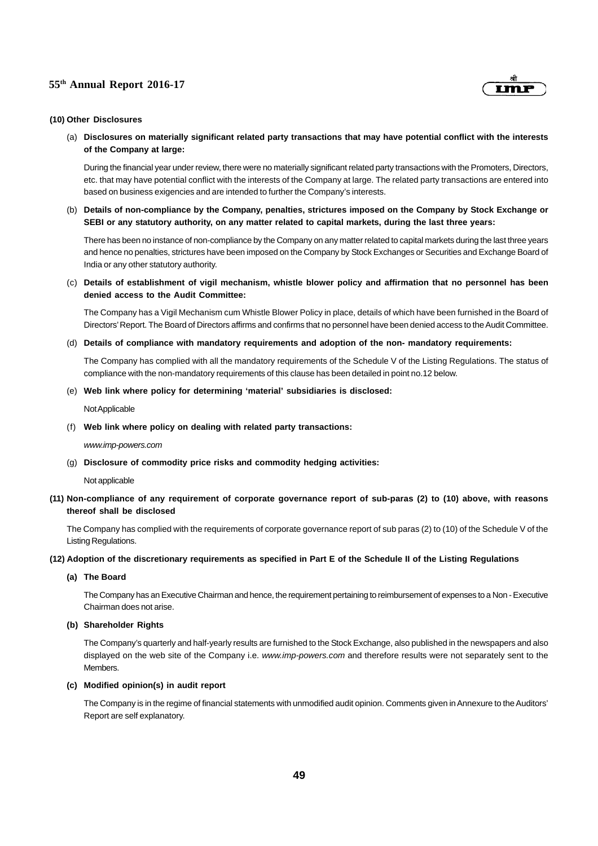

#### **(10) Other Disclosures**

(a) **Disclosures on materially significant related party transactions that may have potential conflict with the interests of the Company at large:**

During the financial year under review, there were no materially significant related party transactions with the Promoters, Directors, etc. that may have potential conflict with the interests of the Company at large. The related party transactions are entered into based on business exigencies and are intended to further the Company's interests.

(b) **Details of non-compliance by the Company, penalties, strictures imposed on the Company by Stock Exchange or SEBI or any statutory authority, on any matter related to capital markets, during the last three years:**

There has been no instance of non-compliance by the Company on any matter related to capital markets during the last three years and hence no penalties, strictures have been imposed on the Company by Stock Exchanges or Securities and Exchange Board of India or any other statutory authority.

(c) **Details of establishment of vigil mechanism, whistle blower policy and affirmation that no personnel has been denied access to the Audit Committee:**

The Company has a Vigil Mechanism cum Whistle Blower Policy in place, details of which have been furnished in the Board of Directors' Report. The Board of Directors affirms and confirms that no personnel have been denied access to the Audit Committee.

#### (d) **Details of compliance with mandatory requirements and adoption of the non- mandatory requirements:**

The Company has complied with all the mandatory requirements of the Schedule V of the Listing Regulations. The status of compliance with the non-mandatory requirements of this clause has been detailed in point no.12 below.

(e) **Web link where policy for determining 'material' subsidiaries is disclosed:**

Not Applicable

(f) **Web link where policy on dealing with related party transactions:**

*www.imp-powers.com*

(g) **Disclosure of commodity price risks and commodity hedging activities:**

Not applicable

#### **(11) Non-compliance of any requirement of corporate governance report of sub-paras (2) to (10) above, with reasons thereof shall be disclosed**

The Company has complied with the requirements of corporate governance report of sub paras (2) to (10) of the Schedule V of the Listing Regulations.

#### **(12) Adoption of the discretionary requirements as specified in Part E of the Schedule II of the Listing Regulations**

**(a) The Board**

The Company has an Executive Chairman and hence, the requirement pertaining to reimbursement of expenses to a Non - Executive Chairman does not arise.

#### **(b) Shareholder Rights**

The Company's quarterly and half-yearly results are furnished to the Stock Exchange, also published in the newspapers and also displayed on the web site of the Company i.e. *www.imp-powers.com* and therefore results were not separately sent to the Members.

#### **(c) Modified opinion(s) in audit report**

The Company is in the regime of financial statements with unmodified audit opinion. Comments given in Annexure to the Auditors' Report are self explanatory.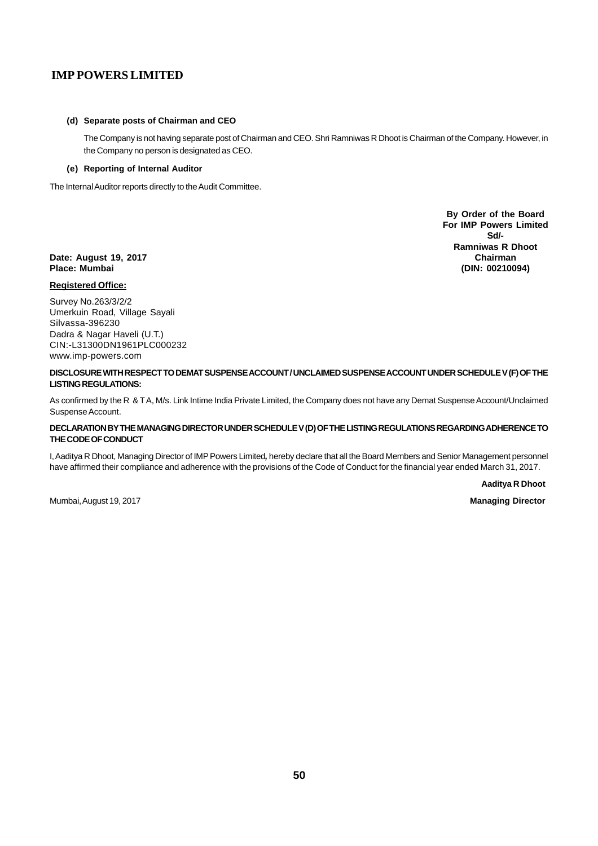#### **(d) Separate posts of Chairman and CEO**

The Company is not having separate post of Chairman and CEO. Shri Ramniwas R Dhoot is Chairman of the Company. However, in the Company no person is designated as CEO.

#### **(e) Reporting of Internal Auditor**

The Internal Auditor reports directly to the Audit Committee.

**By Order of the Board For IMP Powers Limited Sd/- Ramniwas R Dhoot**

**Date: August 19, 2017 Chairman Place: Mumbai (DIN: 00210094)**

#### **Registered Office:**

Survey No.263/3/2/2 Umerkuin Road, Village Sayali Silvassa-396230 Dadra & Nagar Haveli (U.T.) CIN:-L31300DN1961PLC000232 www.imp-powers.com

#### **DISCLOSURE WITH RESPECT TO DEMAT SUSPENSE ACCOUNT / UNCLAIMED SUSPENSE ACCOUNT UNDER SCHEDULE V (F) OF THE LISTING REGULATIONS:**

As confirmed by the R & T A, M/s. Link Intime India Private Limited, the Company does not have any Demat Suspense Account/Unclaimed Suspense Account.

#### **DECLARATION BY THE MANAGING DIRECTOR UNDER SCHEDULE V (D) OF THE LISTING REGULATIONS REGARDING ADHERENCE TO THE CODE OF CONDUCT**

I, Aaditya R Dhoot, Managing Director of IMP Powers Limited*,* hereby declare that all the Board Members and Senior Management personnel have affirmed their compliance and adherence with the provisions of the Code of Conduct for the financial year ended March 31, 2017.

**Aaditya R Dhoot**

Mumbai, August 19, 2017 **Managing Director**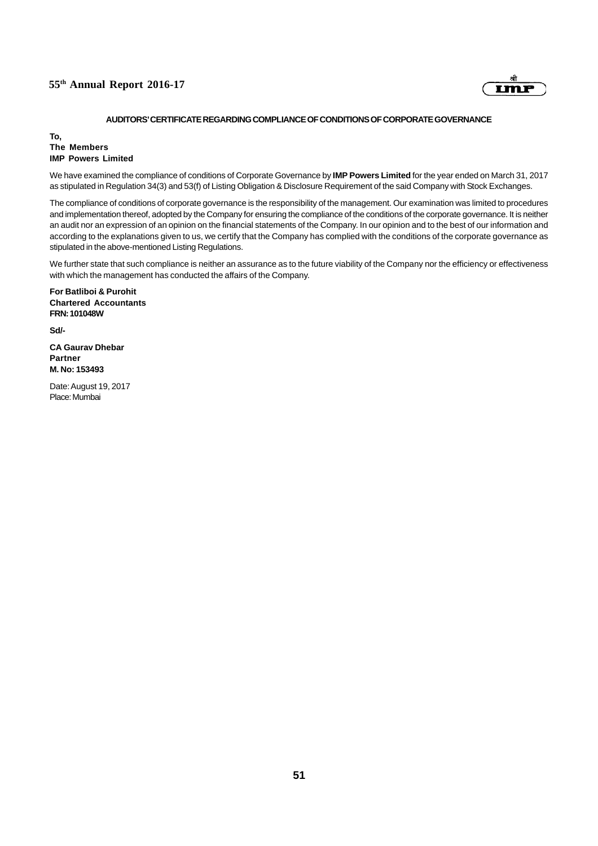

#### **AUDITORS' CERTIFICATE REGARDING COMPLIANCE OF CONDITIONS OF CORPORATE GOVERNANCE**

#### **To, The Members IMP Powers Limited**

We have examined the compliance of conditions of Corporate Governance by **IMP Powers Limited** for the year ended on March 31, 2017 as stipulated in Regulation 34(3) and 53(f) of Listing Obligation & Disclosure Requirement of the said Company with Stock Exchanges.

The compliance of conditions of corporate governance is the responsibility of the management. Our examination was limited to procedures and implementation thereof, adopted by the Company for ensuring the compliance of the conditions of the corporate governance. It is neither an audit nor an expression of an opinion on the financial statements of the Company. In our opinion and to the best of our information and according to the explanations given to us, we certify that the Company has complied with the conditions of the corporate governance as stipulated in the above-mentioned Listing Regulations.

We further state that such compliance is neither an assurance as to the future viability of the Company nor the efficiency or effectiveness with which the management has conducted the affairs of the Company.

**For Batliboi & Purohit Chartered Accountants FRN: 101048W**

**Sd/-**

**CA Gaurav Dhebar Partner M. No: 153493**

Date: August 19, 2017 Place: Mumbai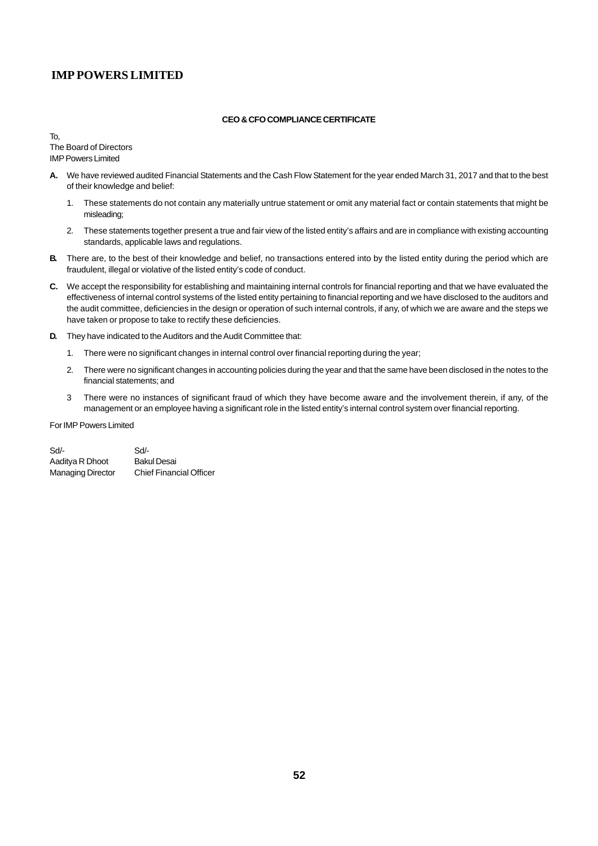#### **CEO & CFO COMPLIANCE CERTIFICATE**

To, The Board of Directors IMP Powers Limited

- **A.** We have reviewed audited Financial Statements and the Cash Flow Statement for the year ended March 31, 2017 and that to the best of their knowledge and belief:
	- 1. These statements do not contain any materially untrue statement or omit any material fact or contain statements that might be misleading;
	- 2. These statements together present a true and fair view of the listed entity's affairs and are in compliance with existing accounting standards, applicable laws and regulations.
- **B.** There are, to the best of their knowledge and belief, no transactions entered into by the listed entity during the period which are fraudulent, illegal or violative of the listed entity's code of conduct.
- **C.** We accept the responsibility for establishing and maintaining internal controls for financial reporting and that we have evaluated the effectiveness of internal control systems of the listed entity pertaining to financial reporting and we have disclosed to the auditors and the audit committee, deficiencies in the design or operation of such internal controls, if any, of which we are aware and the steps we have taken or propose to take to rectify these deficiencies.
- **D.** They have indicated to the Auditors and the Audit Committee that:
	- 1. There were no significant changes in internal control over financial reporting during the year;
	- 2. There were no significant changes in accounting policies during the year and that the same have been disclosed in the notes to the financial statements; and
	- 3 There were no instances of significant fraud of which they have become aware and the involvement therein, if any, of the management or an employee having a significant role in the listed entity's internal control system over financial reporting.

For IMP Powers Limited

Sd/- Sd/- Aaditya R Dhoot Bakul Desai Managing Director Chief Financial Officer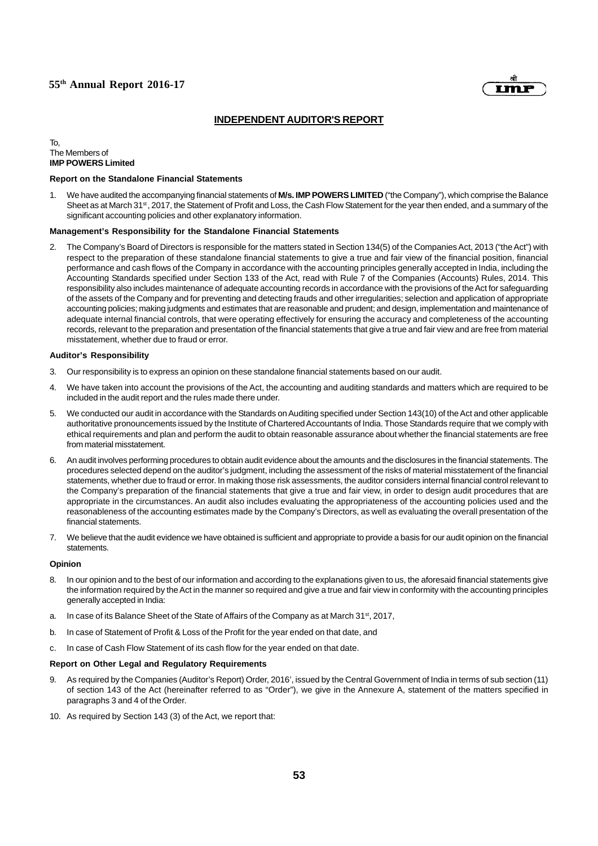

#### **INDEPENDENT AUDITOR'S REPORT**

To, The Members of **IMP POWERS Limited**

#### **Report on the Standalone Financial Statements**

1. We have audited the accompanying financial statements of **M/s. IMP POWERS LIMITED** ("the Company"), which comprise the Balance Sheet as at March 31<sup>st</sup>, 2017, the Statement of Profit and Loss, the Cash Flow Statement for the year then ended, and a summary of the significant accounting policies and other explanatory information.

#### **Management's Responsibility for the Standalone Financial Statements**

2. The Company's Board of Directors is responsible for the matters stated in Section 134(5) of the Companies Act, 2013 ("the Act") with respect to the preparation of these standalone financial statements to give a true and fair view of the financial position, financial performance and cash flows of the Company in accordance with the accounting principles generally accepted in India, including the Accounting Standards specified under Section 133 of the Act, read with Rule 7 of the Companies (Accounts) Rules, 2014. This responsibility also includes maintenance of adequate accounting records in accordance with the provisions of the Act for safeguarding of the assets of the Company and for preventing and detecting frauds and other irregularities; selection and application of appropriate accounting policies; making judgments and estimates that are reasonable and prudent; and design, implementation and maintenance of adequate internal financial controls, that were operating effectively for ensuring the accuracy and completeness of the accounting records, relevant to the preparation and presentation of the financial statements that give a true and fair view and are free from material misstatement, whether due to fraud or error.

#### **Auditor's Responsibility**

- 3. Our responsibility is to express an opinion on these standalone financial statements based on our audit.
- 4. We have taken into account the provisions of the Act, the accounting and auditing standards and matters which are required to be included in the audit report and the rules made there under.
- 5. We conducted our audit in accordance with the Standards on Auditing specified under Section 143(10) of the Act and other applicable authoritative pronouncements issued by the Institute of Chartered Accountants of India. Those Standards require that we comply with ethical requirements and plan and perform the audit to obtain reasonable assurance about whether the financial statements are free from material misstatement.
- 6. An audit involves performing procedures to obtain audit evidence about the amounts and the disclosures in the financial statements. The procedures selected depend on the auditor's judgment, including the assessment of the risks of material misstatement of the financial statements, whether due to fraud or error. In making those risk assessments, the auditor considers internal financial control relevant to the Company's preparation of the financial statements that give a true and fair view, in order to design audit procedures that are appropriate in the circumstances. An audit also includes evaluating the appropriateness of the accounting policies used and the reasonableness of the accounting estimates made by the Company's Directors, as well as evaluating the overall presentation of the financial statements.
- 7. We believe that the audit evidence we have obtained is sufficient and appropriate to provide a basis for our audit opinion on the financial statements.

#### **Opinion**

- 8. In our opinion and to the best of our information and according to the explanations given to us, the aforesaid financial statements give the information required by the Act in the manner so required and give a true and fair view in conformity with the accounting principles generally accepted in India:
- a. In case of its Balance Sheet of the State of Affairs of the Company as at March  $31^{st}$ , 2017,
- b. In case of Statement of Profit & Loss of the Profit for the year ended on that date, and
- c. In case of Cash Flow Statement of its cash flow for the year ended on that date.

#### **Report on Other Legal and Regulatory Requirements**

- 9. As required by the Companies (Auditor's Report) Order, 2016', issued by the Central Government of India in terms of sub section (11) of section 143 of the Act (hereinafter referred to as "Order"), we give in the Annexure A, statement of the matters specified in paragraphs 3 and 4 of the Order.
- 10. As required by Section 143 (3) of the Act, we report that: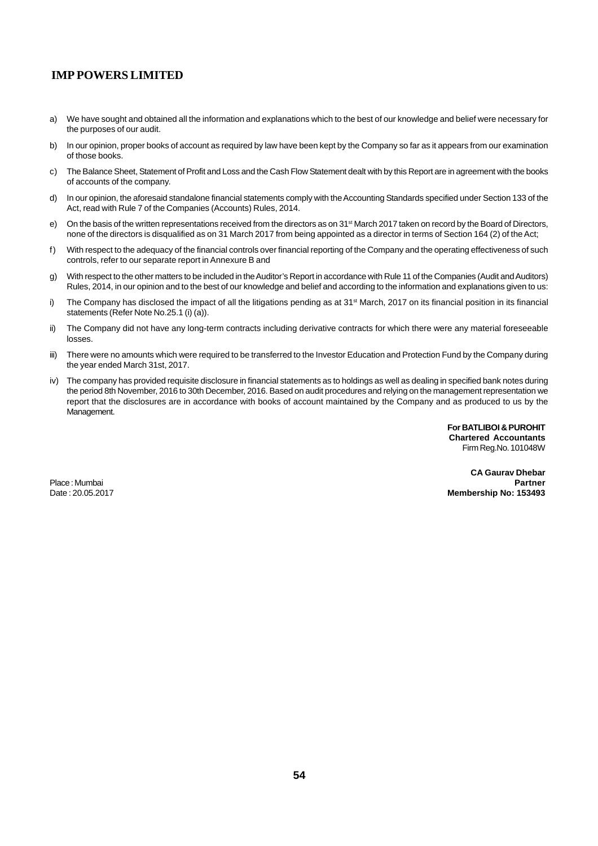- a) We have sought and obtained all the information and explanations which to the best of our knowledge and belief were necessary for the purposes of our audit.
- b) In our opinion, proper books of account as required by law have been kept by the Company so far as it appears from our examination of those books.
- c) The Balance Sheet, Statement of Profit and Loss and the Cash Flow Statement dealt with by this Report are in agreement with the books of accounts of the company.
- d) In our opinion, the aforesaid standalone financial statements comply with the Accounting Standards specified under Section 133 of the Act, read with Rule 7 of the Companies (Accounts) Rules, 2014.
- e) On the basis of the written representations received from the directors as on  $31<sup>st</sup>$  March 2017 taken on record by the Board of Directors, none of the directors is disqualified as on 31 March 2017 from being appointed as a director in terms of Section 164 (2) of the Act;
- f) With respect to the adequacy of the financial controls over financial reporting of the Company and the operating effectiveness of such controls, refer to our separate report in Annexure B and
- g) With respect to the other matters to be included in the Auditor's Report in accordance with Rule 11 of the Companies (Audit and Auditors) Rules, 2014, in our opinion and to the best of our knowledge and belief and according to the information and explanations given to us:
- i) The Company has disclosed the impact of all the litigations pending as at 31<sup>st</sup> March, 2017 on its financial position in its financial statements (Refer Note No.25.1 (i) (a)).
- ii) The Company did not have any long-term contracts including derivative contracts for which there were any material foreseeable losses.
- iii) There were no amounts which were required to be transferred to the Investor Education and Protection Fund by the Company during the year ended March 31st, 2017.
- iv) The company has provided requisite disclosure in financial statements as to holdings as well as dealing in specified bank notes during the period 8th November, 2016 to 30th December, 2016. Based on audit procedures and relying on the management representation we report that the disclosures are in accordance with books of account maintained by the Company and as produced to us by the Management.

**For BATLIBOI & PUROHIT Chartered Accountants** Firm Reg.No. 101048W

**CA Gaurav Dhebar** Place : Mumbai **Partner** Date : 20.05.2017 **Membership No: 153493**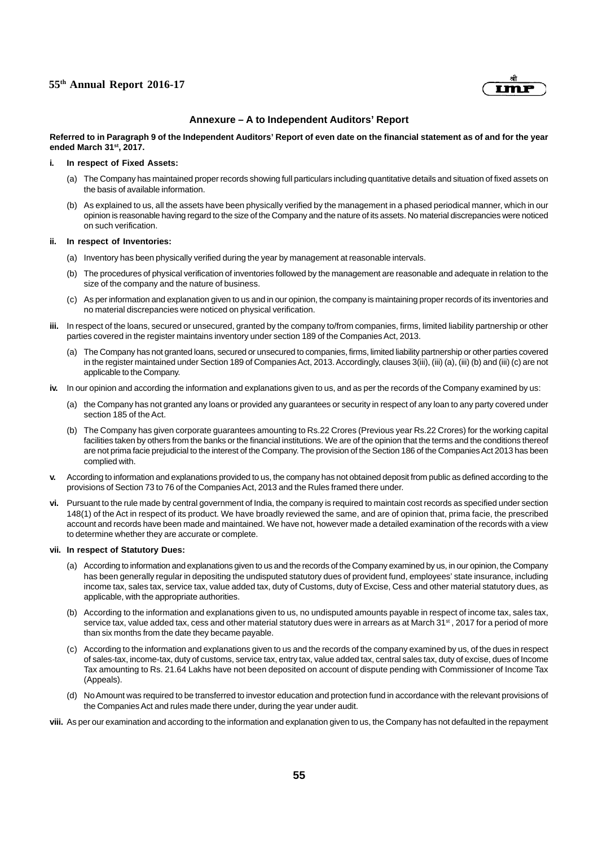

#### **Annexure – A to Independent Auditors' Report**

#### **Referred to in Paragraph 9 of the Independent Auditors' Report of even date on the financial statement as of and for the year ended March 31st, 2017.**

#### **i. In respect of Fixed Assets:**

- (a) The Company has maintained proper records showing full particulars including quantitative details and situation of fixed assets on the basis of available information.
- (b) As explained to us, all the assets have been physically verified by the management in a phased periodical manner, which in our opinion is reasonable having regard to the size of the Company and the nature of its assets. No material discrepancies were noticed on such verification.

#### **ii. In respect of Inventories:**

- (a) Inventory has been physically verified during the year by management at reasonable intervals.
- (b) The procedures of physical verification of inventories followed by the management are reasonable and adequate in relation to the size of the company and the nature of business.
- (c) As per information and explanation given to us and in our opinion, the company is maintaining proper records of its inventories and no material discrepancies were noticed on physical verification.
- **iii.** In respect of the loans, secured or unsecured, granted by the company to/from companies, firms, limited liability partnership or other parties covered in the register maintains inventory under section 189 of the Companies Act, 2013.
	- (a) The Company has not granted loans, secured or unsecured to companies, firms, limited liability partnership or other parties covered in the register maintained under Section 189 of Companies Act, 2013. Accordingly, clauses 3(iii), (iii) (a), (iii) (b) and (iii) (c) are not applicable to the Company.
- **iv.** In our opinion and according the information and explanations given to us, and as per the records of the Company examined by us:
	- (a) the Company has not granted any loans or provided any guarantees or security in respect of any loan to any party covered under section 185 of the Act.
	- (b) The Company has given corporate guarantees amounting to Rs.22 Crores (Previous year Rs.22 Crores) for the working capital facilities taken by others from the banks or the financial institutions. We are of the opinion that the terms and the conditions thereof are not prima facie prejudicial to the interest of the Company. The provision of the Section 186 of the Companies Act 2013 has been complied with.
- **v.** According to information and explanations provided to us, the company has not obtained deposit from public as defined according to the provisions of Section 73 to 76 of the Companies Act, 2013 and the Rules framed there under.
- **vi.** Pursuant to the rule made by central government of India, the company is required to maintain cost records as specified under section 148(1) of the Act in respect of its product. We have broadly reviewed the same, and are of opinion that, prima facie, the prescribed account and records have been made and maintained. We have not, however made a detailed examination of the records with a view to determine whether they are accurate or complete.

#### **vii. In respect of Statutory Dues:**

- (a) According to information and explanations given to us and the records of the Company examined by us, in our opinion, the Company has been generally regular in depositing the undisputed statutory dues of provident fund, employees' state insurance, including income tax, sales tax, service tax, value added tax, duty of Customs, duty of Excise, Cess and other material statutory dues, as applicable, with the appropriate authorities.
- (b) According to the information and explanations given to us, no undisputed amounts payable in respect of income tax, sales tax, service tax, value added tax, cess and other material statutory dues were in arrears as at March 31<sup>st</sup>, 2017 for a period of more than six months from the date they became payable.
- (c) According to the information and explanations given to us and the records of the company examined by us, of the dues in respect of sales-tax, income-tax, duty of customs, service tax, entry tax, value added tax, central sales tax, duty of excise, dues of Income Tax amounting to Rs. 21.64 Lakhs have not been deposited on account of dispute pending with Commissioner of Income Tax (Appeals).
- (d) No Amount was required to be transferred to investor education and protection fund in accordance with the relevant provisions of the Companies Act and rules made there under, during the year under audit.
- **viii.** As per our examination and according to the information and explanation given to us, the Company has not defaulted in the repayment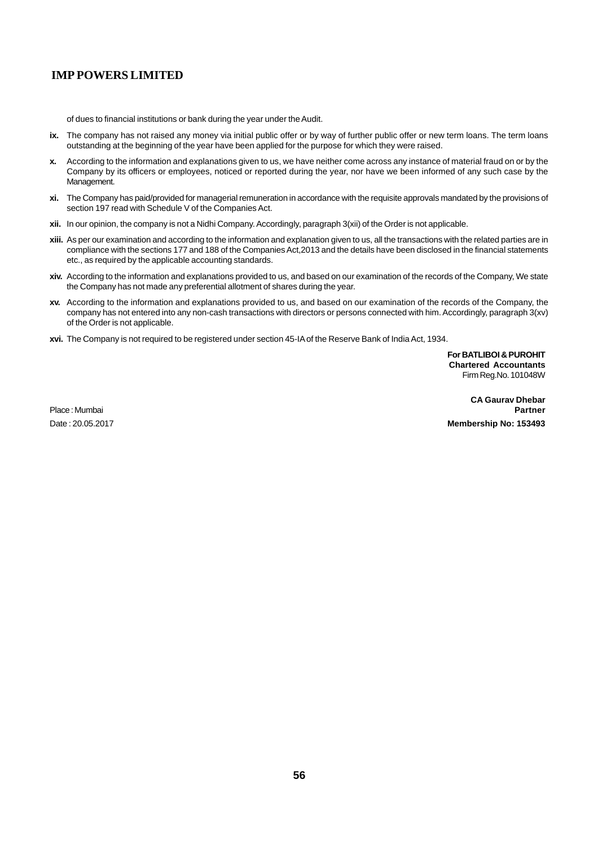of dues to financial institutions or bank during the year under the Audit.

- ix. The company has not raised any money via initial public offer or by way of further public offer or new term loans. The term loans outstanding at the beginning of the year have been applied for the purpose for which they were raised.
- **x.** According to the information and explanations given to us, we have neither come across any instance of material fraud on or by the Company by its officers or employees, noticed or reported during the year, nor have we been informed of any such case by the Management.
- **xi.** The Company has paid/provided for managerial remuneration in accordance with the requisite approvals mandated by the provisions of section 197 read with Schedule V of the Companies Act.
- **xii.** In our opinion, the company is not a Nidhi Company. Accordingly, paragraph 3(xii) of the Order is not applicable.
- **xiii.** As per our examination and according to the information and explanation given to us, all the transactions with the related parties are in compliance with the sections 177 and 188 of the Companies Act,2013 and the details have been disclosed in the financial statements etc., as required by the applicable accounting standards.
- **xiv.** According to the information and explanations provided to us, and based on our examination of the records of the Company, We state the Company has not made any preferential allotment of shares during the year.
- **xv.** According to the information and explanations provided to us, and based on our examination of the records of the Company, the company has not entered into any non-cash transactions with directors or persons connected with him. Accordingly, paragraph 3(xv) of the Order is not applicable.
- **xvi.** The Company is not required to be registered under section 45-IA of the Reserve Bank of India Act, 1934.

**For BATLIBOI & PUROHIT Chartered Accountants** Firm Reg.No. 101048W

**CA Gaurav Dhebar** Place : Mumbai **Partner** Date : 20.05.2017 **Membership No: 153493**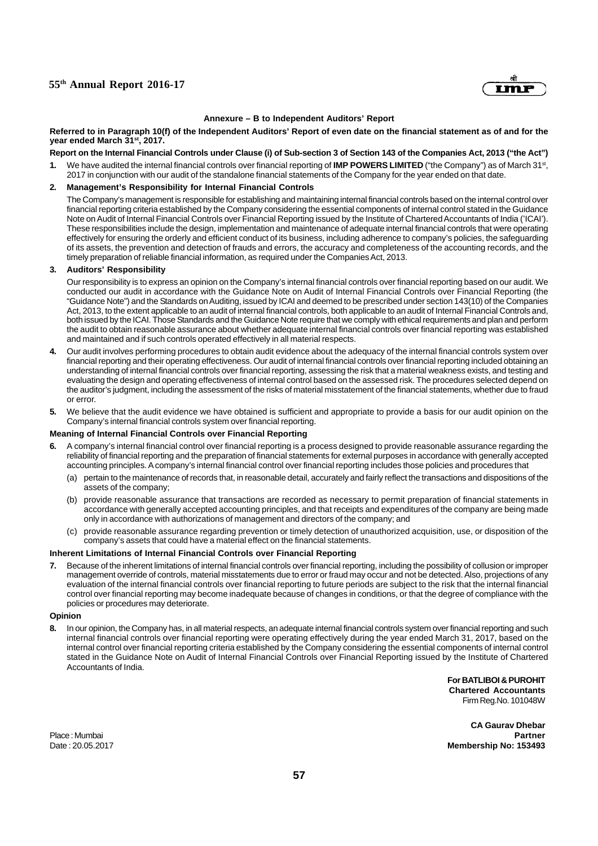

#### **Annexure – B to Independent Auditors' Report**

#### **Referred to in Paragraph 10(f) of the Independent Auditors' Report of even date on the financial statement as of and for the year ended March 31st, 2017.**

**Report on the Internal Financial Controls under Clause (i) of Sub-section 3 of Section 143 of the Companies Act, 2013 ("the Act")**

**1.** We have audited the internal financial controls over financial reporting of **IMP POWERS LIMITED** ("the Company") as of March 31st, 2017 in conjunction with our audit of the standalone financial statements of the Company for the year ended on that date.

#### **2. Management's Responsibility for Internal Financial Controls**

The Company's management is responsible for establishing and maintaining internal financial controls based on the internal control over financial reporting criteria established by the Company considering the essential components of internal control stated in the Guidance Note on Audit of Internal Financial Controls over Financial Reporting issued by the Institute of Chartered Accountants of India ('ICAI'). These responsibilities include the design, implementation and maintenance of adequate internal financial controls that were operating effectively for ensuring the orderly and efficient conduct of its business, including adherence to company's policies, the safeguarding of its assets, the prevention and detection of frauds and errors, the accuracy and completeness of the accounting records, and the timely preparation of reliable financial information, as required under the Companies Act, 2013.

#### **3. Auditors' Responsibility**

Our responsibility is to express an opinion on the Company's internal financial controls over financial reporting based on our audit. We conducted our audit in accordance with the Guidance Note on Audit of Internal Financial Controls over Financial Reporting (the "Guidance Note") and the Standards on Auditing, issued by ICAI and deemed to be prescribed under section 143(10) of the Companies Act, 2013, to the extent applicable to an audit of internal financial controls, both applicable to an audit of Internal Financial Controls and, both issued by the ICAI. Those Standards and the Guidance Note require that we comply with ethical requirements and plan and perform the audit to obtain reasonable assurance about whether adequate internal financial controls over financial reporting was established and maintained and if such controls operated effectively in all material respects.

- **4.** Our audit involves performing procedures to obtain audit evidence about the adequacy of the internal financial controls system over financial reporting and their operating effectiveness. Our audit of internal financial controls over financial reporting included obtaining an understanding of internal financial controls over financial reporting, assessing the risk that a material weakness exists, and testing and evaluating the design and operating effectiveness of internal control based on the assessed risk. The procedures selected depend on the auditor's judgment, including the assessment of the risks of material misstatement of the financial statements, whether due to fraud or error.
- **5.** We believe that the audit evidence we have obtained is sufficient and appropriate to provide a basis for our audit opinion on the Company's internal financial controls system over financial reporting.

#### **Meaning of Internal Financial Controls over Financial Reporting**

- **6.** A company's internal financial control over financial reporting is a process designed to provide reasonable assurance regarding the reliability of financial reporting and the preparation of financial statements for external purposes in accordance with generally accepted accounting principles. A company's internal financial control over financial reporting includes those policies and procedures that
	- (a) pertain to the maintenance of records that, in reasonable detail, accurately and fairly reflect the transactions and dispositions of the assets of the company;
	- (b) provide reasonable assurance that transactions are recorded as necessary to permit preparation of financial statements in accordance with generally accepted accounting principles, and that receipts and expenditures of the company are being made only in accordance with authorizations of management and directors of the company; and
	- (c) provide reasonable assurance regarding prevention or timely detection of unauthorized acquisition, use, or disposition of the company's assets that could have a material effect on the financial statements.

#### **Inherent Limitations of Internal Financial Controls over Financial Reporting**

**7.** Because of the inherent limitations of internal financial controls over financial reporting, including the possibility of collusion or improper management override of controls, material misstatements due to error or fraud may occur and not be detected. Also, projections of any evaluation of the internal financial controls over financial reporting to future periods are subject to the risk that the internal financial control over financial reporting may become inadequate because of changes in conditions, or that the degree of compliance with the policies or procedures may deteriorate.

#### **Opinion**

**8.** In our opinion, the Company has, in all material respects, an adequate internal financial controls system over financial reporting and such internal financial controls over financial reporting were operating effectively during the year ended March 31, 2017, based on the internal control over financial reporting criteria established by the Company considering the essential components of internal control stated in the Guidance Note on Audit of Internal Financial Controls over Financial Reporting issued by the Institute of Chartered Accountants of India.

> **For BATLIBOI & PUROHIT Chartered Accountants** Firm Reg.No. 101048W

**CA Gaurav Dhebar** Place : Mumbai **Partner** Date : 20.05.2017 **Membership No: 153493**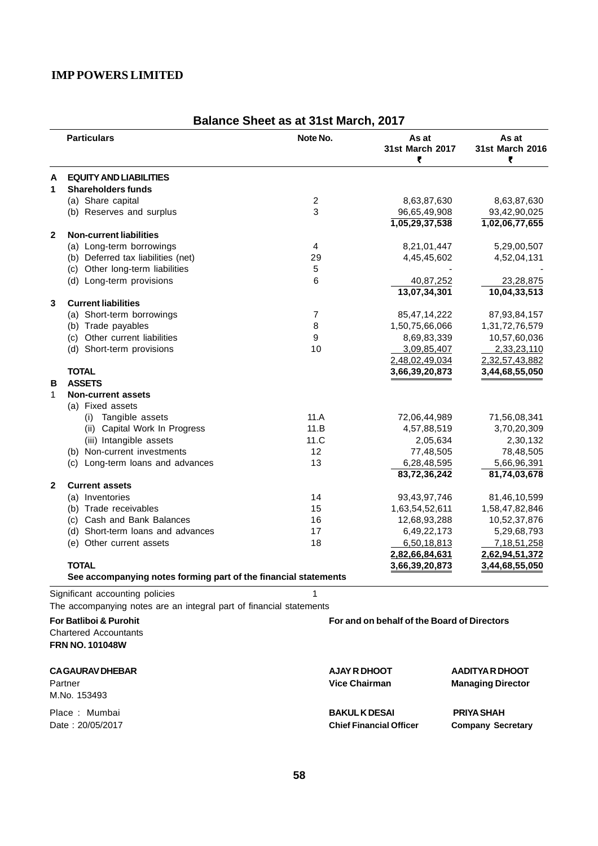|                  | <b>Particulars</b>                                                  | Note No. | As at<br>31st March 2017<br>₹               | As at<br>31st March 2016<br>₹ |
|------------------|---------------------------------------------------------------------|----------|---------------------------------------------|-------------------------------|
| A                | <b>EQUITY AND LIABILITIES</b>                                       |          |                                             |                               |
| 1                | <b>Shareholders funds</b>                                           |          |                                             |                               |
|                  | (a) Share capital                                                   | 2        | 8,63,87,630                                 | 8,63,87,630                   |
|                  | (b) Reserves and surplus                                            | 3        | 96,65,49,908                                | 93,42,90,025                  |
|                  |                                                                     |          | 1,05,29,37,538                              | 1,02,06,77,655                |
| $\mathbf{2}$     | <b>Non-current liabilities</b>                                      |          |                                             |                               |
|                  | (a) Long-term borrowings                                            | 4        | 8,21,01,447                                 | 5,29,00,507                   |
|                  | (b) Deferred tax liabilities (net)                                  | 29       | 4,45,45,602                                 | 4,52,04,131                   |
|                  | (c) Other long-term liabilities                                     | 5        |                                             |                               |
|                  | (d) Long-term provisions                                            | 6        | 40,87,252                                   | 23,28,875                     |
| 3                | <b>Current liabilities</b>                                          |          | 13,07,34,301                                | 10,04,33,513                  |
|                  | (a) Short-term borrowings                                           | 7        | 85,47,14,222                                | 87,93,84,157                  |
|                  | (b) Trade payables                                                  | 8        | 1,50,75,66,066                              | 1,31,72,76,579                |
|                  | (c) Other current liabilities                                       | 9        | 8,69,83,339                                 | 10,57,60,036                  |
|                  | (d) Short-term provisions                                           | 10       | 3,09,85,407                                 | 2,33,23,110                   |
|                  |                                                                     |          | 2,48,02,49,034                              | 2,32,57,43,882                |
|                  | <b>TOTAL</b>                                                        |          | 3,66,39,20,873                              | 3,44,68,55,050                |
| В                | <b>ASSETS</b>                                                       |          |                                             |                               |
| $\mathbf{1}$     | <b>Non-current assets</b>                                           |          |                                             |                               |
|                  | (a) Fixed assets                                                    |          |                                             |                               |
|                  | Tangible assets<br>(i)                                              | 11.A     | 72,06,44,989                                | 71,56,08,341                  |
|                  | (ii) Capital Work In Progress                                       | 11.B     | 4,57,88,519                                 | 3,70,20,309                   |
|                  | (iii) Intangible assets                                             | 11.C     | 2,05,634                                    | 2,30,132                      |
|                  | (b) Non-current investments                                         | 12       | 77,48,505                                   | 78,48,505                     |
|                  | (c) Long-term loans and advances                                    | 13       | 6,28,48,595                                 | 5,66,96,391                   |
|                  |                                                                     |          | 83,72,36,242                                | 81,74,03,678                  |
| $\mathbf{2}$     | <b>Current assets</b>                                               |          |                                             |                               |
|                  | (a) Inventories                                                     | 14       | 93,43,97,746                                | 81,46,10,599                  |
|                  | (b) Trade receivables                                               | 15       | 1,63,54,52,611                              | 1,58,47,82,846                |
|                  | (c) Cash and Bank Balances                                          | 16       | 12,68,93,288                                | 10,52,37,876                  |
|                  | (d) Short-term loans and advances                                   | 17       | 6,49,22,173                                 | 5,29,68,793                   |
|                  | Other current assets<br>(e)                                         | 18       | 6,50,18,813                                 | 7,18,51,258                   |
|                  |                                                                     |          | 2,82,66,84,631                              | 2,62,94,51,372                |
|                  | <b>TOTAL</b>                                                        |          | 3,66,39,20,873                              | 3,44,68,55,050                |
|                  | See accompanying notes forming part of the financial statements     |          |                                             |                               |
|                  | Significant accounting policies                                     | 1        |                                             |                               |
|                  | The accompanying notes are an integral part of financial statements |          |                                             |                               |
|                  | For Batliboi & Purohit                                              |          | For and on behalf of the Board of Directors |                               |
|                  | <b>Chartered Accountants</b>                                        |          |                                             |                               |
|                  | <b>FRN NO. 101048W</b>                                              |          |                                             |                               |
|                  | <b>CA GAURAV DHEBAR</b>                                             |          | AJAY R DHOOT                                | AADITYA R DHOOT               |
|                  | Partner                                                             |          | <b>Vice Chairman</b>                        | <b>Managing Director</b>      |
|                  | M.No. 153493                                                        |          |                                             |                               |
|                  | Place: Mumbai                                                       |          | <b>BAKUL K DESAI</b>                        | <b>PRIYA SHAH</b>             |
| Date: 20/05/2017 |                                                                     |          | <b>Chief Financial Officer</b>              | <b>Company Secretary</b>      |

### **Balance Sheet as at 31st March, 2017**

**58**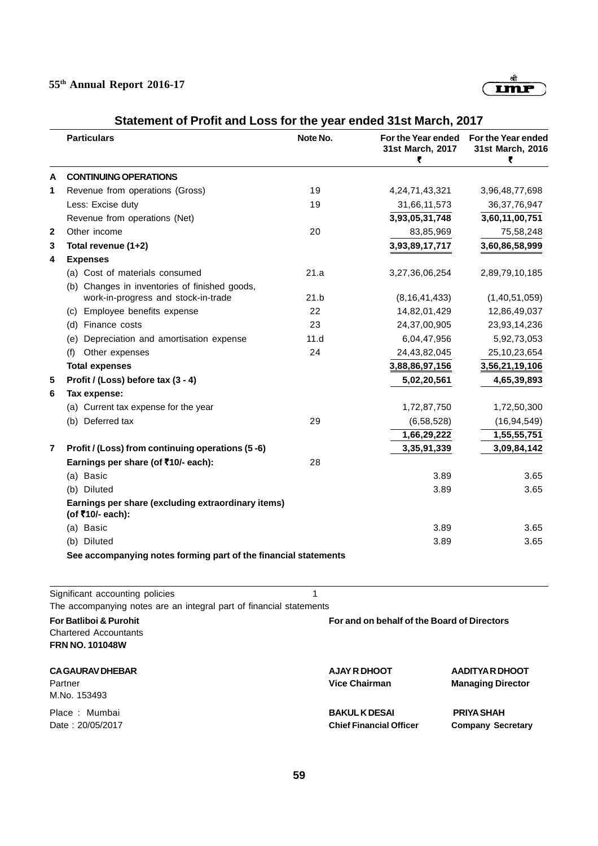

## **Statement of Profit and Loss for the year ended 31st March, 2017**

|                                   | <b>Particulars</b>                                                                                     | Note No. | For the Year ended<br>31st March, 2017<br>₹            | For the Year ended<br>31st March, 2016<br>₹ |
|-----------------------------------|--------------------------------------------------------------------------------------------------------|----------|--------------------------------------------------------|---------------------------------------------|
| A                                 | <b>CONTINUING OPERATIONS</b>                                                                           |          |                                                        |                                             |
| 1                                 | Revenue from operations (Gross)                                                                        | 19       | 4,24,71,43,321                                         | 3,96,48,77,698                              |
|                                   | Less: Excise duty                                                                                      | 19       | 31,66,11,573                                           | 36, 37, 76, 947                             |
|                                   | Revenue from operations (Net)                                                                          |          | 3,93,05,31,748                                         | 3,60,11,00,751                              |
| 2                                 | Other income                                                                                           | 20       | 83,85,969                                              | 75,58,248                                   |
| 3                                 | Total revenue (1+2)                                                                                    |          | 3,93,89,17,717                                         | 3,60,86,58,999                              |
| 4                                 | <b>Expenses</b>                                                                                        |          |                                                        |                                             |
|                                   | (a) Cost of materials consumed                                                                         | 21.a     | 3,27,36,06,254                                         | 2,89,79,10,185                              |
|                                   | (b) Changes in inventories of finished goods,<br>work-in-progress and stock-in-trade                   | 21.b     | (8, 16, 41, 433)                                       | (1,40,51,059)                               |
|                                   | (c) Employee benefits expense                                                                          | 22       | 14,82,01,429                                           | 12,86,49,037                                |
|                                   | (d) Finance costs                                                                                      | 23       | 24,37,00,905                                           | 23,93,14,236                                |
|                                   | Depreciation and amortisation expense<br>(e)                                                           | 11.d     | 6,04,47,956                                            | 5,92,73,053                                 |
|                                   | Other expenses<br>(f)                                                                                  | 24       | 24,43,82,045                                           | 25, 10, 23, 654                             |
|                                   | <b>Total expenses</b>                                                                                  |          | 3,88,86,97,156                                         | 3,56,21,19,106                              |
| 5                                 | Profit / (Loss) before tax (3 - 4)                                                                     |          | 5,02,20,561                                            | 4,65,39,893                                 |
| 6                                 | Tax expense:                                                                                           |          |                                                        |                                             |
|                                   | (a) Current tax expense for the year                                                                   |          | 1,72,87,750                                            | 1,72,50,300                                 |
|                                   | (b) Deferred tax                                                                                       | 29       | (6, 58, 528)                                           | (16, 94, 549)                               |
|                                   |                                                                                                        |          | 1,66,29,222                                            | 1,55,55,751                                 |
| $\overline{\mathbf{r}}$           | Profit / (Loss) from continuing operations (5 -6)                                                      |          | 3,35,91,339                                            | 3,09,84,142                                 |
|                                   | Earnings per share (of ₹10/- each):                                                                    | 28       |                                                        |                                             |
|                                   | (a) Basic                                                                                              |          | 3.89                                                   | 3.65                                        |
|                                   | (b) Diluted                                                                                            |          | 3.89                                                   | 3.65                                        |
|                                   | Earnings per share (excluding extraordinary items)<br>(of ₹10/- each):                                 |          |                                                        |                                             |
|                                   | (a) Basic                                                                                              |          | 3.89                                                   | 3.65                                        |
|                                   | (b) Diluted                                                                                            |          | 3.89                                                   | 3.65                                        |
|                                   | See accompanying notes forming part of the financial statements                                        |          |                                                        |                                             |
|                                   | Significant accounting policies<br>The accompanying notes are an integral part of financial statements |          |                                                        |                                             |
|                                   | <b>For Batliboi &amp; Purohit</b><br><b>Chartered Accountants</b><br><b>FRN NO. 101048W</b>            |          | For and on behalf of the Board of Directors            |                                             |
|                                   | <b>CAGAURAV DHEBAR</b>                                                                                 |          | AJAY R DHOOT                                           | AADITYA R DHOOT                             |
|                                   | Partner<br>M.No. 153493                                                                                |          | <b>Vice Chairman</b>                                   | <b>Managing Director</b>                    |
| Place: Mumbai<br>Date: 20/05/2017 |                                                                                                        |          | <b>BAKUL K DESAI</b><br><b>Chief Financial Officer</b> | PRIYA SHAH<br><b>Company Secretary</b>      |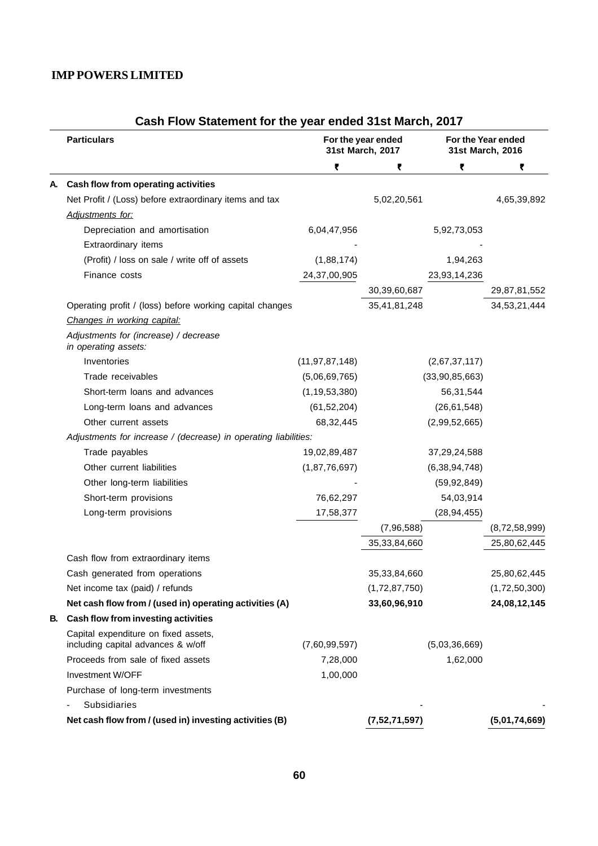|    | <b>Particulars</b>                                                         |                   | For the year ended<br>31st March, 2017 | For the Year ended<br>31st March, 2016 |               |
|----|----------------------------------------------------------------------------|-------------------|----------------------------------------|----------------------------------------|---------------|
|    |                                                                            | ₹                 | ₹                                      | ₹                                      | ₹             |
| А. | Cash flow from operating activities                                        |                   |                                        |                                        |               |
|    | Net Profit / (Loss) before extraordinary items and tax                     |                   | 5,02,20,561                            |                                        | 4,65,39,892   |
|    | Adjustments for:                                                           |                   |                                        |                                        |               |
|    | Depreciation and amortisation                                              | 6,04,47,956       |                                        | 5,92,73,053                            |               |
|    | Extraordinary items                                                        |                   |                                        |                                        |               |
|    | (Profit) / loss on sale / write off of assets                              | (1,88,174)        |                                        | 1,94,263                               |               |
|    | Finance costs                                                              | 24,37,00,905      |                                        | 23,93,14,236                           |               |
|    |                                                                            |                   | 30,39,60,687                           |                                        | 29,87,81,552  |
|    | Operating profit / (loss) before working capital changes                   |                   | 35,41,81,248                           |                                        | 34,53,21,444  |
|    | Changes in working capital:                                                |                   |                                        |                                        |               |
|    | Adjustments for (increase) / decrease<br>in operating assets:              |                   |                                        |                                        |               |
|    | Inventories                                                                | (11, 97, 87, 148) |                                        | (2,67,37,117)                          |               |
|    | Trade receivables                                                          | (5,06,69,765)     |                                        | (33,90,85,663)                         |               |
|    | Short-term loans and advances                                              | (1, 19, 53, 380)  |                                        | 56,31,544                              |               |
|    | Long-term loans and advances                                               | (61, 52, 204)     |                                        | (26, 61, 548)                          |               |
|    | Other current assets                                                       | 68,32,445         |                                        | (2,99,52,665)                          |               |
|    | Adjustments for increase / (decrease) in operating liabilities:            |                   |                                        |                                        |               |
|    | Trade payables                                                             | 19,02,89,487      |                                        | 37,29,24,588                           |               |
|    | Other current liabilities                                                  | (1,87,76,697)     |                                        | (6, 38, 94, 748)                       |               |
|    | Other long-term liabilities                                                |                   |                                        | (59, 92, 849)                          |               |
|    | Short-term provisions                                                      | 76,62,297         |                                        | 54,03,914                              |               |
|    | Long-term provisions                                                       | 17,58,377         |                                        | (28, 94, 455)                          |               |
|    |                                                                            |                   | (7,96,588)                             |                                        | (8,72,58,999) |
|    |                                                                            |                   | 35, 33, 84, 660                        |                                        | 25,80,62,445  |
|    | Cash flow from extraordinary items                                         |                   |                                        |                                        |               |
|    | Cash generated from operations                                             |                   | 35,33,84,660                           |                                        | 25,80,62,445  |
|    | Net income tax (paid) / refunds                                            |                   | (1,72,87,750)                          |                                        | (1,72,50,300) |
|    | Net cash flow from / (used in) operating activities (A)                    |                   | 33,60,96,910                           |                                        | 24,08,12,145  |
| В. | Cash flow from investing activities                                        |                   |                                        |                                        |               |
|    | Capital expenditure on fixed assets,<br>including capital advances & w/off | (7,60,99,597)     |                                        | (5,03,36,669)                          |               |
|    | Proceeds from sale of fixed assets                                         | 7,28,000          |                                        | 1,62,000                               |               |
|    | Investment W/OFF                                                           | 1,00,000          |                                        |                                        |               |
|    | Purchase of long-term investments                                          |                   |                                        |                                        |               |
|    | Subsidiaries                                                               |                   |                                        |                                        |               |
|    | Net cash flow from / (used in) investing activities (B)                    |                   | (7,52,71,597)                          |                                        | (5,01,74,669) |

### **Cash Flow Statement for the year ended 31st March, 2017**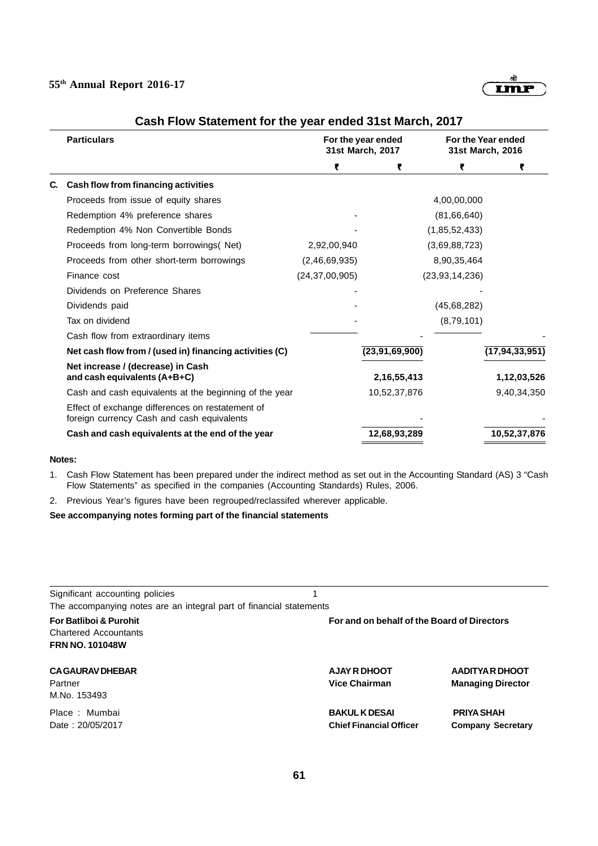# **LITTLE**

| Cash Flow Statement for the year ended 31st March, 2017 |  |  |
|---------------------------------------------------------|--|--|
|---------------------------------------------------------|--|--|

|    | <b>Particulars</b>                                                                             |                   | For the year ended<br>31st March, 2017 |                   | For the Year ended<br>31st March, 2016 |
|----|------------------------------------------------------------------------------------------------|-------------------|----------------------------------------|-------------------|----------------------------------------|
|    |                                                                                                | ₹                 | ₹                                      | ₹                 | ₹                                      |
| C. | Cash flow from financing activities                                                            |                   |                                        |                   |                                        |
|    | Proceeds from issue of equity shares                                                           |                   |                                        | 4,00,00,000       |                                        |
|    | Redemption 4% preference shares                                                                |                   |                                        | (81, 66, 640)     |                                        |
|    | Redemption 4% Non Convertible Bonds                                                            |                   |                                        | (1,85,52,433)     |                                        |
|    | Proceeds from long-term borrowings (Net)                                                       | 2,92,00,940       |                                        | (3,69,88,723)     |                                        |
|    | Proceeds from other short-term borrowings                                                      | (2,46,69,935)     |                                        | 8,90,35,464       |                                        |
|    | Finance cost                                                                                   | (24, 37, 00, 905) |                                        | (23, 93, 14, 236) |                                        |
|    | Dividends on Preference Shares                                                                 |                   |                                        |                   |                                        |
|    | Dividends paid                                                                                 |                   |                                        | (45,68,282)       |                                        |
|    | Tax on dividend                                                                                |                   |                                        | (8,79,101)        |                                        |
|    | Cash flow from extraordinary items                                                             |                   |                                        |                   |                                        |
|    | Net cash flow from / (used in) financing activities (C)                                        |                   | (23, 91, 69, 900)                      |                   | (17, 94, 33, 951)                      |
|    | Net increase / (decrease) in Cash<br>and cash equivalents (A+B+C)                              |                   | 2, 16, 55, 413                         |                   | 1,12,03,526                            |
|    | Cash and cash equivalents at the beginning of the year                                         |                   | 10,52,37,876                           |                   | 9,40,34,350                            |
|    | Effect of exchange differences on restatement of<br>foreign currency Cash and cash equivalents |                   |                                        |                   |                                        |
|    | Cash and cash equivalents at the end of the year                                               |                   | 12,68,93,289                           |                   | 10,52,37,876                           |

#### **Notes:**

1. Cash Flow Statement has been prepared under the indirect method as set out in the Accounting Standard (AS) 3 "Cash Flow Statements" as specified in the companies (Accounting Standards) Rules, 2006.

2. Previous Year's figures have been regrouped/reclassifed wherever applicable.

#### **See accompanying notes forming part of the financial statements**

| Significant accounting policies                                                             |                                                        |                                               |
|---------------------------------------------------------------------------------------------|--------------------------------------------------------|-----------------------------------------------|
| The accompanying notes are an integral part of financial statements                         |                                                        |                                               |
| <b>For Batliboi &amp; Purohit</b><br><b>Chartered Accountants</b><br><b>FRN NO. 101048W</b> | For and on behalf of the Board of Directors            |                                               |
| <b>CA GAURAV DHEBAR</b><br>Partner<br>M.No. 153493                                          | <b>AJAY R DHOOT</b><br><b>Vice Chairman</b>            | AADITYAR DHOOT<br><b>Managing Director</b>    |
| Place: Mumbai<br>Date: 20/05/2017                                                           | <b>BAKUL K DESAI</b><br><b>Chief Financial Officer</b> | <b>PRIYA SHAH</b><br><b>Company Secretary</b> |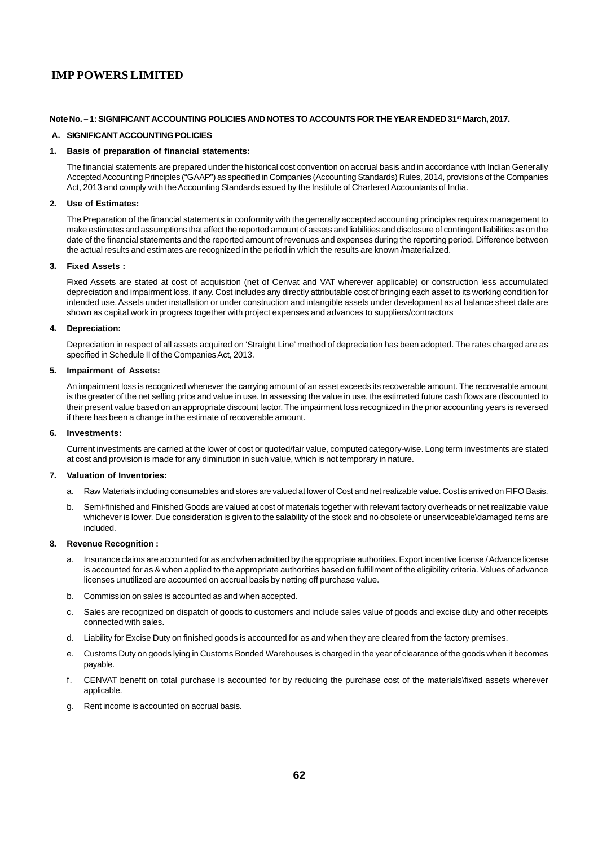#### Note No. - 1: SIGNIFICANT ACCOUNTING POLICIES AND NOTES TO ACCOUNTS FOR THE YEAR ENDED 31<sup>st</sup> March, 2017.

#### **A. SIGNIFICANT ACCOUNTING POLICIES**

#### **1. Basis of preparation of financial statements:**

The financial statements are prepared under the historical cost convention on accrual basis and in accordance with Indian Generally Accepted Accounting Principles ("GAAP") as specified in Companies (Accounting Standards) Rules, 2014, provisions of the Companies Act, 2013 and comply with the Accounting Standards issued by the Institute of Chartered Accountants of India.

#### **2. Use of Estimates:**

The Preparation of the financial statements in conformity with the generally accepted accounting principles requires management to make estimates and assumptions that affect the reported amount of assets and liabilities and disclosure of contingent liabilities as on the date of the financial statements and the reported amount of revenues and expenses during the reporting period. Difference between the actual results and estimates are recognized in the period in which the results are known /materialized.

#### **3. Fixed Assets :**

Fixed Assets are stated at cost of acquisition (net of Cenvat and VAT wherever applicable) or construction less accumulated depreciation and impairment loss, if any. Cost includes any directly attributable cost of bringing each asset to its working condition for intended use. Assets under installation or under construction and intangible assets under development as at balance sheet date are shown as capital work in progress together with project expenses and advances to suppliers/contractors

#### **4. Depreciation:**

Depreciation in respect of all assets acquired on 'Straight Line' method of depreciation has been adopted. The rates charged are as specified in Schedule II of the Companies Act, 2013.

#### **5. Impairment of Assets:**

An impairment loss is recognized whenever the carrying amount of an asset exceeds its recoverable amount. The recoverable amount is the greater of the net selling price and value in use. In assessing the value in use, the estimated future cash flows are discounted to their present value based on an appropriate discount factor. The impairment loss recognized in the prior accounting years is reversed if there has been a change in the estimate of recoverable amount.

#### **6. Investments:**

Current investments are carried at the lower of cost or quoted/fair value, computed category-wise. Long term investments are stated at cost and provision is made for any diminution in such value, which is not temporary in nature.

#### **7. Valuation of Inventories:**

- a. Raw Materials including consumables and stores are valued at lower of Cost and net realizable value. Cost is arrived on FIFO Basis.
- b. Semi-finished and Finished Goods are valued at cost of materials together with relevant factory overheads or net realizable value whichever is lower. Due consideration is given to the salability of the stock and no obsolete or unserviceable\damaged items are included.

#### **8. Revenue Recognition :**

- a. Insurance claims are accounted for as and when admitted by the appropriate authorities. Export incentive license / Advance license is accounted for as & when applied to the appropriate authorities based on fulfillment of the eligibility criteria. Values of advance licenses unutilized are accounted on accrual basis by netting off purchase value.
- b. Commission on sales is accounted as and when accepted.
- c. Sales are recognized on dispatch of goods to customers and include sales value of goods and excise duty and other receipts connected with sales.
- d. Liability for Excise Duty on finished goods is accounted for as and when they are cleared from the factory premises.
- e. Customs Duty on goods lying in Customs Bonded Warehouses is charged in the year of clearance of the goods when it becomes payable.
- f. CENVAT benefit on total purchase is accounted for by reducing the purchase cost of the materials\fixed assets wherever applicable.
- g. Rent income is accounted on accrual basis.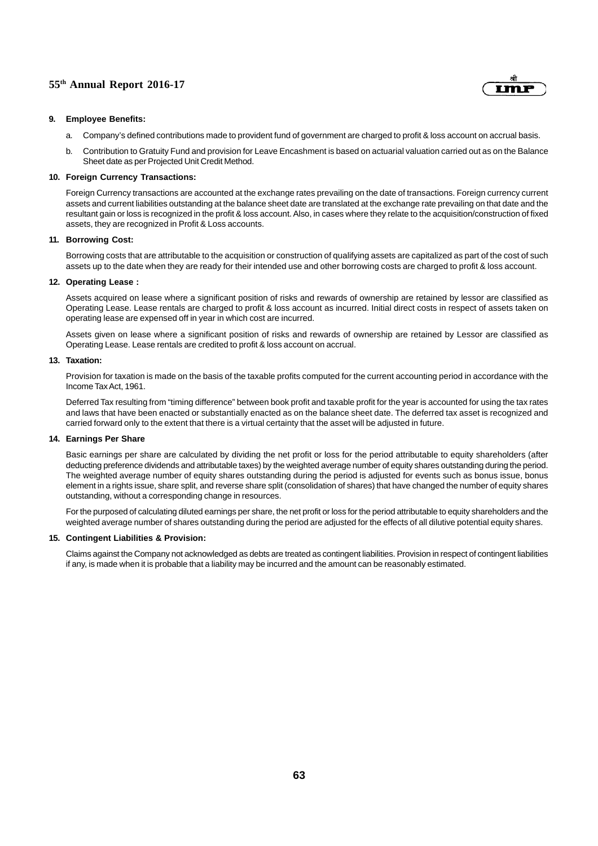

#### **9. Employee Benefits:**

- a. Company's defined contributions made to provident fund of government are charged to profit & loss account on accrual basis.
- b. Contribution to Gratuity Fund and provision for Leave Encashment is based on actuarial valuation carried out as on the Balance Sheet date as per Projected Unit Credit Method.

#### **10. Foreign Currency Transactions:**

Foreign Currency transactions are accounted at the exchange rates prevailing on the date of transactions. Foreign currency current assets and current liabilities outstanding at the balance sheet date are translated at the exchange rate prevailing on that date and the resultant gain or loss is recognized in the profit & loss account. Also, in cases where they relate to the acquisition/construction of fixed assets, they are recognized in Profit & Loss accounts.

#### **11. Borrowing Cost:**

Borrowing costs that are attributable to the acquisition or construction of qualifying assets are capitalized as part of the cost of such assets up to the date when they are ready for their intended use and other borrowing costs are charged to profit & loss account.

#### **12. Operating Lease :**

Assets acquired on lease where a significant position of risks and rewards of ownership are retained by lessor are classified as Operating Lease. Lease rentals are charged to profit & loss account as incurred. Initial direct costs in respect of assets taken on operating lease are expensed off in year in which cost are incurred.

Assets given on lease where a significant position of risks and rewards of ownership are retained by Lessor are classified as Operating Lease. Lease rentals are credited to profit & loss account on accrual.

#### **13. Taxation:**

Provision for taxation is made on the basis of the taxable profits computed for the current accounting period in accordance with the Income Tax Act, 1961.

Deferred Tax resulting from "timing difference" between book profit and taxable profit for the year is accounted for using the tax rates and laws that have been enacted or substantially enacted as on the balance sheet date. The deferred tax asset is recognized and carried forward only to the extent that there is a virtual certainty that the asset will be adjusted in future.

#### **14. Earnings Per Share**

Basic earnings per share are calculated by dividing the net profit or loss for the period attributable to equity shareholders (after deducting preference dividends and attributable taxes) by the weighted average number of equity shares outstanding during the period. The weighted average number of equity shares outstanding during the period is adjusted for events such as bonus issue, bonus element in a rights issue, share split, and reverse share split (consolidation of shares) that have changed the number of equity shares outstanding, without a corresponding change in resources.

For the purposed of calculating diluted earnings per share, the net profit or loss for the period attributable to equity shareholders and the weighted average number of shares outstanding during the period are adjusted for the effects of all dilutive potential equity shares.

#### **15. Contingent Liabilities & Provision:**

Claims against the Company not acknowledged as debts are treated as contingent liabilities. Provision in respect of contingent liabilities if any, is made when it is probable that a liability may be incurred and the amount can be reasonably estimated.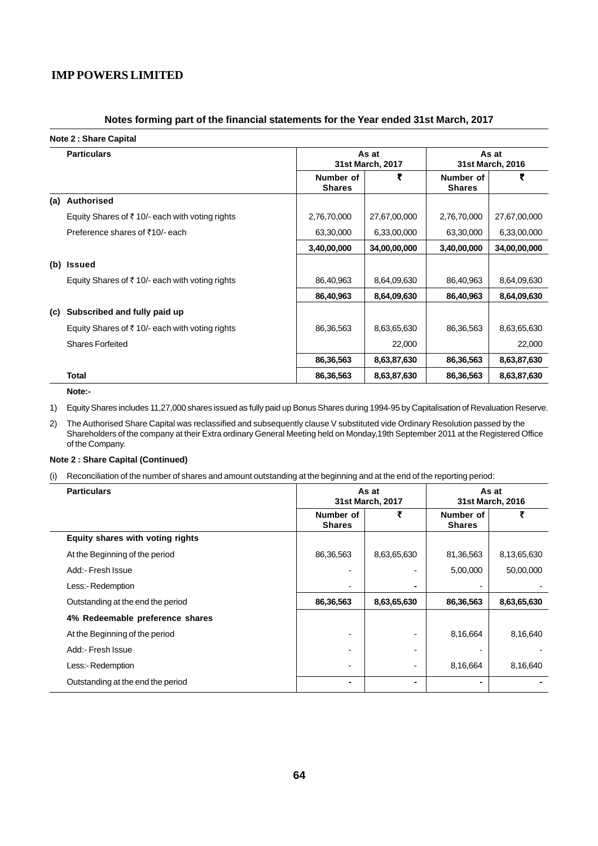|     | <b>Note 2: Share Capital</b>                   |                            |                           |                            |                           |  |
|-----|------------------------------------------------|----------------------------|---------------------------|----------------------------|---------------------------|--|
|     | <b>Particulars</b>                             |                            | As at<br>31st March, 2017 |                            | As at<br>31st March, 2016 |  |
|     |                                                | Number of<br><b>Shares</b> | ₹                         | Number of<br><b>Shares</b> | ₹                         |  |
| (a) | <b>Authorised</b>                              |                            |                           |                            |                           |  |
|     | Equity Shares of ₹10/- each with voting rights | 2,76,70,000                | 27,67,00,000              | 2,76,70,000                | 27,67,00,000              |  |
|     | Preference shares of ₹10/- each                | 63,30,000                  | 6,33,00,000               | 63,30,000                  | 6,33,00,000               |  |
|     |                                                | 3,40,00,000                | 34,00,00,000              | 3,40,00,000                | 34,00,00,000              |  |
| (b) | <b>Issued</b>                                  |                            |                           |                            |                           |  |
|     | Equity Shares of ₹10/- each with voting rights | 86,40,963                  | 8,64,09,630               | 86,40,963                  | 8,64,09,630               |  |
|     |                                                | 86,40,963                  | 8,64,09,630               | 86,40,963                  | 8,64,09,630               |  |
| (c) | Subscribed and fully paid up                   |                            |                           |                            |                           |  |
|     | Equity Shares of ₹10/- each with voting rights | 86,36,563                  | 8,63,65,630               | 86,36,563                  | 8,63,65,630               |  |
|     | <b>Shares Forfeited</b>                        |                            | 22,000                    |                            | 22,000                    |  |
|     |                                                | 86,36,563                  | 8,63,87,630               | 86,36,563                  | 8,63,87,630               |  |
|     | <b>Total</b>                                   | 86,36,563                  | 8,63,87,630               | 86,36,563                  | 8,63,87,630               |  |

#### **Notes forming part of the financial statements for the Year ended 31st March, 2017**

#### **Note:-**

1) Equity Shares includes 11,27,000 shares issued as fully paid up Bonus Shares during 1994-95 by Capitalisation of Revaluation Reserve.

2) The Authorised Share Capital was reclassified and subsequently clause V substituted vide Ordinary Resolution passed by the Shareholders of the company at their Extra ordinary General Meeting held on Monday,19th September 2011 at the Registered Office of the Company.

#### **Note 2 : Share Capital (Continued)**

(i) Reconciliation of the number of shares and amount outstanding at the beginning and at the end of the reporting period:

| <b>Particulars</b>                | As at<br>31st March, 2017  |             | As at<br>31st March, 2016  |             |
|-----------------------------------|----------------------------|-------------|----------------------------|-------------|
|                                   | Number of<br><b>Shares</b> | ₹           | Number of<br><b>Shares</b> |             |
| Equity shares with voting rights  |                            |             |                            |             |
| At the Beginning of the period    | 86,36,563                  | 8,63,65,630 | 81,36,563                  | 8,13,65,630 |
| Add:- Fresh Issue                 | $\overline{\phantom{0}}$   |             | 5,00,000                   | 50,00,000   |
| Less:- Redemption                 | ۰.                         |             |                            |             |
| Outstanding at the end the period | 86,36,563                  | 8,63,65,630 | 86,36,563                  | 8,63,65,630 |
| 4% Redeemable preference shares   |                            |             |                            |             |
| At the Beginning of the period    | -                          |             | 8,16,664                   | 8,16,640    |
| Add:- Fresh Issue                 | -                          |             |                            |             |
| Less:- Redemption                 |                            |             | 8,16,664                   | 8,16,640    |
| Outstanding at the end the period | ۰                          |             |                            |             |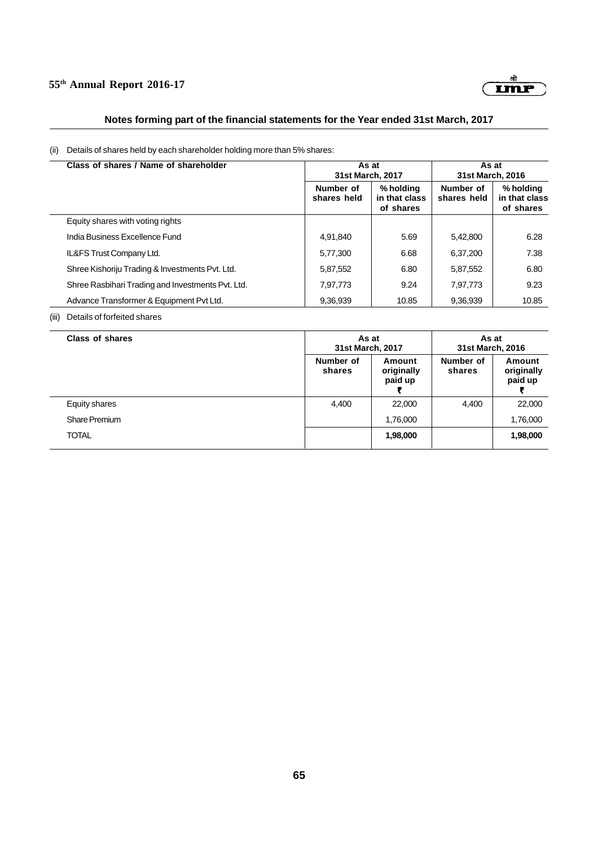

### **Notes forming part of the financial statements for the Year ended 31st March, 2017**

(ii) Details of shares held by each shareholder holding more than 5% shares:

| Class of shares / Name of shareholder             |                          | As at<br>31st March, 2017               |                          | As at<br>31st March, 2016               |  |
|---------------------------------------------------|--------------------------|-----------------------------------------|--------------------------|-----------------------------------------|--|
|                                                   | Number of<br>shares held | % holding<br>in that class<br>of shares | Number of<br>shares held | % holding<br>in that class<br>of shares |  |
| Equity shares with voting rights                  |                          |                                         |                          |                                         |  |
| India Business Excellence Fund                    | 4,91,840                 | 5.69                                    | 5,42,800                 | 6.28                                    |  |
| IL&FS Trust Company Ltd.                          | 5,77,300                 | 6.68                                    | 6,37,200                 | 7.38                                    |  |
| Shree Kishoriju Trading & Investments Pvt. Ltd.   | 5,87,552                 | 6.80                                    | 5,87,552                 | 6.80                                    |  |
| Shree Rasbihari Trading and Investments Pvt. Ltd. | 7.97.773                 | 9.24                                    | 7.97.773                 | 9.23                                    |  |
| Advance Transformer & Equipment Pvt Ltd.          | 9,36,939                 | 10.85                                   | 9,36,939                 | 10.85                                   |  |

(iii) Details of forfeited shares

| Class of shares | As at<br>31st March, 2017 |                                 | As at<br>31st March, 2016 |                                 |
|-----------------|---------------------------|---------------------------------|---------------------------|---------------------------------|
|                 | Number of<br>shares       | Amount<br>originally<br>paid up | Number of<br>shares       | Amount<br>originally<br>paid up |
| Equity shares   | 4,400                     | 22,000                          | 4,400                     | 22,000                          |
| Share Premium   |                           | 1,76,000                        |                           | 1,76,000                        |
| <b>TOTAL</b>    |                           | 1,98,000                        |                           | 1,98,000                        |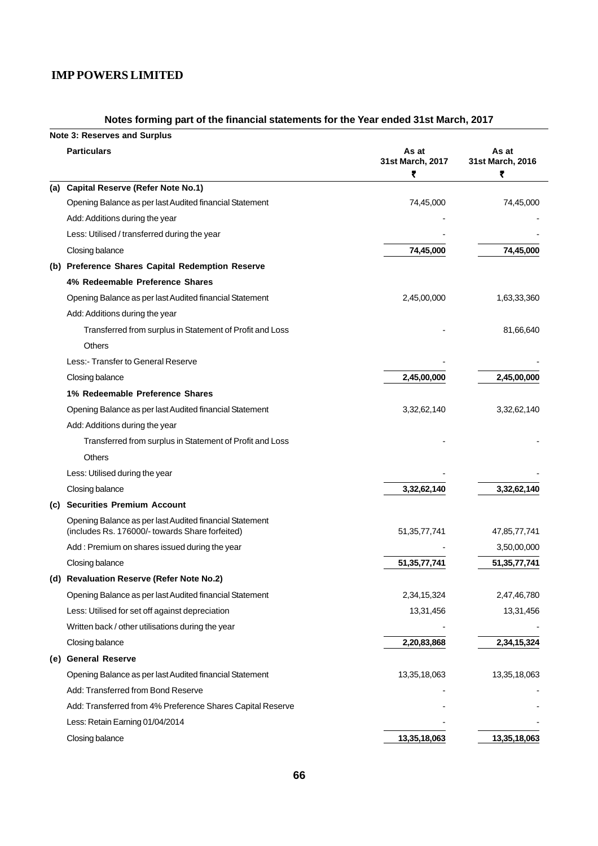| Notes forming part of the financial statements for the Year ended 31st March, 2017 |
|------------------------------------------------------------------------------------|
|------------------------------------------------------------------------------------|

|     | <b>Note 3: Reserves and Surplus</b>                                                                        |                           |                           |
|-----|------------------------------------------------------------------------------------------------------------|---------------------------|---------------------------|
|     | <b>Particulars</b>                                                                                         | As at<br>31st March, 2017 | As at<br>31st March, 2016 |
|     | <b>Capital Reserve (Refer Note No.1)</b>                                                                   | ₹                         | ₹                         |
| (a) | Opening Balance as per last Audited financial Statement                                                    | 74,45,000                 | 74,45,000                 |
|     | Add: Additions during the year                                                                             |                           |                           |
|     | Less: Utilised / transferred during the year                                                               |                           |                           |
|     | Closing balance                                                                                            | 74,45,000                 | 74,45,000                 |
|     | (b) Preference Shares Capital Redemption Reserve                                                           |                           |                           |
|     | 4% Redeemable Preference Shares                                                                            |                           |                           |
|     | Opening Balance as per last Audited financial Statement                                                    | 2,45,00,000               | 1,63,33,360               |
|     | Add: Additions during the year                                                                             |                           |                           |
|     | Transferred from surplus in Statement of Profit and Loss                                                   |                           | 81,66,640                 |
|     | Others                                                                                                     |                           |                           |
|     | Less:- Transfer to General Reserve                                                                         |                           |                           |
|     | Closing balance                                                                                            | 2,45,00,000               | 2,45,00,000               |
|     | 1% Redeemable Preference Shares                                                                            |                           |                           |
|     | Opening Balance as per last Audited financial Statement                                                    | 3,32,62,140               | 3,32,62,140               |
|     | Add: Additions during the year                                                                             |                           |                           |
|     | Transferred from surplus in Statement of Profit and Loss                                                   |                           |                           |
|     | <b>Others</b>                                                                                              |                           |                           |
|     | Less: Utilised during the year                                                                             |                           |                           |
|     | Closing balance                                                                                            | 3,32,62,140               | 3,32,62,140               |
| (C) | <b>Securities Premium Account</b>                                                                          |                           |                           |
|     | Opening Balance as per last Audited financial Statement<br>(includes Rs. 176000/- towards Share forfeited) | 51, 35, 77, 741           | 47,85,77,741              |
|     | Add: Premium on shares issued during the year                                                              |                           | 3,50,00,000               |
|     | Closing balance                                                                                            | 51, 35, 77, 741           | 51, 35, 77, 741           |
|     | (d) Revaluation Reserve (Refer Note No.2)                                                                  |                           |                           |
|     | Opening Balance as per last Audited financial Statement                                                    | 2,34,15,324               | 2,47,46,780               |
|     | Less: Utilised for set off against depreciation                                                            | 13,31,456                 | 13,31,456                 |
|     | Written back / other utilisations during the year                                                          |                           |                           |
|     | Closing balance                                                                                            | 2,20,83,868               | 2,34,15,324               |
|     | (e) General Reserve                                                                                        |                           |                           |
|     | Opening Balance as per last Audited financial Statement                                                    | 13,35,18,063              | 13,35,18,063              |
|     | Add: Transferred from Bond Reserve                                                                         |                           |                           |
|     | Add: Transferred from 4% Preference Shares Capital Reserve                                                 |                           |                           |
|     | Less: Retain Earning 01/04/2014                                                                            |                           |                           |
|     | Closing balance                                                                                            | 13,35,18,063              | 13,35,18,063              |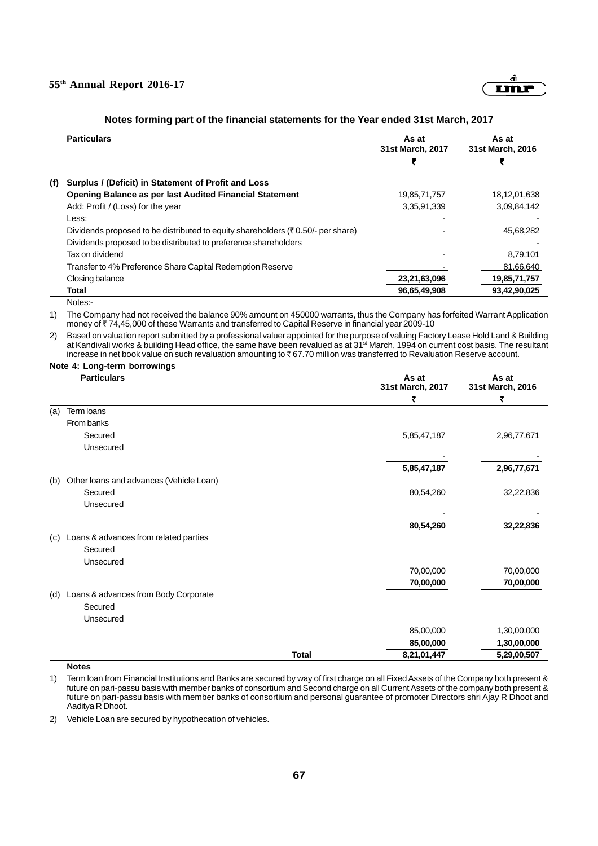# **LITTLE**

|     | <b>Particulars</b>                                                                           | As at<br>31st March, 2017 | As at<br>31st March, 2016 |
|-----|----------------------------------------------------------------------------------------------|---------------------------|---------------------------|
|     |                                                                                              |                           |                           |
| (f) | Surplus / (Deficit) in Statement of Profit and Loss                                          |                           |                           |
|     | <b>Opening Balance as per last Audited Financial Statement</b>                               | 19,85,71,757              | 18,12,01,638              |
|     | Add: Profit / (Loss) for the year                                                            | 3,35,91,339               | 3,09,84,142               |
|     | Less:                                                                                        |                           |                           |
|     | Dividends proposed to be distributed to equity shareholders ( $\bar{\tau}$ 0.50/- per share) |                           | 45,68,282                 |
|     | Dividends proposed to be distributed to preference shareholders                              |                           |                           |
|     | Tax on dividend                                                                              |                           | 8,79,101                  |
|     | Transfer to 4% Preference Share Capital Redemption Reserve                                   |                           | 81,66,640                 |
|     | Closing balance                                                                              | 23,21,63,096              | 19,85,71,757              |
|     | <b>Total</b>                                                                                 | 96,65,49,908              | 93,42,90,025              |
|     | <b>ALL</b> 1                                                                                 |                           |                           |

#### **Notes forming part of the financial statements for the Year ended 31st March, 2017**

Notes:-

1) The Company had not received the balance 90% amount on 450000 warrants, thus the Company has forfeited Warrant Application money of  $\bar{z}$  74,45,000 of these Warrants and transferred to Capital Reserve in financial year 2009-10

2) Based on valuation report submitted by a professional valuer appointed for the purpose of valuing Factory Lease Hold Land & Building at Kandivali works & building Head office, the same have been revalued as at 31st March, 1994 on current cost basis. The resultant increase in net book value on such revaluation amounting to ₹ 67.70 million was transferred to Revaluation Reserve account.

|     | Note 4: Long-term borrowings            |              |                           |                           |
|-----|-----------------------------------------|--------------|---------------------------|---------------------------|
|     | <b>Particulars</b>                      |              | As at<br>31st March, 2017 | As at<br>31st March, 2016 |
|     |                                         |              | ₹                         | ₹                         |
| (a) | Term loans                              |              |                           |                           |
|     | From banks                              |              |                           |                           |
|     | Secured                                 |              | 5,85,47,187               | 2,96,77,671               |
|     | Unsecured                               |              |                           |                           |
|     |                                         |              |                           |                           |
|     |                                         |              | 5,85,47,187               | 2,96,77,671               |
| (b) | Other loans and advances (Vehicle Loan) |              |                           |                           |
|     | Secured                                 |              | 80,54,260                 | 32,22,836                 |
|     | Unsecured                               |              |                           |                           |
|     |                                         |              |                           |                           |
|     |                                         |              | 80,54,260                 | 32,22,836                 |
| (c) | Loans & advances from related parties   |              |                           |                           |
|     | Secured                                 |              |                           |                           |
|     | Unsecured                               |              | 70,00,000                 | 70,00,000                 |
|     |                                         |              | 70,00,000                 | 70,00,000                 |
| (d) | Loans & advances from Body Corporate    |              |                           |                           |
|     | Secured                                 |              |                           |                           |
|     | Unsecured                               |              |                           |                           |
|     |                                         |              | 85,00,000                 | 1,30,00,000               |
|     |                                         |              | 85,00,000                 | 1,30,00,000               |
|     |                                         | <b>Total</b> | 8,21,01,447               | 5,29,00,507               |
|     |                                         |              |                           |                           |

**Notes**

2) Vehicle Loan are secured by hypothecation of vehicles.

<sup>1)</sup> Term loan from Financial Institutions and Banks are secured by way of first charge on all Fixed Assets of the Company both present & future on pari-passu basis with member banks of consortium and Second charge on all Current Assets of the company both present & future on pari-passu basis with member banks of consortium and personal guarantee of promoter Directors shri Ajay R Dhoot and Aaditya R Dhoot.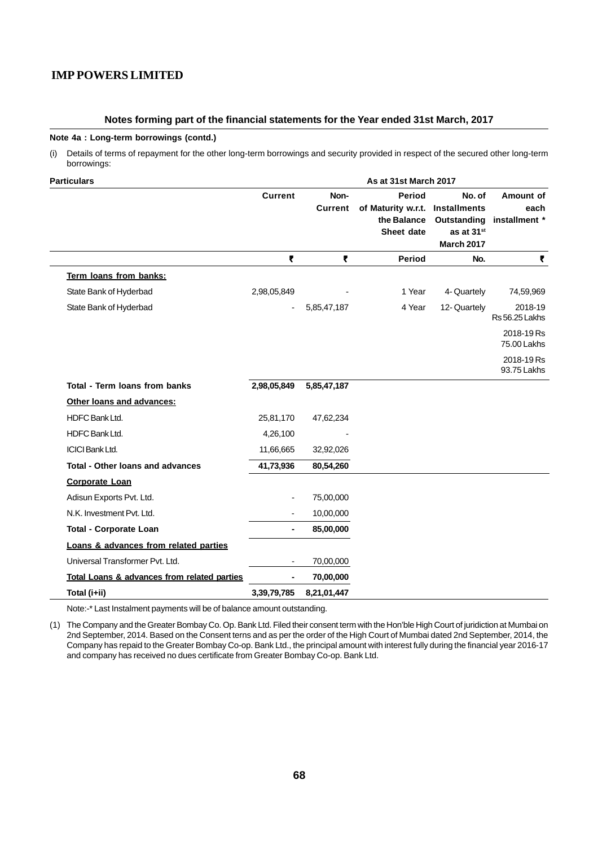# **Notes forming part of the financial statements for the Year ended 31st March, 2017**

# **Note 4a : Long-term borrowings (contd.)**

(i) Details of terms of repayment for the other long-term borrowings and security provided in respect of the secured other long-term borrowings:

| <b>Particulars</b>                          |                          |                        | As at 31st March 2017                                           |                                             |                                    |
|---------------------------------------------|--------------------------|------------------------|-----------------------------------------------------------------|---------------------------------------------|------------------------------------|
|                                             | <b>Current</b>           | Non-<br><b>Current</b> | <b>Period</b><br>of Maturity w.r.t. Installments<br>the Balance | No. of<br>Outstanding                       | Amount of<br>each<br>installment * |
|                                             |                          |                        | Sheet date                                                      | as at 31 <sup>st</sup><br><b>March 2017</b> |                                    |
|                                             | ₹                        | ₹                      | Period                                                          | No.                                         | ₹                                  |
| Term loans from banks:                      |                          |                        |                                                                 |                                             |                                    |
| State Bank of Hyderbad                      | 2,98,05,849              |                        | 1 Year                                                          | 4- Quartely                                 | 74,59,969                          |
| State Bank of Hyderbad                      | $\overline{\phantom{a}}$ | 5,85,47,187            | 4 Year                                                          | 12- Quartely                                | 2018-19<br>Rs 56.25 Lakhs          |
|                                             |                          |                        |                                                                 |                                             | 2018-19 Rs<br>75.00 Lakhs          |
|                                             |                          |                        |                                                                 |                                             | 2018-19 Rs<br>93.75 Lakhs          |
| <b>Total - Term loans from banks</b>        | 2,98,05,849              | 5,85,47,187            |                                                                 |                                             |                                    |
| Other loans and advances:                   |                          |                        |                                                                 |                                             |                                    |
| <b>HDFC Bank Ltd.</b>                       | 25,81,170                | 47,62,234              |                                                                 |                                             |                                    |
| <b>HDFC Bank Ltd.</b>                       | 4,26,100                 |                        |                                                                 |                                             |                                    |
| <b>ICICI Bank Ltd.</b>                      | 11,66,665                | 32,92,026              |                                                                 |                                             |                                    |
| <b>Total - Other loans and advances</b>     | 41,73,936                | 80,54,260              |                                                                 |                                             |                                    |
| <b>Corporate Loan</b>                       |                          |                        |                                                                 |                                             |                                    |
| Adisun Exports Pvt. Ltd.                    | $\overline{\phantom{a}}$ | 75,00,000              |                                                                 |                                             |                                    |
| N.K. Investment Pvt. Ltd.                   | $\overline{a}$           | 10,00,000              |                                                                 |                                             |                                    |
| <b>Total - Corporate Loan</b>               | ä,                       | 85,00,000              |                                                                 |                                             |                                    |
| Loans & advances from related parties       |                          |                        |                                                                 |                                             |                                    |
| Universal Transformer Pvt. Ltd.             | $\overline{\phantom{a}}$ | 70,00,000              |                                                                 |                                             |                                    |
| Total Loans & advances from related parties | $\blacksquare$           | 70,00,000              |                                                                 |                                             |                                    |
| Total (i+ii)                                | 3,39,79,785              | 8,21,01,447            |                                                                 |                                             |                                    |

Note:-\* Last Instalment payments will be of balance amount outstanding.

(1) The Company and the Greater Bombay Co. Op. Bank Ltd. Filed their consent term with the Hon'ble High Court of juridiction at Mumbai on 2nd September, 2014. Based on the Consent terns and as per the order of the High Court of Mumbai dated 2nd September, 2014, the Company has repaid to the Greater Bombay Co-op. Bank Ltd., the principal amount with interest fully during the financial year 2016-17 and company has received no dues certificate from Greater Bombay Co-op. Bank Ltd.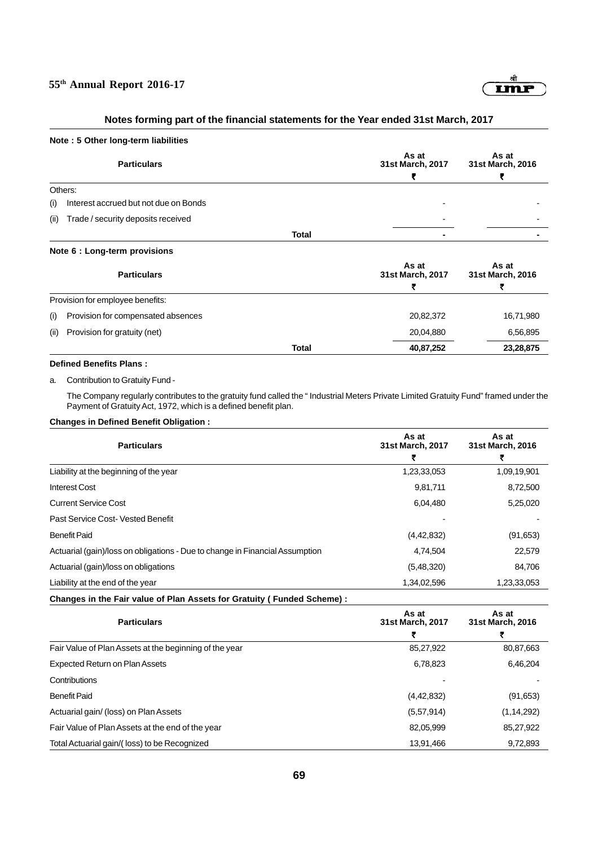# **LITTLE**

# **Notes forming part of the financial statements for the Year ended 31st March, 2017**

| Note: 5 Other long-term liabilities |  |  |
|-------------------------------------|--|--|
|-------------------------------------|--|--|

|      | <b>Particulars</b>                    |              | As at<br>31st March, 2017<br>₹ | As at<br>31st March, 2016<br>₹ |
|------|---------------------------------------|--------------|--------------------------------|--------------------------------|
|      | Others:                               |              |                                |                                |
| (i)  | Interest accrued but not due on Bonds |              |                                |                                |
| (ii) | Trade / security deposits received    |              |                                |                                |
|      |                                       | Total        |                                |                                |
|      | Note 6 : Long-term provisions         |              |                                |                                |
|      | <b>Particulars</b>                    |              | As at<br>31st March, 2017      | As at<br>31st March, 2016      |
|      |                                       |              |                                |                                |
|      | Provision for employee benefits:      |              |                                |                                |
| (i)  | Provision for compensated absences    |              | 20,82,372                      | 16,71,980                      |
| (ii) | Provision for gratuity (net)          |              | 20,04,880                      | 6,56,895                       |
|      |                                       | <b>Total</b> | 40,87,252                      | 23,28,875                      |

# **Defined Benefits Plans :**

# a. Contribution to Gratuity Fund -

The Company regularly contributes to the gratuity fund called the " Industrial Meters Private Limited Gratuity Fund" framed under the Payment of Gratuity Act, 1972, which is a defined benefit plan.

# **Changes in Defined Benefit Obligation :**

| <b>Particulars</b>                                                           | As at<br>31st March, 2017 | As at<br>31st March, 2016 |
|------------------------------------------------------------------------------|---------------------------|---------------------------|
|                                                                              |                           |                           |
| Liability at the beginning of the year                                       | 1,23,33,053               | 1,09,19,901               |
| Interest Cost                                                                | 9,81,711                  | 8,72,500                  |
| <b>Current Service Cost</b>                                                  | 6,04,480                  | 5,25,020                  |
| Past Service Cost- Vested Benefit                                            |                           |                           |
| <b>Benefit Paid</b>                                                          | (4, 42, 832)              | (91, 653)                 |
| Actuarial (gain)/loss on obligations - Due to change in Financial Assumption | 4.74.504                  | 22,579                    |
| Actuarial (gain)/loss on obligations                                         | (5,48,320)                | 84,706                    |
| Liability at the end of the year                                             | 1,34,02,596               | 1,23,33,053               |
| Changes in the Fair value of Plan Assets for Gratuity (Funded Scheme) :      |                           |                           |

**As at**<br>**31st March, 2016 Particulars 31st March, 2017 31st March, 2016** र ह*े द* Fair Value of Plan Assets at the beginning of the year 85,27,922 80,87,663 Expected Return on Plan Assets 6,46,204 Contributions - - Benefit Paid (4,42,832) (91,653) Actuarial gain/ (loss) on Plan Assets (1,14,292) (5,57,914) (1,14,292) Fair Value of Plan Assets at the end of the year 82,05,999 85,27,922 Total Actuarial gain/( loss) to be Recognized 13,91,466 9,72,893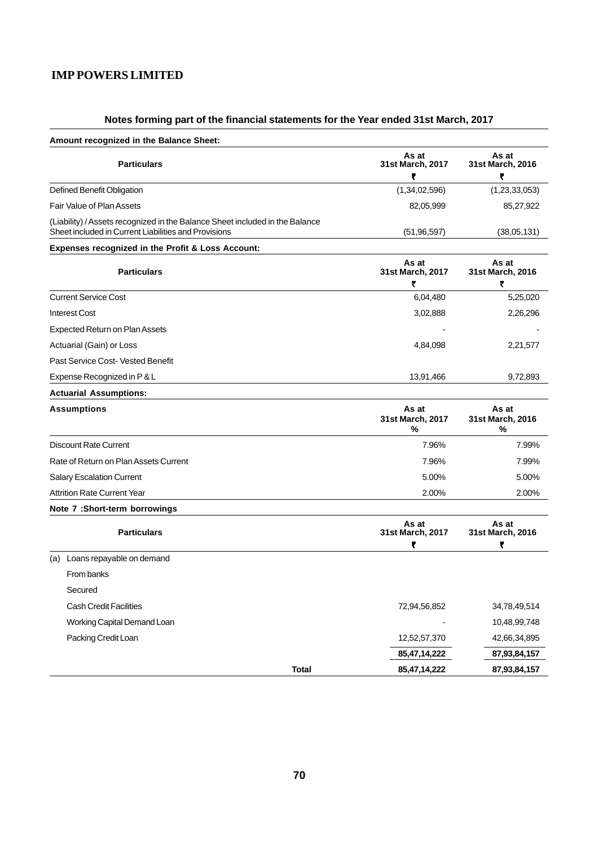| Amount recognized in the Balance Sheet:                                                                                              |              |                                |                                |
|--------------------------------------------------------------------------------------------------------------------------------------|--------------|--------------------------------|--------------------------------|
| <b>Particulars</b>                                                                                                                   |              | As at<br>31st March, 2017<br>₹ | As at<br>31st March, 2016<br>₹ |
| Defined Benefit Obligation                                                                                                           |              | (1,34,02,596)                  | (1, 23, 33, 053)               |
| Fair Value of Plan Assets                                                                                                            |              | 82,05,999                      | 85,27,922                      |
| (Liability) / Assets recognized in the Balance Sheet included in the Balance<br>Sheet included in Current Liabilities and Provisions |              | (51, 96, 597)                  | (38,05,131)                    |
| <b>Expenses recognized in the Profit &amp; Loss Account:</b>                                                                         |              |                                |                                |
| <b>Particulars</b>                                                                                                                   |              | As at<br>31st March, 2017<br>₹ | As at<br>31st March, 2016<br>₹ |
| <b>Current Service Cost</b>                                                                                                          |              | 6,04,480                       | 5,25,020                       |
| <b>Interest Cost</b>                                                                                                                 |              | 3,02,888                       | 2,26,296                       |
| <b>Expected Return on Plan Assets</b>                                                                                                |              |                                |                                |
| Actuarial (Gain) or Loss                                                                                                             |              | 4,84,098                       | 2,21,577                       |
| Past Service Cost- Vested Benefit                                                                                                    |              |                                |                                |
| Expense Recognized in P & L                                                                                                          |              | 13,91,466                      | 9,72,893                       |
| <b>Actuarial Assumptions:</b>                                                                                                        |              |                                |                                |
| <b>Assumptions</b>                                                                                                                   |              | As at<br>31st March, 2017<br>% | As at<br>31st March, 2016<br>% |
| <b>Discount Rate Current</b>                                                                                                         |              | 7.96%                          | 7.99%                          |
| Rate of Return on Plan Assets Current                                                                                                |              | 7.96%                          | 7.99%                          |
| <b>Salary Escalation Current</b>                                                                                                     |              | 5.00%                          | 5.00%                          |
| <b>Attrition Rate Current Year</b>                                                                                                   |              | 2.00%                          | 2.00%                          |
| Note 7 :Short-term borrowings                                                                                                        |              |                                |                                |
| <b>Particulars</b>                                                                                                                   |              | As at<br>31st March, 2017<br>₹ | As at<br>31st March, 2016<br>₹ |
| Loans repayable on demand<br>(a)                                                                                                     |              |                                |                                |
| From banks                                                                                                                           |              |                                |                                |
| Secured                                                                                                                              |              |                                |                                |
| <b>Cash Credit Facilities</b>                                                                                                        |              | 72,94,56,852                   | 34,78,49,514                   |
| Working Capital Demand Loan                                                                                                          |              |                                | 10,48,99,748                   |
| Packing Credit Loan                                                                                                                  |              | 12,52,57,370                   | 42,66,34,895                   |
|                                                                                                                                      |              | 85,47,14,222                   | 87,93,84,157                   |
|                                                                                                                                      | <b>Total</b> | 85,47,14,222                   | 87,93,84,157                   |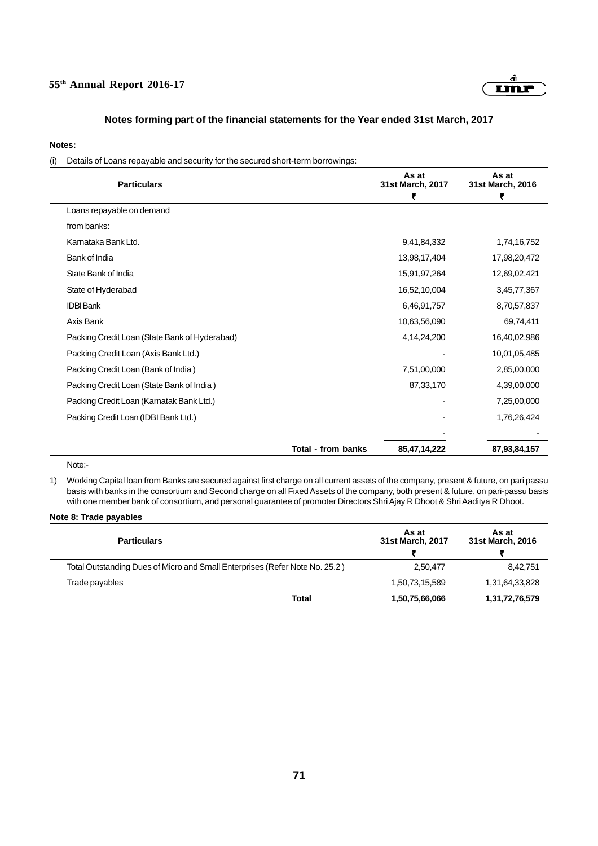# **LITTLE**

# **Notes forming part of the financial statements for the Year ended 31st March, 2017**

**Notes:**

|  | (i) Details of Loans repayable and security for the secured short-term borrowings: |
|--|------------------------------------------------------------------------------------|

| <b>Particulars</b>                            |                           | As at<br>31st March, 2017<br>₹ | As at<br>31st March, 2016<br>₹ |
|-----------------------------------------------|---------------------------|--------------------------------|--------------------------------|
| Loans repayable on demand                     |                           |                                |                                |
| from banks:                                   |                           |                                |                                |
| Karnataka Bank Ltd.                           |                           | 9,41,84,332                    | 1,74,16,752                    |
| Bank of India                                 |                           | 13,98,17,404                   | 17,98,20,472                   |
| State Bank of India                           |                           | 15,91,97,264                   | 12,69,02,421                   |
| State of Hyderabad                            |                           | 16,52,10,004                   | 3,45,77,367                    |
| <b>IDBI Bank</b>                              |                           | 6,46,91,757                    | 8,70,57,837                    |
| Axis Bank                                     |                           | 10,63,56,090                   | 69,74,411                      |
| Packing Credit Loan (State Bank of Hyderabad) |                           | 4,14,24,200                    | 16,40,02,986                   |
| Packing Credit Loan (Axis Bank Ltd.)          |                           |                                | 10,01,05,485                   |
| Packing Credit Loan (Bank of India)           |                           | 7,51,00,000                    | 2,85,00,000                    |
| Packing Credit Loan (State Bank of India)     |                           | 87,33,170                      | 4,39,00,000                    |
| Packing Credit Loan (Karnatak Bank Ltd.)      |                           |                                | 7,25,00,000                    |
| Packing Credit Loan (IDBI Bank Ltd.)          |                           |                                | 1,76,26,424                    |
|                                               |                           |                                |                                |
|                                               | <b>Total - from banks</b> | 85,47,14,222                   | 87,93,84,157                   |

Note:-

1) Working Capital loan from Banks are secured against first charge on all current assets of the company, present & future, on pari passu basis with banks in the consortium and Second charge on all Fixed Assets of the company, both present & future, on pari-passu basis with one member bank of consortium, and personal guarantee of promoter Directors Shri Ajay R Dhoot & Shri Aaditya R Dhoot.

# **Note 8: Trade payables**

| <b>Particulars</b>                                                          | As at<br>31st March, 2017 | As at<br>31st March, 2016 |
|-----------------------------------------------------------------------------|---------------------------|---------------------------|
| Total Outstanding Dues of Micro and Small Enterprises (Refer Note No. 25.2) | 2.50.477                  | 8,42,751                  |
| Trade payables                                                              | 1,50,73,15,589            | 1,31,64,33,828            |
| <b>Total</b>                                                                | 1,50,75,66,066            | 1,31,72,76,579            |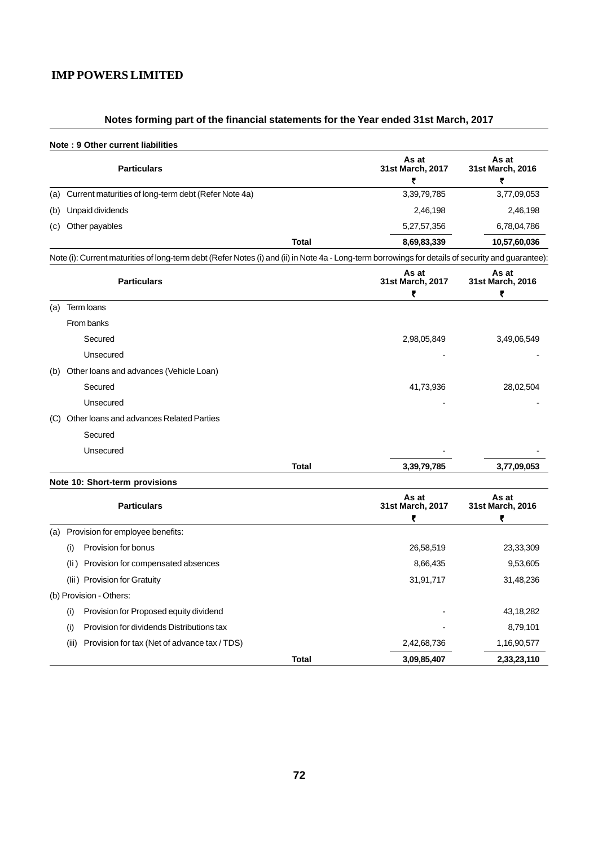# **Notes forming part of the financial statements for the Year ended 31st March, 2017**

# **Note : 9 Other current liabilities**

|     | <b>Particulars</b>                                                                                                                                 |              | As at<br>31st March, 2017      | As at<br>31st March, 2016      |
|-----|----------------------------------------------------------------------------------------------------------------------------------------------------|--------------|--------------------------------|--------------------------------|
|     |                                                                                                                                                    |              | ₹                              | ₹                              |
| (a) | Current maturities of long-term debt (Refer Note 4a)                                                                                               |              | 3,39,79,785                    | 3,77,09,053                    |
| (b) | Unpaid dividends                                                                                                                                   |              | 2,46,198                       | 2,46,198                       |
| (C) | Other payables                                                                                                                                     |              | 5,27,57,356                    | 6,78,04,786                    |
|     |                                                                                                                                                    | <b>Total</b> | 8,69,83,339                    | 10,57,60,036                   |
|     | Note (i): Current maturities of long-term debt (Refer Notes (i) and (ii) in Note 4a - Long-term borrowings for details of security and guarantee): |              |                                |                                |
|     | <b>Particulars</b>                                                                                                                                 |              | As at<br>31st March, 2017<br>₹ | As at<br>31st March, 2016<br>₹ |
| (a) | Term loans                                                                                                                                         |              |                                |                                |
|     | From banks                                                                                                                                         |              |                                |                                |
|     | Secured                                                                                                                                            |              | 2,98,05,849                    | 3,49,06,549                    |
|     | Unsecured                                                                                                                                          |              |                                |                                |
| (b) | Other loans and advances (Vehicle Loan)                                                                                                            |              |                                |                                |
|     | Secured                                                                                                                                            |              | 41,73,936                      | 28,02,504                      |
|     | Unsecured                                                                                                                                          |              |                                |                                |
| (C) | Other loans and advances Related Parties                                                                                                           |              |                                |                                |
|     | Secured                                                                                                                                            |              |                                |                                |
|     | Unsecured                                                                                                                                          |              |                                |                                |
|     |                                                                                                                                                    | <b>Total</b> | 3,39,79,785                    | 3,77,09,053                    |
|     | Note 10: Short-term provisions                                                                                                                     |              |                                |                                |
|     | <b>Particulars</b>                                                                                                                                 |              | As at<br>31st March, 2017<br>₹ | As at<br>31st March, 2016<br>₹ |
| (a) | Provision for employee benefits:                                                                                                                   |              |                                |                                |
|     | Provision for bonus<br>(i)                                                                                                                         |              | 26,58,519                      | 23,33,309                      |
|     | Provision for compensated absences<br>$($ li $)$                                                                                                   |              | 8,66,435                       | 9,53,605                       |
|     | (Iii) Provision for Gratuity                                                                                                                       |              | 31,91,717                      | 31,48,236                      |
|     | (b) Provision - Others:                                                                                                                            |              |                                |                                |
|     | Provision for Proposed equity dividend<br>(i)                                                                                                      |              |                                | 43,18,282                      |
|     | Provision for dividends Distributions tax<br>(i)                                                                                                   |              |                                | 8,79,101                       |
|     | Provision for tax (Net of advance tax / TDS)<br>(iii)                                                                                              |              | 2,42,68,736                    | 1,16,90,577                    |
|     |                                                                                                                                                    | <b>Total</b> | 3,09,85,407                    | 2,33,23,110                    |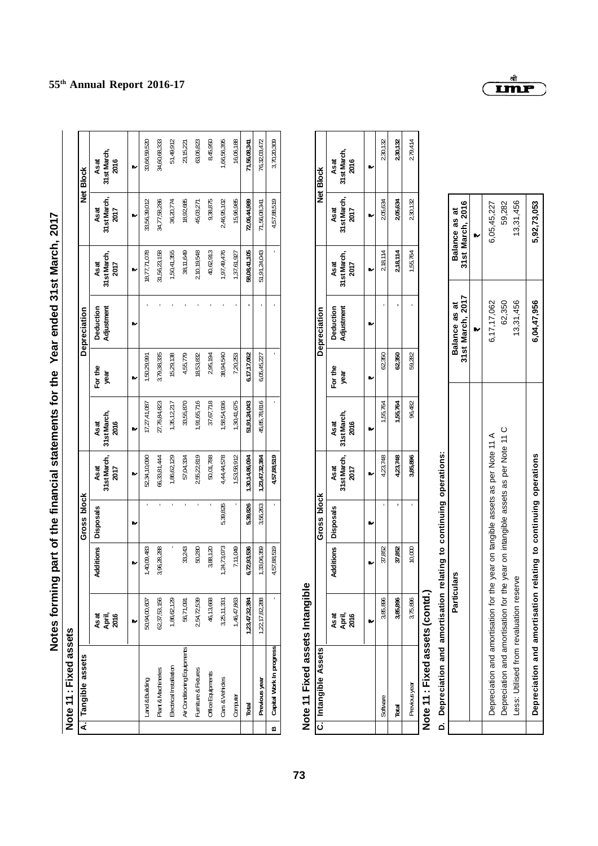| $1 + 2$ and $2 + 1$          |
|------------------------------|
|                              |
|                              |
|                              |
|                              |
|                              |
|                              |
| Year ended 31st Marc.        |
|                              |
|                              |
|                              |
|                              |
|                              |
|                              |
| <b>Alia iol caliainaio i</b> |
|                              |
|                              |
|                              |
|                              |
|                              |
|                              |
| יומממכות.                    |
|                              |
|                              |
|                              |
|                              |
|                              |
|                              |
|                              |
|                              |
|                              |
|                              |
|                              |
|                              |
|                              |
| iq part of the fir           |
|                              |
|                              |
|                              |
|                              |
| tes torming                  |
|                              |
|                              |
|                              |
|                              |
|                              |

| г      |  |
|--------|--|
| t      |  |
|        |  |
| ¢      |  |
| ť      |  |
|        |  |
| š<br>г |  |
| ť      |  |
|        |  |
|        |  |
|        |  |
| ۱      |  |
| ī      |  |
| ۰      |  |
| ı<br>c |  |
|        |  |
|        |  |
| г      |  |
|        |  |
|        |  |
|        |  |
|        |  |
|        |  |

|   | Note 11 : Fixed assets      |                        |             |                  |                              |                              |                 |                         |                             |                             |                            |
|---|-----------------------------|------------------------|-------------|------------------|------------------------------|------------------------------|-----------------|-------------------------|-----------------------------|-----------------------------|----------------------------|
|   | A. Tangible assets          |                        |             | Gross block      |                              |                              |                 | Depreciation            |                             |                             | Net Block                  |
|   |                             | April,<br>2016<br>Asat | Additions   | <b>Disposals</b> | 31 st March,<br>Asat<br>2017 | 31st March,<br>2016<br>As at | For the<br>year | Adjustment<br>Deduction | 31st March,<br>Asat<br>2017 | 31st March,<br>Asat<br>2017 | 31st March<br>2016<br>Asat |
|   |                             |                        |             |                  |                              |                              |                 |                         |                             |                             |                            |
|   | Land & Building             | 50,94,00,607           | 1,40,09,483 |                  | 52,34,10,090                 | 17,27,41,087                 | 50,29,991       |                         | 18,77,71,078                | 33,56,39,012                | 33,66,59,520               |
|   | Plant & Machineries         | 62,37,53,156           | 3,96,28,288 |                  | 66,33,81,444                 | 27,76,84,823                 | 3,79,38,335     |                         | 31,56,23,158                | 34,77,58,286                | 34,60,68,333               |
|   | Electrical Installation     | 1,86,62,129            |             |                  | ,86,62,129                   | 1,35,12,217                  | 15,29,138       |                         | ,50,41,355                  | 36,20,774                   | 51,49,912                  |
|   | Air Conditioning Equipments | 56,71,091              | 33,243      |                  | 57,04,334                    | 33,55,870                    | 4,55,779        |                         | 38,11,649                   | 18,92,685                   | 23, 15, 221                |
|   | Furniture & Fixtures        | 2,54,72,539            | 50,280      |                  | 2,55,22,819                  | ,91,65,716                   | 18,53,832       |                         | 2,10,19,548                 | 45,03,271                   | 63,06,823                  |
|   | Office Equipments           | 46,13,668              | 3,88,120    |                  | 50,01,788                    | 37,67,718                    | 2,95,194        |                         | 40,62,913                   | 9,38,875                    | 8,45,950                   |
|   | Cars & Vehicles             | 3,25,11,331            | ,24,73,073  | 5,39,826         | 4,44,44,578                  | 1,58,54,936                  | 38,94,540       |                         | 1,97,49,476                 | 2,46,95,102                 | 1,66,56,395                |
|   | Computer                    | 1,46,47,863            | 7,11,049    |                  | ,53,58,912                   | , 30, 41, 675                | 7,20,253        |                         | 37,61,927                   | 15,96,985                   | 16,06,188                  |
|   | Total                       | 1,23,47,32,384         | 6,72,93,536 | 5,39,826         | ,30,14,86,094                | 51,91,24,043                 | 6,17,17,062     |                         | 58,08,41,105                | 72,06,44,989                | 71,56,08,341               |
|   | Previous year               | 1,22,17,82,288         | 1,33,06,359 | 3,56,263         | 1,23,47,32,384               | 45,85,78,816                 | 6,05,45,227     |                         | 51,91,24,043                | 71,56,08,341                | 76,32,03,472               |
| ക | Capital Work In progress    |                        | 4,57,88,519 |                  | 4,57,88,519                  |                              |                 |                         |                             | 4,57,88,519                 | 3,70,20,309                |

# Note 11 Fixed assets Intangible **Note 11 Fixed assets Intangible**

| C. Intangible Assets          |                                |        | Gross block         |          |                                                   |                 | Depreciation            |                               |                              | <b>Net Block</b>            |
|-------------------------------|--------------------------------|--------|---------------------|----------|---------------------------------------------------|-----------------|-------------------------|-------------------------------|------------------------------|-----------------------------|
|                               | ಕ್ಷ ಕ್ಷ<br><b>4 ಧಿ</b><br>2016 |        | Additions Disposals |          | Asat Asat<br>31st March, 31st March,<br>2017 2016 | For the<br>year | Deduction<br>Adjustment | Asat<br>31st March,  <br>2017 | As at<br>31st March,<br>2017 | Asat<br>31st March,<br>2016 |
|                               |                                |        |                     |          |                                                   |                 |                         |                               |                              |                             |
| Software                      | 3,85,896                       | 37,852 |                     | 4,23,748 | 1,55,764                                          | 62,350          |                         | 2,18,114                      | 2,05,634                     | 2,30,132                    |
| Total                         | 3,85,896                       | 37,852 |                     | 4,23,748 | 1,55,764                                          | 62,350          |                         | 2,18,114                      | 2,05,634                     | 2,30,132                    |
| Previous year                 | 3,75,896                       | 10,000 |                     | 3,85,896 | 96,482                                            | 59,282          |                         | 1,55,764                      | 2,30,132                     | 2,79,414                    |
| Nata 11 - Eivad seeate /contd |                                |        |                     |          |                                                   |                 |                         |                               |                              |                             |

# Note 11 : Fixed assets (contd.) **Note 11 : Fixed assets (contd.)**

D. Depreciation and amortisation relating to continuing operations: **D. Depreciation and amortisation relating to continuing operations:**

| <b>Particulars</b>                                                                    | 31st March, 2017<br>Balance as at | 31st March, 2016<br>Balance as at |
|---------------------------------------------------------------------------------------|-----------------------------------|-----------------------------------|
|                                                                                       |                                   |                                   |
| tisation for the year on tangible assets as per Note 11 A<br>Depreciation and amort   | 6,17,17,062                       | 6,05,45,227                       |
| tisation for the year on intangible assets as per Note 11 C<br>Depreciation and amort | 62.350                            | 59.282                            |
| ess: Utilised from revaluation reserve                                                | 13,31,456                         | 13,31,456                         |
| Depreciation and amortisation relating to continuing operations                       | 6,04,47,956                       | 5,92,73,053                       |

# **55th Annual Report 2016-17**

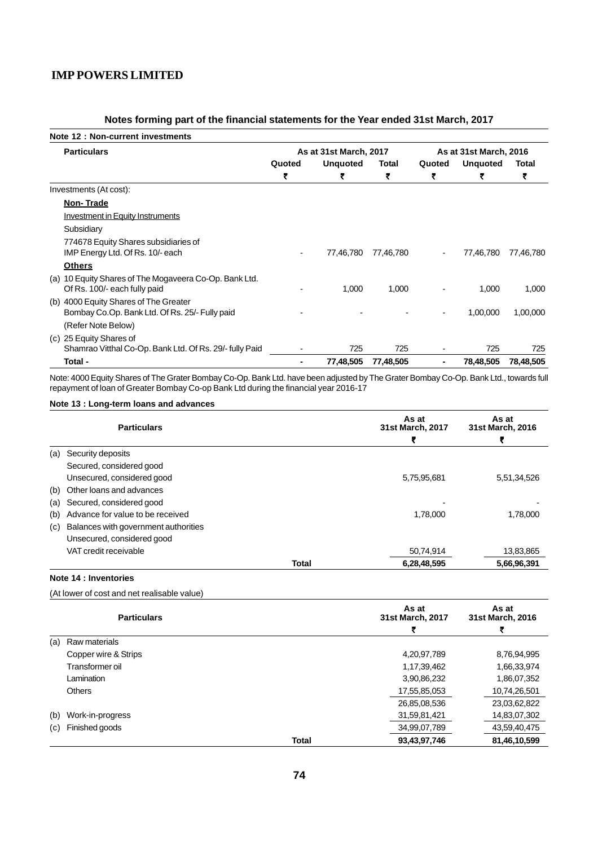| <b>Note 12: Non-current investments</b>                                                 |        |                        |           |                |                        |           |
|-----------------------------------------------------------------------------------------|--------|------------------------|-----------|----------------|------------------------|-----------|
| <b>Particulars</b>                                                                      |        | As at 31st March, 2017 |           |                | As at 31st March, 2016 |           |
|                                                                                         | Quoted | <b>Unquoted</b>        | Total     | Quoted         | <b>Unquoted</b>        | Total     |
|                                                                                         | ₹      | ₹                      | ₹         | ₹              | ₹                      | ₹         |
| Investments (At cost):                                                                  |        |                        |           |                |                        |           |
| <b>Non-Trade</b>                                                                        |        |                        |           |                |                        |           |
| Investment in Equity Instruments                                                        |        |                        |           |                |                        |           |
| Subsidiary                                                                              |        |                        |           |                |                        |           |
| 774678 Equity Shares subsidiaries of<br>IMP Energy Ltd. Of Rs. 10/- each                |        | 77,46,780              | 77,46,780 |                | 77,46,780              | 77,46,780 |
| <b>Others</b>                                                                           |        |                        |           |                |                        |           |
| (a) 10 Equity Shares of The Mogaveera Co-Op. Bank Ltd.<br>Of Rs. 100/- each fully paid  |        | 1,000                  | 1,000     |                | 1,000                  | 1,000     |
| (b) 4000 Equity Shares of The Greater<br>Bombay Co.Op. Bank Ltd. Of Rs. 25/- Fully paid |        |                        |           |                | 1,00,000               | 1,00,000  |
| (Refer Note Below)                                                                      |        |                        |           |                |                        |           |
| (c) 25 Equity Shares of<br>Shamrao Vitthal Co-Op. Bank Ltd. Of Rs. 29/- fully Paid      |        | 725                    | 725       | $\blacksquare$ | 725                    | 725       |
| Total -                                                                                 |        | 77,48,505              | 77,48,505 |                | 78,48,505              | 78,48,505 |

# **Notes forming part of the financial statements for the Year ended 31st March, 2017**

Note: 4000 Equity Shares of The Grater Bombay Co-Op. Bank Ltd. have been adjusted by The Grater Bombay Co-Op. Bank Ltd., towards full repayment of loan of Greater Bombay Co-op Bank Ltd during the financial year 2016-17

# **Note 13 : Long-term loans and advances**

| <b>Particulars</b>                   |              | As at<br>31st March, 2017 | As at<br>31st March, 2016 |
|--------------------------------------|--------------|---------------------------|---------------------------|
|                                      |              | ₹                         |                           |
| Security deposits                    |              |                           |                           |
| Secured, considered good             |              |                           |                           |
| Unsecured, considered good           |              | 5,75,95,681               | 5,51,34,526               |
| Other loans and advances             |              |                           |                           |
| Secured, considered good             |              |                           |                           |
| Advance for value to be received     |              | 1,78,000                  | 1,78,000                  |
| Balances with government authorities |              |                           |                           |
| Unsecured, considered good           |              |                           |                           |
| VAT credit receivable                |              | 50,74,914                 | 13,83,865                 |
|                                      | <b>Total</b> | 6,28,48,595               | 5,66,96,391               |
|                                      |              |                           |                           |

# **Note 14 : Inventories**

(At lower of cost and net realisable value)

|     | <b>Particulars</b>   |              | As at<br>31st March, 2017 | As at<br>31st March, 2016 |
|-----|----------------------|--------------|---------------------------|---------------------------|
| (a) | Raw materials        |              |                           |                           |
|     | Copper wire & Strips |              | 4,20,97,789               | 8,76,94,995               |
|     | Transformer oil      |              | 1,17,39,462               | 1,66,33,974               |
|     | Lamination           |              | 3,90,86,232               | 1,86,07,352               |
|     | <b>Others</b>        |              | 17,55,85,053              | 10,74,26,501              |
|     |                      |              | 26,85,08,536              | 23,03,62,822              |
| (b) | Work-in-progress     |              | 31,59,81,421              | 14,83,07,302              |
| (c) | Finished goods       |              | 34,99,07,789              | 43,59,40,475              |
|     |                      | <b>Total</b> | 93,43,97,746              | 81,46,10,599              |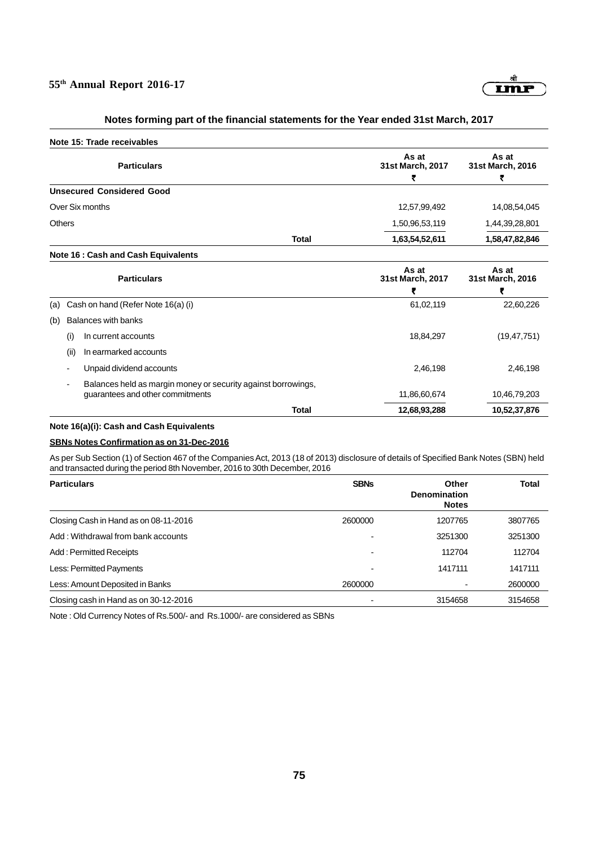# scĤ **UMP**

# **Notes forming part of the financial statements for the Year ended 31st March, 2017**

|               |      | Note 15: Trade receivables                                    |              |                           |                           |
|---------------|------|---------------------------------------------------------------|--------------|---------------------------|---------------------------|
|               |      | <b>Particulars</b>                                            |              | As at<br>31st March, 2017 | As at<br>31st March, 2016 |
|               |      |                                                               |              | ₹                         | ₹                         |
|               |      | <b>Unsecured Considered Good</b>                              |              |                           |                           |
|               |      | Over Six months                                               |              | 12,57,99,492              | 14,08,54,045              |
| <b>Others</b> |      |                                                               |              | 1,50,96,53,119            | 1,44,39,28,801            |
|               |      |                                                               | <b>Total</b> | 1,63,54,52,611            | 1,58,47,82,846            |
|               |      | <b>Note 16: Cash and Cash Equivalents</b>                     |              |                           |                           |
|               |      | <b>Particulars</b>                                            |              | As at<br>31st March, 2017 | As at<br>31st March, 2016 |
|               |      |                                                               |              | ₹                         | ₹                         |
| (a)           |      | Cash on hand (Refer Note 16(a) (i)                            |              | 61,02,119                 | 22,60,226                 |
| (b)           |      | Balances with banks                                           |              |                           |                           |
|               | (i)  | In current accounts                                           |              | 18,84,297                 | (19, 47, 751)             |
|               | (ii) | In earmarked accounts                                         |              |                           |                           |
|               | ۰    | Unpaid dividend accounts                                      |              | 2,46,198                  | 2,46,198                  |
|               |      | Balances held as margin money or security against borrowings, |              |                           |                           |
|               |      | guarantees and other commitments                              |              | 11,86,60,674              | 10,46,79,203              |
|               |      |                                                               | Total        | 12,68,93,288              | 10,52,37,876              |

# **Note 16(a)(i): Cash and Cash Equivalents**

# **SBNs Notes Confirmation as on 31-Dec-2016**

As per Sub Section (1) of Section 467 of the Companies Act, 2013 (18 of 2013) disclosure of details of Specified Bank Notes (SBN) held and transacted during the period 8th November, 2016 to 30th December, 2016

| <b>Particulars</b>                    | <b>SBNs</b>              | Other<br><b>Denomination</b><br><b>Notes</b> | <b>Total</b> |
|---------------------------------------|--------------------------|----------------------------------------------|--------------|
| Closing Cash in Hand as on 08-11-2016 | 2600000                  | 1207765                                      | 3807765      |
| Add: Withdrawal from bank accounts    | $\overline{\phantom{0}}$ | 3251300                                      | 3251300      |
| Add: Permitted Receipts               | $\overline{\phantom{0}}$ | 112704                                       | 112704       |
| Less: Permitted Payments              | ٠                        | 1417111                                      | 1417111      |
| Less: Amount Deposited in Banks       | 2600000                  | $\overline{\phantom{0}}$                     | 2600000      |
| Closing cash in Hand as on 30-12-2016 |                          | 3154658                                      | 3154658      |

Note : Old Currency Notes of Rs.500/- and Rs.1000/- are considered as SBNs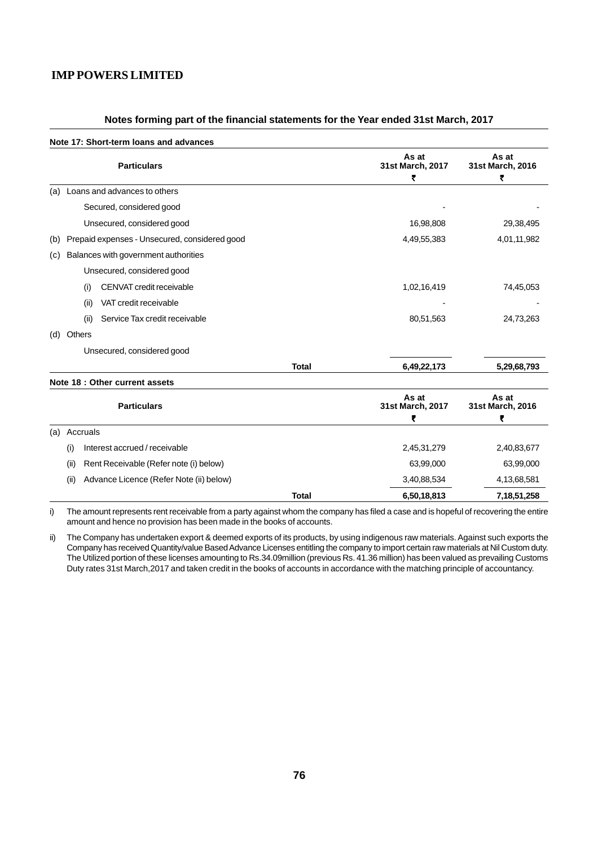| Notes forming part of the financial statements for the Year ended 31st March, 2017 |  |
|------------------------------------------------------------------------------------|--|
|------------------------------------------------------------------------------------|--|

|     | Note 17: Short-term loans and advances          |                                |                                |
|-----|-------------------------------------------------|--------------------------------|--------------------------------|
|     | <b>Particulars</b>                              | As at<br>31st March, 2017<br>₹ | As at<br>31st March, 2016<br>₹ |
| (a) | Loans and advances to others                    |                                |                                |
|     | Secured, considered good                        |                                |                                |
|     | Unsecured, considered good                      | 16,98,808                      | 29,38,495                      |
| (b) | Prepaid expenses - Unsecured, considered good   | 4,49,55,383                    | 4,01,11,982                    |
| (c) | Balances with government authorities            |                                |                                |
|     | Unsecured, considered good                      |                                |                                |
|     | CENVAT credit receivable<br>(i)                 | 1,02,16,419                    | 74,45,053                      |
|     | VAT credit receivable<br>(ii)                   |                                |                                |
|     | Service Tax credit receivable<br>(ii)           | 80,51,563                      | 24,73,263                      |
| (d) | Others                                          |                                |                                |
|     | Unsecured, considered good                      |                                |                                |
|     | <b>Total</b>                                    | 6,49,22,173                    | 5,29,68,793                    |
|     | Note 18 : Other current assets                  |                                |                                |
|     | <b>Particulars</b>                              | As at<br>31st March, 2017      | As at<br>31st March, 2016      |
|     |                                                 | ₹                              | ₹                              |
| (a) | Accruals                                        |                                |                                |
|     | Interest accrued / receivable<br>(i)            | 2,45,31,279                    | 2,40,83,677                    |
|     | Rent Receivable (Refer note (i) below)<br>(ii)  | 63,99,000                      | 63,99,000                      |
|     | Advance Licence (Refer Note (ii) below)<br>(ii) | 3,40,88,534                    | 4,13,68,581                    |
|     | <b>Total</b>                                    | 6,50,18,813                    | 7, 18, 51, 258                 |

i) The amount represents rent receivable from a party against whom the company has filed a case and is hopeful of recovering the entire amount and hence no provision has been made in the books of accounts.

ii) The Company has undertaken export & deemed exports of its products, by using indigenous raw materials. Against such exports the Company has received Quantity/value Based Advance Licenses entitling the company to import certain raw materials at Nil Custom duty. The Utilized portion of these licenses amounting to Rs.34.09million (previous Rs. 41.36 million) has been valued as prevailing Customs Duty rates 31st March,2017 and taken credit in the books of accounts in accordance with the matching principle of accountancy.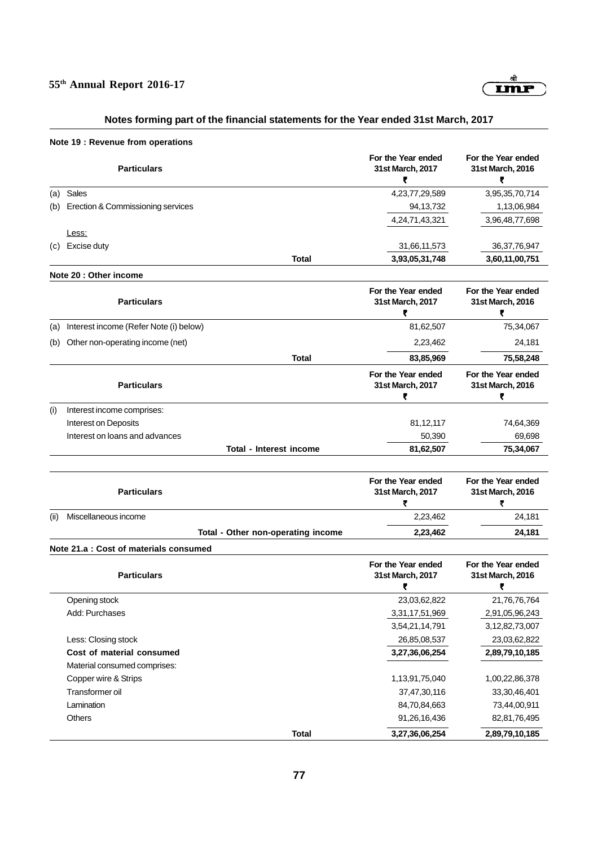

# **Notes forming part of the financial statements for the Year ended 31st March, 2017**

|      | Note 19 : Revenue from operations      |                                    |                                             |                                             |
|------|----------------------------------------|------------------------------------|---------------------------------------------|---------------------------------------------|
|      | <b>Particulars</b>                     |                                    | For the Year ended<br>31st March, 2017<br>₹ | For the Year ended<br>31st March, 2016<br>₹ |
| (a)  | Sales                                  |                                    | 4,23,77,29,589                              | 3,95,35,70,714                              |
| (b)  | Erection & Commissioning services      |                                    | 94,13,732                                   | 1,13,06,984                                 |
|      |                                        |                                    | 4,24,71,43,321                              | 3,96,48,77,698                              |
|      | Less:                                  |                                    |                                             |                                             |
| (C)  | Excise duty                            |                                    | 31,66,11,573                                | 36, 37, 76, 947                             |
|      |                                        | <b>Total</b>                       | 3,93,05,31,748                              | 3,60,11,00,751                              |
|      | Note 20 : Other income                 |                                    |                                             |                                             |
|      | <b>Particulars</b>                     |                                    | For the Year ended<br>31st March, 2017<br>₹ | For the Year ended<br>31st March, 2016<br>₹ |
| (a)  | Interest income (Refer Note (i) below) |                                    | 81,62,507                                   | 75,34,067                                   |
| (b)  | Other non-operating income (net)       |                                    | 2,23,462                                    | 24,181                                      |
|      |                                        | <b>Total</b>                       | 83,85,969                                   | 75,58,248                                   |
|      | <b>Particulars</b>                     |                                    | For the Year ended<br>31st March, 2017<br>₹ | For the Year ended<br>31st March, 2016<br>₹ |
| (i)  | Interest income comprises:             |                                    |                                             |                                             |
|      | <b>Interest on Deposits</b>            |                                    | 81,12,117                                   | 74,64,369                                   |
|      | Interest on loans and advances         |                                    | 50,390                                      | 69,698                                      |
|      |                                        | <b>Total - Interest income</b>     | 81,62,507                                   | 75,34,067                                   |
|      | <b>Particulars</b>                     |                                    | For the Year ended<br>31st March, 2017<br>₹ | For the Year ended<br>31st March, 2016<br>₹ |
| (ii) | Miscellaneous income                   |                                    | 2,23,462                                    | 24,181                                      |
|      |                                        | Total - Other non-operating income | 2,23,462                                    | 24,181                                      |
|      | Note 21.a : Cost of materials consumed |                                    |                                             |                                             |
|      | <b>Particulars</b>                     |                                    | For the Year ended<br>31st March, 2017<br>₹ | For the Year ended<br>31st March, 2016<br>₹ |
|      | Opening stock                          |                                    | 23,03,62,822                                | 21,76,76,764                                |
|      | Add: Purchases                         |                                    | 3,31,17,51,969                              | 2,91,05,96,243                              |
|      |                                        |                                    | 3,54,21,14,791                              | 3,12,82,73,007                              |
|      | Less: Closing stock                    |                                    | 26,85,08,537                                | 23,03,62,822                                |
|      | Cost of material consumed              |                                    | 3,27,36,06,254                              | 2,89,79,10,185                              |
|      | Material consumed comprises:           |                                    |                                             |                                             |
|      | Copper wire & Strips                   |                                    | 1,13,91,75,040                              | 1,00,22,86,378                              |
|      | Transformer oil                        |                                    | 37,47,30,116                                | 33,30,46,401                                |
|      | Lamination                             |                                    | 84,70,84,663                                | 73,44,00,911                                |
|      | Others                                 |                                    | 91,26,16,436                                | 82,81,76,495                                |
|      |                                        | <b>Total</b>                       | 3,27,36,06,254                              | 2,89,79,10,185                              |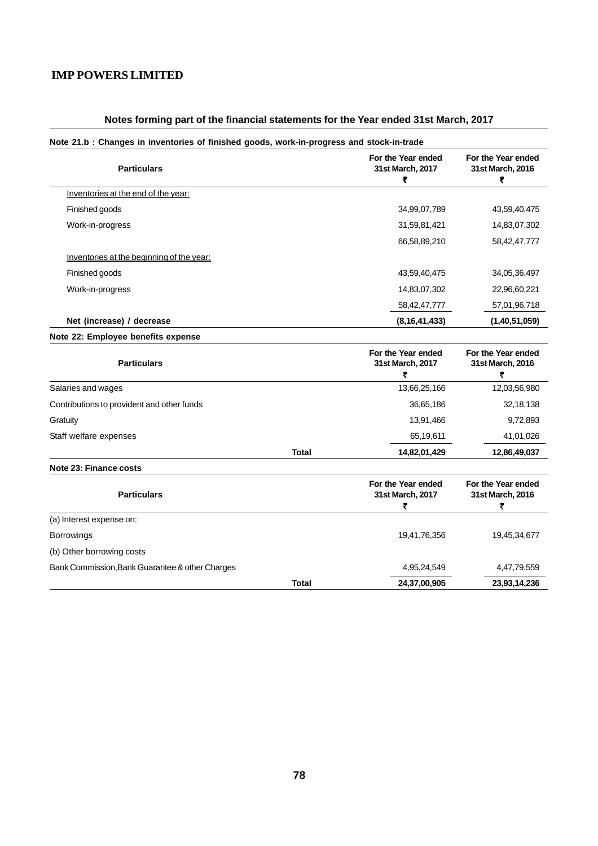| Note 21.b: Changes in inventories of finished goods, work-in-progress and stock-in-trade |              |                                             |                                             |
|------------------------------------------------------------------------------------------|--------------|---------------------------------------------|---------------------------------------------|
| <b>Particulars</b>                                                                       |              | For the Year ended<br>31st March, 2017<br>₹ | For the Year ended<br>31st March, 2016<br>₹ |
| Inventories at the end of the year:                                                      |              |                                             |                                             |
| Finished goods                                                                           |              | 34,99,07,789                                | 43,59,40,475                                |
| Work-in-progress                                                                         |              | 31,59,81,421                                | 14,83,07,302                                |
|                                                                                          |              | 66,58,89,210                                | 58,42,47,777                                |
| Inventories at the beginning of the year:                                                |              |                                             |                                             |
| Finished goods                                                                           |              | 43,59,40,475                                | 34,05,36,497                                |
| Work-in-progress                                                                         |              | 14,83,07,302                                | 22,96,60,221                                |
|                                                                                          |              | 58, 42, 47, 777                             | 57,01,96,718                                |
| Net (increase) / decrease                                                                |              | (8, 16, 41, 433)                            | (1,40,51,059)                               |
| Note 22: Employee benefits expense                                                       |              |                                             |                                             |
| <b>Particulars</b>                                                                       |              | For the Year ended<br>31st March, 2017<br>₹ | For the Year ended<br>31st March, 2016<br>₹ |
| Salaries and wages                                                                       |              | 13,66,25,166                                | 12,03,56,980                                |
| Contributions to provident and other funds                                               |              | 36,65,186                                   | 32,18,138                                   |
| Gratuity                                                                                 |              | 13,91,466                                   | 9,72,893                                    |
| Staff welfare expenses                                                                   |              | 65,19,611                                   | 41,01,026                                   |
|                                                                                          | <b>Total</b> | 14,82,01,429                                | 12,86,49,037                                |
| Note 23: Finance costs                                                                   |              |                                             |                                             |
| <b>Particulars</b>                                                                       |              | For the Year ended<br>31st March, 2017<br>₹ | For the Year ended<br>31st March, 2016<br>₹ |
| (a) Interest expense on:                                                                 |              |                                             |                                             |
| <b>Borrowings</b>                                                                        |              | 19,41,76,356                                | 19,45,34,677                                |
| (b) Other borrowing costs                                                                |              |                                             |                                             |
| Bank Commission, Bank Guarantee & other Charges                                          |              | 4,95,24,549                                 | 4,47,79,559                                 |
|                                                                                          | <b>Total</b> | 24,37,00,905                                | 23,93,14,236                                |

# **Notes forming part of the financial statements for the Year ended 31st March, 2017**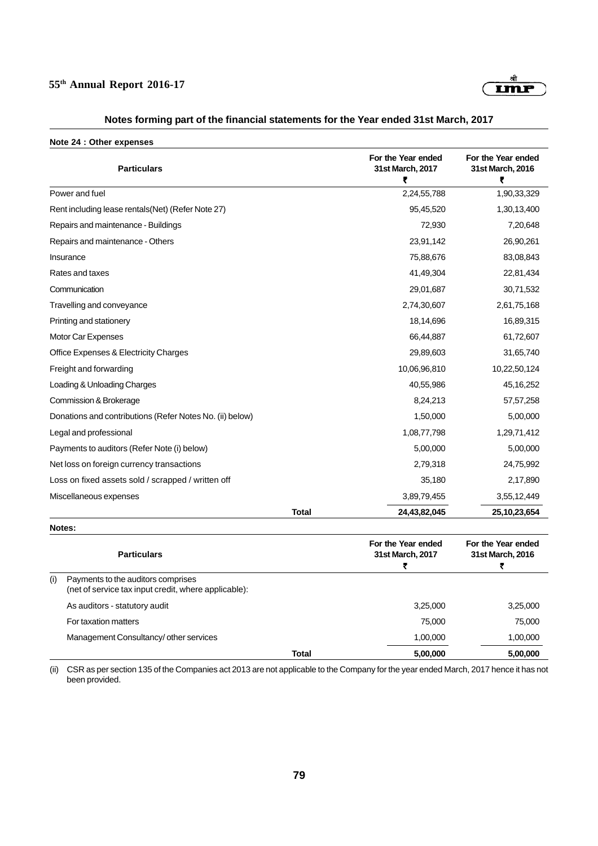

# **Notes forming part of the financial statements for the Year ended 31st March, 2017**

| Note 24 : Other expenses<br><b>Particulars</b>                                                    | For the Year ended<br>31st March, 2017<br>₹ | For the Year ended<br>31st March, 2016<br>₹ |  |
|---------------------------------------------------------------------------------------------------|---------------------------------------------|---------------------------------------------|--|
| Power and fuel                                                                                    | 2,24,55,788                                 | 1,90,33,329                                 |  |
| Rent including lease rentals(Net) (Refer Note 27)                                                 | 95,45,520                                   | 1,30,13,400                                 |  |
| Repairs and maintenance - Buildings                                                               | 72,930                                      | 7,20,648                                    |  |
| Repairs and maintenance - Others                                                                  | 23,91,142                                   | 26,90,261                                   |  |
| Insurance                                                                                         | 75,88,676                                   | 83,08,843                                   |  |
| Rates and taxes                                                                                   | 41,49,304                                   | 22,81,434                                   |  |
| Communication                                                                                     | 29,01,687                                   | 30,71,532                                   |  |
| Travelling and conveyance                                                                         | 2,74,30,607                                 | 2,61,75,168                                 |  |
| Printing and stationery                                                                           | 18,14,696                                   | 16,89,315                                   |  |
| Motor Car Expenses                                                                                | 66,44,887                                   | 61,72,607                                   |  |
| Office Expenses & Electricity Charges                                                             | 29,89,603                                   | 31,65,740                                   |  |
| Freight and forwarding                                                                            | 10,06,96,810                                | 10,22,50,124                                |  |
| Loading & Unloading Charges                                                                       | 40,55,986                                   | 45,16,252                                   |  |
| Commission & Brokerage                                                                            | 8,24,213                                    | 57,57,258                                   |  |
| Donations and contributions (Refer Notes No. (ii) below)                                          | 1,50,000                                    | 5,00,000                                    |  |
| Legal and professional                                                                            | 1,08,77,798                                 | 1,29,71,412                                 |  |
| Payments to auditors (Refer Note (i) below)                                                       | 5,00,000                                    | 5,00,000                                    |  |
| Net loss on foreign currency transactions                                                         | 2,79,318                                    | 24,75,992                                   |  |
| Loss on fixed assets sold / scrapped / written off                                                | 35,180                                      | 2,17,890                                    |  |
| Miscellaneous expenses                                                                            | 3,89,79,455                                 | 3,55,12,449                                 |  |
| Total                                                                                             | 24,43,82,045                                | 25,10,23,654                                |  |
| Notes:                                                                                            |                                             |                                             |  |
| <b>Particulars</b>                                                                                | For the Year ended<br>31st March, 2017<br>₹ | For the Year ended<br>31st March, 2016<br>₹ |  |
| (i)<br>Payments to the auditors comprises<br>(net of service tax input credit, where applicable): |                                             |                                             |  |
| As auditors - statutory audit                                                                     | 3,25,000                                    | 3,25,000                                    |  |
| For taxation matters                                                                              | 75,000                                      | 75,000                                      |  |
| Management Consultancy/ other services                                                            | 1,00,000                                    | 1,00,000                                    |  |

(ii) CSR as per section 135 of the Companies act 2013 are not applicable to the Company for the year ended March, 2017 hence it has not been provided.

**Total 5,00,000 5,00,000**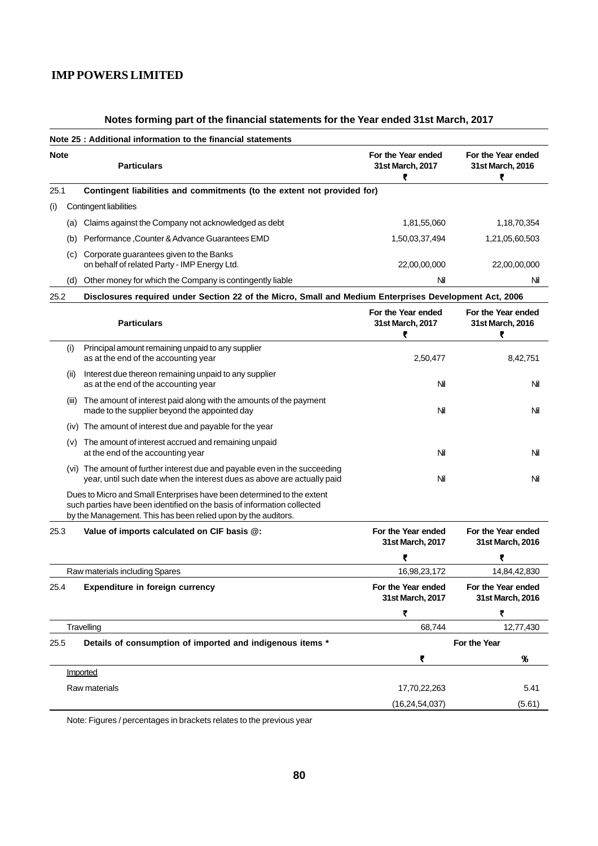|             | $r_{\rm H}$ , $r_{\rm H}$ , $r_{\rm H}$ , $r_{\rm H}$ , $r_{\rm H}$ , $r_{\rm H}$ , $r_{\rm H}$ , $r_{\rm H}$ , $r_{\rm H}$ , $r_{\rm H}$ , $r_{\rm H}$                                                            |                                             |                                             |
|-------------|--------------------------------------------------------------------------------------------------------------------------------------------------------------------------------------------------------------------|---------------------------------------------|---------------------------------------------|
|             | Note 25 : Additional information to the financial statements                                                                                                                                                       |                                             |                                             |
| <b>Note</b> | <b>Particulars</b>                                                                                                                                                                                                 | For the Year ended<br>31st March, 2017<br>₹ | For the Year ended<br>31st March, 2016<br>₹ |
| 25.1        | Contingent liabilities and commitments (to the extent not provided for)                                                                                                                                            |                                             |                                             |
| (i)         | Contingent liabilities                                                                                                                                                                                             |                                             |                                             |
| (a)         | Claims against the Company not acknowledged as debt                                                                                                                                                                | 1,81,55,060                                 | 1,18,70,354                                 |
| (b)         | Performance, Counter & Advance Guarantees EMD                                                                                                                                                                      | 1,50,03,37,494                              | 1,21,05,60,503                              |
| (c)         | Corporate guarantees given to the Banks<br>on behalf of related Party - IMP Energy Ltd.                                                                                                                            | 22,00,00,000                                | 22,00,00,000                                |
| (d)         | Other money for which the Company is contingently liable                                                                                                                                                           | ΝiΙ                                         | ΝiΙ                                         |
| 25.2        | Disclosures required under Section 22 of the Micro, Small and Medium Enterprises Development Act, 2006                                                                                                             |                                             |                                             |
|             | <b>Particulars</b>                                                                                                                                                                                                 | For the Year ended<br>31st March, 2017<br>₹ | For the Year ended<br>31st March, 2016<br>₹ |
| (i)         | Principal amount remaining unpaid to any supplier<br>as at the end of the accounting year                                                                                                                          | 2,50,477                                    | 8,42,751                                    |
| (ii)        | Interest due thereon remaining unpaid to any supplier<br>as at the end of the accounting year                                                                                                                      | Νil                                         | Νil                                         |
| (iii)       | The amount of interest paid along with the amounts of the payment<br>made to the supplier beyond the appointed day                                                                                                 | Νil                                         | ΝiΙ                                         |
|             | (iv) The amount of interest due and payable for the year                                                                                                                                                           |                                             |                                             |
| (v)         | The amount of interest accrued and remaining unpaid<br>at the end of the accounting year                                                                                                                           | Νil                                         | ΝiΙ                                         |
|             | (vi) The amount of further interest due and payable even in the succeeding<br>year, until such date when the interest dues as above are actually paid                                                              | Nil                                         | Νi                                          |
|             | Dues to Micro and Small Enterprises have been determined to the extent<br>such parties have been identified on the basis of information collected<br>by the Management. This has been relied upon by the auditors. |                                             |                                             |
| 25.3        | Value of imports calculated on CIF basis @:                                                                                                                                                                        | For the Year ended<br>31st March, 2017      | For the Year ended<br>31st March, 2016      |
|             |                                                                                                                                                                                                                    | ₹                                           | ₹                                           |
|             | Raw materials including Spares                                                                                                                                                                                     | 16,98,23,172                                | 14,84,42,830                                |
| 25.4        | <b>Expenditure in foreign currency</b>                                                                                                                                                                             | For the Year ended<br>31st March, 2017      | For the Year ended<br>31st March, 2016      |
|             |                                                                                                                                                                                                                    | ₹                                           | ₹                                           |
|             | Travelling                                                                                                                                                                                                         | 68,744                                      | 12,77,430                                   |
| 25.5        | Details of consumption of imported and indigenous items *                                                                                                                                                          |                                             | For the Year                                |
|             |                                                                                                                                                                                                                    | ₹                                           | $\boldsymbol{\%}$                           |
|             | Imported                                                                                                                                                                                                           |                                             |                                             |
|             | Raw materials                                                                                                                                                                                                      | 17,70,22,263                                | 5.41                                        |

# **Notes forming part of the financial statements for the Year ended 31st March, 2017**

Note: Figures / percentages in brackets relates to the previous year

(16,24,54,037) (5.61)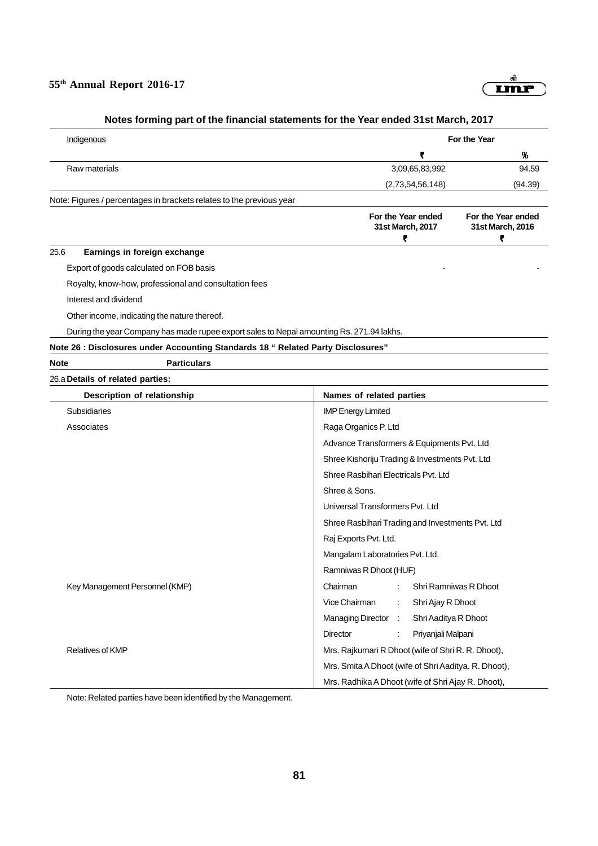

# **Notes forming part of the financial statements for the Year ended 31st March, 2017**

| %<br>₹<br>3,09,65,83,992<br>Raw materials<br>(94.39)<br>(2,73,54,56,148)<br>Note: Figures / percentages in brackets relates to the previous year<br>For the Year ended<br>For the Year ended<br>31st March, 2017<br>31st March, 2016<br>₹<br>₹<br>25.6<br>Earnings in foreign exchange<br>Export of goods calculated on FOB basis | 94.59 |
|-----------------------------------------------------------------------------------------------------------------------------------------------------------------------------------------------------------------------------------------------------------------------------------------------------------------------------------|-------|
|                                                                                                                                                                                                                                                                                                                                   |       |
|                                                                                                                                                                                                                                                                                                                                   |       |
|                                                                                                                                                                                                                                                                                                                                   |       |
|                                                                                                                                                                                                                                                                                                                                   |       |
|                                                                                                                                                                                                                                                                                                                                   |       |
|                                                                                                                                                                                                                                                                                                                                   |       |
|                                                                                                                                                                                                                                                                                                                                   |       |
|                                                                                                                                                                                                                                                                                                                                   |       |
| Royalty, know-how, professional and consultation fees                                                                                                                                                                                                                                                                             |       |
| Interest and dividend                                                                                                                                                                                                                                                                                                             |       |
| Other income, indicating the nature thereof.                                                                                                                                                                                                                                                                                      |       |
| During the year Company has made rupee export sales to Nepal amounting Rs. 271.94 lakhs.                                                                                                                                                                                                                                          |       |
| Note 26 : Disclosures under Accounting Standards 18 " Related Party Disclosures"                                                                                                                                                                                                                                                  |       |
| <b>Note</b><br><b>Particulars</b>                                                                                                                                                                                                                                                                                                 |       |
| 26.a Details of related parties:                                                                                                                                                                                                                                                                                                  |       |
| Description of relationship<br>Names of related parties                                                                                                                                                                                                                                                                           |       |
| Subsidiaries<br><b>IMP Energy Limited</b>                                                                                                                                                                                                                                                                                         |       |
| Raga Organics P. Ltd<br>Associates                                                                                                                                                                                                                                                                                                |       |
| Advance Transformers & Equipments Pvt. Ltd                                                                                                                                                                                                                                                                                        |       |
| Shree Kishoriju Trading & Investments Pvt. Ltd                                                                                                                                                                                                                                                                                    |       |
| Shree Rasbihari Electricals Pvt. Ltd                                                                                                                                                                                                                                                                                              |       |
| Shree & Sons.                                                                                                                                                                                                                                                                                                                     |       |
| Universal Transformers Pvt. Ltd                                                                                                                                                                                                                                                                                                   |       |
| Shree Rasbihari Trading and Investments Pvt. Ltd                                                                                                                                                                                                                                                                                  |       |
| Raj Exports Pvt. Ltd.                                                                                                                                                                                                                                                                                                             |       |
| Mangalam Laboratories Pvt. Ltd.                                                                                                                                                                                                                                                                                                   |       |
| Ramniwas R Dhoot (HUF)                                                                                                                                                                                                                                                                                                            |       |
| Key Management Personnel (KMP)<br>Chairman<br>Shri Ramniwas R Dhoot                                                                                                                                                                                                                                                               |       |
| Vice Chairman<br>Shri Ajay R Dhoot                                                                                                                                                                                                                                                                                                |       |
| Managing Director<br>Shri Aaditya R Dhoot<br>$\cdot$ :                                                                                                                                                                                                                                                                            |       |
| Director<br>Priyanjali Malpani<br>$\ddot{\cdot}$                                                                                                                                                                                                                                                                                  |       |
| Relatives of KMP<br>Mrs. Rajkumari R Dhoot (wife of Shri R. R. Dhoot),                                                                                                                                                                                                                                                            |       |
| Mrs. Smita A Dhoot (wife of Shri Aaditya. R. Dhoot),                                                                                                                                                                                                                                                                              |       |
| Mrs. Radhika A Dhoot (wife of Shri Ajay R. Dhoot),                                                                                                                                                                                                                                                                                |       |

Note: Related parties have been identified by the Management.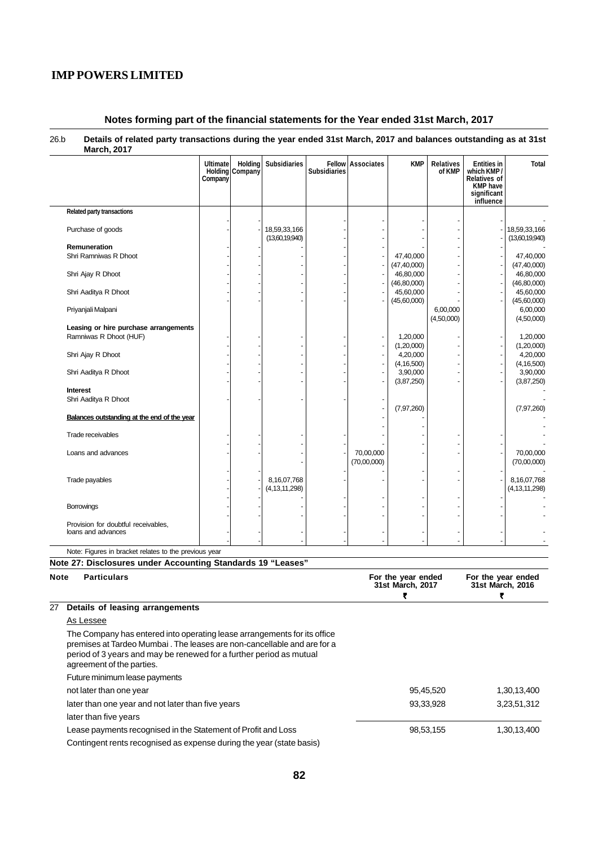# **Notes forming part of the financial statements for the Year ended 31st March, 2017**

# 26.b **Details of related party transactions during the year ended 31st March, 2017 and balances outstanding as at 31st March, 2017**

|      |                                                                                                                                                                             | Ultimate<br>Company | Holding<br>Holding Company | Subsidiaries                   | <b>Subsidiaries</b> | Fellow Associates | <b>KMP</b>                 | Relatives<br>of KMP    | <b>Entities in</b><br>which KMP<br><b>Relatives of</b><br><b>KMP</b> have<br>significant<br>influence | Total                           |
|------|-----------------------------------------------------------------------------------------------------------------------------------------------------------------------------|---------------------|----------------------------|--------------------------------|---------------------|-------------------|----------------------------|------------------------|-------------------------------------------------------------------------------------------------------|---------------------------------|
|      | <b>Related party transactions</b>                                                                                                                                           |                     |                            |                                |                     |                   |                            |                        |                                                                                                       |                                 |
|      | Purchase of goods                                                                                                                                                           |                     |                            | 18,59,33,166<br>(13,60,19,940) |                     |                   |                            |                        |                                                                                                       | 18,59,33,166<br>(13,60,19,940)  |
|      | Remuneration                                                                                                                                                                |                     |                            |                                |                     |                   |                            |                        |                                                                                                       |                                 |
|      | Shri Ramniwas R Dhoot                                                                                                                                                       |                     |                            |                                |                     |                   | 47,40,000                  |                        |                                                                                                       | 47,40,000                       |
|      |                                                                                                                                                                             |                     |                            |                                |                     |                   | (47, 40, 000)              |                        |                                                                                                       | (47, 40, 000)                   |
|      | Shri Ajay R Dhoot                                                                                                                                                           |                     |                            |                                |                     |                   | 46,80,000<br>(46, 80, 000) |                        |                                                                                                       | 46,80,000<br>(46, 80, 000)      |
|      | Shri Aaditya R Dhoot                                                                                                                                                        |                     |                            |                                |                     |                   | 45,60,000                  |                        |                                                                                                       | 45,60,000                       |
|      |                                                                                                                                                                             |                     |                            |                                |                     |                   | (45,60,000)                |                        |                                                                                                       | (45,60,000)                     |
|      | Priyanjali Malpani                                                                                                                                                          |                     |                            |                                |                     |                   |                            | 6,00,000<br>(4,50,000) |                                                                                                       | 6,00,000<br>(4,50,000)          |
|      | Leasing or hire purchase arrangements                                                                                                                                       |                     |                            |                                |                     |                   |                            |                        |                                                                                                       |                                 |
|      | Ramniwas R Dhoot (HUF)                                                                                                                                                      |                     |                            |                                |                     |                   | 1,20,000                   |                        |                                                                                                       | 1,20,000                        |
|      |                                                                                                                                                                             |                     |                            |                                |                     |                   | (1,20,000)                 |                        |                                                                                                       | (1,20,000)                      |
|      | Shri Ajay R Dhoot                                                                                                                                                           |                     |                            |                                |                     |                   | 4,20,000<br>(4, 16, 500)   |                        |                                                                                                       | 4,20,000<br>(4, 16, 500)        |
|      | Shri Aaditya R Dhoot                                                                                                                                                        |                     |                            |                                |                     |                   | 3,90,000                   |                        |                                                                                                       | 3,90,000                        |
|      |                                                                                                                                                                             |                     |                            |                                |                     |                   | (3,87,250)                 |                        |                                                                                                       | (3,87,250)                      |
|      | Interest                                                                                                                                                                    |                     |                            |                                |                     |                   |                            |                        |                                                                                                       |                                 |
|      | Shri Aaditya R Dhoot                                                                                                                                                        |                     |                            |                                |                     |                   | (7, 97, 260)               |                        |                                                                                                       | (7, 97, 260)                    |
|      | Balances outstanding at the end of the year                                                                                                                                 |                     |                            |                                |                     |                   |                            |                        |                                                                                                       |                                 |
|      |                                                                                                                                                                             |                     |                            |                                |                     |                   |                            |                        |                                                                                                       |                                 |
|      | Trade receivables                                                                                                                                                           |                     |                            |                                |                     |                   |                            |                        |                                                                                                       |                                 |
|      | Loans and advances                                                                                                                                                          |                     |                            |                                |                     | 70,00,000         |                            |                        |                                                                                                       | 70,00,000                       |
|      |                                                                                                                                                                             |                     |                            |                                |                     | (70,00,000)       |                            |                        |                                                                                                       | (70,00,000)                     |
|      |                                                                                                                                                                             |                     |                            |                                |                     |                   |                            |                        |                                                                                                       |                                 |
|      | Trade payables                                                                                                                                                              |                     |                            | 8,16,07,768<br>(4,13,11,298)   |                     |                   |                            |                        |                                                                                                       | 8,16,07,768<br>(4, 13, 11, 298) |
|      |                                                                                                                                                                             |                     |                            |                                |                     |                   |                            |                        |                                                                                                       |                                 |
|      | Borrowings                                                                                                                                                                  |                     |                            |                                |                     |                   |                            |                        |                                                                                                       |                                 |
|      | Provision for doubtful receivables,                                                                                                                                         |                     |                            |                                |                     |                   |                            |                        |                                                                                                       |                                 |
|      | loans and advances                                                                                                                                                          |                     |                            |                                |                     |                   |                            |                        |                                                                                                       |                                 |
|      | Note: Figures in bracket relates to the previous year                                                                                                                       |                     |                            |                                |                     |                   |                            |                        |                                                                                                       |                                 |
|      | Note 27: Disclosures under Accounting Standards 19 "Leases"                                                                                                                 |                     |                            |                                |                     |                   |                            |                        |                                                                                                       |                                 |
| Note | <b>Particulars</b>                                                                                                                                                          |                     |                            |                                |                     |                   | For the year ended         |                        |                                                                                                       |                                 |
|      |                                                                                                                                                                             |                     |                            |                                |                     |                   | 31st March, 2017           |                        | For the year ended<br>31st March, 2016                                                                |                                 |
| 27   | Details of leasing arrangements                                                                                                                                             |                     |                            |                                |                     |                   | ₹                          |                        | ₹                                                                                                     |                                 |
|      | <u>As Lessee</u>                                                                                                                                                            |                     |                            |                                |                     |                   |                            |                        |                                                                                                       |                                 |
|      | The Company has entered into operating lease arrangements for its office                                                                                                    |                     |                            |                                |                     |                   |                            |                        |                                                                                                       |                                 |
|      | premises at Tardeo Mumbai. The leases are non-cancellable and are for a<br>period of 3 years and may be renewed for a further period as mutual<br>agreement of the parties. |                     |                            |                                |                     |                   |                            |                        |                                                                                                       |                                 |
|      | Future minimum lease payments                                                                                                                                               |                     |                            |                                |                     |                   |                            |                        |                                                                                                       |                                 |
|      | not later than one year                                                                                                                                                     |                     |                            |                                |                     |                   |                            | 95,45,520              | 1,30,13,400                                                                                           |                                 |
|      | later than one year and not later than five years                                                                                                                           |                     |                            |                                |                     |                   |                            | 93,33,928              |                                                                                                       | 3,23,51,312                     |
|      | later than five years                                                                                                                                                       |                     |                            |                                |                     |                   |                            |                        |                                                                                                       |                                 |
|      | Lease payments recognised in the Statement of Profit and Loss                                                                                                               |                     |                            | 98,53,155                      |                     |                   |                            | 1,30,13,400            |                                                                                                       |                                 |

Contingent rents recognised as expense during the year (state basis)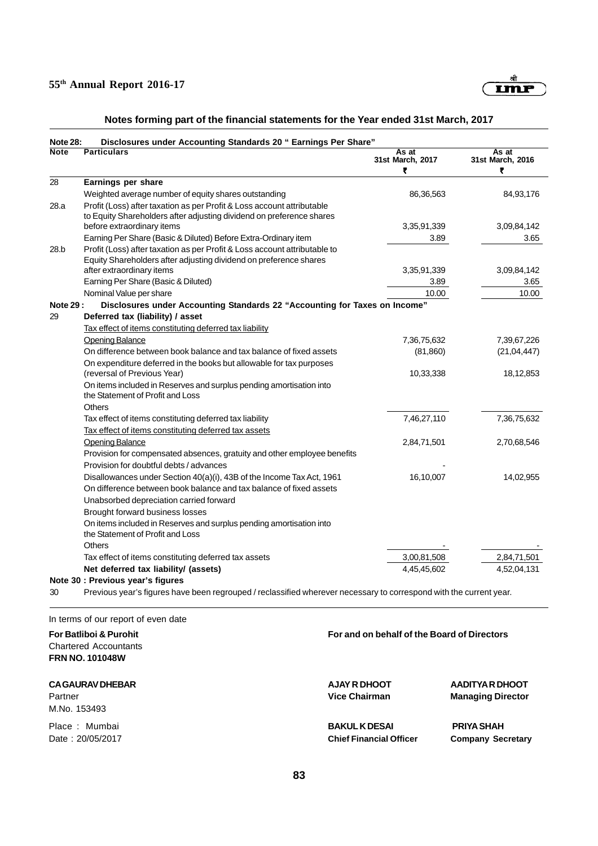# $\overline{\mathbf{m}}$

# **Notes forming part of the financial statements for the Year ended 31st March, 2017**

| <b>Note</b>     | <b>Particulars</b>                                                                                                                             | As at<br>31st March, 2017 | As at<br>31st March, 2016 |
|-----------------|------------------------------------------------------------------------------------------------------------------------------------------------|---------------------------|---------------------------|
|                 |                                                                                                                                                | ₹                         | ₹                         |
| 28              | Earnings per share                                                                                                                             |                           |                           |
|                 | Weighted average number of equity shares outstanding                                                                                           | 86,36,563                 | 84,93,176                 |
| 28.a            | Profit (Loss) after taxation as per Profit & Loss account attributable                                                                         |                           |                           |
|                 | to Equity Shareholders after adjusting dividend on preference shares                                                                           |                           |                           |
|                 | before extraordinary items                                                                                                                     | 3,35,91,339               | 3,09,84,142               |
|                 | Earning Per Share (Basic & Diluted) Before Extra-Ordinary item                                                                                 | 3.89                      | 3.65                      |
| 28.b            | Profit (Loss) after taxation as per Profit & Loss account attributable to<br>Equity Shareholders after adjusting dividend on preference shares |                           |                           |
|                 | after extraordinary items                                                                                                                      | 3,35,91,339               | 3,09,84,142               |
|                 | Earning Per Share (Basic & Diluted)                                                                                                            | 3.89                      | 3.65                      |
|                 | Nominal Value per share                                                                                                                        | 10.00                     | 10.00                     |
| <b>Note 29:</b> | Disclosures under Accounting Standards 22 "Accounting for Taxes on Income"                                                                     |                           |                           |
| 29              | Deferred tax (liability) / asset                                                                                                               |                           |                           |
|                 | Tax effect of items constituting deferred tax liability                                                                                        |                           |                           |
|                 | Opening Balance                                                                                                                                | 7,36,75,632               | 7,39,67,226               |
|                 | On difference between book balance and tax balance of fixed assets                                                                             | (81, 860)                 | (21, 04, 447)             |
|                 | On expenditure deferred in the books but allowable for tax purposes                                                                            |                           |                           |
|                 | (reversal of Previous Year)                                                                                                                    | 10,33,338                 | 18,12,853                 |
|                 | On items included in Reserves and surplus pending amortisation into<br>the Statement of Profit and Loss                                        |                           |                           |
|                 | <b>Others</b>                                                                                                                                  |                           |                           |
|                 | Tax effect of items constituting deferred tax liability                                                                                        | 7,46,27,110               | 7,36,75,632               |
|                 | Tax effect of items constituting deferred tax assets                                                                                           |                           |                           |
|                 | Opening Balance                                                                                                                                | 2,84,71,501               | 2,70,68,546               |
|                 | Provision for compensated absences, gratuity and other employee benefits                                                                       |                           |                           |
|                 | Provision for doubtful debts / advances                                                                                                        |                           |                           |
|                 | Disallowances under Section 40(a)(i), 43B of the Income Tax Act, 1961                                                                          | 16,10,007                 | 14,02,955                 |
|                 | On difference between book balance and tax balance of fixed assets                                                                             |                           |                           |
|                 | Unabsorbed depreciation carried forward                                                                                                        |                           |                           |
|                 | Brought forward business losses                                                                                                                |                           |                           |
|                 | On items included in Reserves and surplus pending amortisation into<br>the Statement of Profit and Loss                                        |                           |                           |
|                 | <b>Others</b>                                                                                                                                  |                           |                           |
|                 | Tax effect of items constituting deferred tax assets                                                                                           | 3,00,81,508               | 2,84,71,501               |
|                 | Net deferred tax liability/ (assets)                                                                                                           | 4,45,45,602               | 4,52,04,131               |
|                 | Note 30 : Previous year's figures                                                                                                              |                           |                           |

30 Previous year's figures have been regrouped / reclassified wherever necessary to correspond with the current year.

# In terms of our report of even date

Chartered Accountants **FRN NO. 101048W**

# **For Batliboi & Purohit For and on behalf of the Board of Directors**

| <b>CA GAURAV DHEBAR</b><br>Partner<br>M.No. 153493 | AJAY R DHOOT<br>Vice Chairman  | AADITYAR DHOOT<br><b>Managing Director</b> |
|----------------------------------------------------|--------------------------------|--------------------------------------------|
| Place: Mumbai                                      | <b>BAKUL K DESAI</b>           | <b>PRIYA SHAH</b>                          |
| Date: 20/05/2017                                   | <b>Chief Financial Officer</b> | <b>Company Secretary</b>                   |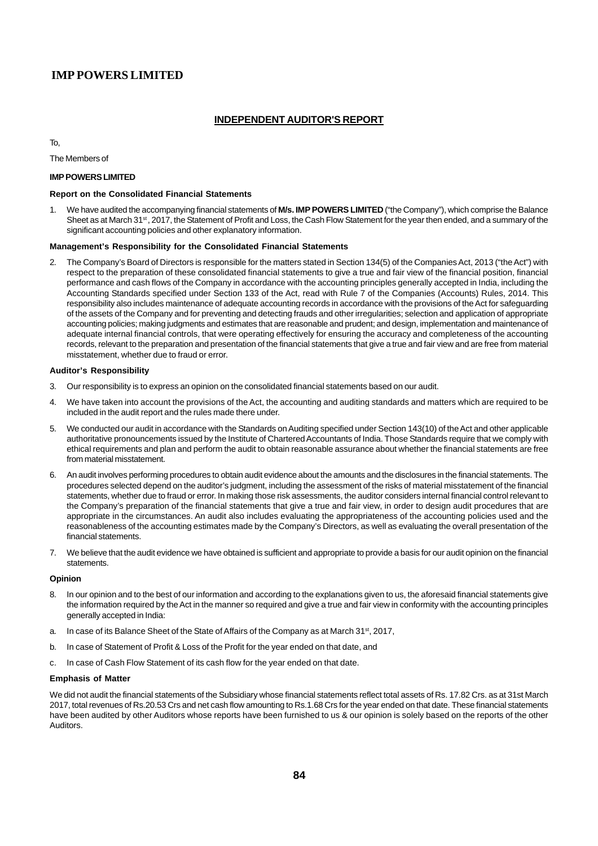# **INDEPENDENT AUDITOR'S REPORT**

To,

The Members of

# **IMP POWERS LIMITED**

# **Report on the Consolidated Financial Statements**

1. We have audited the accompanying financial statements of **M/s. IMP POWERS LIMITED** ("the Company"), which comprise the Balance Sheet as at March 31<sup>st</sup>, 2017, the Statement of Profit and Loss, the Cash Flow Statement for the year then ended, and a summary of the significant accounting policies and other explanatory information.

# **Management's Responsibility for the Consolidated Financial Statements**

2. The Company's Board of Directors is responsible for the matters stated in Section 134(5) of the Companies Act, 2013 ("the Act") with respect to the preparation of these consolidated financial statements to give a true and fair view of the financial position, financial performance and cash flows of the Company in accordance with the accounting principles generally accepted in India, including the Accounting Standards specified under Section 133 of the Act, read with Rule 7 of the Companies (Accounts) Rules, 2014. This responsibility also includes maintenance of adequate accounting records in accordance with the provisions of the Act for safeguarding of the assets of the Company and for preventing and detecting frauds and other irregularities; selection and application of appropriate accounting policies; making judgments and estimates that are reasonable and prudent; and design, implementation and maintenance of adequate internal financial controls, that were operating effectively for ensuring the accuracy and completeness of the accounting records, relevant to the preparation and presentation of the financial statements that give a true and fair view and are free from material misstatement, whether due to fraud or error.

# **Auditor's Responsibility**

- 3. Our responsibility is to express an opinion on the consolidated financial statements based on our audit.
- 4. We have taken into account the provisions of the Act, the accounting and auditing standards and matters which are required to be included in the audit report and the rules made there under.
- 5. We conducted our audit in accordance with the Standards on Auditing specified under Section 143(10) of the Act and other applicable authoritative pronouncements issued by the Institute of Chartered Accountants of India. Those Standards require that we comply with ethical requirements and plan and perform the audit to obtain reasonable assurance about whether the financial statements are free from material misstatement.
- 6. An audit involves performing procedures to obtain audit evidence about the amounts and the disclosures in the financial statements. The procedures selected depend on the auditor's judgment, including the assessment of the risks of material misstatement of the financial statements, whether due to fraud or error. In making those risk assessments, the auditor considers internal financial control relevant to the Company's preparation of the financial statements that give a true and fair view, in order to design audit procedures that are appropriate in the circumstances. An audit also includes evaluating the appropriateness of the accounting policies used and the reasonableness of the accounting estimates made by the Company's Directors, as well as evaluating the overall presentation of the financial statements.
- 7. We believe that the audit evidence we have obtained is sufficient and appropriate to provide a basis for our audit opinion on the financial statements.

# **Opinion**

- 8. In our opinion and to the best of our information and according to the explanations given to us, the aforesaid financial statements give the information required by the Act in the manner so required and give a true and fair view in conformity with the accounting principles generally accepted in India:
- a. In case of its Balance Sheet of the State of Affairs of the Company as at March 31<sup>st</sup>, 2017,
- b. In case of Statement of Profit & Loss of the Profit for the year ended on that date, and
- c. In case of Cash Flow Statement of its cash flow for the year ended on that date.

## **Emphasis of Matter**

We did not audit the financial statements of the Subsidiary whose financial statements reflect total assets of Rs. 17.82 Crs. as at 31st March 2017, total revenues of Rs.20.53 Crs and net cash flow amounting to Rs.1.68 Crs for the year ended on that date. These financial statements have been audited by other Auditors whose reports have been furnished to us & our opinion is solely based on the reports of the other Auditors.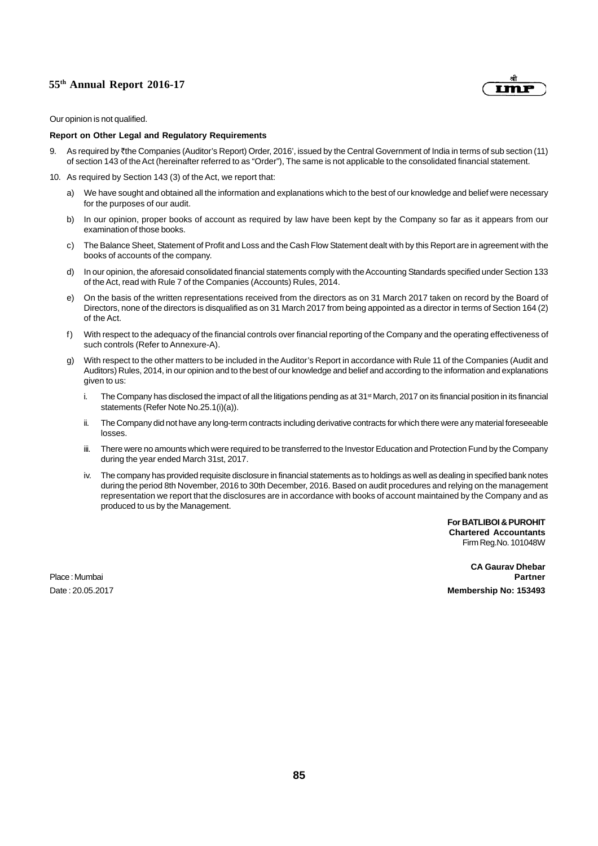

Our opinion is not qualified.

### **Report on Other Legal and Regulatory Requirements**

- 9. As required by  $\bar{\tau}$ the Companies (Auditor's Report) Order, 2016', issued by the Central Government of India in terms of sub section (11) of section 143 of the Act (hereinafter referred to as "Order"), The same is not applicable to the consolidated financial statement.
- 10. As required by Section 143 (3) of the Act, we report that:
	- a) We have sought and obtained all the information and explanations which to the best of our knowledge and belief were necessary for the purposes of our audit.
	- b) In our opinion, proper books of account as required by law have been kept by the Company so far as it appears from our examination of those books.
	- c) The Balance Sheet, Statement of Profit and Loss and the Cash Flow Statement dealt with by this Report are in agreement with the books of accounts of the company.
	- d) In our opinion, the aforesaid consolidated financial statements comply with the Accounting Standards specified under Section 133 of the Act, read with Rule 7 of the Companies (Accounts) Rules, 2014.
	- e) On the basis of the written representations received from the directors as on 31 March 2017 taken on record by the Board of Directors, none of the directors is disqualified as on 31 March 2017 from being appointed as a director in terms of Section 164 (2) of the Act.
	- f) With respect to the adequacy of the financial controls over financial reporting of the Company and the operating effectiveness of such controls (Refer to Annexure-A).
	- g) With respect to the other matters to be included in the Auditor's Report in accordance with Rule 11 of the Companies (Audit and Auditors) Rules, 2014, in our opinion and to the best of our knowledge and belief and according to the information and explanations given to us:
		- i. The Company has disclosed the impact of all the litigations pending as at 31<sup>st</sup> March, 2017 on its financial position in its financial statements (Refer Note No.25.1(i)(a)).
		- ii. The Company did not have any long-term contracts including derivative contracts for which there were any material foreseeable losses.
		- iii. There were no amounts which were required to be transferred to the Investor Education and Protection Fund by the Company during the year ended March 31st, 2017.
		- iv. The company has provided requisite disclosure in financial statements as to holdings as well as dealing in specified bank notes during the period 8th November, 2016 to 30th December, 2016. Based on audit procedures and relying on the management representation we report that the disclosures are in accordance with books of account maintained by the Company and as produced to us by the Management.

**For BATLIBOI & PUROHIT Chartered Accountants** Firm Reg.No. 101048W

**CA Gaurav Dhebar** Place : Mumbai **Partner** Date : 20.05.2017 **Membership No: 153493**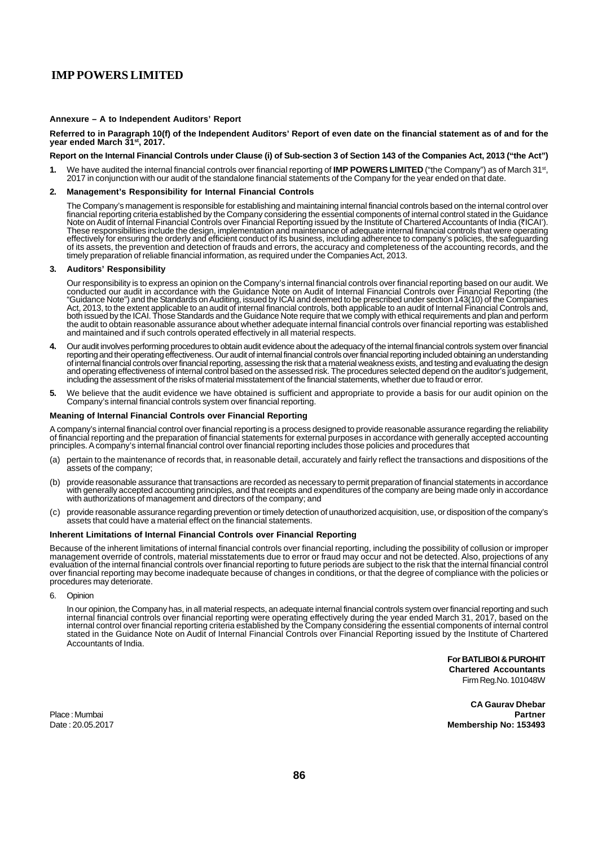# **Annexure – A to Independent Auditors' Report**

# **Referred to in Paragraph 10(f) of the Independent Auditors' Report of even date on the financial statement as of and for the year ended March 31st, 2017.**

## **Report on the Internal Financial Controls under Clause (i) of Sub-section 3 of Section 143 of the Companies Act, 2013 ("the Act")**

1. We have audited the internal financial controls over financial reporting of **IMP POWERS LIMITED** ("the Company") as of March 31<sup>st</sup>,<br>2017 in conjunction with our audit of the standalone financial statements of the Compa

## **2. Management's Responsibility for Internal Financial Controls**

The Company's management is responsible for establishing and maintaining internal financial controls based on the internal control over financial reporting criteria established by the Company considering the essential components of internal control stated in the Guidance Note on Audit of Internal Financial Controls over Financial Reporting issued by the Institute of Chartered Accountants of India (`ICAI'). These responsibilities include the design, implementation and maintenance of adequate internal financial controls that were operating effectively for ensuring the orderly and efficient conduct of its business, including adherence to company's policies, the safeguarding of its assets, the prevention and detection of frauds and errors, the accuracy and completeness of the accounting records, and the timely preparation of reliable financial information, as required under the Companies Act, 2013.

## **3. Auditors' Responsibility**

Our responsibility is to express an opinion on the Company's internal financial controls over financial reporting based on our audit. We conducted our audit in accordance with the Guidance Note on Audit of Internal Financial Controls over Financial Reporting (the "Guidance Note") and the Standards on Auditing, issued by ICAI and deemed to be prescribed under section 143(10) of the Companies Act, 2013, to the extent applicable to an audit of internal financial controls, both applicable to an audit of Internal Financial Controls and, both issued by the ICAI. Those Standards and the Guidance Note require that we comply with ethical requirements and plan and perform the audit to obtain reasonable assurance about whether adequate internal financial controls over financial reporting was established and maintained and if such controls operated effectively in all material respects.

- **4.** Our audit involves performing procedures to obtain audit evidence about the adequacy of the internal financial controls system over financial reporting and their operating effectiveness. Our audit of internal financial controls over financial reporting included obtaining an understanding of internal financial controls over financial reporting, assessing the risk that a material weakness exists, and testing and evaluating the design and operating effectiveness of internal control based on the assessed risk. The procedures selected depend on the auditor's judgement, including the assessment of the risks of material misstatement of the financial statements, whether due to fraud or error.
- **5.** We believe that the audit evidence we have obtained is sufficient and appropriate to provide a basis for our audit opinion on the Company's internal financial controls system over financial reporting.

## **Meaning of Internal Financial Controls over Financial Reporting**

A company's internal financial control over financial reporting is a process designed to provide reasonable assurance regarding the reliability of financial reporting and the preparation of financial statements for external purposes in accordance with generally accepted accounting principles. A company's internal financial control over financial reporting includes those policies and procedures that

- (a) pertain to the maintenance of records that, in reasonable detail, accurately and fairly reflect the transactions and dispositions of the assets of the company;
- (b) provide reasonable assurance that transactions are recorded as necessary to permit preparation of financial statements in accordance with generally accepted accounting principles, and that receipts and expenditures of the company are being made only in accordance with authorizations of management and directors of the company; and
- (c) provide reasonable assurance regarding prevention or timely detection of unauthorized acquisition, use, or disposition of the company's assets that could have a material effect on the financial statements.

### **Inherent Limitations of Internal Financial Controls over Financial Reporting**

Because of the inherent limitations of internal financial controls over financial reporting, including the possibility of collusion or improper management override of controls, material misstatements due to error or fraud may occur and not be detected. Also, projections of any evaluation of the internal financial controls over financial reporting to future periods are subject to the risk that the internal financial control over financial reporting may become inadequate because of changes in conditions, or that the degree of compliance with the policies or procedures may deteriorate.

6. Opinion

In our opinion, the Company has, in all material respects, an adequate internal financial controls system over financial reporting and such internal financial controls over financial reporting were operating effectively during the year ended March 31, 2017, based on the internal control over financial reporting criteria established by the Company considering the essential components of internal control stated in the Guidance Note on Audit of Internal Financial Controls over Financial Reporting issued by the Institute of Chartered Accountants of India.

> **For BATLIBOI & PUROHIT Chartered Accountants** Firm Reg.No. 101048W

**CA Gaurav Dhebar** Place : Mumbai **Partner** Date : 20.05.2017 **Membership No: 153493**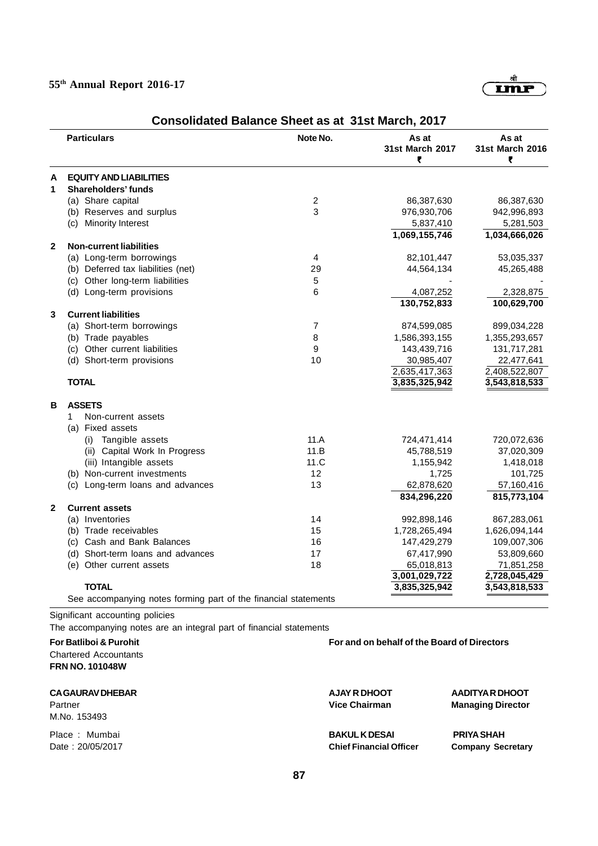$\frac{\hat{\mathbf{m}}}{\mathbf{m}}$ 

|              | <b>Particulars</b>                                                  | Note No.       | As at<br><b>31st March 2017</b><br>₹        | As at<br><b>31st March 2016</b><br>₹ |
|--------------|---------------------------------------------------------------------|----------------|---------------------------------------------|--------------------------------------|
| A            | <b>EQUITY AND LIABILITIES</b>                                       |                |                                             |                                      |
| 1            | Shareholders' funds                                                 |                |                                             |                                      |
|              | (a) Share capital                                                   | $\overline{c}$ | 86,387,630                                  | 86,387,630                           |
|              | (b) Reserves and surplus                                            | 3              | 976,930,706                                 | 942,996,893                          |
|              | (c) Minority Interest                                               |                | 5,837,410                                   | 5,281,503                            |
|              |                                                                     |                | 1,069,155,746                               | 1,034,666,026                        |
| $\mathbf{2}$ | <b>Non-current liabilities</b>                                      |                |                                             |                                      |
|              | (a) Long-term borrowings                                            | 4              | 82,101,447                                  | 53,035,337                           |
|              | (b) Deferred tax liabilities (net)                                  | 29             | 44,564,134                                  | 45,265,488                           |
|              | (c) Other long-term liabilities                                     | 5              |                                             |                                      |
|              | (d) Long-term provisions                                            | 6              | 4,087,252                                   | 2,328,875                            |
|              |                                                                     |                | 130,752,833                                 | 100,629,700                          |
| 3            | <b>Current liabilities</b>                                          |                |                                             |                                      |
|              | (a) Short-term borrowings                                           | 7              | 874,599,085                                 | 899,034,228                          |
|              | (b) Trade payables                                                  | 8              | 1,586,393,155                               | 1,355,293,657                        |
|              | (c) Other current liabilities                                       | 9              | 143,439,716                                 | 131,717,281                          |
|              | (d) Short-term provisions                                           | 10             | 30,985,407                                  | 22,477,641                           |
|              |                                                                     |                | 2,635,417,363                               | 2,408,522,807                        |
|              | <b>TOTAL</b>                                                        |                | 3,835,325,942                               | 3,543,818,533                        |
| в            | <b>ASSETS</b>                                                       |                |                                             |                                      |
|              | 1<br>Non-current assets                                             |                |                                             |                                      |
|              | (a) Fixed assets                                                    |                |                                             |                                      |
|              | (i) Tangible assets                                                 | 11.A           | 724,471,414                                 | 720,072,636                          |
|              | (ii) Capital Work In Progress                                       | 11.B           | 45,788,519                                  | 37,020,309                           |
|              | (iii) Intangible assets                                             | 11.C           | 1,155,942                                   | 1,418,018                            |
|              | (b) Non-current investments                                         | 12             | 1,725                                       | 101,725                              |
|              | Long-term loans and advances<br>(c)                                 | 13             | 62,878,620                                  | 57,160,416                           |
|              |                                                                     |                | 834,296,220                                 | 815,773,104                          |
| $\mathbf{2}$ | <b>Current assets</b>                                               |                |                                             |                                      |
|              | (a) Inventories                                                     | 14             | 992,898,146                                 | 867,283,061                          |
|              | (b) Trade receivables                                               | 15             | 1,728,265,494                               | 1,626,094,144                        |
|              | (c) Cash and Bank Balances                                          | 16             | 147,429,279                                 | 109,007,306                          |
|              | (d) Short-term loans and advances                                   | 17             | 67,417,990                                  | 53,809,660                           |
|              | (e) Other current assets                                            | 18             | 65,018,813                                  | 71,851,258                           |
|              |                                                                     |                | 3,001,029,722                               | 2,728,045,429                        |
|              | <b>TOTAL</b>                                                        |                | 3,835,325,942                               | 3,543,818,533                        |
|              | See accompanying notes forming part of the financial statements     |                |                                             |                                      |
|              | Significant accounting policies                                     |                |                                             |                                      |
|              | The accompanying notes are an integral part of financial statements |                |                                             |                                      |
|              | For Batliboi & Purohit                                              |                | For and on behalf of the Board of Directors |                                      |

# **Consolidated Balance Sheet as at 31st March, 2017**

Chartered Accountants **FRN NO. 101048W**

| <b>CA GAURAV DHEBAR</b><br>Partner<br>M.No. 153493 | AJAY R DHOOT<br>Vice Chairman  | AADITYAR DHOOT<br><b>Managing Director</b> |
|----------------------------------------------------|--------------------------------|--------------------------------------------|
| Place: Mumbai                                      | <b>BAKUL K DESAI</b>           | <b>PRIYA SHAH</b>                          |
| Date: 20/05/2017                                   | <b>Chief Financial Officer</b> | <b>Company Secretary</b>                   |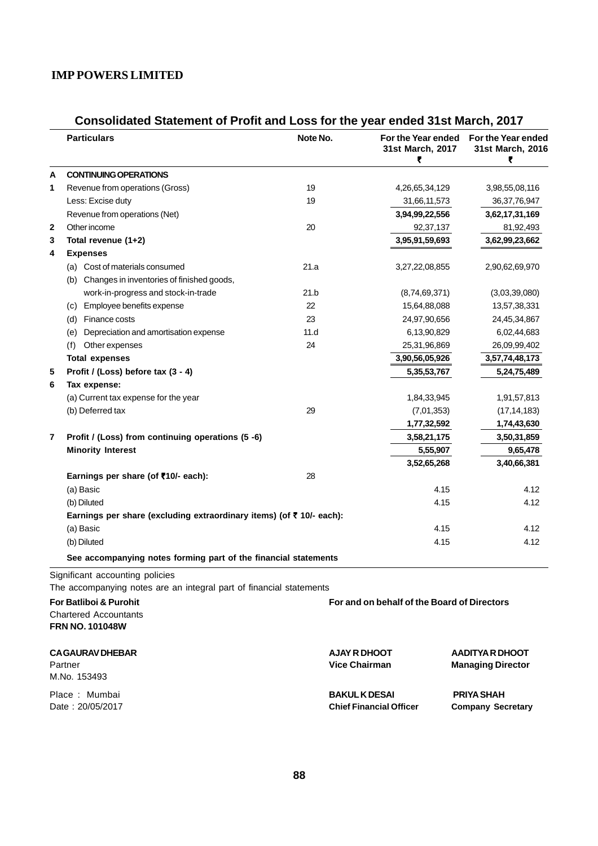# **Consolidated Statement of Profit and Loss for the year ended 31st March, 2017**

|   | <b>Particulars</b>                                                                                     | Note No.             | For the Year ended<br>31st March, 2017<br>₹ | For the Year ended<br>31st March, 2016<br>₹ |
|---|--------------------------------------------------------------------------------------------------------|----------------------|---------------------------------------------|---------------------------------------------|
| A | <b>CONTINUING OPERATIONS</b>                                                                           |                      |                                             |                                             |
| 1 | Revenue from operations (Gross)                                                                        | 19                   | 4,26,65,34,129                              | 3,98,55,08,116                              |
|   | Less: Excise duty                                                                                      | 19                   | 31,66,11,573                                | 36, 37, 76, 947                             |
|   | Revenue from operations (Net)                                                                          |                      | 3,94,99,22,556                              | 3,62,17,31,169                              |
| 2 | Other income                                                                                           | 20                   | 92,37,137                                   | 81,92,493                                   |
| 3 | Total revenue (1+2)                                                                                    |                      | 3,95,91,59,693                              | 3,62,99,23,662                              |
| 4 | <b>Expenses</b>                                                                                        |                      |                                             |                                             |
|   | (a) Cost of materials consumed                                                                         | 21.a                 | 3,27,22,08,855                              | 2,90,62,69,970                              |
|   | (b) Changes in inventories of finished goods,                                                          |                      |                                             |                                             |
|   | work-in-progress and stock-in-trade                                                                    | 21.b                 | (8,74,69,371)                               | (3,03,39,080)                               |
|   | (c) Employee benefits expense                                                                          | 22                   | 15,64,88,088                                | 13,57,38,331                                |
|   | (d) Finance costs                                                                                      | 23                   | 24,97,90,656                                | 24,45,34,867                                |
|   | Depreciation and amortisation expense<br>(e)                                                           | 11.d                 | 6,13,90,829                                 | 6,02,44,683                                 |
|   | Other expenses<br>(f)                                                                                  | 24                   | 25,31,96,869                                | 26,09,99,402                                |
|   | <b>Total expenses</b>                                                                                  |                      | 3,90,56,05,926                              | 3,57,74,48,173                              |
| 5 | Profit / (Loss) before tax (3 - 4)                                                                     |                      | 5,35,53,767                                 | 5,24,75,489                                 |
| 6 | Tax expense:                                                                                           |                      |                                             |                                             |
|   | (a) Current tax expense for the year                                                                   |                      | 1,84,33,945                                 | 1,91,57,813                                 |
|   | (b) Deferred tax                                                                                       | 29                   | (7,01,353)                                  | (17, 14, 183)                               |
|   |                                                                                                        |                      | 1,77,32,592                                 | 1,74,43,630                                 |
| 7 | Profit / (Loss) from continuing operations (5 -6)                                                      |                      | 3,58,21,175                                 | 3,50,31,859                                 |
|   | <b>Minority Interest</b>                                                                               |                      | 5,55,907                                    | 9,65,478                                    |
|   |                                                                                                        |                      | 3,52,65,268                                 | 3,40,66,381                                 |
|   | Earnings per share (of ₹10/- each):                                                                    | 28                   |                                             |                                             |
|   | (a) Basic                                                                                              |                      | 4.15                                        | 4.12                                        |
|   | (b) Diluted                                                                                            |                      | 4.15                                        | 4.12                                        |
|   | Earnings per share (excluding extraordinary items) (of ₹ 10/- each):                                   |                      |                                             |                                             |
|   | (a) Basic                                                                                              |                      | 4.15                                        | 4.12                                        |
|   | (b) Diluted                                                                                            |                      | 4.15                                        | 4.12                                        |
|   | See accompanying notes forming part of the financial statements                                        |                      |                                             |                                             |
|   | Significant accounting policies<br>The accompanying notes are an integral part of financial statements |                      |                                             |                                             |
|   | <b>For Batliboi &amp; Purohit</b>                                                                      |                      | For and on behalf of the Board of Directors |                                             |
|   | <b>Chartered Accountants</b>                                                                           |                      |                                             |                                             |
|   | <b>FRN NO. 101048W</b>                                                                                 |                      |                                             |                                             |
|   |                                                                                                        |                      |                                             |                                             |
|   | <b>CA GAURAV DHEBAR</b><br>Partner                                                                     | <b>Vice Chairman</b> | <b>AJAY R DHOOT</b>                         | AADITYA R DHOOT<br><b>Managing Director</b> |
|   | M.No. 153493                                                                                           |                      |                                             |                                             |
|   | Place: Mumbai                                                                                          |                      | <b>BAKUL K DESAI</b>                        | <b>PRIYA SHAH</b>                           |

Date : 20/05/2017 **Chief Financial Officer** Company Secretary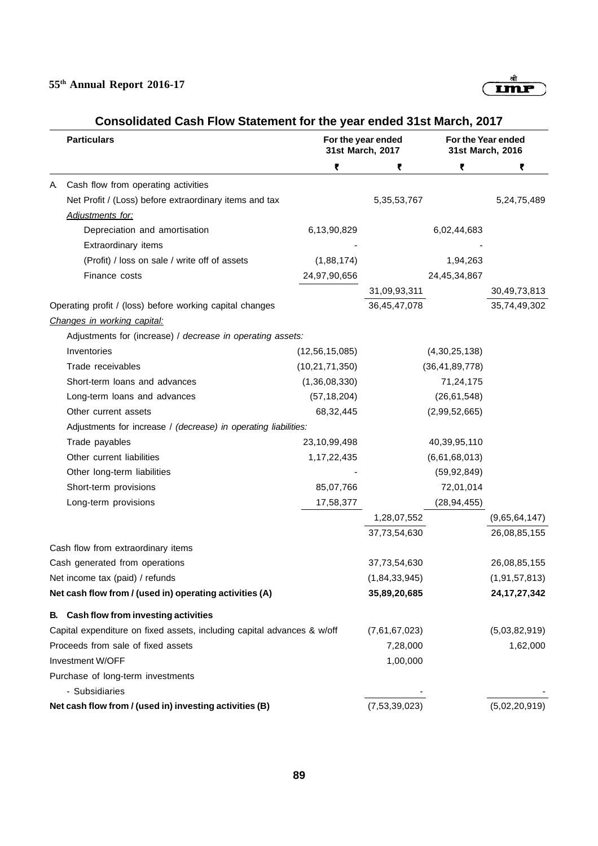# $\frac{1}{\sqrt{2}}$

# **Consolidated Cash Flow Statement for the year ended 31st March, 2017**

|    | <b>Particulars</b>                                                      | For the year ended<br>31st March, 2017 |                  |                   | For the Year ended<br>31st March, 2016 |  |
|----|-------------------------------------------------------------------------|----------------------------------------|------------------|-------------------|----------------------------------------|--|
|    |                                                                         | ₹                                      | ₹                | ₹                 | ₹                                      |  |
| A  | Cash flow from operating activities                                     |                                        |                  |                   |                                        |  |
|    | Net Profit / (Loss) before extraordinary items and tax                  |                                        | 5, 35, 53, 767   |                   | 5,24,75,489                            |  |
|    | <u>Adjustments for:</u>                                                 |                                        |                  |                   |                                        |  |
|    | Depreciation and amortisation                                           | 6,13,90,829                            |                  | 6,02,44,683       |                                        |  |
|    | Extraordinary items                                                     |                                        |                  |                   |                                        |  |
|    | (Profit) / loss on sale / write off of assets                           | (1,88,174)                             |                  | 1,94,263          |                                        |  |
|    | Finance costs                                                           | 24,97,90,656                           |                  | 24,45,34,867      |                                        |  |
|    |                                                                         |                                        | 31,09,93,311     |                   | 30,49,73,813                           |  |
|    | Operating profit / (loss) before working capital changes                |                                        | 36,45,47,078     |                   | 35,74,49,302                           |  |
|    | Changes in working capital:                                             |                                        |                  |                   |                                        |  |
|    | Adjustments for (increase) / decrease in operating assets:              |                                        |                  |                   |                                        |  |
|    | Inventories                                                             | (12, 56, 15, 085)                      |                  | (4,30,25,138)     |                                        |  |
|    | Trade receivables                                                       | (10, 21, 71, 350)                      |                  | (36, 41, 89, 778) |                                        |  |
|    | Short-term loans and advances                                           | (1,36,08,330)                          |                  | 71,24,175         |                                        |  |
|    | Long-term loans and advances                                            | (57, 18, 204)                          |                  | (26, 61, 548)     |                                        |  |
|    | Other current assets                                                    | 68,32,445                              |                  | (2,99,52,665)     |                                        |  |
|    | Adjustments for increase / (decrease) in operating liabilities:         |                                        |                  |                   |                                        |  |
|    | Trade payables                                                          | 23,10,99,498                           |                  | 40,39,95,110      |                                        |  |
|    | Other current liabilities                                               | 1, 17, 22, 435                         |                  | (6,61,68,013)     |                                        |  |
|    | Other long-term liabilities                                             |                                        |                  | (59, 92, 849)     |                                        |  |
|    | Short-term provisions                                                   | 85,07,766                              |                  | 72,01,014         |                                        |  |
|    | Long-term provisions                                                    | 17,58,377                              |                  | (28, 94, 455)     |                                        |  |
|    |                                                                         |                                        | 1,28,07,552      |                   | (9,65,64,147)                          |  |
|    |                                                                         |                                        | 37,73,54,630     |                   | 26,08,85,155                           |  |
|    | Cash flow from extraordinary items                                      |                                        |                  |                   |                                        |  |
|    | Cash generated from operations                                          |                                        | 37,73,54,630     |                   | 26,08,85,155                           |  |
|    | Net income tax (paid) / refunds                                         |                                        | (1, 84, 33, 945) |                   | (1, 91, 57, 813)                       |  |
|    | Net cash flow from / (used in) operating activities (A)                 |                                        | 35,89,20,685     |                   | 24, 17, 27, 342                        |  |
| В. | Cash flow from investing activities                                     |                                        |                  |                   |                                        |  |
|    | Capital expenditure on fixed assets, including capital advances & w/off |                                        | (7,61,67,023)    |                   | (5,03,82,919)                          |  |
|    | Proceeds from sale of fixed assets                                      |                                        | 7,28,000         |                   | 1,62,000                               |  |
|    | Investment W/OFF                                                        |                                        | 1,00,000         |                   |                                        |  |
|    | Purchase of long-term investments                                       |                                        |                  |                   |                                        |  |
|    | - Subsidiaries                                                          |                                        |                  |                   |                                        |  |
|    | Net cash flow from / (used in) investing activities (B)                 |                                        | (7,53,39,023)    |                   | (5,02,20,919)                          |  |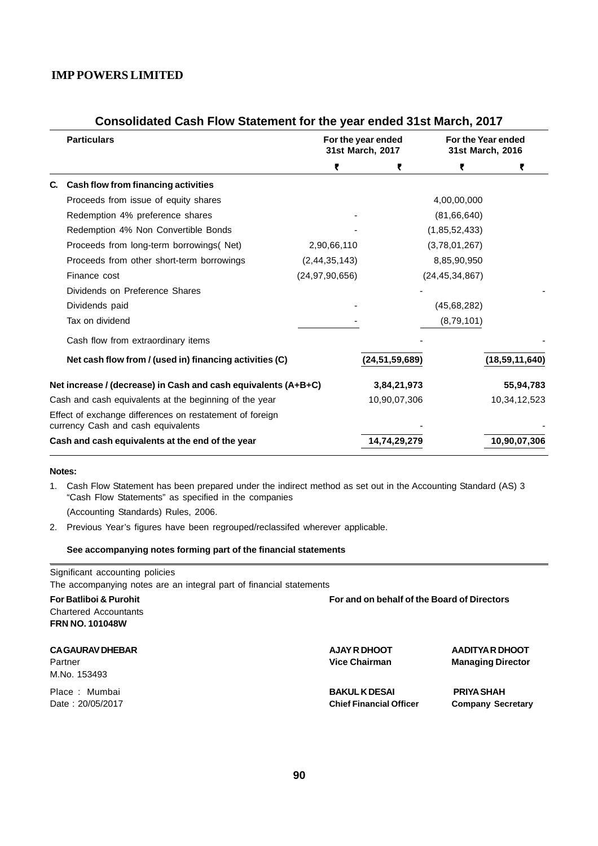| Consolidated Cash Flow Statement for the year ended 31st March, 2017 |  |
|----------------------------------------------------------------------|--|
|----------------------------------------------------------------------|--|

| <b>Particulars</b> |                                                                                                |                   | For the year ended<br>31st March, 2017 |                   | For the Year ended<br>31st March, 2016 |
|--------------------|------------------------------------------------------------------------------------------------|-------------------|----------------------------------------|-------------------|----------------------------------------|
|                    |                                                                                                | ₹                 | ₹                                      | ₹                 | ₹                                      |
| C.                 | Cash flow from financing activities                                                            |                   |                                        |                   |                                        |
|                    | Proceeds from issue of equity shares                                                           |                   |                                        | 4,00,00,000       |                                        |
|                    | Redemption 4% preference shares                                                                |                   |                                        | (81,66,640)       |                                        |
|                    | Redemption 4% Non Convertible Bonds                                                            |                   |                                        | (1,85,52,433)     |                                        |
|                    | Proceeds from long-term borrowings( Net)                                                       | 2,90,66,110       |                                        | (3,78,01,267)     |                                        |
|                    | Proceeds from other short-term borrowings                                                      | (2, 44, 35, 143)  |                                        | 8,85,90,950       |                                        |
|                    | Finance cost                                                                                   | (24, 97, 90, 656) |                                        | (24, 45, 34, 867) |                                        |
|                    | Dividends on Preference Shares                                                                 |                   |                                        |                   |                                        |
|                    | Dividends paid                                                                                 |                   |                                        | (45, 68, 282)     |                                        |
|                    | Tax on dividend                                                                                |                   |                                        | (8,79,101)        |                                        |
|                    | Cash flow from extraordinary items                                                             |                   |                                        |                   |                                        |
|                    | Net cash flow from / (used in) financing activities (C)                                        |                   | (24, 51, 59, 689)                      |                   | (18, 59, 11, 640)                      |
|                    | Net increase / (decrease) in Cash and cash equivalents (A+B+C)                                 |                   | 3,84,21,973                            |                   | 55,94,783                              |
|                    | Cash and cash equivalents at the beginning of the year                                         |                   | 10,90,07,306                           |                   | 10,34,12,523                           |
|                    | Effect of exchange differences on restatement of foreign<br>currency Cash and cash equivalents |                   |                                        |                   |                                        |
|                    | Cash and cash equivalents at the end of the year                                               |                   | 14,74,29,279                           |                   | 10,90,07,306                           |

# **Notes:**

1. Cash Flow Statement has been prepared under the indirect method as set out in the Accounting Standard (AS) 3 "Cash Flow Statements" as specified in the companies (Accounting Standards) Rules, 2006.

2. Previous Year's figures have been regrouped/reclassifed wherever applicable.

# **See accompanying notes forming part of the financial statements**

# Significant accounting policies

The accompanying notes are an integral part of financial statements

| <b>For Batliboi &amp; Purohit</b> | For and on behalf of the Board of Directors |                          |
|-----------------------------------|---------------------------------------------|--------------------------|
| <b>Chartered Accountants</b>      |                                             |                          |
| <b>FRN NO. 101048W</b>            |                                             |                          |
| <b>CA GAURAV DHEBAR</b>           | <b>AJAY R DHOOT</b>                         | AADITYAR DHOOT           |
| Partner                           | <b>Vice Chairman</b>                        | <b>Managing Director</b> |
| M.No. 153493                      |                                             |                          |
| Place: Mumbai                     | <b>BAKUL K DESAI</b>                        | <b>PRIYA SHAH</b>        |
| Date: 20/05/2017                  | <b>Chief Financial Officer</b>              | <b>Company Secretary</b> |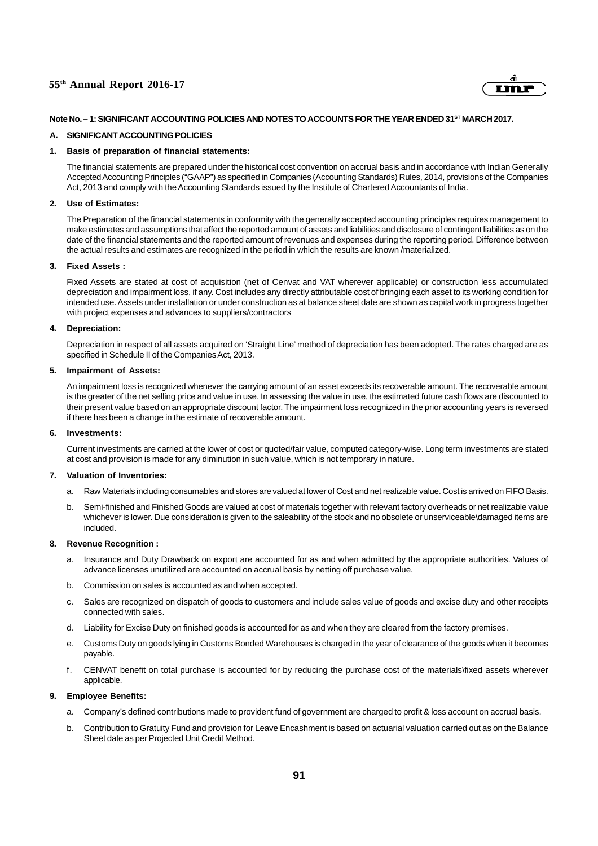

# Note No. – 1: SIGNIFICANT ACCOUNTING POLICIES AND NOTES TO ACCOUNTS FOR THE YEAR ENDED 31<sup>st</sup> MARCH 2017.

### **A. SIGNIFICANT ACCOUNTING POLICIES**

### **1. Basis of preparation of financial statements:**

The financial statements are prepared under the historical cost convention on accrual basis and in accordance with Indian Generally Accepted Accounting Principles ("GAAP") as specified in Companies (Accounting Standards) Rules, 2014, provisions of the Companies Act, 2013 and comply with the Accounting Standards issued by the Institute of Chartered Accountants of India.

# **2. Use of Estimates:**

The Preparation of the financial statements in conformity with the generally accepted accounting principles requires management to make estimates and assumptions that affect the reported amount of assets and liabilities and disclosure of contingent liabilities as on the date of the financial statements and the reported amount of revenues and expenses during the reporting period. Difference between the actual results and estimates are recognized in the period in which the results are known /materialized.

### **3. Fixed Assets :**

Fixed Assets are stated at cost of acquisition (net of Cenvat and VAT wherever applicable) or construction less accumulated depreciation and impairment loss, if any. Cost includes any directly attributable cost of bringing each asset to its working condition for intended use. Assets under installation or under construction as at balance sheet date are shown as capital work in progress together with project expenses and advances to suppliers/contractors

### **4. Depreciation:**

Depreciation in respect of all assets acquired on 'Straight Line' method of depreciation has been adopted. The rates charged are as specified in Schedule II of the Companies Act, 2013.

# **5. Impairment of Assets:**

An impairment loss is recognized whenever the carrying amount of an asset exceeds its recoverable amount. The recoverable amount is the greater of the net selling price and value in use. In assessing the value in use, the estimated future cash flows are discounted to their present value based on an appropriate discount factor. The impairment loss recognized in the prior accounting years is reversed if there has been a change in the estimate of recoverable amount.

### **6. Investments:**

Current investments are carried at the lower of cost or quoted/fair value, computed category-wise. Long term investments are stated at cost and provision is made for any diminution in such value, which is not temporary in nature.

### **7. Valuation of Inventories:**

- a. Raw Materials including consumables and stores are valued at lower of Cost and net realizable value. Cost is arrived on FIFO Basis.
- b. Semi-finished and Finished Goods are valued at cost of materials together with relevant factory overheads or net realizable value whichever is lower. Due consideration is given to the saleability of the stock and no obsolete or unserviceable\damaged items are included.

# **8. Revenue Recognition :**

- a. Insurance and Duty Drawback on export are accounted for as and when admitted by the appropriate authorities. Values of advance licenses unutilized are accounted on accrual basis by netting off purchase value.
- b. Commission on sales is accounted as and when accepted.
- c. Sales are recognized on dispatch of goods to customers and include sales value of goods and excise duty and other receipts connected with sales.
- d. Liability for Excise Duty on finished goods is accounted for as and when they are cleared from the factory premises.
- e. Customs Duty on goods lying in Customs Bonded Warehouses is charged in the year of clearance of the goods when it becomes payable.
- f. CENVAT benefit on total purchase is accounted for by reducing the purchase cost of the materials\fixed assets wherever applicable.

# **9. Employee Benefits:**

- a. Company's defined contributions made to provident fund of government are charged to profit & loss account on accrual basis.
- b. Contribution to Gratuity Fund and provision for Leave Encashment is based on actuarial valuation carried out as on the Balance Sheet date as per Projected Unit Credit Method.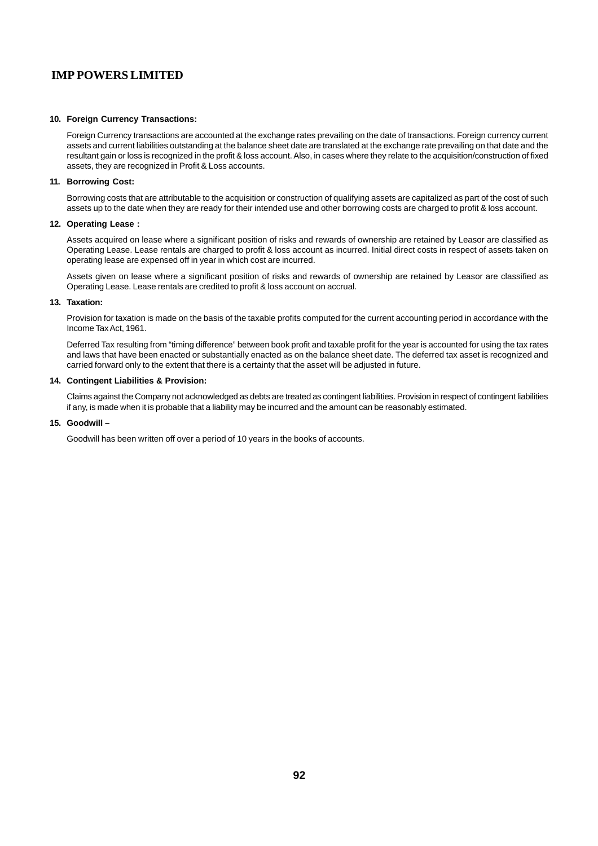# **10. Foreign Currency Transactions:**

Foreign Currency transactions are accounted at the exchange rates prevailing on the date of transactions. Foreign currency current assets and current liabilities outstanding at the balance sheet date are translated at the exchange rate prevailing on that date and the resultant gain or loss is recognized in the profit & loss account. Also, in cases where they relate to the acquisition/construction of fixed assets, they are recognized in Profit & Loss accounts.

# **11. Borrowing Cost:**

Borrowing costs that are attributable to the acquisition or construction of qualifying assets are capitalized as part of the cost of such assets up to the date when they are ready for their intended use and other borrowing costs are charged to profit & loss account.

# **12. Operating Lease :**

Assets acquired on lease where a significant position of risks and rewards of ownership are retained by Leasor are classified as Operating Lease. Lease rentals are charged to profit & loss account as incurred. Initial direct costs in respect of assets taken on operating lease are expensed off in year in which cost are incurred.

Assets given on lease where a significant position of risks and rewards of ownership are retained by Leasor are classified as Operating Lease. Lease rentals are credited to profit & loss account on accrual.

# **13. Taxation:**

Provision for taxation is made on the basis of the taxable profits computed for the current accounting period in accordance with the Income Tax Act, 1961.

Deferred Tax resulting from "timing difference" between book profit and taxable profit for the year is accounted for using the tax rates and laws that have been enacted or substantially enacted as on the balance sheet date. The deferred tax asset is recognized and carried forward only to the extent that there is a certainty that the asset will be adjusted in future.

# **14. Contingent Liabilities & Provision:**

Claims against the Company not acknowledged as debts are treated as contingent liabilities. Provision in respect of contingent liabilities if any, is made when it is probable that a liability may be incurred and the amount can be reasonably estimated.

# **15. Goodwill –**

Goodwill has been written off over a period of 10 years in the books of accounts.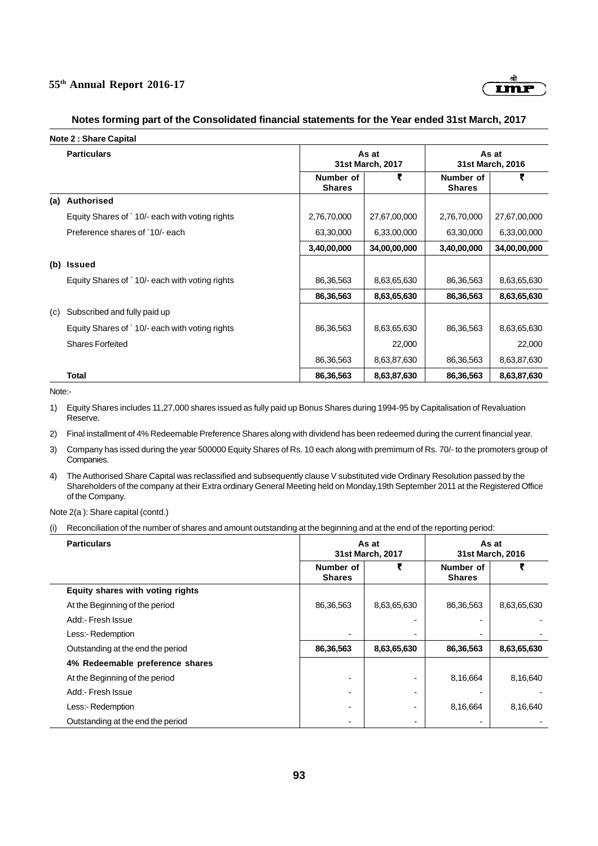

# **Notes forming part of the Consolidated financial statements for the Year ended 31st March, 2017**

|     | <b>Note 2: Share Capital</b>                   |                            |                           |                            |                           |  |
|-----|------------------------------------------------|----------------------------|---------------------------|----------------------------|---------------------------|--|
|     | <b>Particulars</b>                             |                            | As at<br>31st March, 2017 |                            | As at<br>31st March, 2016 |  |
|     |                                                | Number of<br><b>Shares</b> | ₹                         | Number of<br><b>Shares</b> | ₹                         |  |
| (a) | <b>Authorised</b>                              |                            |                           |                            |                           |  |
|     | Equity Shares of `10/- each with voting rights | 2,76,70,000                | 27,67,00,000              | 2,76,70,000                | 27,67,00,000              |  |
|     | Preference shares of `10/- each                | 63,30,000                  | 6,33,00,000               | 63,30,000                  | 6,33,00,000               |  |
|     |                                                | 3,40,00,000                | 34,00,00,000              | 3,40,00,000                | 34,00,00,000              |  |
| (b) | <b>Issued</b>                                  |                            |                           |                            |                           |  |
|     | Equity Shares of `10/- each with voting rights | 86,36,563                  | 8,63,65,630               | 86,36,563                  | 8,63,65,630               |  |
|     |                                                | 86,36,563                  | 8,63,65,630               | 86,36,563                  | 8,63,65,630               |  |
| (c) | Subscribed and fully paid up                   |                            |                           |                            |                           |  |
|     | Equity Shares of `10/- each with voting rights | 86,36,563                  | 8,63,65,630               | 86,36,563                  | 8,63,65,630               |  |
|     | <b>Shares Forfeited</b>                        |                            | 22,000                    |                            | 22,000                    |  |
|     |                                                | 86,36,563                  | 8,63,87,630               | 86,36,563                  | 8,63,87,630               |  |
|     | Total                                          | 86,36,563                  | 8,63,87,630               | 86,36,563                  | 8,63,87,630               |  |

Note:-

1) Equity Shares includes 11,27,000 shares issued as fully paid up Bonus Shares during 1994-95 by Capitalisation of Revaluation Reserve.

2) Final installment of 4% Redeemable Preference Shares along with dividend has been redeemed during the current financial year.

- 3) Company has issed during the year 500000 Equity Shares of Rs. 10 each along with premimum of Rs. 70/- to the promoters group of Companies.
- 4) The Authorised Share Capital was reclassified and subsequently clause V substituted vide Ordinary Resolution passed by the Shareholders of the company at their Extra ordinary General Meeting held on Monday,19th September 2011 at the Registered Office of the Company.

Note 2(a ): Share capital (contd.)

<sup>(</sup>i) Reconciliation of the number of shares and amount outstanding at the beginning and at the end of the reporting period:

| <b>Particulars</b>                | As at<br>31st March, 2017  |                          | As at<br>31st March, 2016  |             |
|-----------------------------------|----------------------------|--------------------------|----------------------------|-------------|
|                                   | Number of<br><b>Shares</b> | ₹                        | Number of<br><b>Shares</b> |             |
| Equity shares with voting rights  |                            |                          |                            |             |
| At the Beginning of the period    | 86,36,563                  | 8,63,65,630              | 86,36,563                  | 8,63,65,630 |
| Add:- Fresh Issue                 |                            |                          |                            |             |
| Less:-Redemption                  | $\overline{\phantom{0}}$   |                          |                            |             |
| Outstanding at the end the period | 86,36,563                  | 8,63,65,630              | 86,36,563                  | 8,63,65,630 |
| 4% Redeemable preference shares   |                            |                          |                            |             |
| At the Beginning of the period    | $\overline{\phantom{0}}$   |                          | 8,16,664                   | 8,16,640    |
| Add:- Fresh Issue                 | -                          |                          |                            |             |
| Less:-Redemption                  |                            |                          | 8,16,664                   | 8,16,640    |
| Outstanding at the end the period | -                          | $\overline{\phantom{0}}$ |                            |             |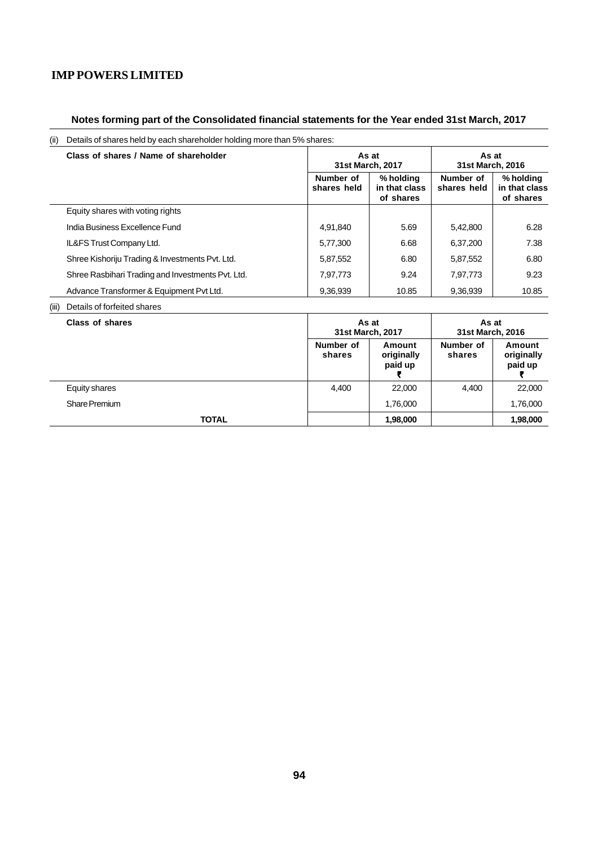# **Notes forming part of the Consolidated financial statements for the Year ended 31st March, 2017**

# (ii) Details of shares held by each shareholder holding more than 5% shares:

| Class of shares / Name of shareholder             |                          | As at<br>31st March, 2017               |                          | As at<br>31st March, 2016               |  |
|---------------------------------------------------|--------------------------|-----------------------------------------|--------------------------|-----------------------------------------|--|
|                                                   | Number of<br>shares held | % holding<br>in that class<br>of shares | Number of<br>shares held | % holding<br>in that class<br>of shares |  |
| Equity shares with voting rights                  |                          |                                         |                          |                                         |  |
| India Business Excellence Fund                    | 4,91,840                 | 5.69                                    | 5,42,800                 | 6.28                                    |  |
| IL&FS Trust Company Ltd.                          | 5,77,300                 | 6.68                                    | 6,37,200                 | 7.38                                    |  |
| Shree Kishoriju Trading & Investments Pvt. Ltd.   | 5,87,552                 | 6.80                                    | 5,87,552                 | 6.80                                    |  |
| Shree Rasbihari Trading and Investments Pvt. Ltd. | 7,97,773                 | 9.24                                    | 7,97,773                 | 9.23                                    |  |
| Advance Transformer & Equipment Pvt Ltd.          | 9,36,939                 | 10.85                                   | 9,36,939                 | 10.85                                   |  |
| Details of forfeited shares<br>(iii)              |                          |                                         |                          |                                         |  |

| <b>Class of shares</b> | As at<br>31st March, 2017 |                                 | As at<br>31st March, 2016 |                                 |
|------------------------|---------------------------|---------------------------------|---------------------------|---------------------------------|
|                        | Number of<br>shares       | Amount<br>originally<br>paid up | Number of<br>shares       | Amount<br>originally<br>paid up |
| Equity shares          | 4,400                     | 22,000                          | 4,400                     | 22,000                          |
| Share Premium          |                           | 1,76,000                        |                           | 1,76,000                        |
| <b>TOTAL</b>           |                           | 1,98,000                        |                           | 1,98,000                        |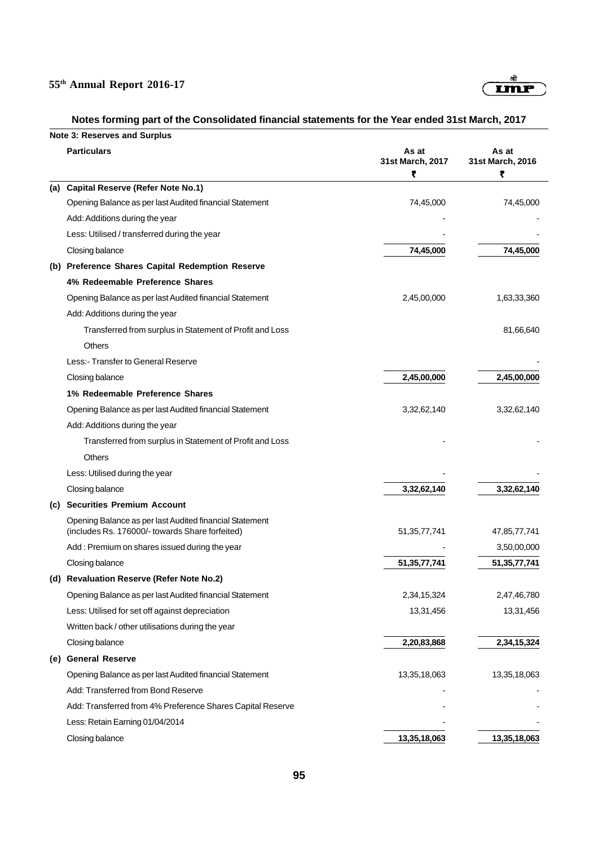# **ump**

# **Notes forming part of the Consolidated financial statements for the Year ended 31st March, 2017**

| <b>Particulars</b><br>As at<br>As at<br>31st March, 2017<br>31st March, 2016<br>₹<br>₹<br><b>Capital Reserve (Refer Note No.1)</b><br>(a)<br>Opening Balance as per last Audited financial Statement<br>74,45,000<br>74,45,000<br>Add: Additions during the year<br>Less: Utilised / transferred during the year<br>74,45,000<br>74,45,000<br>Closing balance<br>(b) Preference Shares Capital Redemption Reserve<br>4% Redeemable Preference Shares<br>Opening Balance as per last Audited financial Statement<br>2,45,00,000<br>1,63,33,360<br>Add: Additions during the year<br>Transferred from surplus in Statement of Profit and Loss<br>81,66,640<br><b>Others</b><br>Less:- Transfer to General Reserve<br>Closing balance<br>2,45,00,000<br>2,45,00,000<br>1% Redeemable Preference Shares<br>Opening Balance as per last Audited financial Statement<br>3,32,62,140<br>3,32,62,140<br>Add: Additions during the year<br>Transferred from surplus in Statement of Profit and Loss<br><b>Others</b><br>Less: Utilised during the year<br>Closing balance<br>3,32,62,140<br>3,32,62,140<br><b>Securities Premium Account</b><br>(c)<br>Opening Balance as per last Audited financial Statement<br>(includes Rs. 176000/- towards Share forfeited)<br>51, 35, 77, 741<br>47,85,77,741<br>3,50,00,000<br>Add: Premium on shares issued during the year<br>51, 35, 77, 741<br>51, 35, 77, 741<br>Closing balance<br>(d) Revaluation Reserve (Refer Note No.2)<br>Opening Balance as per last Audited financial Statement<br>2,34,15,324<br>2,47,46,780<br>Less: Utilised for set off against depreciation<br>13,31,456<br>13,31,456<br>Written back / other utilisations during the year<br>2,20,83,868<br>2,34,15,324<br>Closing balance<br><b>General Reserve</b><br>(e)<br>Opening Balance as per last Audited financial Statement<br>13,35,18,063<br>13,35,18,063<br>Add: Transferred from Bond Reserve<br>Add: Transferred from 4% Preference Shares Capital Reserve<br>Less: Retain Earning 01/04/2014 | <b>Note 3: Reserves and Surplus</b> |              |              |
|------------------------------------------------------------------------------------------------------------------------------------------------------------------------------------------------------------------------------------------------------------------------------------------------------------------------------------------------------------------------------------------------------------------------------------------------------------------------------------------------------------------------------------------------------------------------------------------------------------------------------------------------------------------------------------------------------------------------------------------------------------------------------------------------------------------------------------------------------------------------------------------------------------------------------------------------------------------------------------------------------------------------------------------------------------------------------------------------------------------------------------------------------------------------------------------------------------------------------------------------------------------------------------------------------------------------------------------------------------------------------------------------------------------------------------------------------------------------------------------------------------------------------------------------------------------------------------------------------------------------------------------------------------------------------------------------------------------------------------------------------------------------------------------------------------------------------------------------------------------------------------------------------------------------------------------------------------------------------------------------------------------|-------------------------------------|--------------|--------------|
|                                                                                                                                                                                                                                                                                                                                                                                                                                                                                                                                                                                                                                                                                                                                                                                                                                                                                                                                                                                                                                                                                                                                                                                                                                                                                                                                                                                                                                                                                                                                                                                                                                                                                                                                                                                                                                                                                                                                                                                                                  |                                     |              |              |
|                                                                                                                                                                                                                                                                                                                                                                                                                                                                                                                                                                                                                                                                                                                                                                                                                                                                                                                                                                                                                                                                                                                                                                                                                                                                                                                                                                                                                                                                                                                                                                                                                                                                                                                                                                                                                                                                                                                                                                                                                  |                                     |              |              |
|                                                                                                                                                                                                                                                                                                                                                                                                                                                                                                                                                                                                                                                                                                                                                                                                                                                                                                                                                                                                                                                                                                                                                                                                                                                                                                                                                                                                                                                                                                                                                                                                                                                                                                                                                                                                                                                                                                                                                                                                                  |                                     |              |              |
|                                                                                                                                                                                                                                                                                                                                                                                                                                                                                                                                                                                                                                                                                                                                                                                                                                                                                                                                                                                                                                                                                                                                                                                                                                                                                                                                                                                                                                                                                                                                                                                                                                                                                                                                                                                                                                                                                                                                                                                                                  |                                     |              |              |
|                                                                                                                                                                                                                                                                                                                                                                                                                                                                                                                                                                                                                                                                                                                                                                                                                                                                                                                                                                                                                                                                                                                                                                                                                                                                                                                                                                                                                                                                                                                                                                                                                                                                                                                                                                                                                                                                                                                                                                                                                  |                                     |              |              |
|                                                                                                                                                                                                                                                                                                                                                                                                                                                                                                                                                                                                                                                                                                                                                                                                                                                                                                                                                                                                                                                                                                                                                                                                                                                                                                                                                                                                                                                                                                                                                                                                                                                                                                                                                                                                                                                                                                                                                                                                                  |                                     |              |              |
|                                                                                                                                                                                                                                                                                                                                                                                                                                                                                                                                                                                                                                                                                                                                                                                                                                                                                                                                                                                                                                                                                                                                                                                                                                                                                                                                                                                                                                                                                                                                                                                                                                                                                                                                                                                                                                                                                                                                                                                                                  |                                     |              |              |
|                                                                                                                                                                                                                                                                                                                                                                                                                                                                                                                                                                                                                                                                                                                                                                                                                                                                                                                                                                                                                                                                                                                                                                                                                                                                                                                                                                                                                                                                                                                                                                                                                                                                                                                                                                                                                                                                                                                                                                                                                  |                                     |              |              |
|                                                                                                                                                                                                                                                                                                                                                                                                                                                                                                                                                                                                                                                                                                                                                                                                                                                                                                                                                                                                                                                                                                                                                                                                                                                                                                                                                                                                                                                                                                                                                                                                                                                                                                                                                                                                                                                                                                                                                                                                                  |                                     |              |              |
|                                                                                                                                                                                                                                                                                                                                                                                                                                                                                                                                                                                                                                                                                                                                                                                                                                                                                                                                                                                                                                                                                                                                                                                                                                                                                                                                                                                                                                                                                                                                                                                                                                                                                                                                                                                                                                                                                                                                                                                                                  |                                     |              |              |
|                                                                                                                                                                                                                                                                                                                                                                                                                                                                                                                                                                                                                                                                                                                                                                                                                                                                                                                                                                                                                                                                                                                                                                                                                                                                                                                                                                                                                                                                                                                                                                                                                                                                                                                                                                                                                                                                                                                                                                                                                  |                                     |              |              |
|                                                                                                                                                                                                                                                                                                                                                                                                                                                                                                                                                                                                                                                                                                                                                                                                                                                                                                                                                                                                                                                                                                                                                                                                                                                                                                                                                                                                                                                                                                                                                                                                                                                                                                                                                                                                                                                                                                                                                                                                                  |                                     |              |              |
|                                                                                                                                                                                                                                                                                                                                                                                                                                                                                                                                                                                                                                                                                                                                                                                                                                                                                                                                                                                                                                                                                                                                                                                                                                                                                                                                                                                                                                                                                                                                                                                                                                                                                                                                                                                                                                                                                                                                                                                                                  |                                     |              |              |
|                                                                                                                                                                                                                                                                                                                                                                                                                                                                                                                                                                                                                                                                                                                                                                                                                                                                                                                                                                                                                                                                                                                                                                                                                                                                                                                                                                                                                                                                                                                                                                                                                                                                                                                                                                                                                                                                                                                                                                                                                  |                                     |              |              |
|                                                                                                                                                                                                                                                                                                                                                                                                                                                                                                                                                                                                                                                                                                                                                                                                                                                                                                                                                                                                                                                                                                                                                                                                                                                                                                                                                                                                                                                                                                                                                                                                                                                                                                                                                                                                                                                                                                                                                                                                                  |                                     |              |              |
|                                                                                                                                                                                                                                                                                                                                                                                                                                                                                                                                                                                                                                                                                                                                                                                                                                                                                                                                                                                                                                                                                                                                                                                                                                                                                                                                                                                                                                                                                                                                                                                                                                                                                                                                                                                                                                                                                                                                                                                                                  |                                     |              |              |
|                                                                                                                                                                                                                                                                                                                                                                                                                                                                                                                                                                                                                                                                                                                                                                                                                                                                                                                                                                                                                                                                                                                                                                                                                                                                                                                                                                                                                                                                                                                                                                                                                                                                                                                                                                                                                                                                                                                                                                                                                  |                                     |              |              |
|                                                                                                                                                                                                                                                                                                                                                                                                                                                                                                                                                                                                                                                                                                                                                                                                                                                                                                                                                                                                                                                                                                                                                                                                                                                                                                                                                                                                                                                                                                                                                                                                                                                                                                                                                                                                                                                                                                                                                                                                                  |                                     |              |              |
|                                                                                                                                                                                                                                                                                                                                                                                                                                                                                                                                                                                                                                                                                                                                                                                                                                                                                                                                                                                                                                                                                                                                                                                                                                                                                                                                                                                                                                                                                                                                                                                                                                                                                                                                                                                                                                                                                                                                                                                                                  |                                     |              |              |
|                                                                                                                                                                                                                                                                                                                                                                                                                                                                                                                                                                                                                                                                                                                                                                                                                                                                                                                                                                                                                                                                                                                                                                                                                                                                                                                                                                                                                                                                                                                                                                                                                                                                                                                                                                                                                                                                                                                                                                                                                  |                                     |              |              |
|                                                                                                                                                                                                                                                                                                                                                                                                                                                                                                                                                                                                                                                                                                                                                                                                                                                                                                                                                                                                                                                                                                                                                                                                                                                                                                                                                                                                                                                                                                                                                                                                                                                                                                                                                                                                                                                                                                                                                                                                                  |                                     |              |              |
|                                                                                                                                                                                                                                                                                                                                                                                                                                                                                                                                                                                                                                                                                                                                                                                                                                                                                                                                                                                                                                                                                                                                                                                                                                                                                                                                                                                                                                                                                                                                                                                                                                                                                                                                                                                                                                                                                                                                                                                                                  |                                     |              |              |
|                                                                                                                                                                                                                                                                                                                                                                                                                                                                                                                                                                                                                                                                                                                                                                                                                                                                                                                                                                                                                                                                                                                                                                                                                                                                                                                                                                                                                                                                                                                                                                                                                                                                                                                                                                                                                                                                                                                                                                                                                  |                                     |              |              |
|                                                                                                                                                                                                                                                                                                                                                                                                                                                                                                                                                                                                                                                                                                                                                                                                                                                                                                                                                                                                                                                                                                                                                                                                                                                                                                                                                                                                                                                                                                                                                                                                                                                                                                                                                                                                                                                                                                                                                                                                                  |                                     |              |              |
|                                                                                                                                                                                                                                                                                                                                                                                                                                                                                                                                                                                                                                                                                                                                                                                                                                                                                                                                                                                                                                                                                                                                                                                                                                                                                                                                                                                                                                                                                                                                                                                                                                                                                                                                                                                                                                                                                                                                                                                                                  |                                     |              |              |
|                                                                                                                                                                                                                                                                                                                                                                                                                                                                                                                                                                                                                                                                                                                                                                                                                                                                                                                                                                                                                                                                                                                                                                                                                                                                                                                                                                                                                                                                                                                                                                                                                                                                                                                                                                                                                                                                                                                                                                                                                  |                                     |              |              |
|                                                                                                                                                                                                                                                                                                                                                                                                                                                                                                                                                                                                                                                                                                                                                                                                                                                                                                                                                                                                                                                                                                                                                                                                                                                                                                                                                                                                                                                                                                                                                                                                                                                                                                                                                                                                                                                                                                                                                                                                                  |                                     |              |              |
|                                                                                                                                                                                                                                                                                                                                                                                                                                                                                                                                                                                                                                                                                                                                                                                                                                                                                                                                                                                                                                                                                                                                                                                                                                                                                                                                                                                                                                                                                                                                                                                                                                                                                                                                                                                                                                                                                                                                                                                                                  |                                     |              |              |
|                                                                                                                                                                                                                                                                                                                                                                                                                                                                                                                                                                                                                                                                                                                                                                                                                                                                                                                                                                                                                                                                                                                                                                                                                                                                                                                                                                                                                                                                                                                                                                                                                                                                                                                                                                                                                                                                                                                                                                                                                  |                                     |              |              |
|                                                                                                                                                                                                                                                                                                                                                                                                                                                                                                                                                                                                                                                                                                                                                                                                                                                                                                                                                                                                                                                                                                                                                                                                                                                                                                                                                                                                                                                                                                                                                                                                                                                                                                                                                                                                                                                                                                                                                                                                                  |                                     |              |              |
|                                                                                                                                                                                                                                                                                                                                                                                                                                                                                                                                                                                                                                                                                                                                                                                                                                                                                                                                                                                                                                                                                                                                                                                                                                                                                                                                                                                                                                                                                                                                                                                                                                                                                                                                                                                                                                                                                                                                                                                                                  |                                     |              |              |
|                                                                                                                                                                                                                                                                                                                                                                                                                                                                                                                                                                                                                                                                                                                                                                                                                                                                                                                                                                                                                                                                                                                                                                                                                                                                                                                                                                                                                                                                                                                                                                                                                                                                                                                                                                                                                                                                                                                                                                                                                  |                                     |              |              |
|                                                                                                                                                                                                                                                                                                                                                                                                                                                                                                                                                                                                                                                                                                                                                                                                                                                                                                                                                                                                                                                                                                                                                                                                                                                                                                                                                                                                                                                                                                                                                                                                                                                                                                                                                                                                                                                                                                                                                                                                                  |                                     |              |              |
|                                                                                                                                                                                                                                                                                                                                                                                                                                                                                                                                                                                                                                                                                                                                                                                                                                                                                                                                                                                                                                                                                                                                                                                                                                                                                                                                                                                                                                                                                                                                                                                                                                                                                                                                                                                                                                                                                                                                                                                                                  |                                     |              |              |
|                                                                                                                                                                                                                                                                                                                                                                                                                                                                                                                                                                                                                                                                                                                                                                                                                                                                                                                                                                                                                                                                                                                                                                                                                                                                                                                                                                                                                                                                                                                                                                                                                                                                                                                                                                                                                                                                                                                                                                                                                  |                                     |              |              |
|                                                                                                                                                                                                                                                                                                                                                                                                                                                                                                                                                                                                                                                                                                                                                                                                                                                                                                                                                                                                                                                                                                                                                                                                                                                                                                                                                                                                                                                                                                                                                                                                                                                                                                                                                                                                                                                                                                                                                                                                                  | Closing balance                     | 13,35,18,063 | 13,35,18,063 |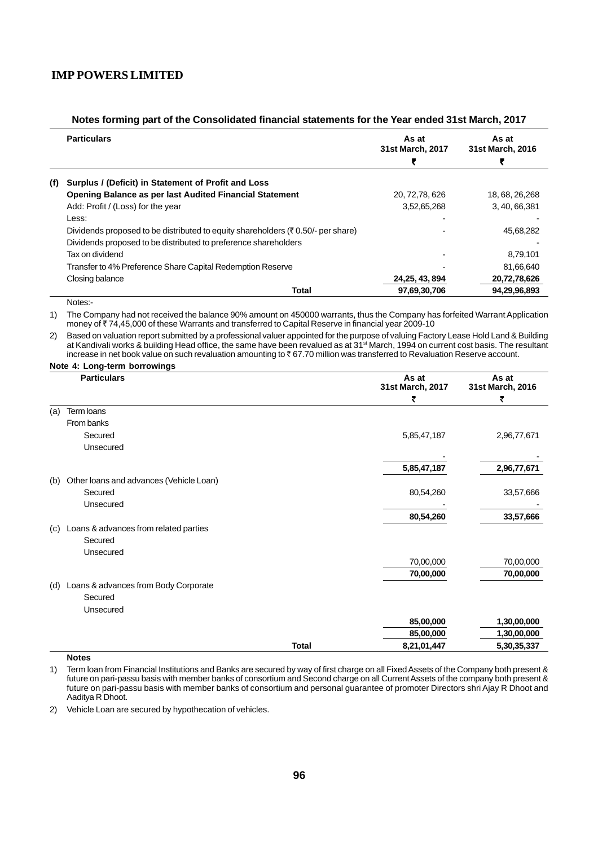# **Notes forming part of the Consolidated financial statements for the Year ended 31st March, 2017**

|     | <b>Particulars</b>                                                                           | As at<br>31st March, 2017 | As at<br>31st March, 2016 |
|-----|----------------------------------------------------------------------------------------------|---------------------------|---------------------------|
|     |                                                                                              |                           |                           |
| (f) | Surplus / (Deficit) in Statement of Profit and Loss                                          |                           |                           |
|     | <b>Opening Balance as per last Audited Financial Statement</b>                               | 20, 72, 78, 626           | 18, 68, 26, 268           |
|     | Add: Profit / (Loss) for the year                                                            | 3,52,65,268               | 3, 40, 66, 381            |
|     | Less:                                                                                        |                           |                           |
|     | Dividends proposed to be distributed to equity shareholders ( $\bar{\tau}$ 0.50/- per share) |                           | 45,68,282                 |
|     | Dividends proposed to be distributed to preference shareholders                              |                           |                           |
|     | Tax on dividend                                                                              |                           | 8,79,101                  |
|     | Transfer to 4% Preference Share Capital Redemption Reserve                                   |                           | 81,66,640                 |
|     | Closing balance                                                                              | 24, 25, 43, 894           | 20,72,78,626              |
|     | Total                                                                                        | 97,69,30,706              | 94,29,96,893              |

Notes:-

1) The Company had not received the balance 90% amount on 450000 warrants, thus the Company has forfeited Warrant Application money of  $\bar{z}$  74,45,000 of these Warrants and transferred to Capital Reserve in financial year 2009-10

2) Based on valuation report submitted by a professional valuer appointed for the purpose of valuing Factory Lease Hold Land & Building at Kandivali works & building Head office, the same have been revalued as at 31st March, 1994 on current cost basis. The resultant increase in net book value on such revaluation amounting to ₹67.70 million was transferred to Revaluation Reserve account.

# **Note 4: Long-term borrowings**

| <b>Particulars</b> |                                         |              | As at<br>31st March, 2017 | As at<br>31st March, 2016 |
|--------------------|-----------------------------------------|--------------|---------------------------|---------------------------|
|                    |                                         |              | ₹                         | ₹                         |
| (a)                | Term loans                              |              |                           |                           |
|                    | From banks                              |              |                           |                           |
|                    | Secured                                 |              | 5,85,47,187               | 2,96,77,671               |
|                    | Unsecured                               |              |                           |                           |
|                    |                                         |              |                           |                           |
|                    |                                         |              | 5,85,47,187               | 2,96,77,671               |
| (b)                | Other loans and advances (Vehicle Loan) |              |                           |                           |
|                    | Secured                                 |              | 80,54,260                 | 33,57,666                 |
|                    | Unsecured                               |              |                           |                           |
|                    |                                         |              | 80,54,260                 | 33,57,666                 |
| (c)                | Loans & advances from related parties   |              |                           |                           |
|                    | Secured                                 |              |                           |                           |
|                    | Unsecured                               |              |                           |                           |
|                    |                                         |              | 70,00,000                 | 70,00,000                 |
|                    |                                         |              | 70,00,000                 | 70,00,000                 |
| (d)                | Loans & advances from Body Corporate    |              |                           |                           |
|                    | Secured                                 |              |                           |                           |
|                    | Unsecured                               |              |                           |                           |
|                    |                                         |              | 85,00,000                 | 1,30,00,000               |
|                    |                                         |              | 85,00,000                 | 1,30,00,000               |
|                    |                                         | <b>Total</b> | 8,21,01,447               | 5,30,35,337               |

**Notes**

1) Term loan from Financial Institutions and Banks are secured by way of first charge on all Fixed Assets of the Company both present & future on pari-passu basis with member banks of consortium and Second charge on all Current Assets of the company both present & future on pari-passu basis with member banks of consortium and personal guarantee of promoter Directors shri Ajay R Dhoot and Aaditya R Dhoot.

2) Vehicle Loan are secured by hypothecation of vehicles.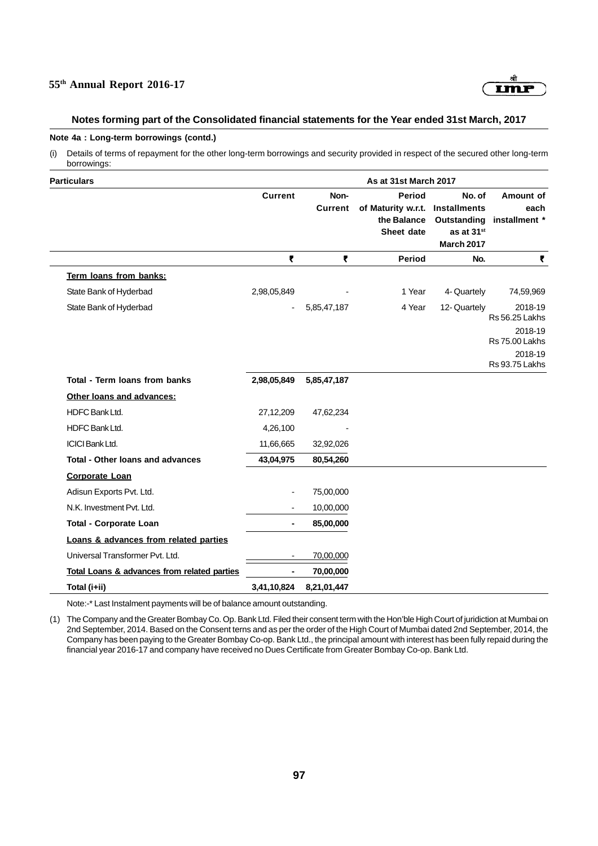

# **Notes forming part of the Consolidated financial statements for the Year ended 31st March, 2017**

# **Note 4a : Long-term borrowings (contd.)**

(i) Details of terms of repayment for the other long-term borrowings and security provided in respect of the secured other long-term borrowings:

| <b>Particulars</b>                          |                          | As at 31st March 2017  |                                                           |                                                                                             |                                    |
|---------------------------------------------|--------------------------|------------------------|-----------------------------------------------------------|---------------------------------------------------------------------------------------------|------------------------------------|
|                                             | <b>Current</b>           | Non-<br><b>Current</b> | Period<br>of Maturity w.r.t.<br>the Balance<br>Sheet date | No. of<br><b>Installments</b><br>Outstanding<br>as at 31 <sup>st</sup><br><b>March 2017</b> | Amount of<br>each<br>installment * |
|                                             | ₹                        | ₹                      | Period                                                    | No.                                                                                         | ₹                                  |
| Term loans from banks:                      |                          |                        |                                                           |                                                                                             |                                    |
| State Bank of Hyderbad                      | 2,98,05,849              |                        | 1 Year                                                    | 4- Quartely                                                                                 | 74,59,969                          |
| State Bank of Hyderbad                      | $\overline{\phantom{a}}$ | 5,85,47,187            | 4 Year                                                    | 12- Quartely                                                                                | 2018-19<br>Rs 56.25 Lakhs          |
|                                             |                          |                        |                                                           |                                                                                             | 2018-19<br>Rs 75.00 Lakhs          |
|                                             |                          |                        |                                                           |                                                                                             | 2018-19<br>Rs 93.75 Lakhs          |
| Total - Term Ioans from banks               | 2,98,05,849              | 5,85,47,187            |                                                           |                                                                                             |                                    |
| Other loans and advances:                   |                          |                        |                                                           |                                                                                             |                                    |
| <b>HDFC Bank Ltd.</b>                       | 27,12,209                | 47,62,234              |                                                           |                                                                                             |                                    |
| <b>HDFC Bank Ltd.</b>                       | 4,26,100                 |                        |                                                           |                                                                                             |                                    |
| <b>ICICI Bank Ltd.</b>                      | 11,66,665                | 32,92,026              |                                                           |                                                                                             |                                    |
| <b>Total - Other loans and advances</b>     | 43,04,975                | 80,54,260              |                                                           |                                                                                             |                                    |
| <b>Corporate Loan</b>                       |                          |                        |                                                           |                                                                                             |                                    |
| Adisun Exports Pvt. Ltd.                    | $\overline{\phantom{a}}$ | 75,00,000              |                                                           |                                                                                             |                                    |
| N.K. Investment Pvt. Ltd.                   | $\blacksquare$           | 10,00,000              |                                                           |                                                                                             |                                    |
| <b>Total - Corporate Loan</b>               | $\blacksquare$           | 85,00,000              |                                                           |                                                                                             |                                    |
| Loans & advances from related parties       |                          |                        |                                                           |                                                                                             |                                    |
| Universal Transformer Pvt. Ltd.             |                          | 70,00,000              |                                                           |                                                                                             |                                    |
| Total Loans & advances from related parties |                          | 70,00,000              |                                                           |                                                                                             |                                    |
| Total (i+ii)                                | 3,41,10,824              | 8,21,01,447            |                                                           |                                                                                             |                                    |

Note:-\* Last Instalment payments will be of balance amount outstanding.

(1) The Company and the Greater Bombay Co. Op. Bank Ltd. Filed their consent term with the Hon'ble High Court of juridiction at Mumbai on 2nd September, 2014. Based on the Consent terns and as per the order of the High Court of Mumbai dated 2nd September, 2014, the Company has been paying to the Greater Bombay Co-op. Bank Ltd., the principal amount with interest has been fully repaid during the financial year 2016-17 and company have received no Dues Certificate from Greater Bombay Co-op. Bank Ltd.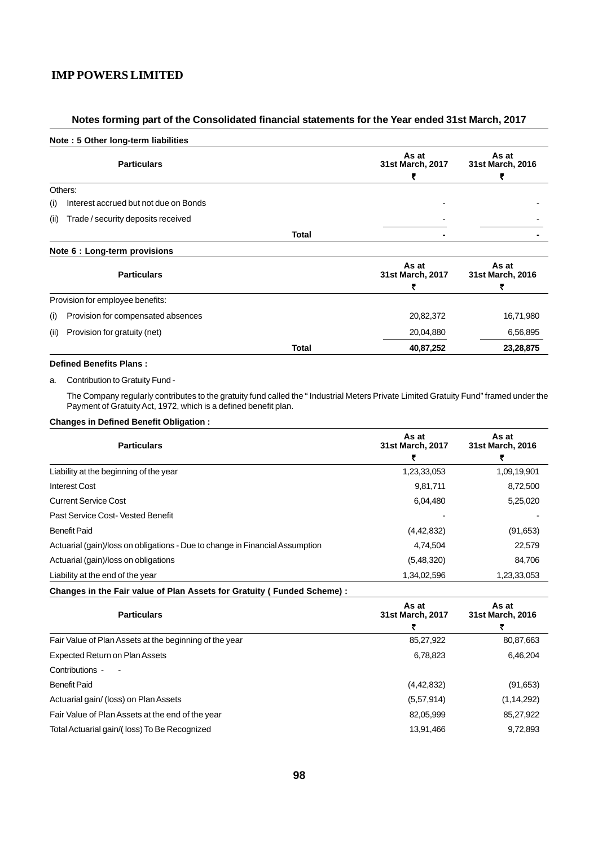# **Notes forming part of the Consolidated financial statements for the Year ended 31st March, 2017**

|                    | Note: 5 Other long-term liabilities   |              |                           |                           |
|--------------------|---------------------------------------|--------------|---------------------------|---------------------------|
| <b>Particulars</b> |                                       |              | As at<br>31st March, 2017 | As at<br>31st March, 2016 |
|                    |                                       |              |                           |                           |
| Others:            |                                       |              |                           |                           |
| (i)                | Interest accrued but not due on Bonds |              |                           |                           |
| (ii)               | Trade / security deposits received    |              |                           |                           |
|                    |                                       | <b>Total</b> |                           |                           |
|                    | Note 6 : Long-term provisions         |              |                           |                           |
|                    | <b>Particulars</b>                    |              | As at<br>31st March, 2017 | As at<br>31st March, 2016 |
|                    |                                       |              | ₹                         | ₹                         |
|                    | Provision for employee benefits:      |              |                           |                           |
| (i)                | Provision for compensated absences    |              | 20,82,372                 | 16,71,980                 |
| (ii)               | Provision for gratuity (net)          |              | 20,04,880                 | 6,56,895                  |
|                    |                                       | <b>Total</b> | 40,87,252                 | 23,28,875                 |

# **Defined Benefits Plans :**

# a. Contribution to Gratuity Fund -

The Company regularly contributes to the gratuity fund called the " Industrial Meters Private Limited Gratuity Fund" framed under the Payment of Gratuity Act, 1972, which is a defined benefit plan.

# **Changes in Defined Benefit Obligation :**

| <b>Particulars</b>                                                           | As at<br>31st March, 2017 | As at<br>31st March, 2016 |
|------------------------------------------------------------------------------|---------------------------|---------------------------|
|                                                                              |                           |                           |
| Liability at the beginning of the year                                       | 1,23,33,053               | 1,09,19,901               |
| Interest Cost                                                                | 9,81,711                  | 8,72,500                  |
| <b>Current Service Cost</b>                                                  | 6,04,480                  | 5,25,020                  |
| Past Service Cost- Vested Benefit                                            |                           |                           |
| <b>Benefit Paid</b>                                                          | (4, 42, 832)              | (91, 653)                 |
| Actuarial (gain)/loss on obligations - Due to change in Financial Assumption | 4,74,504                  | 22,579                    |
| Actuarial (gain)/loss on obligations                                         | (5,48,320)                | 84,706                    |
| Liability at the end of the year                                             | 1,34,02,596               | 1,23,33,053               |
| Changes in the Fair value of Plan Assets for Gratuity ( Funded Scheme) :     |                           |                           |

| <b>Particulars</b>                                     | As at<br>31st March, 2017 | As at<br>31st March, 2016 |
|--------------------------------------------------------|---------------------------|---------------------------|
|                                                        |                           |                           |
| Fair Value of Plan Assets at the beginning of the year | 85,27,922                 | 80,87,663                 |
| <b>Expected Return on Plan Assets</b>                  | 6,78,823                  | 6,46,204                  |
| Contributions -                                        |                           |                           |
| <b>Benefit Paid</b>                                    | (4, 42, 832)              | (91, 653)                 |
| Actuarial gain/ (loss) on Plan Assets                  | (5,57,914)                | (1, 14, 292)              |
| Fair Value of Plan Assets at the end of the year       | 82,05,999                 | 85,27,922                 |
| Total Actuarial gain/(loss) To Be Recognized           | 13,91,466                 | 9,72,893                  |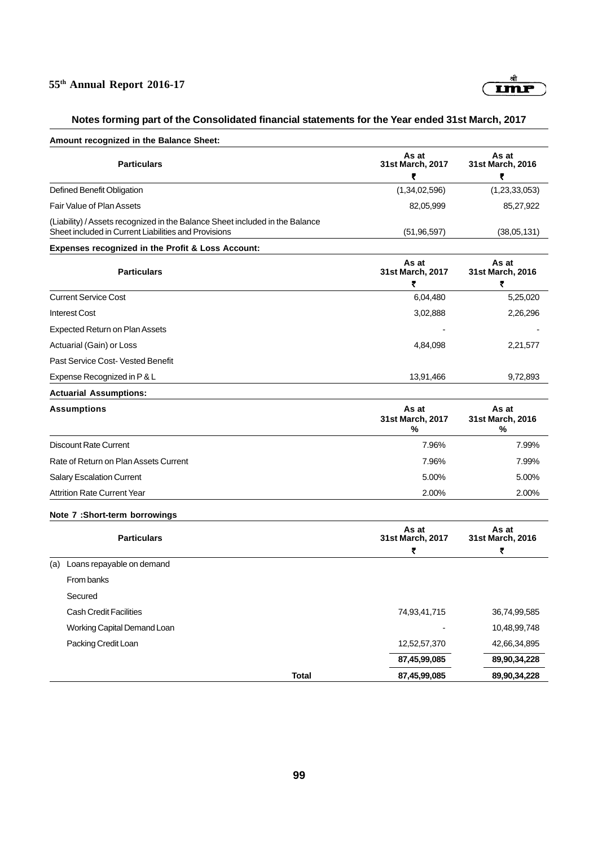

# **Notes forming part of the Consolidated financial statements for the Year ended 31st March, 2017**

| Amount recognized in the Balance Sheet:                                                                                              |                                |                                |
|--------------------------------------------------------------------------------------------------------------------------------------|--------------------------------|--------------------------------|
| <b>Particulars</b>                                                                                                                   | As at<br>31st March, 2017<br>₹ | As at<br>31st March, 2016<br>₹ |
| Defined Benefit Obligation                                                                                                           | (1,34,02,596)                  | (1, 23, 33, 053)               |
| Fair Value of Plan Assets                                                                                                            | 82,05,999                      | 85,27,922                      |
| (Liability) / Assets recognized in the Balance Sheet included in the Balance<br>Sheet included in Current Liabilities and Provisions | (51, 96, 597)                  | (38,05,131)                    |
| <b>Expenses recognized in the Profit &amp; Loss Account:</b>                                                                         |                                |                                |
| <b>Particulars</b>                                                                                                                   | As at<br>31st March, 2017<br>₹ | As at<br>31st March, 2016<br>₹ |
| <b>Current Service Cost</b>                                                                                                          | 6,04,480                       | 5,25,020                       |
| <b>Interest Cost</b>                                                                                                                 | 3,02,888                       | 2,26,296                       |
| <b>Expected Return on Plan Assets</b>                                                                                                |                                |                                |
| Actuarial (Gain) or Loss                                                                                                             | 4,84,098                       | 2,21,577                       |
| Past Service Cost- Vested Benefit                                                                                                    |                                |                                |
| Expense Recognized in P & L                                                                                                          | 13,91,466                      | 9,72,893                       |
| <b>Actuarial Assumptions:</b>                                                                                                        |                                |                                |
| <b>Assumptions</b>                                                                                                                   | As at<br>31st March, 2017<br>% | As at<br>31st March, 2016<br>% |
| <b>Discount Rate Current</b>                                                                                                         | 7.96%                          | 7.99%                          |
| Rate of Return on Plan Assets Current                                                                                                | 7.96%                          | 7.99%                          |
| <b>Salary Escalation Current</b>                                                                                                     | 5.00%                          | 5.00%                          |
| <b>Attrition Rate Current Year</b>                                                                                                   | 2.00%                          | 2.00%                          |
| Note 7 :Short-term borrowings                                                                                                        |                                |                                |
| <b>Particulars</b>                                                                                                                   | As at<br>31st March, 2017      | As at<br>31st March, 2016      |
| Loans repayable on demand<br>(a)                                                                                                     | ₹                              | ₹                              |
| From banks                                                                                                                           |                                |                                |
| Secured                                                                                                                              |                                |                                |
| <b>Cash Credit Facilities</b>                                                                                                        | 74,93,41,715                   | 36,74,99,585                   |
| Working Capital Demand Loan                                                                                                          |                                | 10,48,99,748                   |
| Packing Credit Loan                                                                                                                  | 12,52,57,370                   | 42,66,34,895                   |
|                                                                                                                                      | 87,45,99,085                   | 89,90,34,228                   |
|                                                                                                                                      | <b>Total</b><br>87,45,99,085   | 89,90,34,228                   |
|                                                                                                                                      |                                |                                |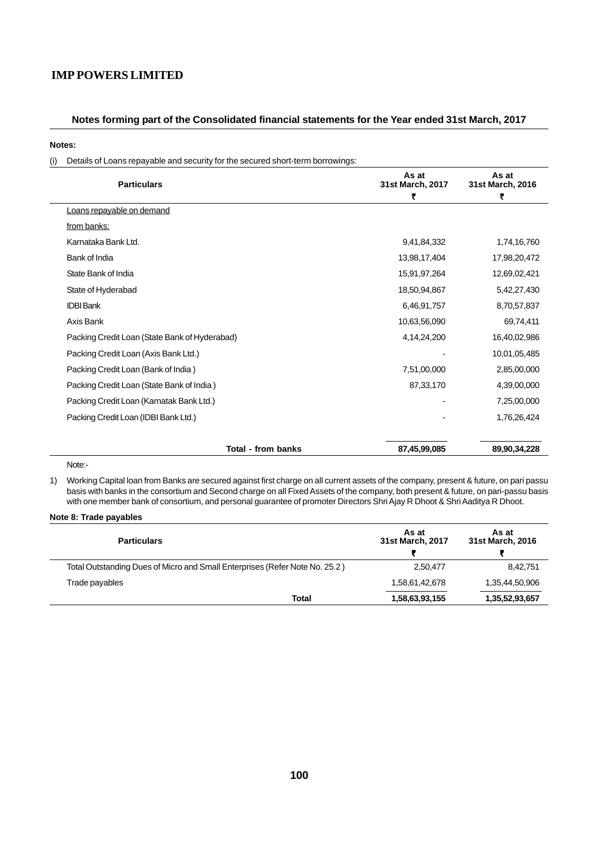# **Notes forming part of the Consolidated financial statements for the Year ended 31st March, 2017**

# **Notes:**

(i) Details of Loans repayable and security for the secured short-term borrowings:

| <b>Particulars</b>                            | As at<br>31st March, 2017 | As at<br>31st March, 2016 |
|-----------------------------------------------|---------------------------|---------------------------|
|                                               | ₹                         | ₹                         |
| Loans repayable on demand                     |                           |                           |
| from banks:                                   |                           |                           |
| Karnataka Bank Ltd.                           | 9,41,84,332               | 1,74,16,760               |
| Bank of India                                 | 13,98,17,404              | 17,98,20,472              |
| State Bank of India                           | 15,91,97,264              | 12,69,02,421              |
| State of Hyderabad                            | 18,50,94,867              | 5,42,27,430               |
| <b>IDBI Bank</b>                              | 6,46,91,757               | 8,70,57,837               |
| Axis Bank                                     | 10,63,56,090              | 69,74,411                 |
| Packing Credit Loan (State Bank of Hyderabad) | 4, 14, 24, 200            | 16,40,02,986              |
| Packing Credit Loan (Axis Bank Ltd.)          |                           | 10,01,05,485              |
| Packing Credit Loan (Bank of India)           | 7,51,00,000               | 2,85,00,000               |
| Packing Credit Loan (State Bank of India)     | 87,33,170                 | 4,39,00,000               |
| Packing Credit Loan (Karnatak Bank Ltd.)      |                           | 7,25,00,000               |
| Packing Credit Loan (IDBI Bank Ltd.)          |                           | 1,76,26,424               |
| <b>Total - from banks</b>                     | 87,45,99,085              | 89,90,34,228              |

Note:-

1) Working Capital loan from Banks are secured against first charge on all current assets of the company, present & future, on pari passu basis with banks in the consortium and Second charge on all Fixed Assets of the company, both present & future, on pari-passu basis with one member bank of consortium, and personal guarantee of promoter Directors Shri Ajay R Dhoot & Shri Aaditya R Dhoot.

**Note 8: Trade payables**

| <b>Particulars</b>                                                          | As at<br>31st March, 2017 | As at<br>31st March, 2016 |
|-----------------------------------------------------------------------------|---------------------------|---------------------------|
| Total Outstanding Dues of Micro and Small Enterprises (Refer Note No. 25.2) | 2,50,477                  | 8,42,751                  |
| Trade payables                                                              | 1,58,61,42,678            | 1,35,44,50,906            |
| Total                                                                       | 1,58,63,93,155            | 1,35,52,93,657            |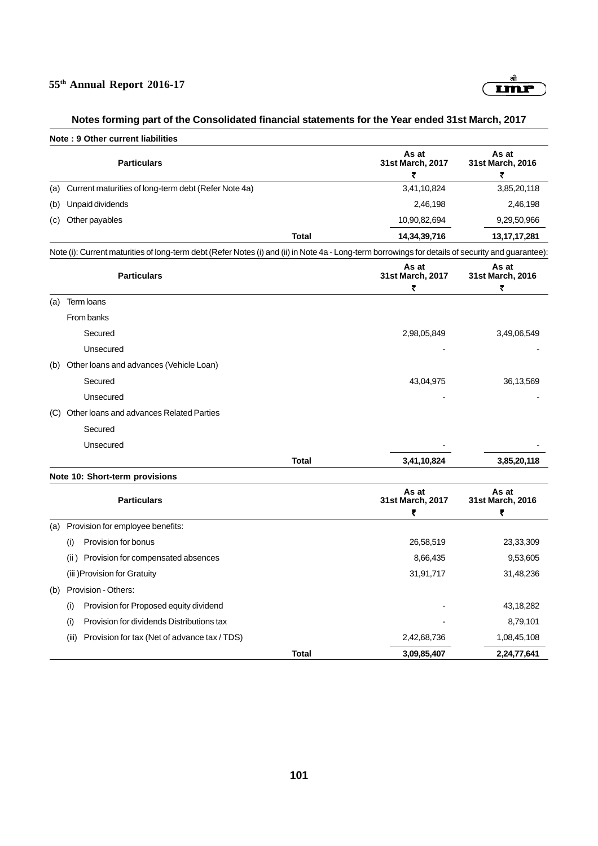# $\frac{1}{\frac{1}{\sqrt{1}}\frac{1}{\sqrt{1}}\frac{1}{\sqrt{1}}\frac{1}{\sqrt{1}}$

# **Notes forming part of the Consolidated financial statements for the Year ended 31st March, 2017**

|     | <b>Particulars</b>                                                                                                                                 |              | As at<br>31st March, 2017<br>₹ | As at<br>31st March, 2016<br>₹ |
|-----|----------------------------------------------------------------------------------------------------------------------------------------------------|--------------|--------------------------------|--------------------------------|
| (a) | Current maturities of long-term debt (Refer Note 4a)                                                                                               |              | 3,41,10,824                    | 3,85,20,118                    |
| (b) | Unpaid dividends                                                                                                                                   |              | 2,46,198                       | 2,46,198                       |
| (C) | Other payables                                                                                                                                     |              | 10,90,82,694                   | 9,29,50,966                    |
|     |                                                                                                                                                    | Total        | 14,34,39,716                   | 13,17,17,281                   |
|     | Note (i): Current maturities of long-term debt (Refer Notes (i) and (ii) in Note 4a - Long-term borrowings for details of security and guarantee): |              |                                |                                |
|     | <b>Particulars</b>                                                                                                                                 |              | As at<br>31st March, 2017      | As at<br>31st March, 2016      |
|     |                                                                                                                                                    |              | ₹                              | ₹                              |
| (a) | Term loans                                                                                                                                         |              |                                |                                |
|     | From banks                                                                                                                                         |              |                                |                                |
|     | Secured                                                                                                                                            |              | 2,98,05,849                    | 3,49,06,549                    |
|     | Unsecured                                                                                                                                          |              |                                |                                |
| (b) | Other loans and advances (Vehicle Loan)                                                                                                            |              |                                |                                |
|     | Secured                                                                                                                                            |              | 43,04,975                      | 36,13,569                      |
|     | Unsecured                                                                                                                                          |              |                                |                                |
| (C) | Other loans and advances Related Parties                                                                                                           |              |                                |                                |
|     | Secured                                                                                                                                            |              |                                |                                |
|     | Unsecured                                                                                                                                          |              |                                |                                |
|     |                                                                                                                                                    | <b>Total</b> | 3,41,10,824                    | 3,85,20,118                    |
|     | Note 10: Short-term provisions                                                                                                                     |              |                                |                                |
|     | <b>Particulars</b>                                                                                                                                 |              | As at<br>31st March, 2017<br>₹ | As at<br>31st March, 2016<br>₹ |
| (a) | Provision for employee benefits:                                                                                                                   |              |                                |                                |
|     | Provision for bonus<br>(i)                                                                                                                         |              | 26,58,519                      | 23,33,309                      |
|     | (ii) Provision for compensated absences                                                                                                            |              | 8,66,435                       | 9,53,605                       |
|     | (iii) Provision for Gratuity                                                                                                                       |              | 31,91,717                      | 31,48,236                      |
|     | (b) Provision - Others:                                                                                                                            |              |                                |                                |
|     | Provision for Proposed equity dividend<br>(i)                                                                                                      |              |                                | 43,18,282                      |
|     | Provision for dividends Distributions tax<br>(i)                                                                                                   |              |                                | 8,79,101                       |
|     | Provision for tax (Net of advance tax / TDS)<br>(iii)                                                                                              |              | 2,42,68,736                    | 1,08,45,108                    |
|     |                                                                                                                                                    | Total        | 3,09,85,407                    | 2,24,77,641                    |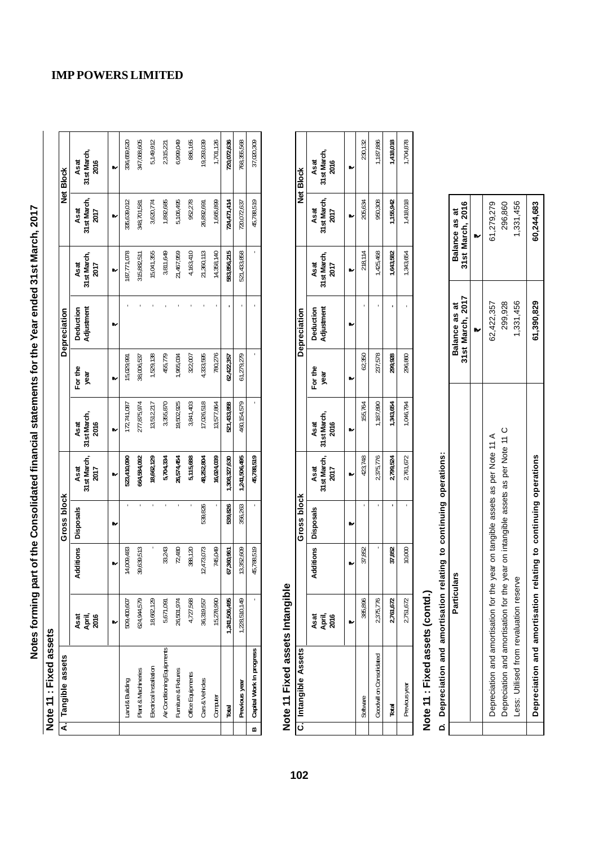Notes forming part of the Consolidated financial statements for the Year ended 31st March, 2017 **Notes forming part of the Consolidated financial statements for the Year ended 31st March, 2017**

| ć |
|---|
|   |
| ť |
| c |
|   |
| r |
|   |
|   |
| ī |
|   |
|   |
| ţ |
|   |
|   |
|   |
|   |

|              | A. Tangible assets          |                        |            | Gross block      |                              |                            |                 | Depreciation            |                              |                             | Net Block                     |
|--------------|-----------------------------|------------------------|------------|------------------|------------------------------|----------------------------|-----------------|-------------------------|------------------------------|-----------------------------|-------------------------------|
|              |                             | Asat<br>April,<br>2016 | Additions  | <b>Disposals</b> | 31 st March,<br>Asat<br>2017 | 31st March<br>2016<br>Asat | For the<br>year | Adjustment<br>Deduction | 31 st March,<br>Asat<br>2017 | 31st March,<br>Asat<br>2017 | 31 st March,<br>2016<br>As at |
|              |                             |                        |            |                  | n.                           |                            |                 |                         |                              |                             |                               |
|              | Land & Building             | 509,400,607            | 14,009,483 |                  | 523,410,090                  | 172,741,087                | 5,029,991       |                         | 187,771,078                  | 335,639,012                 | 336,659,520                   |
|              | Plant & Machineries         | 624,944,579            | 39,639,513 |                  | 664,584,092                  | 277,875,974                | 38,006,537      |                         | 315,882,511                  | 348,701,581                 | 347,068,605                   |
|              | Electrical Installation     | 18,662,129             |            |                  | 18,662,129                   | 13,512,217                 | 1,529,138       |                         | 15,041,355                   | 3,620,774                   | 5,149,912                     |
|              | Air Conditioning Equipments | 5,671,091              | 33,243     |                  | 5,704,334                    | 3,355,870                  | 455,779         |                         | 3,811,649                    | ,892,685                    | 2,315,221                     |
|              | Furniture & Fixtures        | 26,501,974             | 72,480     |                  | 26,574,454                   | 19,502,925                 | 1,965,034       |                         | 21,467,959                   | 5,106,495                   | 6,999,049                     |
|              | Office Equipments           | 4,727,568              | 388,120    |                  | 5,115,688                    | 3,841,403                  | 322,007         |                         | 4,163,410                    | 952,278                     | 886,165                       |
|              | Cars & Vehicles             | 36,319,557             | 12,473,073 | 539,826          | 18,252,804                   | 17,026,518                 | 4,333,595       |                         | 21,360,113                   | 26,892,691                  | 19,293,039                    |
|              | Computer                    | 15,278,990             | 745,049    |                  | 16,024,039                   | 13,577,864                 | 780,276         |                         | 14,358,140                   | 1,665,899                   | 1,701,126                     |
|              | Total                       | 1,241,506,495          | 67,360,961 | 539,826          | ,308,327,630                 | 521,433,858                | 62,422,357      |                         | 583,856,215                  | 724,471,414                 | 720,072,636                   |
|              | Previous year               | 1,228,510,149          | 13,352,609 | 356,263          | 1,241,506,495                | 460,154,579                | 61,279,279      |                         | 521,433,858                  | 720,072,637                 | 768,355,568                   |
| $\mathbf{a}$ | Capital Work In progress    |                        | 45,788,519 |                  | 45,788,519                   |                            |                 |                         |                              | 45,788,519                  | 37,020,309                    |

# Note 11 Fixed assets Intangible **Note 11 Fixed assets Intangible**

| C. Intangible Assets     |                       |                       | Gross block |                              |                               |                 | Depreciation            |                             |                                | <b>Net Block</b>            |
|--------------------------|-----------------------|-----------------------|-------------|------------------------------|-------------------------------|-----------------|-------------------------|-----------------------------|--------------------------------|-----------------------------|
|                          | ង ក្ដុំ<br>& 5<br>& 8 | Additions   Disposals |             | 31 st March,<br>2017<br>Asat | 1 31st March,<br>Asat<br>2016 | For the<br>year | Deduction<br>Adjustment | Asat<br>31st March,<br>2017 | As at<br>31st March, 1<br>2017 | Asat<br>31st March,<br>2016 |
|                          |                       |                       |             |                              |                               |                 |                         |                             |                                |                             |
| Software                 | 385,896               | 37,852                |             | 423,748                      | 155,764                       | 62,350          |                         | 218,114                     | 205,634                        | 230,132                     |
| Goodwill on Consolidated | 2,375,776             |                       |             | 2,375,776                    | 1,187,890                     | 237,578         |                         | 1,425,468                   | 950,308                        | 1,187,886                   |
| Total                    | 2,761,672             | 37,852                |             | 2,799,524                    | 1,343,654                     | 299,928         |                         | 1,643,582                   | 1,155,942                      | 1,418,018                   |
| Previous year            | 2,751,672             | 10,000                |             | 2,761,672                    | 1,046,794                     | 296,860         |                         | 1,343,654                   | 1,418,018                      | 1,704,878                   |
|                          |                       |                       |             |                              |                               |                 |                         |                             |                                |                             |

# Note 11 : Fixed assets (contd.) **Note 11 : Fixed assets (contd.)**

# D. Depreciation and amortisation relating to continuing operations: **D. Depreciation and amortisation relating to continuing operations:**

| <b>Particulars</b>                                                                   | 31st March, 2017<br>Balance as at | 31st March, 2016<br><b>Balance as at</b> |
|--------------------------------------------------------------------------------------|-----------------------------------|------------------------------------------|
|                                                                                      |                                   |                                          |
| Depreciation and amortisation for the year on tangible assets as per Note 11 A       | 62.422.357                        | 61,279,279                               |
| tisation for the year on intangible assets as per Note 11 C<br>Depreciation and amor | 299,928                           | 296,860                                  |
| aluation reserve<br>ess: Utilised from reva                                          | 1,331,456                         | 331,456                                  |
| Depreciation and amortisation relating to continuing operations                      | 61,390,829                        | 60,244,683                               |

# **IMP POWERS LIMITED**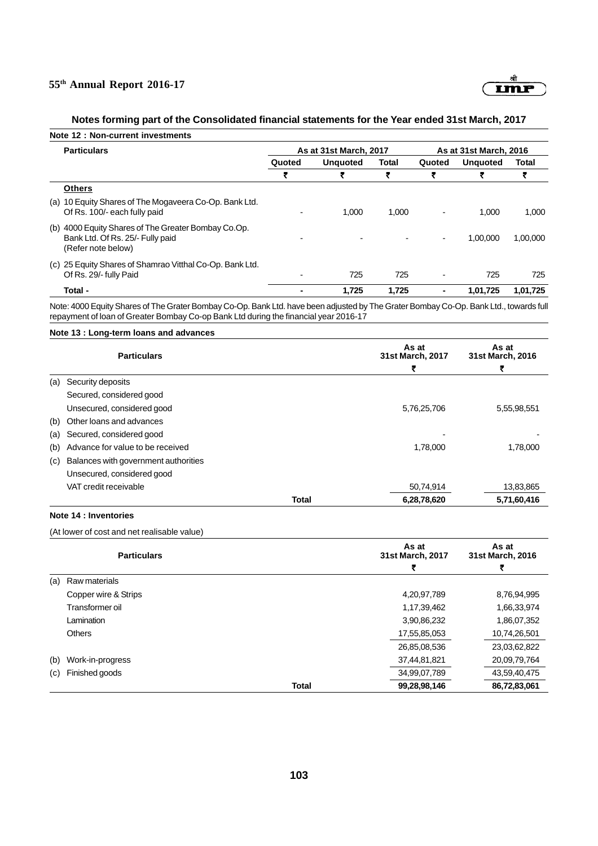

# **Notes forming part of the Consolidated financial statements for the Year ended 31st March, 2017**

**Note 12 : Non-current investments**

| <b>Particulars</b>                                                                                            |        | As at 31st March, 2017 |       |                          | As at 31st March, 2016 |          |
|---------------------------------------------------------------------------------------------------------------|--------|------------------------|-------|--------------------------|------------------------|----------|
|                                                                                                               | Quoted | <b>Unquoted</b>        | Total | Quoted                   | <b>Unquoted</b>        | Total    |
|                                                                                                               | ₹      | ₹                      | ₹     | ₹                        | ₹                      | ₹        |
| <b>Others</b>                                                                                                 |        |                        |       |                          |                        |          |
| (a) 10 Equity Shares of The Mogaveera Co-Op. Bank Ltd.<br>Of Rs. 100/- each fully paid                        |        | 1.000                  | 1.000 |                          | 1.000                  | 1.000    |
| (b) 4000 Equity Shares of The Greater Bombay Co.Op.<br>Bank Ltd. Of Rs. 25/- Fully paid<br>(Refer note below) |        |                        |       |                          | 1.00.000               | 1.00.000 |
| (c) 25 Equity Shares of Shamrao Vitthal Co-Op. Bank Ltd.<br>Of Rs. 29/- fully Paid                            |        | 725                    | 725   | $\overline{\phantom{0}}$ | 725                    | 725      |
| Total -                                                                                                       |        | 1,725                  | 1,725 | ۰                        | 1,01,725               | 1,01,725 |

Note: 4000 Equity Shares of The Grater Bombay Co-Op. Bank Ltd. have been adjusted by The Grater Bombay Co-Op. Bank Ltd., towards full repayment of loan of Greater Bombay Co-op Bank Ltd during the financial year 2016-17

|     | Note 13 : Long-term loans and advances |       |                           |                           |
|-----|----------------------------------------|-------|---------------------------|---------------------------|
|     | <b>Particulars</b>                     |       | As at<br>31st March, 2017 | As at<br>31st March, 2016 |
|     |                                        |       | ₹                         |                           |
| (a) | Security deposits                      |       |                           |                           |
|     | Secured, considered good               |       |                           |                           |
|     | Unsecured, considered good             |       | 5,76,25,706               | 5,55,98,551               |
| (b) | Other loans and advances               |       |                           |                           |
| (a) | Secured, considered good               |       |                           |                           |
| (b) | Advance for value to be received       |       | 1,78,000                  | 1,78,000                  |
| (c) | Balances with government authorities   |       |                           |                           |
|     | Unsecured, considered good             |       |                           |                           |
|     | VAT credit receivable                  |       | 50,74,914                 | 13,83,865                 |
|     |                                        | Total | 6,28,78,620               | 5,71,60,416               |

# **Note 14 : Inventories**

(At lower of cost and net realisable value)

|     | <b>Particulars</b>   |              | As at<br>31st March, 2017 | As at<br>31st March, 2016 |
|-----|----------------------|--------------|---------------------------|---------------------------|
|     |                      |              | ₹                         | ₹                         |
| (a) | Raw materials        |              |                           |                           |
|     | Copper wire & Strips |              | 4,20,97,789               | 8,76,94,995               |
|     | Transformer oil      |              | 1,17,39,462               | 1,66,33,974               |
|     | Lamination           |              | 3,90,86,232               | 1,86,07,352               |
|     | <b>Others</b>        |              | 17,55,85,053              | 10,74,26,501              |
|     |                      |              | 26,85,08,536              | 23,03,62,822              |
| (b) | Work-in-progress     |              | 37,44,81,821              | 20,09,79,764              |
| (c) | Finished goods       |              | 34,99,07,789              | 43,59,40,475              |
|     |                      | <b>Total</b> | 99,28,98,146              | 86,72,83,061              |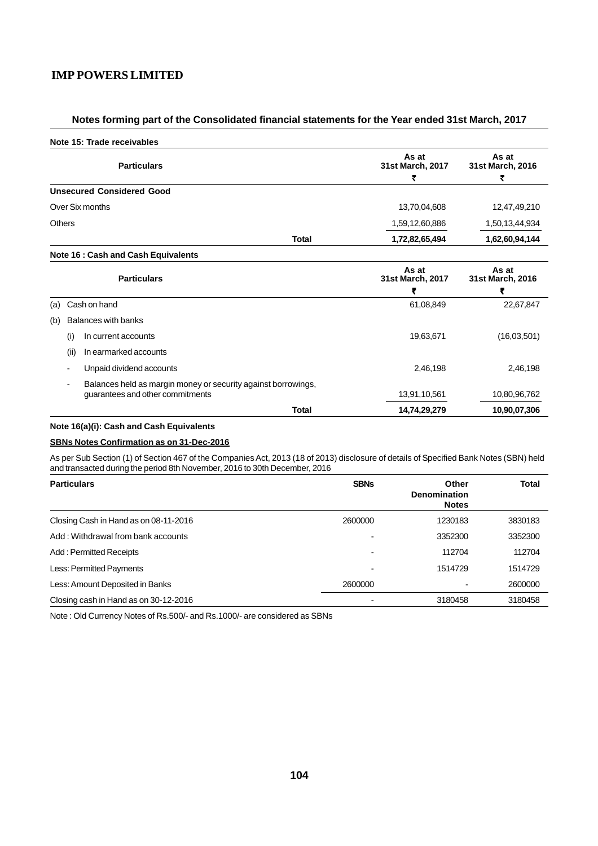#### **Notes forming part of the Consolidated financial statements for the Year ended 31st March, 2017**

|     |                    | Note 15: Trade receivables                                    |              |                           |                           |
|-----|--------------------|---------------------------------------------------------------|--------------|---------------------------|---------------------------|
|     | <b>Particulars</b> |                                                               |              | As at<br>31st March, 2017 | As at<br>31st March, 2016 |
|     |                    | <b>Unsecured Considered Good</b>                              |              | ₹                         | ₹                         |
|     |                    | Over Six months                                               |              | 13,70,04,608              | 12,47,49,210              |
|     |                    |                                                               |              |                           |                           |
|     | <b>Others</b>      |                                                               |              | 1,59,12,60,886            | 1,50,13,44,934            |
|     |                    |                                                               | <b>Total</b> | 1,72,82,65,494            | 1,62,60,94,144            |
|     |                    | <b>Note 16: Cash and Cash Equivalents</b>                     |              |                           |                           |
|     |                    | <b>Particulars</b>                                            |              | As at<br>31st March, 2017 | As at<br>31st March, 2016 |
|     |                    |                                                               |              | ₹                         | ₹                         |
| (a) |                    | Cash on hand                                                  |              | 61,08,849                 | 22,67,847                 |
| (b) |                    | Balances with banks                                           |              |                           |                           |
|     | (i)                | In current accounts                                           |              | 19,63,671                 | (16,03,501)               |
|     | (ii)               | In earmarked accounts                                         |              |                           |                           |
|     | ۰.                 | Unpaid dividend accounts                                      |              | 2,46,198                  | 2,46,198                  |
|     |                    | Balances held as margin money or security against borrowings, |              |                           |                           |
|     |                    | guarantees and other commitments                              |              | 13,91,10,561              | 10,80,96,762              |
|     |                    |                                                               | Total        | 14,74,29,279              | 10,90,07,306              |

#### **Note 16(a)(i): Cash and Cash Equivalents**

#### **SBNs Notes Confirmation as on 31-Dec-2016**

As per Sub Section (1) of Section 467 of the Companies Act, 2013 (18 of 2013) disclosure of details of Specified Bank Notes (SBN) held and transacted during the period 8th November, 2016 to 30th December, 2016

| <b>Particulars</b>                    | <b>SBNs</b>              | Other<br><b>Denomination</b><br><b>Notes</b> | Total   |
|---------------------------------------|--------------------------|----------------------------------------------|---------|
| Closing Cash in Hand as on 08-11-2016 | 2600000                  | 1230183                                      | 3830183 |
| Add: Withdrawal from bank accounts    | $\blacksquare$           | 3352300                                      | 3352300 |
| Add: Permitted Receipts               | $\overline{\phantom{0}}$ | 112704                                       | 112704  |
| Less: Permitted Payments              | $\blacksquare$           | 1514729                                      | 1514729 |
| Less: Amount Deposited in Banks       | 2600000                  | $\blacksquare$                               | 2600000 |
| Closing cash in Hand as on 30-12-2016 |                          | 3180458                                      | 3180458 |

Note : Old Currency Notes of Rs.500/- and Rs.1000/- are considered as SBNs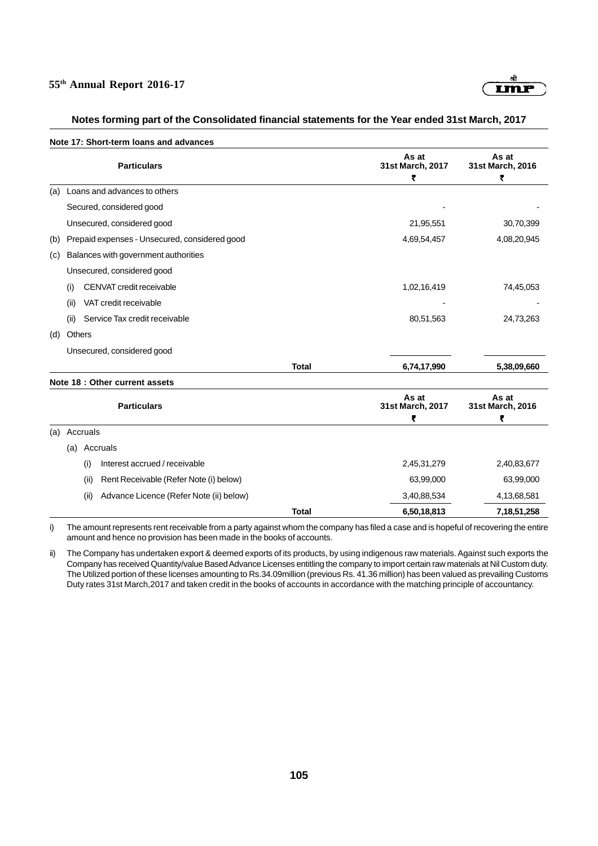# **ImP**

|     | <b>Particulars</b>                              |              | As at<br>31st March, 2017      | As at<br>31st March, 2016      |
|-----|-------------------------------------------------|--------------|--------------------------------|--------------------------------|
|     |                                                 |              | ₹                              | ₹                              |
| (a) | Loans and advances to others                    |              |                                |                                |
|     | Secured, considered good                        |              |                                |                                |
|     | Unsecured, considered good                      |              | 21,95,551                      | 30,70,399                      |
| (b) | Prepaid expenses - Unsecured, considered good   |              | 4,69,54,457                    | 4,08,20,945                    |
| (c) | Balances with government authorities            |              |                                |                                |
|     | Unsecured, considered good                      |              |                                |                                |
|     | CENVAT credit receivable<br>(i)                 |              | 1,02,16,419                    | 74,45,053                      |
|     | VAT credit receivable<br>(ii)                   |              |                                |                                |
|     | Service Tax credit receivable<br>(ii)           |              | 80,51,563                      | 24,73,263                      |
| (d) | <b>Others</b>                                   |              |                                |                                |
|     | Unsecured, considered good                      |              |                                |                                |
|     |                                                 | <b>Total</b> | 6,74,17,990                    | 5,38,09,660                    |
|     | Note 18 : Other current assets                  |              |                                |                                |
|     | <b>Particulars</b>                              |              | As at<br>31st March, 2017<br>₹ | As at<br>31st March, 2016<br>₹ |
| (a) | Accruals                                        |              |                                |                                |
|     | Accruals<br>(a)                                 |              |                                |                                |
|     | Interest accrued / receivable<br>(i)            |              | 2,45,31,279                    | 2,40,83,677                    |
|     | Rent Receivable (Refer Note (i) below)<br>(ii)  |              | 63,99,000                      | 63,99,000                      |
|     | Advance Licence (Refer Note (ii) below)<br>(ii) |              | 3,40,88,534                    | 4,13,68,581                    |
|     |                                                 | <b>Total</b> | 6,50,18,813                    | 7, 18, 51, 258                 |

#### **Notes forming part of the Consolidated financial statements for the Year ended 31st March, 2017**

i) The amount represents rent receivable from a party against whom the company has filed a case and is hopeful of recovering the entire amount and hence no provision has been made in the books of accounts.

ii) The Company has undertaken export & deemed exports of its products, by using indigenous raw materials. Against such exports the Company has received Quantity/value Based Advance Licenses entitling the company to import certain raw materials at Nil Custom duty. The Utilized portion of these licenses amounting to Rs.34.09million (previous Rs. 41.36 million) has been valued as prevailing Customs Duty rates 31st March,2017 and taken credit in the books of accounts in accordance with the matching principle of accountancy.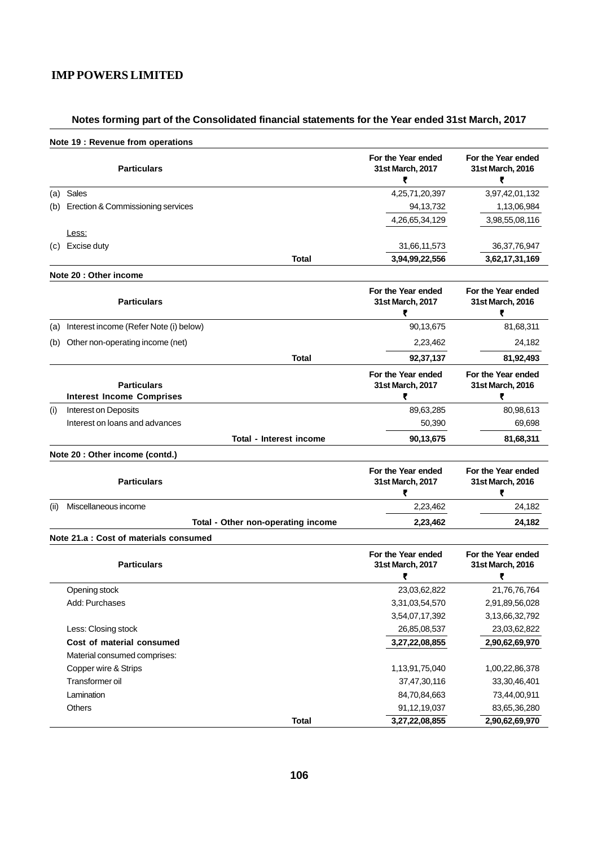# **Notes forming part of the Consolidated financial statements for the Year ended 31st March, 2017**

|      | Note 19 : Revenue from operations                               |                                    |                                             |                                             |
|------|-----------------------------------------------------------------|------------------------------------|---------------------------------------------|---------------------------------------------|
|      | <b>Particulars</b>                                              |                                    | For the Year ended<br>31st March, 2017<br>₹ | For the Year ended<br>31st March, 2016<br>₹ |
| (a)  | Sales                                                           |                                    | 4,25,71,20,397                              | 3,97,42,01,132                              |
| (b)  | Erection & Commissioning services                               |                                    | 94,13,732                                   | 1,13,06,984                                 |
|      |                                                                 |                                    | 4,26,65,34,129                              | 3,98,55,08,116                              |
|      | Less:                                                           |                                    |                                             |                                             |
| (C)  | Excise duty                                                     |                                    | 31,66,11,573                                | 36, 37, 76, 947                             |
|      |                                                                 | Total                              | 3,94,99,22,556                              | 3,62,17,31,169                              |
|      | Note 20 : Other income                                          |                                    |                                             |                                             |
|      | <b>Particulars</b>                                              |                                    | For the Year ended<br>31st March, 2017<br>₹ | For the Year ended<br>31st March, 2016<br>₹ |
| (a)  | Interest income (Refer Note (i) below)                          |                                    | 90,13,675                                   | 81,68,311                                   |
| (b)  | Other non-operating income (net)                                |                                    | 2,23,462                                    | 24,182                                      |
|      |                                                                 | Total                              | 92,37,137                                   | 81,92,493                                   |
|      |                                                                 |                                    |                                             |                                             |
|      | <b>Particulars</b>                                              |                                    | For the Year ended<br>31st March, 2017      | For the Year ended<br>31st March, 2016      |
|      | <b>Interest Income Comprises</b><br><b>Interest on Deposits</b> |                                    | ₹<br>89,63,285                              | ₹<br>80,98,613                              |
| (i)  | Interest on loans and advances                                  |                                    | 50,390                                      | 69,698                                      |
|      |                                                                 |                                    |                                             |                                             |
|      |                                                                 | Total - Interest income            | 90,13,675                                   | 81,68,311                                   |
|      | Note 20 : Other income (contd.)                                 |                                    |                                             |                                             |
|      | <b>Particulars</b>                                              |                                    | For the Year ended<br>31st March, 2017<br>₹ | For the Year ended<br>31st March, 2016<br>₹ |
| (ii) | Miscellaneous income                                            |                                    | 2,23,462                                    | 24,182                                      |
|      |                                                                 | Total - Other non-operating income | 2,23,462                                    | 24,182                                      |
|      | Note 21.a : Cost of materials consumed                          |                                    |                                             |                                             |
|      | <b>Particulars</b>                                              |                                    | For the Year ended<br>31st March, 2017<br>₹ | For the Year ended<br>31st March, 2016<br>₹ |
|      | Opening stock                                                   |                                    | 23,03,62,822                                | 21,76,76,764                                |
|      | Add: Purchases                                                  |                                    | 3,31,03,54,570                              | 2,91,89,56,028                              |
|      |                                                                 |                                    | 3,54,07,17,392                              | 3,13,66,32,792                              |
|      | Less: Closing stock                                             |                                    | 26,85,08,537                                | 23,03,62,822                                |
|      | Cost of material consumed                                       |                                    | 3,27,22,08,855                              | 2,90,62,69,970                              |
|      | Material consumed comprises:                                    |                                    |                                             |                                             |
|      | Copper wire & Strips                                            |                                    | 1,13,91,75,040                              | 1,00,22,86,378                              |
|      | Transformer oil                                                 |                                    | 37,47,30,116                                | 33,30,46,401                                |
|      | Lamination                                                      |                                    | 84,70,84,663                                | 73,44,00,911                                |
|      | Others                                                          |                                    | 91,12,19,037                                | 83,65,36,280                                |
|      |                                                                 | <b>Total</b>                       | 3,27,22,08,855                              | 2,90,62,69,970                              |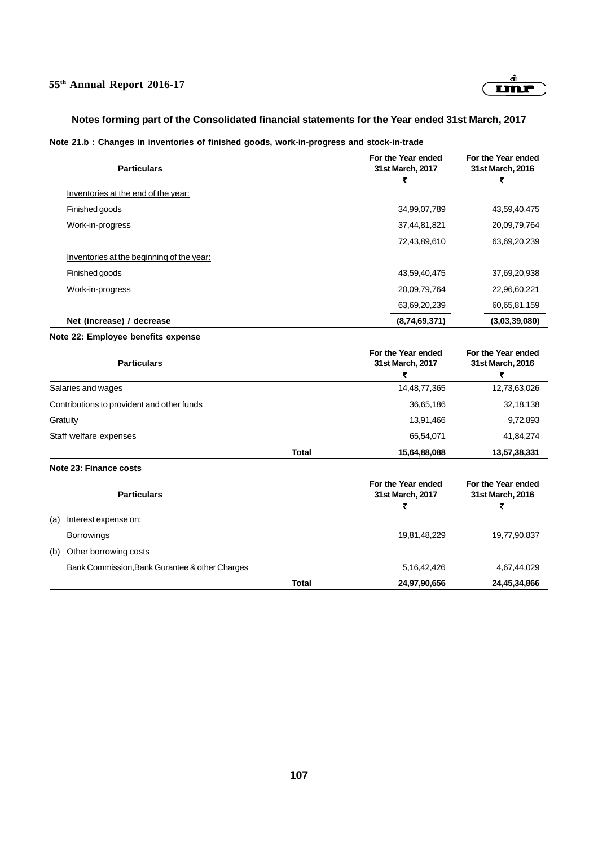

#### **Notes forming part of the Consolidated financial statements for the Year ended 31st March, 2017**

| <b>Particulars</b>                        | For the Year ended<br>31st March, 2017<br>₹ | For the Year ended<br>31st March, 2016<br>₹ |
|-------------------------------------------|---------------------------------------------|---------------------------------------------|
| Inventories at the end of the year:       |                                             |                                             |
| Finished goods                            | 34,99,07,789                                | 43,59,40,475                                |
| Work-in-progress                          | 37,44,81,821                                | 20,09,79,764                                |
|                                           | 72,43,89,610                                | 63,69,20,239                                |
| Inventories at the beginning of the year: |                                             |                                             |
| Finished goods                            | 43,59,40,475                                | 37,69,20,938                                |
| Work-in-progress                          | 20,09,79,764                                | 22,96,60,221                                |
|                                           | 63,69,20,239                                | 60,65,81,159                                |
| Net (increase) / decrease                 | (8,74,69,371)                               | (3,03,39,080)                               |

#### **Note 22: Employee benefits expense**

| <b>Particulars</b>                         |       | For the Year ended<br>31st March, 2017 | For the Year ended<br>31st March, 2016 |
|--------------------------------------------|-------|----------------------------------------|----------------------------------------|
|                                            |       |                                        |                                        |
| Salaries and wages                         |       | 14,48,77,365                           | 12,73,63,026                           |
| Contributions to provident and other funds |       | 36,65,186                              | 32,18,138                              |
| Gratuity                                   |       | 13,91,466                              | 9,72,893                               |
| Staff welfare expenses                     |       | 65,54,071                              | 41,84,274                              |
|                                            | Total | 15,64,88,088                           | 13,57,38,331                           |

#### **Note 23: Finance costs**

|     | <b>Particulars</b>                             |       | For the Year ended<br>31st March, 2017 | For the Year ended<br>31st March, 2016 |
|-----|------------------------------------------------|-------|----------------------------------------|----------------------------------------|
| (a) | Interest expense on:                           |       |                                        |                                        |
|     | <b>Borrowings</b>                              |       | 19,81,48,229                           | 19,77,90,837                           |
| (b) | Other borrowing costs                          |       |                                        |                                        |
|     | Bank Commission, Bank Gurantee & other Charges |       | 5, 16, 42, 426                         | 4,67,44,029                            |
|     |                                                | Total | 24,97,90,656                           | 24,45,34,866                           |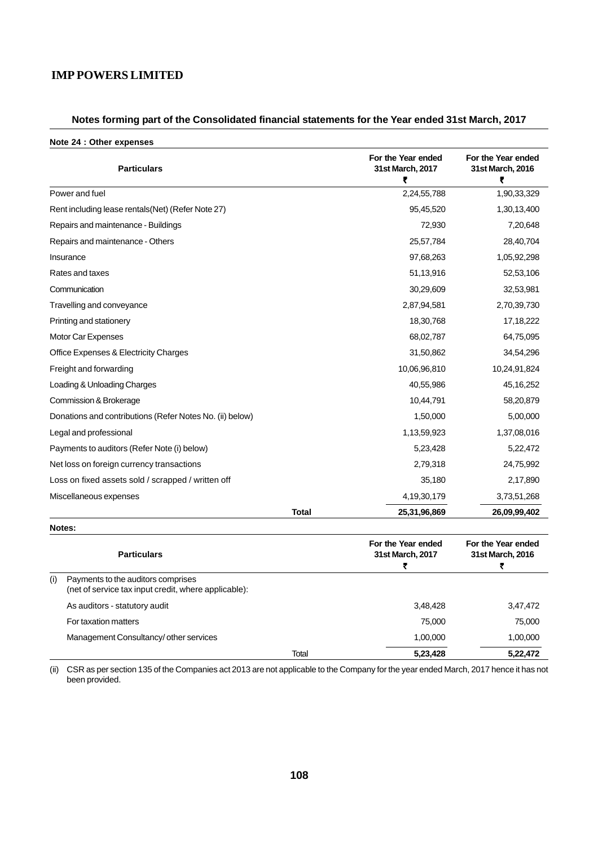#### **Notes forming part of the Consolidated financial statements for the Year ended 31st March, 2017**

**Note 24 : Other expenses**

| <b>Particulars</b> |                                                                                            |              | For the Year ended<br>31st March, 2017<br>₹ | For the Year ended<br>31st March, 2016<br>₹ |
|--------------------|--------------------------------------------------------------------------------------------|--------------|---------------------------------------------|---------------------------------------------|
|                    | Power and fuel                                                                             |              | 2,24,55,788                                 | 1,90,33,329                                 |
|                    | Rent including lease rentals (Net) (Refer Note 27)                                         |              | 95,45,520                                   | 1,30,13,400                                 |
|                    | Repairs and maintenance - Buildings                                                        |              | 72,930                                      | 7,20,648                                    |
|                    | Repairs and maintenance - Others                                                           |              | 25,57,784                                   | 28,40,704                                   |
|                    | Insurance                                                                                  |              | 97,68,263                                   | 1,05,92,298                                 |
|                    | Rates and taxes                                                                            |              | 51,13,916                                   | 52,53,106                                   |
|                    | Communication                                                                              |              | 30,29,609                                   | 32,53,981                                   |
|                    | Travelling and conveyance                                                                  |              | 2,87,94,581                                 | 2,70,39,730                                 |
|                    | Printing and stationery                                                                    |              | 18,30,768                                   | 17,18,222                                   |
|                    | Motor Car Expenses                                                                         |              | 68,02,787                                   | 64,75,095                                   |
|                    | Office Expenses & Electricity Charges                                                      |              | 31,50,862                                   | 34,54,296                                   |
|                    | Freight and forwarding                                                                     |              | 10,06,96,810                                | 10,24,91,824                                |
|                    | Loading & Unloading Charges                                                                |              | 40,55,986                                   | 45,16,252                                   |
|                    | Commission & Brokerage                                                                     |              | 10,44,791                                   | 58,20,879                                   |
|                    | Donations and contributions (Refer Notes No. (ii) below)                                   |              | 1,50,000                                    | 5,00,000                                    |
|                    | Legal and professional                                                                     |              | 1,13,59,923                                 | 1,37,08,016                                 |
|                    | Payments to auditors (Refer Note (i) below)                                                |              | 5,23,428                                    | 5,22,472                                    |
|                    | Net loss on foreign currency transactions                                                  |              | 2,79,318                                    | 24,75,992                                   |
|                    | Loss on fixed assets sold / scrapped / written off                                         |              | 35,180                                      | 2,17,890                                    |
|                    | Miscellaneous expenses                                                                     |              | 4, 19, 30, 179                              | 3,73,51,268                                 |
|                    |                                                                                            | <b>Total</b> | 25,31,96,869                                | 26,09,99,402                                |
|                    | Notes:                                                                                     |              |                                             |                                             |
|                    | <b>Particulars</b>                                                                         |              | For the Year ended<br>31st March, 2017<br>₹ | For the Year ended<br>31st March, 2016<br>₹ |
| (i)                | Payments to the auditors comprises<br>(net of service tax input credit, where applicable): |              |                                             |                                             |
|                    | As auditors - statutory audit                                                              |              | 3,48,428                                    | 3,47,472                                    |
|                    | For taxation matters                                                                       |              | 75,000                                      | 75,000                                      |
|                    | Management Consultancy/ other services                                                     |              | 1,00,000                                    | 1,00,000                                    |
|                    |                                                                                            | Total        | 5,23,428                                    | 5,22,472                                    |

(ii) CSR as per section 135 of the Companies act 2013 are not applicable to the Company for the year ended March, 2017 hence it has not been provided.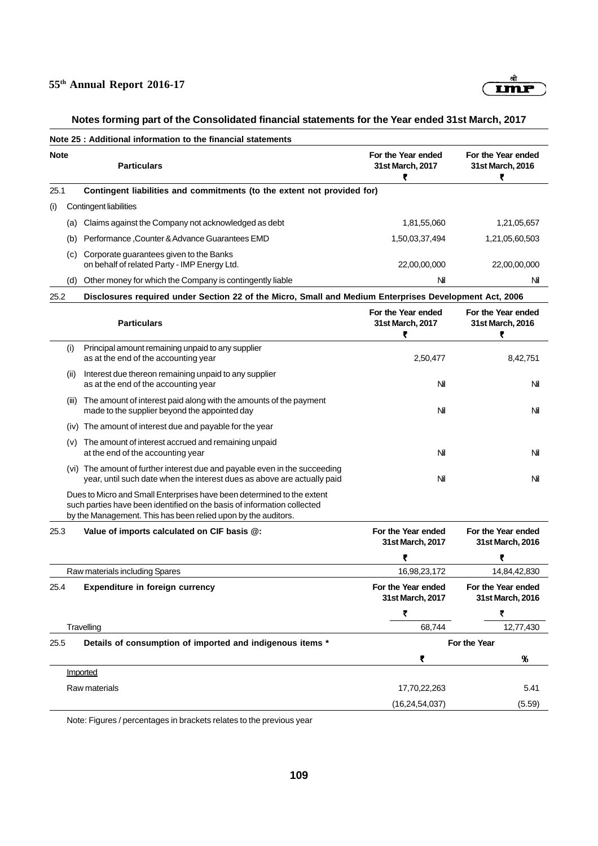# <u>ां</u><br>संस्कृत

# **Notes forming part of the Consolidated financial statements for the Year ended 31st March, 2017**

|             |      | Note 25 : Additional information to the financial statements                                                                                                                                                       |                                             |                                             |
|-------------|------|--------------------------------------------------------------------------------------------------------------------------------------------------------------------------------------------------------------------|---------------------------------------------|---------------------------------------------|
| <b>Note</b> |      | <b>Particulars</b>                                                                                                                                                                                                 | For the Year ended<br>31st March, 2017<br>₹ | For the Year ended<br>31st March, 2016<br>₹ |
| 25.1        |      | Contingent liabilities and commitments (to the extent not provided for)                                                                                                                                            |                                             |                                             |
| (i)         |      | Contingent liabilities                                                                                                                                                                                             |                                             |                                             |
|             | (a)  | Claims against the Company not acknowledged as debt                                                                                                                                                                | 1,81,55,060                                 | 1,21,05,657                                 |
|             | (b)  | Performance, Counter & Advance Guarantees EMD                                                                                                                                                                      | 1,50,03,37,494                              | 1,21,05,60,503                              |
|             | (C)  | Corporate guarantees given to the Banks<br>on behalf of related Party - IMP Energy Ltd.                                                                                                                            | 22,00,00,000                                | 22,00,00,000                                |
|             | (d)  | Other money for which the Company is contingently liable                                                                                                                                                           | Νil                                         | Nil                                         |
| 25.2        |      | Disclosures required under Section 22 of the Micro, Small and Medium Enterprises Development Act, 2006                                                                                                             |                                             |                                             |
|             |      | <b>Particulars</b>                                                                                                                                                                                                 | For the Year ended<br>31st March, 2017<br>₹ | For the Year ended<br>31st March, 2016<br>₹ |
|             | (i)  | Principal amount remaining unpaid to any supplier<br>as at the end of the accounting year                                                                                                                          | 2,50,477                                    | 8,42,751                                    |
|             | (ii) | Interest due thereon remaining unpaid to any supplier<br>as at the end of the accounting year                                                                                                                      | Νil                                         | Νil                                         |
|             |      | (iii) The amount of interest paid along with the amounts of the payment<br>made to the supplier beyond the appointed day                                                                                           | Nil                                         | Νil                                         |
|             |      | (iv) The amount of interest due and payable for the year                                                                                                                                                           |                                             |                                             |
|             | (v)  | The amount of interest accrued and remaining unpaid<br>at the end of the accounting year                                                                                                                           | Nil                                         | Νil                                         |
|             |      | (vi) The amount of further interest due and payable even in the succeeding<br>year, until such date when the interest dues as above are actually paid                                                              | Nil                                         | Nil                                         |
|             |      | Dues to Micro and Small Enterprises have been determined to the extent<br>such parties have been identified on the basis of information collected<br>by the Management. This has been relied upon by the auditors. |                                             |                                             |
| 25.3        |      | Value of imports calculated on CIF basis @:                                                                                                                                                                        | For the Year ended<br>31st March, 2017      | For the Year ended<br>31st March, 2016      |
|             |      |                                                                                                                                                                                                                    | ₹                                           | ₹                                           |
|             |      | Raw materials including Spares                                                                                                                                                                                     | 16,98,23,172                                | 14,84,42,830                                |
| 25.4        |      | Expenditure in foreign currency                                                                                                                                                                                    | For the Year ended<br>31st March, 2017      | For the Year ended<br>31st March, 2016      |
|             |      |                                                                                                                                                                                                                    | ₹                                           | ₹                                           |
|             |      | Travelling                                                                                                                                                                                                         | 68,744                                      | 12,77,430                                   |
| 25.5        |      | Details of consumption of imported and indigenous items *                                                                                                                                                          |                                             | For the Year                                |
|             |      |                                                                                                                                                                                                                    | ₹                                           | %                                           |
|             |      | Imported                                                                                                                                                                                                           |                                             |                                             |
|             |      | Raw materials                                                                                                                                                                                                      | 17,70,22,263                                | 5.41                                        |
|             |      |                                                                                                                                                                                                                    | (16, 24, 54, 037)                           | (5.59)                                      |

Note: Figures / percentages in brackets relates to the previous year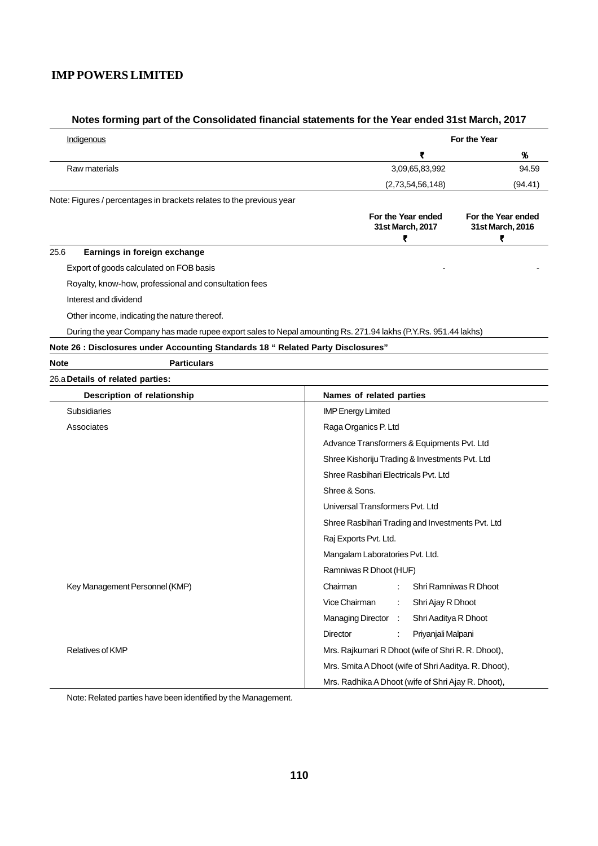# **Notes forming part of the Consolidated financial statements for the Year ended 31st March, 2017**

| Indigenous                                                                                                     | For the Year                                                       |                                             |
|----------------------------------------------------------------------------------------------------------------|--------------------------------------------------------------------|---------------------------------------------|
|                                                                                                                | ₹                                                                  | %                                           |
| Raw materials                                                                                                  | 3,09,65,83,992                                                     | 94.59                                       |
|                                                                                                                | (2,73,54,56,148)                                                   | (94.41)                                     |
| Note: Figures / percentages in brackets relates to the previous year                                           |                                                                    |                                             |
|                                                                                                                | For the Year ended<br>31st March, 2017<br>₹                        | For the Year ended<br>31st March, 2016<br>₹ |
| 25.6<br>Earnings in foreign exchange                                                                           |                                                                    |                                             |
| Export of goods calculated on FOB basis                                                                        |                                                                    |                                             |
| Royalty, know-how, professional and consultation fees                                                          |                                                                    |                                             |
| Interest and dividend                                                                                          |                                                                    |                                             |
| Other income, indicating the nature thereof.                                                                   |                                                                    |                                             |
| During the year Company has made rupee export sales to Nepal amounting Rs. 271.94 lakhs (P.Y.Rs. 951.44 lakhs) |                                                                    |                                             |
| Note 26 : Disclosures under Accounting Standards 18 " Related Party Disclosures"                               |                                                                    |                                             |
| <b>Particulars</b><br><b>Note</b>                                                                              |                                                                    |                                             |
| 26.a Details of related parties:                                                                               |                                                                    |                                             |
| Description of relationship                                                                                    | Names of related parties                                           |                                             |
| Subsidiaries                                                                                                   | <b>IMP Energy Limited</b>                                          |                                             |
| Associates                                                                                                     | Raga Organics P. Ltd                                               |                                             |
|                                                                                                                | Advance Transformers & Equipments Pvt. Ltd                         |                                             |
|                                                                                                                | Shree Kishoriju Trading & Investments Pvt. Ltd                     |                                             |
|                                                                                                                | Shree Rasbihari Electricals Pvt. Ltd                               |                                             |
|                                                                                                                | Shree & Sons.                                                      |                                             |
|                                                                                                                | Universal Transformers Pyt. Ltd                                    |                                             |
|                                                                                                                | Shree Rasbihari Trading and Investments Pvt. Ltd                   |                                             |
|                                                                                                                | Raj Exports Pvt. Ltd.                                              |                                             |
|                                                                                                                | Mangalam Laboratories Pvt. Ltd.                                    |                                             |
|                                                                                                                | Ramniwas R Dhoot (HUF)                                             |                                             |
| Key Management Personnel (KMP)                                                                                 | Chairman<br>Shri Ramniwas R Dhoot                                  |                                             |
|                                                                                                                | Vice Chairman<br>Shri Ajay R Dhoot                                 |                                             |
|                                                                                                                | <b>Managing Director</b><br>Shri Aaditya R Dhoot<br>$\mathbb{R}^2$ |                                             |
|                                                                                                                | <b>Director</b><br>Priyanjali Malpani<br>t                         |                                             |
| Relatives of KMP                                                                                               | Mrs. Rajkumari R Dhoot (wife of Shri R. R. Dhoot),                 |                                             |
|                                                                                                                | Mrs. Smita A Dhoot (wife of Shri Aaditya. R. Dhoot),               |                                             |
|                                                                                                                | Mrs. Radhika A Dhoot (wife of Shri Ajay R. Dhoot),                 |                                             |

Note: Related parties have been identified by the Management.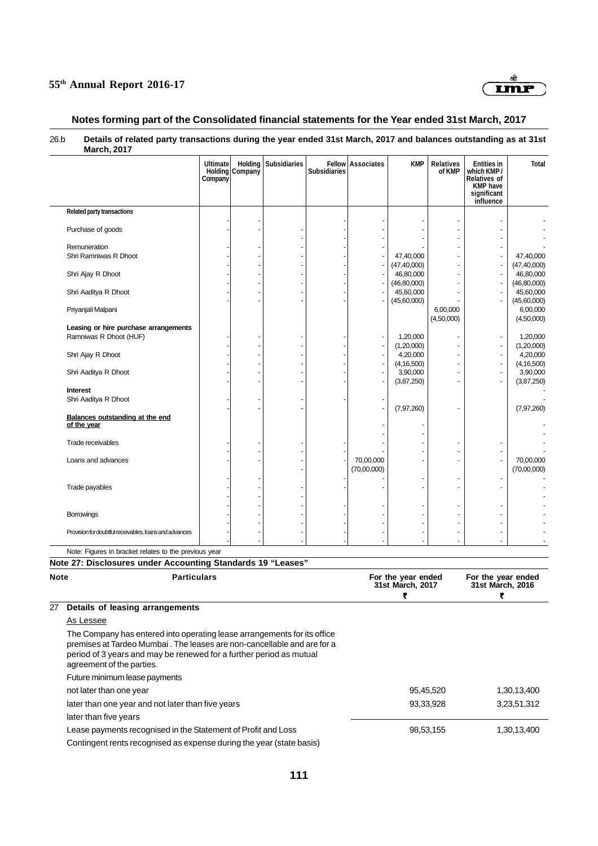

#### **Notes forming part of the Consolidated financial statements for the Year ended 31st March, 2017**

#### 26.b **Details of related party transactions during the year ended 31st March, 2017 and balances outstanding as at 31st March, 2017**

|             |                                                                                                                                                                                                                                                         | Ultimate<br>Company | Holding<br>Holding Company | Subsidiaries | <b>Subsidiaries</b> | Fellow Associates        | <b>KMP</b>                                  | Relatives<br>of KMP      | <b>Entities in</b><br>which KMP/<br><b>Relatives of</b><br><b>KMP</b> have<br>significant<br>influence | Total                                 |
|-------------|---------------------------------------------------------------------------------------------------------------------------------------------------------------------------------------------------------------------------------------------------------|---------------------|----------------------------|--------------|---------------------|--------------------------|---------------------------------------------|--------------------------|--------------------------------------------------------------------------------------------------------|---------------------------------------|
|             | Related party transactions                                                                                                                                                                                                                              |                     |                            |              |                     |                          |                                             |                          |                                                                                                        |                                       |
|             | Purchase of goods                                                                                                                                                                                                                                       |                     |                            |              |                     |                          |                                             |                          |                                                                                                        |                                       |
|             | Remuneration                                                                                                                                                                                                                                            |                     |                            |              |                     |                          |                                             |                          |                                                                                                        |                                       |
|             | Shri Ramniwas R Dhoot                                                                                                                                                                                                                                   |                     |                            |              |                     |                          | 47,40,000                                   |                          |                                                                                                        | 47,40,000                             |
|             |                                                                                                                                                                                                                                                         |                     |                            |              |                     |                          | (47, 40, 000)<br>46,80,000                  |                          |                                                                                                        | (47, 40, 000)                         |
|             | Shri Ajay R Dhoot                                                                                                                                                                                                                                       |                     |                            |              |                     |                          | (46, 80, 000)                               |                          |                                                                                                        | 46,80,000<br>(46, 80, 000)            |
|             | Shri Aaditya R Dhoot                                                                                                                                                                                                                                    |                     |                            |              |                     |                          | 45,60,000                                   |                          |                                                                                                        | 45,60,000                             |
|             | Priyanjali Malpani                                                                                                                                                                                                                                      |                     |                            |              |                     |                          | (45,60,000)                                 | 6,00,000<br>(4,50,000)   |                                                                                                        | (45,60,000)<br>6,00,000<br>(4,50,000) |
|             | Leasing or hire purchase arrangements                                                                                                                                                                                                                   |                     |                            |              |                     |                          |                                             |                          |                                                                                                        |                                       |
|             | Ramniwas R Dhoot (HUF)                                                                                                                                                                                                                                  |                     |                            |              |                     |                          | 1,20,000                                    |                          |                                                                                                        | 1,20,000                              |
|             | Shri Ajay R Dhoot                                                                                                                                                                                                                                       |                     |                            |              |                     |                          | (1,20,000)<br>4,20,000                      |                          |                                                                                                        | (1,20,000)<br>4,20,000                |
|             |                                                                                                                                                                                                                                                         |                     |                            |              |                     |                          | (4, 16, 500)                                |                          |                                                                                                        | (4, 16, 500)                          |
|             | Shri Aaditya R Dhoot                                                                                                                                                                                                                                    |                     |                            |              |                     |                          | 3,90,000                                    |                          |                                                                                                        | 3,90,000                              |
|             | Interest                                                                                                                                                                                                                                                |                     |                            |              |                     |                          | (3,87,250)                                  |                          |                                                                                                        | (3,87,250)                            |
|             | Shri Aaditya R Dhoot                                                                                                                                                                                                                                    |                     |                            |              |                     |                          |                                             |                          |                                                                                                        |                                       |
|             | Balances outstanding at the end<br>of the year                                                                                                                                                                                                          |                     |                            |              |                     |                          | (7, 97, 260)                                |                          |                                                                                                        | (7, 97, 260)                          |
|             | Trade receivables                                                                                                                                                                                                                                       |                     |                            |              |                     |                          |                                             |                          |                                                                                                        |                                       |
|             |                                                                                                                                                                                                                                                         |                     |                            |              |                     |                          |                                             |                          |                                                                                                        |                                       |
|             | Loans and advances                                                                                                                                                                                                                                      |                     |                            |              |                     | 70,00,000<br>(70,00,000) |                                             |                          |                                                                                                        | 70,00,000<br>(70,00,000)              |
|             | Trade payables                                                                                                                                                                                                                                          |                     |                            |              |                     |                          |                                             |                          |                                                                                                        |                                       |
|             |                                                                                                                                                                                                                                                         |                     |                            |              |                     |                          |                                             |                          |                                                                                                        |                                       |
|             | <b>Borrowings</b>                                                                                                                                                                                                                                       |                     |                            |              |                     |                          |                                             |                          |                                                                                                        |                                       |
|             | Provision for doubtful receivables, loans and advances                                                                                                                                                                                                  |                     |                            |              |                     |                          |                                             | $\overline{\phantom{a}}$ |                                                                                                        |                                       |
|             | Note: Figures in bracket relates to the previous year                                                                                                                                                                                                   |                     |                            |              |                     |                          |                                             |                          |                                                                                                        |                                       |
|             | Note 27: Disclosures under Accounting Standards 19 "Leases"                                                                                                                                                                                             |                     |                            |              |                     |                          |                                             |                          |                                                                                                        |                                       |
| <b>Note</b> | <b>Particulars</b>                                                                                                                                                                                                                                      |                     |                            |              |                     |                          | For the year ended<br>31st March, 2017<br>₹ |                          | For the year ended<br>31st March, 2016<br>₹                                                            |                                       |
| 27          | Details of leasing arrangements                                                                                                                                                                                                                         |                     |                            |              |                     |                          |                                             |                          |                                                                                                        |                                       |
|             | <u>As Lessee</u>                                                                                                                                                                                                                                        |                     |                            |              |                     |                          |                                             |                          |                                                                                                        |                                       |
|             | The Company has entered into operating lease arrangements for its office<br>premises at Tardeo Mumbai. The leases are non-cancellable and are for a<br>period of 3 years and may be renewed for a further period as mutual<br>agreement of the parties. |                     |                            |              |                     |                          |                                             |                          |                                                                                                        |                                       |
|             | Future minimum lease payments                                                                                                                                                                                                                           |                     |                            |              |                     |                          |                                             |                          |                                                                                                        |                                       |
|             | not later than one year                                                                                                                                                                                                                                 |                     |                            |              |                     |                          |                                             | 95,45,520                |                                                                                                        | 1,30,13,400                           |
|             | later than one year and not later than five years                                                                                                                                                                                                       |                     |                            |              |                     |                          |                                             | 93,33,928                |                                                                                                        | 3,23,51,312                           |
|             | later than five years                                                                                                                                                                                                                                   |                     |                            |              |                     |                          |                                             |                          |                                                                                                        |                                       |
|             | Lease payments recognised in the Statement of Profit and Loss                                                                                                                                                                                           |                     |                            |              |                     |                          |                                             | 98,53,155                |                                                                                                        | 1,30,13,400                           |

Contingent rents recognised as expense during the year (state basis)

**111**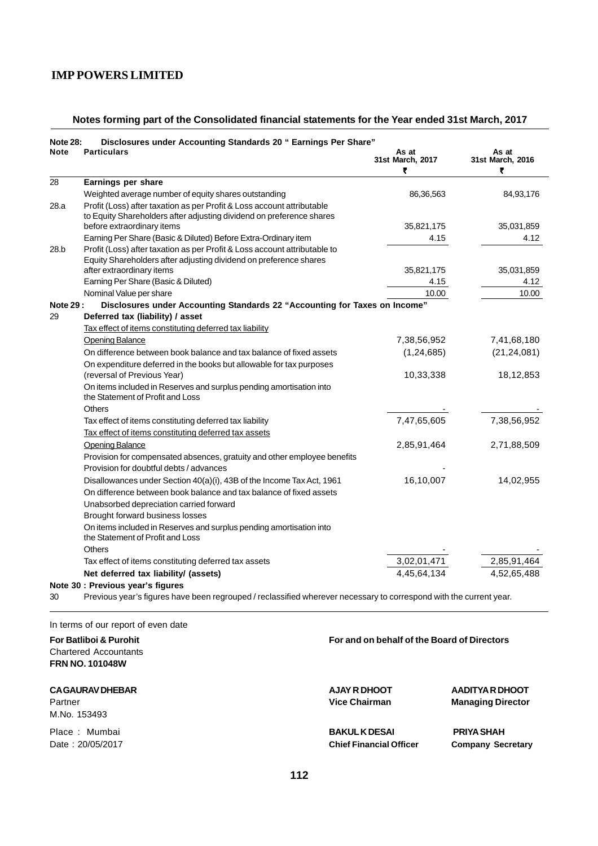# **Notes forming part of the Consolidated financial statements for the Year ended 31st March, 2017**

| <b>Note 28:</b><br><b>Note</b> | Disclosures under Accounting Standards 20 " Earnings Per Share"<br><b>Particulars</b>                                                          | As at                 | As at                 |
|--------------------------------|------------------------------------------------------------------------------------------------------------------------------------------------|-----------------------|-----------------------|
|                                |                                                                                                                                                | 31st March, 2017<br>₹ | 31st March, 2016<br>₹ |
| 28                             | Earnings per share                                                                                                                             |                       |                       |
|                                | Weighted average number of equity shares outstanding                                                                                           | 86,36,563             | 84,93,176             |
| 28.a                           | Profit (Loss) after taxation as per Profit & Loss account attributable<br>to Equity Shareholders after adjusting dividend on preference shares |                       |                       |
|                                | before extraordinary items                                                                                                                     | 35,821,175            | 35,031,859            |
|                                | Earning Per Share (Basic & Diluted) Before Extra-Ordinary item                                                                                 | 4.15                  | 4.12                  |
| 28.b                           | Profit (Loss) after taxation as per Profit & Loss account attributable to<br>Equity Shareholders after adjusting dividend on preference shares |                       |                       |
|                                | after extraordinary items                                                                                                                      | 35,821,175            | 35,031,859            |
|                                | Earning Per Share (Basic & Diluted)                                                                                                            | 4.15                  | 4.12                  |
|                                | Nominal Value per share                                                                                                                        | 10.00                 | 10.00                 |
| <b>Note 29:</b>                | Disclosures under Accounting Standards 22 "Accounting for Taxes on Income"                                                                     |                       |                       |
| 29                             | Deferred tax (liability) / asset                                                                                                               |                       |                       |
|                                | Tax effect of items constituting deferred tax liability                                                                                        |                       |                       |
|                                | Opening Balance                                                                                                                                | 7,38,56,952           | 7,41,68,180           |
|                                | On difference between book balance and tax balance of fixed assets                                                                             | (1, 24, 685)          | (21, 24, 081)         |
|                                | On expenditure deferred in the books but allowable for tax purposes<br>(reversal of Previous Year)                                             | 10,33,338             | 18,12,853             |
|                                | On items included in Reserves and surplus pending amortisation into<br>the Statement of Profit and Loss                                        |                       |                       |
|                                | Others                                                                                                                                         |                       |                       |
|                                | Tax effect of items constituting deferred tax liability                                                                                        | 7,47,65,605           | 7,38,56,952           |
|                                | Tax effect of items constituting deferred tax assets                                                                                           |                       |                       |
|                                | <b>Opening Balance</b>                                                                                                                         | 2,85,91,464           | 2,71,88,509           |
|                                | Provision for compensated absences, gratuity and other employee benefits                                                                       |                       |                       |
|                                | Provision for doubtful debts / advances                                                                                                        |                       |                       |
|                                | Disallowances under Section 40(a)(i), 43B of the Income Tax Act, 1961                                                                          | 16,10,007             | 14,02,955             |
|                                | On difference between book balance and tax balance of fixed assets                                                                             |                       |                       |
|                                | Unabsorbed depreciation carried forward                                                                                                        |                       |                       |
|                                | Brought forward business losses                                                                                                                |                       |                       |
|                                | On items included in Reserves and surplus pending amortisation into<br>the Statement of Profit and Loss                                        |                       |                       |
|                                | <b>Others</b>                                                                                                                                  |                       |                       |
|                                | Tax effect of items constituting deferred tax assets                                                                                           | 3,02,01,471           | 2,85,91,464           |
|                                | Net deferred tax liability/ (assets)                                                                                                           | 4,45,64,134           | 4,52,65,488           |
|                                | Note 30 : Previous year's figures                                                                                                              |                       |                       |
| 30                             | Previous year's figures have been regrouped / reclassified wherever necessary to correspond with the current year.                             |                       |                       |

In terms of our report of even date

| <b>For Batliboi &amp; Purohit</b><br><b>Chartered Accountants</b><br><b>FRN NO. 101048W</b> | For and on behalf of the Board of Directors            |                                               |
|---------------------------------------------------------------------------------------------|--------------------------------------------------------|-----------------------------------------------|
| <b>CA GAURAV DHEBAR</b><br>Partner<br>M.No. 153493                                          | <b>AJAY R DHOOT</b><br>Vice Chairman                   | AADITYA R DHOOT<br><b>Managing Director</b>   |
| Place: Mumbai<br>Date: 20/05/2017                                                           | <b>BAKUL K DESAI</b><br><b>Chief Financial Officer</b> | <b>PRIYA SHAH</b><br><b>Company Secretary</b> |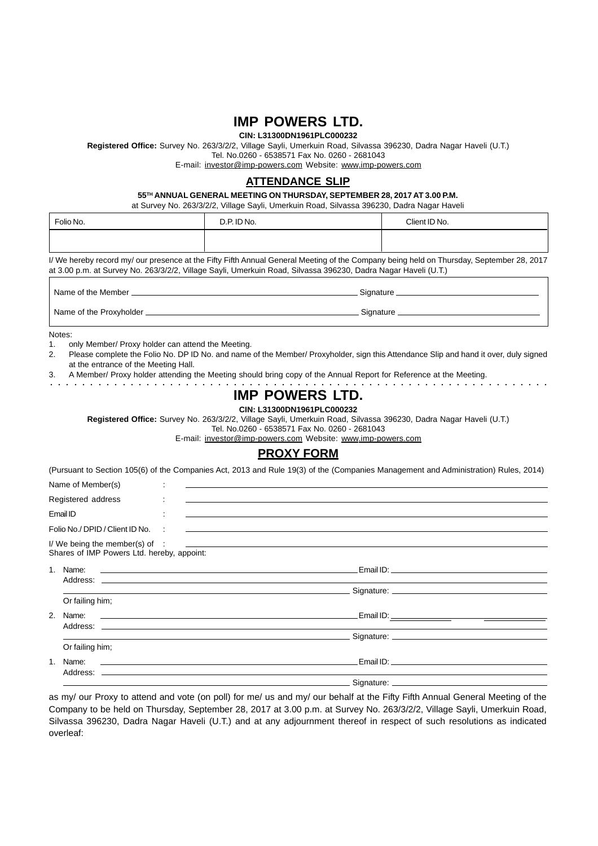# **IMP POWERS LTD.**

**CIN: L31300DN1961PLC000232**

**Registered Office:** Survey No. 263/3/2/2, Village Sayli, Umerkuin Road, Silvassa 396230, Dadra Nagar Haveli (U.T.)

Tel. No.0260 - 6538571 Fax No. 0260 - 2681043

E-mail: investor@imp-powers.com Website: www.imp-powers.com

#### **ATTENDANCE SLIP**

#### **55TH ANNUAL GENERAL MEETING ON THURSDAY, SEPTEMBER 28, 2017 AT 3.00 P.M.**

at Survey No. 263/3/2/2, Village Sayli, Umerkuin Road, Silvassa 396230, Dadra Nagar Haveli

|                | Folio No.          |                                                                                           | D.P. ID No.                                                                                                                                                                                                                                                                                                    |            | Client ID No.                                                                                                                                                                                                                        |  |  |
|----------------|--------------------|-------------------------------------------------------------------------------------------|----------------------------------------------------------------------------------------------------------------------------------------------------------------------------------------------------------------------------------------------------------------------------------------------------------------|------------|--------------------------------------------------------------------------------------------------------------------------------------------------------------------------------------------------------------------------------------|--|--|
|                |                    |                                                                                           |                                                                                                                                                                                                                                                                                                                |            |                                                                                                                                                                                                                                      |  |  |
|                |                    |                                                                                           | at 3.00 p.m. at Survey No. 263/3/2/2, Village Sayli, Umerkuin Road, Silvassa 396230, Dadra Nagar Haveli (U.T.)                                                                                                                                                                                                 |            | I/ We hereby record my/ our presence at the Fifty Fifth Annual General Meeting of the Company being held on Thursday, September 28, 2017                                                                                             |  |  |
|                |                    |                                                                                           |                                                                                                                                                                                                                                                                                                                |            |                                                                                                                                                                                                                                      |  |  |
|                |                    |                                                                                           |                                                                                                                                                                                                                                                                                                                |            |                                                                                                                                                                                                                                      |  |  |
| 1.<br>2.<br>3. | Notes:             | only Member/ Proxy holder can attend the Meeting.<br>at the entrance of the Meeting Hall. | A Member/ Proxy holder attending the Meeting should bring copy of the Annual Report for Reference at the Meeting.                                                                                                                                                                                              |            | Please complete the Folio No. DP ID No. and name of the Member/ Proxyholder, sign this Attendance Slip and hand it over, duly signed                                                                                                 |  |  |
|                |                    |                                                                                           | <b>IMP POWERS LTD.</b><br>CIN: L31300DN1961PLC000232<br>Registered Office: Survey No. 263/3/2/2, Village Sayli, Umerkuin Road, Silvassa 396230, Dadra Nagar Haveli (U.T.)<br>Tel. No.0260 - 6538571 Fax No. 0260 - 2681043<br>E-mail: investor@imp-powers.com Website: www.imp-powers.com<br><b>PROXY FORM</b> |            |                                                                                                                                                                                                                                      |  |  |
|                |                    |                                                                                           |                                                                                                                                                                                                                                                                                                                |            | (Pursuant to Section 105(6) of the Companies Act, 2013 and Rule 19(3) of the (Companies Management and Administration) Rules, 2014)                                                                                                  |  |  |
|                | Name of Member(s)  |                                                                                           |                                                                                                                                                                                                                                                                                                                |            |                                                                                                                                                                                                                                      |  |  |
|                | Registered address |                                                                                           |                                                                                                                                                                                                                                                                                                                |            |                                                                                                                                                                                                                                      |  |  |
| Email ID       |                    |                                                                                           |                                                                                                                                                                                                                                                                                                                |            |                                                                                                                                                                                                                                      |  |  |
|                |                    | Folio No./ DPID / Client ID No.                                                           |                                                                                                                                                                                                                                                                                                                |            |                                                                                                                                                                                                                                      |  |  |
|                |                    | I/ We being the member(s) of<br>Shares of IMP Powers Ltd. hereby, appoint:                |                                                                                                                                                                                                                                                                                                                |            |                                                                                                                                                                                                                                      |  |  |
|                | 1. Name:           |                                                                                           |                                                                                                                                                                                                                                                                                                                |            | <u>in the contract of the contract of the contract of the contract of the contract of the contract of the contract of the contract of the contract of the contract of the contract of the contract of the contract of the contra</u> |  |  |
|                |                    |                                                                                           |                                                                                                                                                                                                                                                                                                                |            | <u>Signature: Contract of the Signature: Contract of the Signature: Contract of the Signature:</u>                                                                                                                                   |  |  |
|                | Or failing him;    |                                                                                           |                                                                                                                                                                                                                                                                                                                |            |                                                                                                                                                                                                                                      |  |  |
|                | 2. Name:           |                                                                                           |                                                                                                                                                                                                                                                                                                                |            |                                                                                                                                                                                                                                      |  |  |
|                |                    |                                                                                           |                                                                                                                                                                                                                                                                                                                |            |                                                                                                                                                                                                                                      |  |  |
|                | Or failing him;    |                                                                                           |                                                                                                                                                                                                                                                                                                                |            |                                                                                                                                                                                                                                      |  |  |
|                | 1. Name:           |                                                                                           |                                                                                                                                                                                                                                                                                                                |            |                                                                                                                                                                                                                                      |  |  |
|                | Address: _         |                                                                                           |                                                                                                                                                                                                                                                                                                                | Signature: |                                                                                                                                                                                                                                      |  |  |

as my/ our Proxy to attend and vote (on poll) for me/ us and my/ our behalf at the Fifty Fifth Annual General Meeting of the Company to be held on Thursday, September 28, 2017 at 3.00 p.m. at Survey No. 263/3/2/2, Village Sayli, Umerkuin Road, Silvassa 396230, Dadra Nagar Haveli (U.T.) and at any adjournment thereof in respect of such resolutions as indicated overleaf: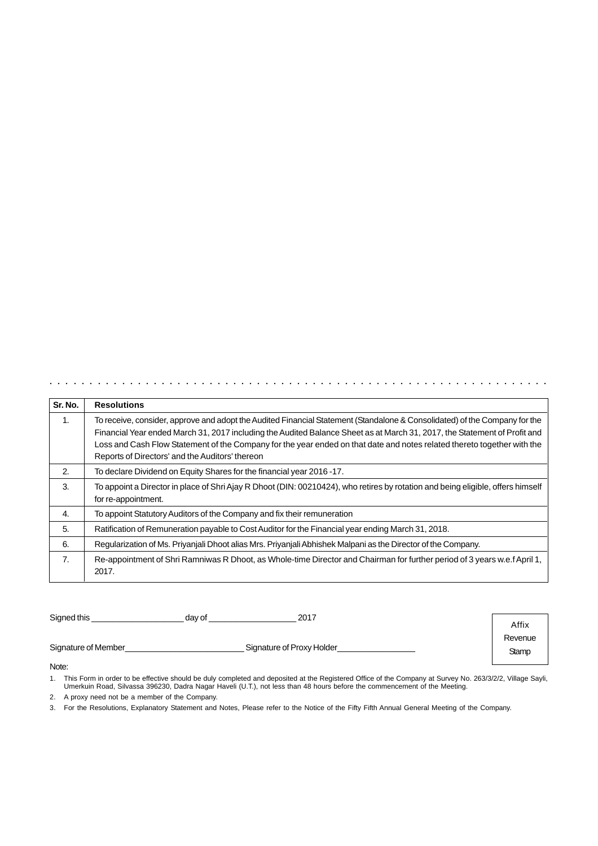| Sr. No.       | <b>Resolutions</b>                                                                                                                                                                                                                                                                                                                                                                                                                    |
|---------------|---------------------------------------------------------------------------------------------------------------------------------------------------------------------------------------------------------------------------------------------------------------------------------------------------------------------------------------------------------------------------------------------------------------------------------------|
| $\mathbf 1$ . | To receive, consider, approve and adopt the Audited Financial Statement (Standalone & Consolidated) of the Company for the<br>Financial Year ended March 31, 2017 including the Audited Balance Sheet as at March 31, 2017, the Statement of Profit and<br>Loss and Cash Flow Statement of the Company for the year ended on that date and notes related thereto together with the<br>Reports of Directors' and the Auditors' thereon |
| 2.            | To declare Dividend on Equity Shares for the financial year 2016 -17.                                                                                                                                                                                                                                                                                                                                                                 |
| 3.            | To appoint a Director in place of Shri Ajay R Dhoot (DIN: 00210424), who retires by rotation and being eligible, offers himself<br>for re-appointment.                                                                                                                                                                                                                                                                                |
| 4.            | To appoint Statutory Auditors of the Company and fix their remuneration                                                                                                                                                                                                                                                                                                                                                               |
| 5.            | Ratification of Remuneration payable to Cost Auditor for the Financial year ending March 31, 2018.                                                                                                                                                                                                                                                                                                                                    |
| 6.            | Regularization of Ms. Priyanjali Dhoot alias Mrs. Priyanjali Abhishek Malpani as the Director of the Company.                                                                                                                                                                                                                                                                                                                         |
| 7.            | Re-appointment of Shri Ramniwas R Dhoot, as Whole-time Director and Chairman for further period of 3 years w.e.f April 1,<br>2017.                                                                                                                                                                                                                                                                                                    |

○○○○○○○○○ ○○○○○○○○○○○○○○○○○○○○○○○○○○○○○○○○○○○○○○○○○○○○○○○○○○○○○○

Signed this \_\_\_\_\_\_\_\_\_\_\_\_\_\_\_\_\_\_\_\_ day of \_\_\_\_\_\_\_\_\_\_\_\_\_\_\_\_\_\_\_ 2017

Signature of Member\_\_\_\_\_\_\_\_\_\_\_\_\_\_\_\_\_\_\_\_\_\_\_\_\_\_ Signature of Proxy Holder\_\_\_\_\_\_\_\_\_\_\_\_\_\_\_\_\_

Affix Revenue **Stamp** 

Note:

- 1. This Form in order to be effective should be duly completed and deposited at the Registered Office of the Company at Survey No. 263/3/2/2, Village Sayli, Umerkuin Road, Silvassa 396230, Dadra Nagar Haveli (U.T.), not less than 48 hours before the commencement of the Meeting.
- 2. A proxy need not be a member of the Company.
- 3. For the Resolutions, Explanatory Statement and Notes, Please refer to the Notice of the Fifty Fifth Annual General Meeting of the Company.